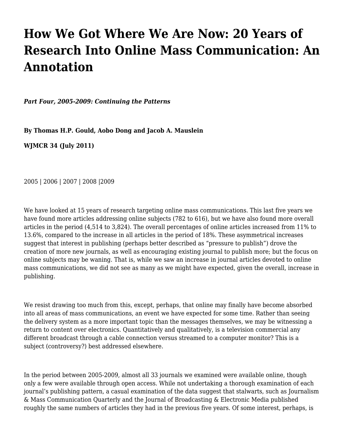# **[How We Got Where We Are Now: 20 Years of](https://wjmcr.info/2019/07/17/how-we-got-where-we-are-now-20-years-of-research-into-online-mass-communication-an-annotation-3/) [Research Into Online Mass Communication: An](https://wjmcr.info/2019/07/17/how-we-got-where-we-are-now-20-years-of-research-into-online-mass-communication-an-annotation-3/) [Annotation](https://wjmcr.info/2019/07/17/how-we-got-where-we-are-now-20-years-of-research-into-online-mass-communication-an-annotation-3/)**

*Part Four, 2005-2009: Continuing the Patterns*

**[By Thomas H.P. Gould, Aobo Dong and Jacob A. Mauslein](https://catmailohio-my.sharepoint.com/personal/meyerh_ohio_edu/_layouts/15/onedrive.aspx?ct=1563391744384&or=OWA%2DNT&cid=feee2bfd%2D0192%2D43df%2Daa3a%2D72ad2d029b2e&FolderCTID=0x0120005A197611EB7FF6458080F80BCB589642&id=%2Fpersonal%2Fmeyerh%5Fohio%5Fedu%2FDocuments%2FWJMCR%2F34%2Ehtml&parent=%2Fpersonal%2Fmeyerh%5Fohio%5Fedu%2FDocuments%2FWJMCR#author)**

**[WJMCR](http://wjmcr.info/) 34 (July 2011)**

[2005](https://wjmcr.info/=#2005) | [2006](#page--1-0) | [2007](#page--1-0) | [2008](#page--1-0) |[2009](#page--1-0)

We have looked at 15 years of research targeting online mass communications. This last five years we have found more articles addressing online subjects (782 to 616), but we have also found more overall articles in the period (4,514 to 3,824). The overall percentages of online articles increased from 11% to 13.6%, compared to the increase in all articles in the period of 18%. These asymmetrical increases suggest that interest in publishing (perhaps better described as "pressure to publish") drove the creation of more new journals, as well as encouraging existing journal to publish more; but the focus on online subjects may be waning. That is, while we saw an increase in journal articles devoted to online mass communications, we did not see as many as we might have expected, given the overall, increase in publishing.

We resist drawing too much from this, except, perhaps, that online may finally have become absorbed into all areas of mass communications, an event we have expected for some time. Rather than seeing the delivery system as a more important topic than the messages themselves, we may be witnessing a return to content over electronics. Quantitatively and qualitatively, is a television commercial any different broadcast through a cable connection versus streamed to a computer monitor? This is a subject (controversy?) best addressed elsewhere.

In the period between 2005-2009, almost all 33 journals we examined were available online, though only a few were available through open access. While not undertaking a thorough examination of each journal's publishing pattern, a casual examination of the data suggest that stalwarts, such as Journalism & Mass Communication Quarterly and the Journal of Broadcasting & Electronic Media published roughly the same numbers of articles they had in the previous five years. Of some interest, perhaps, is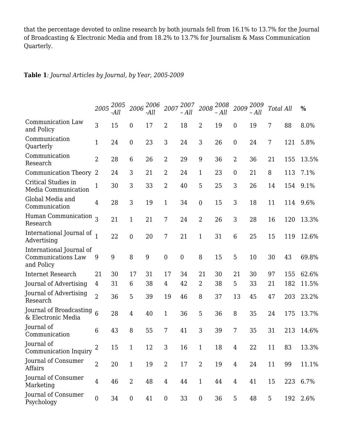that the percentage devoted to online research by both journals fell from 16.1% to 13.7% for the Journal of Broadcasting & Electronic Media and from 18.2% to 13.7% for Journalism & Mass Communication Quarterly.

# **Table 1***: Journal Articles by Journal, by Year, 2005-2009*

|                                                                     | 2005             | 2005<br>-All |                  | 2006 2006<br>-All |                  | 2007 2007<br>- All |                  | 2008 2008<br>- All | 2009             | 2009<br>- All | <b>Total All</b> |     | $\%$  |
|---------------------------------------------------------------------|------------------|--------------|------------------|-------------------|------------------|--------------------|------------------|--------------------|------------------|---------------|------------------|-----|-------|
| Communication Law<br>and Policy                                     | 3                | 15           | $\overline{0}$   | 17                | 2                | 18                 | $\overline{2}$   | 19                 | $\overline{0}$   | 19            | 7                | 88  | 8.0%  |
| Communication<br>Quarterly                                          | $\mathbf{1}$     | 24           | $\boldsymbol{0}$ | 23                | 3                | 24                 | 3                | 26                 | $\boldsymbol{0}$ | 24            | 7                | 121 | 5.8%  |
| Communication<br>Research                                           | 2                | 28           | 6                | 26                | 2                | 29                 | 9                | 36                 | $\overline{2}$   | 36            | 21               | 155 | 13.5% |
| Communication Theory 2                                              |                  | 24           | 3                | 21                | 2                | 24                 | 1                | 23                 | $\theta$         | 21            | 8                | 113 | 7.1%  |
| Critical Studies in<br>Media Communication                          | 1                | 30           | 3                | 33                | 2                | 40                 | 5                | 25                 | 3                | 26            | 14               | 154 | 9.1%  |
| Global Media and<br>Communication                                   | $\overline{4}$   | 28           | 3                | 19                | $\mathbf{1}$     | 34                 | $\boldsymbol{0}$ | 15                 | 3                | 18            | 11               | 114 | 9.6%  |
| Human Communication $_3$<br>Research                                |                  | 21           | $\mathbf 1$      | 21                | 7                | 24                 | $\overline{2}$   | 26                 | 3                | 28            | 16               | 120 | 13.3% |
| International Journal of<br>Advertising                             | $\overline{1}$   | 22           | $\boldsymbol{0}$ | 20                | 7                | 21                 | $\mathbf{1}$     | 31                 | $6\phantom{1}6$  | 25            | 15               | 119 | 12.6% |
| International Journal of<br><b>Communications Law</b><br>and Policy | 9                | 9            | 8                | 9                 | $\boldsymbol{0}$ | $\boldsymbol{0}$   | 8                | 15                 | 5                | 10            | 30               | 43  | 69.8% |
| Internet Research                                                   | 21               | 30           | 17               | 31                | 17               | 34                 | 21               | 30                 | 21               | 30            | 97               | 155 | 62.6% |
| Journal of Advertising                                              | 4                | 31           | 6                | 38                | 4                | 42                 | $\overline{2}$   | 38                 | 5                | 33            | 21               | 182 | 11.5% |
| Journal of Advertising<br>Research                                  | $\overline{2}$   | 36           | 5                | 39                | 19               | 46                 | 8                | 37                 | 13               | 45            | 47               | 203 | 23.2% |
| Journal of Broadcasting<br>& Electronic Media                       | 6                | 28           | $\overline{4}$   | 40                | $\mathbf{1}$     | 36                 | 5                | 36                 | 8                | 35            | 24               | 175 | 13.7% |
| Journal of<br>Communication                                         | 6                | 43           | 8                | 55                | 7                | 41                 | 3                | 39                 | 7                | 35            | 31               | 213 | 14.6% |
| Journal of<br>Communication Inquiry                                 | $\overline{2}$   | 15           | 1                | 12                | 3                | 16                 | 1                | 18                 | $\overline{4}$   | 22            | 11               | 83  | 13.3% |
| Journal of Consumer<br>Affairs                                      | $\overline{2}$   | 20           | $\mathbf{1}$     | $19\,$            | $\overline{2}$   | 17                 | $\overline{2}$   | 19                 | $\overline{4}$   | 24            | 11               | 99  | 11.1% |
| Journal of Consumer<br>Marketing                                    | $\overline{4}$   | 46           | $\overline{2}$   | 48                | $\overline{4}$   | 44                 | $\mathbf{1}$     | 44                 | $\overline{4}$   | 41            | 15               | 223 | 6.7%  |
| Journal of Consumer<br>Psychology                                   | $\boldsymbol{0}$ | 34           | $\boldsymbol{0}$ | 41                | $\boldsymbol{0}$ | 33                 | $\boldsymbol{0}$ | 36                 | 5                | 48            | 5                | 192 | 2.6%  |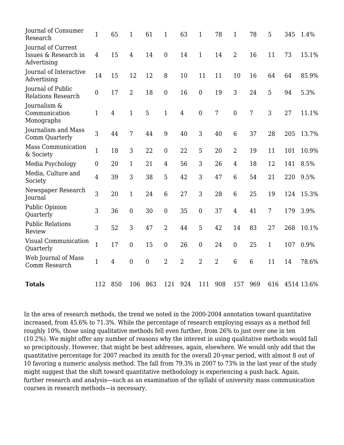| <b>Totals</b>                                             | 112              | 850            | 106              | 863            | 121              | 924            | 111              | 908            | 157            | 969 | 616          |     | 4514 13.6% |
|-----------------------------------------------------------|------------------|----------------|------------------|----------------|------------------|----------------|------------------|----------------|----------------|-----|--------------|-----|------------|
| Web Journal of Mass<br>Comm Research                      | $\mathbf{1}$     | $\overline{4}$ | $\overline{0}$   | $\overline{0}$ | $\overline{2}$   | $\overline{2}$ | $\overline{2}$   | $\overline{2}$ | 6              | 6   | 11           | 14  | 78.6%      |
| Visual Communication<br>Quarterly                         | $\mathbf{1}$     | 17             | $\boldsymbol{0}$ | 15             | $\overline{0}$   | 26             | $\boldsymbol{0}$ | 24             | $\mathbf{0}$   | 25  | $\mathbf{1}$ | 107 | 0.9%       |
| <b>Public Relations</b><br>Review                         | 3                | 52             | 3                | 47             | $\overline{2}$   | 44             | 5                | 42             | 14             | 83  | 27           | 268 | 10.1%      |
| Public Opinion<br>Quarterly                               | 3                | 36             | $\overline{0}$   | 30             | $\overline{0}$   | 35             | $\boldsymbol{0}$ | 37             | $\overline{4}$ | 41  | 7            | 179 | 3.9%       |
| Newspaper Research<br>Journal                             | 3                | 20             | $\mathbf{1}$     | 24             | 6                | 27             | 3                | 28             | 6              | 25  | 19           | 124 | 15.3%      |
| Media, Culture and<br>Society                             | $\overline{4}$   | 39             | 3                | 38             | 5                | 42             | 3                | 47             | 6              | 54  | 21           | 220 | 9.5%       |
| Media Psychology                                          | $\boldsymbol{0}$ | 20             | $\mathbf{1}$     | 21             | $\overline{4}$   | 56             | 3                | 26             | $\overline{4}$ | 18  | 12           | 141 | 8.5%       |
| <b>Mass Communication</b><br>& Society                    | $\mathbf{1}$     | 18             | 3                | 22             | $\overline{0}$   | 22             | 5                | 20             | $\overline{2}$ | 19  | 11           | 101 | 10.9%      |
| Journalism and Mass<br>Comm Quarterly                     | 3                | 44             | 7                | 44             | 9                | 40             | 3                | 40             | 6              | 37  | 28           | 205 | 13.7%      |
| Journalism &<br>Communication<br>Monographs               | $\mathbf{1}$     | $\overline{4}$ | $\mathbf{1}$     | 5              | $\mathbf{1}$     | $\overline{4}$ | $\mathbf{0}$     | 7              | $\mathbf{0}$   | 7   | 3            | 27  | 11.1%      |
| Journal of Public<br><b>Relations Research</b>            | $\boldsymbol{0}$ | 17             | $\overline{2}$   | 18             | $\mathbf{0}$     | 16             | $\mathbf{0}$     | 19             | 3              | 24  | 5            | 94  | 5.3%       |
| Journal of Interactive<br>Advertising                     | 14               | 15             | 12               | 12             | 8                | 10             | 11               | 11             | 10             | 16  | 64           | 64  | 85.9%      |
| Journal of Current<br>Issues & Research in<br>Advertising | $\overline{4}$   | 15             | $\overline{4}$   | 14             | $\boldsymbol{0}$ | 14             | $\mathbf{1}$     | 14             | $\overline{2}$ | 16  | 11           | 73  | 15.1%      |
| Journal of Consumer<br>Research                           | $\mathbf{1}$     | 65             | $\mathbf 1$      | 61             | $\mathbf{1}$     | 63             | $\mathbf{1}$     | 78             | $\mathbf 1$    | 78  | 5            | 345 | 1.4%       |

In the area of research methods, the trend we noted in the 2000-2004 annotation toward quantitative increased, from 45.6% to 71.3%. While the percentage of research employing essays as a method fell roughly 10%, those using qualitative methods fell even further, from 26% to just over one in ten (10.2%). We might offer any number of reasons why the interest in using qualitative methods would fall so precipitously. However, that might be best addresses, again, elsewhere. We would only add that the quantitative percentage for 2007 reached its zenith for the overall 20-year period, with almost 8 out of 10 favoring a numeric analysis method. The fall from 79.3% in 2007 to 73% in the last year of the study might suggest that the shift toward quantitative methodology is experiencing a push back. Again, further research and analysis—such as an examination of the syllabi of university mass communication courses in research methods—is necessary.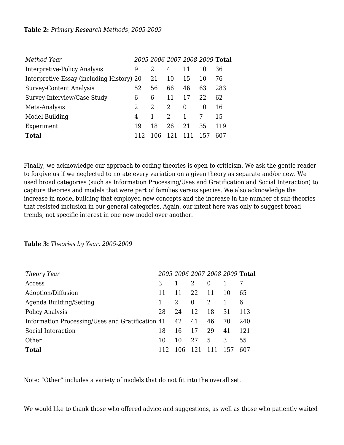| Method Year                               |    |     |     |          |     | 2005 2006 2007 2008 2009 Total |
|-------------------------------------------|----|-----|-----|----------|-----|--------------------------------|
| Interpretive-Policy Analysis              | 9  | 2   | 4   | 11       | 10  | 36                             |
| Interpretive-Essay (including History) 20 |    | 21  | 10  | 15       | 10  | 76                             |
| <b>Survey-Content Analysis</b>            | 52 | 56  | 66  | 46       | 63  | 283                            |
| Survey-Interview/Case Study               | 6  | 6   | 11  | 17       | 22  | 62                             |
| Meta-Analysis                             | 2  | 2   | 2   | $\Omega$ | 10  | 16                             |
| Model Building                            | 4  |     | 2   | 1        |     | 15                             |
| Experiment                                | 19 | 18  | 26  | 21       | 35  | 119                            |
| <b>Total</b>                              |    | 106 | 121 |          | 157 | 607                            |

Finally, we acknowledge our approach to coding theories is open to criticism. We ask the gentle reader to forgive us if we neglected to notate every variation on a given theory as separate and/or new. We used broad categories (such as Information Processing/Uses and Gratification and Social Interaction) to capture theories and models that were part of families versus species. We also acknowledge the increase in model building that employed new concepts and the increase in the number of sub-theories that resisted inclusion in our general categories. Again, our intent here was only to suggest broad trends, not specific interest in one new model over another.

#### **Table 3:** *Theories by Year, 2005-2009*

| Theory Year                                      |    |     |                |          |     | 2005 2006 2007 2008 2009 Total |
|--------------------------------------------------|----|-----|----------------|----------|-----|--------------------------------|
| Access                                           | 3  |     | 2              | $\Omega$ |     |                                |
| Adoption/Diffusion                               | 11 | 11  | 22             | 11       | 10  | 65                             |
| Agenda Building/Setting                          |    | 2   | $\overline{0}$ | 2        |     | 6                              |
| <b>Policy Analysis</b>                           | 28 | 24  | 12             | 18       | 31  | 113                            |
| Information Processing/Uses and Gratification 41 |    | 42  | 41             | 46       | 70  | 240                            |
| Social Interaction                               | 18 | 16  | 17             | 29       | 41  | 121                            |
| Other                                            | 10 | 10  | 27             | 5.       | 3   | 55                             |
| <b>Total</b>                                     |    | 106 | 121            |          | 157 | 607                            |

Note: "Other" includes a variety of models that do not fit into the overall set.

We would like to thank those who offered advice and suggestions, as well as those who patiently waited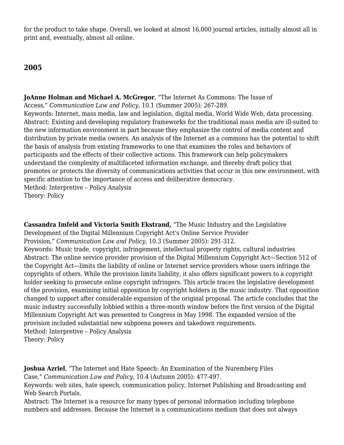for the product to take shape. Overall, we looked at almost 16,000 journal articles, initially almost all in print and, eventually, almost all online.

# **2005**

**JoAnne Holman and Michael A. McGregor**, "The Internet As Commons: The Issue of Access," *Communication Law and Policy*, 10.1 (Summer 2005): 267-289. Keywords: Internet, mass media, law and legislation, digital media, World Wide Web, data processing. Abstract: Existing and developing regulatory frameworks for the traditional mass media are ill-suited to the new information environment in part because they emphasize the control of media content and distribution by private media owners. An analysis of the Internet as a commons has the potential to shift the basis of analysis from existing frameworks to one that examines the roles and behaviors of participants and the effects of their collective actions. This framework can help policymakers understand the complexity of multifaceted information exchange, and thereby draft policy that promotes or protects the diversity of communications activities that occur in this new environment, with specific attention to the importance of access and deliberative democracy. Method: Interpretive – Policy Analysis Theory: Policy

**Cassandra Imfeld and Victoria Smith Ekstrand,** "The Music Industry and the Legislative Development of the Digital Millennium Copyright Act's Online Service Provider Provision," *Communication Law and Policy*, 10.3 (Summer 2005): 291-312. Keywords: Music trade, copyright, infringement, intellectual property rights, cultural industries Abstract: The online service provider provision of the Digital Millennium Copyright Act—Section 512 of the Copyright Act—limits the liability of online or Internet service providers whose users infringe the copyrights of others. While the provision limits liability, it also offers significant powers to a copyright holder seeking to prosecute online copyright infringers. This article traces the legislative development of the provision, examining initial opposition by copyright holders in the music industry. That opposition changed to support after considerable expansion of the original proposal. The article concludes that the music industry successfully lobbied within a three-month window before the first version of the Digital Millennium Copyright Act was presented to Congress in May 1998. The expanded version of the provision included substantial new subpoena powers and takedown requirements. Method: Interpretive – Policy Analysis Theory: Policy

**Joshua Azriel**, "The Internet and Hate Speech: An Examination of the Nuremberg Files Case," *Communication Law and Policy*, 10.4 (Autumn 2005): 477-497.

Keywords: web sites, hate speech, communication policy, Internet Publishing and Broadcasting and Web Search Portals.

Abstract: The Internet is a resource for many types of personal information including telephone numbers and addresses. Because the Internet is a communications medium that does not always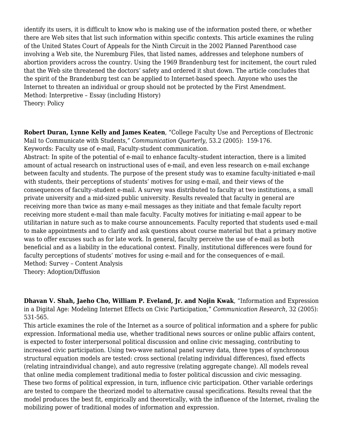identify its users, it is difficult to know who is making use of the information posted there, or whether there are Web sites that list such information within specific contexts. This article examines the ruling of the United States Court of Appeals for the Ninth Circuit in the 2002 Planned Parenthood case involving a Web site, the Nuremburg Files, that listed names, addresses and telephone numbers of abortion providers across the country. Using the 1969 Brandenburg test for incitement, the court ruled that the Web site threatened the doctors' safety and ordered it shut down. The article concludes that the spirit of the Brandenburg test can be applied to Internet-based speech. Anyone who uses the Internet to threaten an individual or group should not be protected by the First Amendment. Method: Interpretive – Essay (including History) Theory: Policy

**Robert Duran, Lynne Kelly and James Keaten**, "College Faculty Use and Perceptions of Electronic Mail to Communicate with Students," *Communication Quarterly*, 53.2 (2005): 159-176. Keywords: Faculty use of e-mail, Faculty-student communication.

Abstract: In spite of the potential of e-mail to enhance faculty–student interaction, there is a limited amount of actual research on instructional uses of e-mail, and even less research on e-mail exchange between faculty and students. The purpose of the present study was to examine faculty-initiated e-mail with students, their perceptions of students' motives for using e-mail, and their views of the consequences of faculty–student e-mail. A survey was distributed to faculty at two institutions, a small private university and a mid-sized public university. Results revealed that faculty in general are receiving more than twice as many e-mail messages as they initiate and that female faculty report receiving more student e-mail than male faculty. Faculty motives for initiating e-mail appear to be utilitarian in nature such as to make course announcements. Faculty reported that students used e-mail to make appointments and to clarify and ask questions about course material but that a primary motive was to offer excuses such as for late work. In general, faculty perceive the use of e-mail as both beneficial and as a liability in the educational context. Finally, institutional differences were found for faculty perceptions of students' motives for using e-mail and for the consequences of e-mail. Method: Survey – Content Analysis Theory: Adoption/Diffusion

**Dhavan V. Shah, Jaeho Cho, William P. Eveland, Jr. and Nojin Kwak**, "Information and Expression in a Digital Age: Modeling Internet Effects on Civic Participation," *Communication Research*, 32 (2005): 531-565.

This article examines the role of the Internet as a source of political information and a sphere for public expression. Informational media use, whether traditional news sources or online public affairs content, is expected to foster interpersonal political discussion and online civic messaging, contributing to increased civic participation. Using two-wave national panel survey data, three types of synchronous structural equation models are tested: cross sectional (relating individual differences), fixed effects (relating intraindividual change), and auto regressive (relating aggregate change). All models reveal that online media complement traditional media to foster political discussion and civic messaging. These two forms of political expression, in turn, influence civic participation. Other variable orderings are tested to compare the theorized model to alternative causal specifications. Results reveal that the model produces the best fit, empirically and theoretically, with the influence of the Internet, rivaling the mobilizing power of traditional modes of information and expression.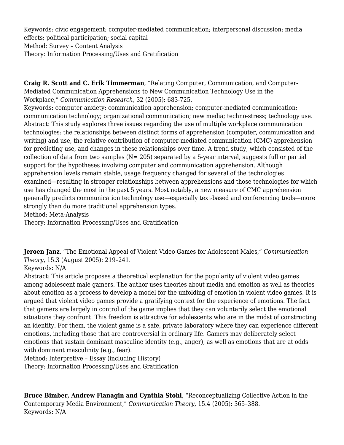Keywords: civic engagement; computer-mediated communication; interpersonal discussion; media effects; political participation; social capital Method: Survey – Content Analysis Theory: Information Processing/Uses and Gratification

**Craig R. Scott and C. Erik Timmerman**, "Relating Computer, Communication, and Computer-Mediated Communication Apprehensions to New Communication Technology Use in the Workplace," *Communication Research*, 32 (2005): 683-725.

Keywords: computer anxiety; communication apprehension; computer-mediated communication; communication technology; organizational communication; new media; techno-stress; technology use. Abstract: This study explores three issues regarding the use of multiple workplace communication technologies: the relationships between distinct forms of apprehension (computer, communication and writing) and use, the relative contribution of computer-mediated communication (CMC) apprehension for predicting use, and changes in these relationships over time. A trend study, which consisted of the collection of data from two samples  $(N= 205)$  separated by a 5-year interval, suggests full or partial support for the hypotheses involving computer and communication apprehension. Although apprehension levels remain stable, usage frequency changed for several of the technologies examined—resulting in stronger relationships between apprehensions and those technologies for which use has changed the most in the past 5 years. Most notably, a new measure of CMC apprehension generally predicts communication technology use—especially text-based and conferencing tools—more strongly than do more traditional apprehension types.

Method: Meta-Analysis

Theory: Information Processing/Uses and Gratification

**Jeroen Janz**, "The Emotional Appeal of Violent Video Games for Adolescent Males," *Communication Theory*, 15.3 (August 2005): 219–241.

## Keywords: N/A

Abstract: This article proposes a theoretical explanation for the popularity of violent video games among adolescent male gamers. The author uses theories about media and emotion as well as theories about emotion as a process to develop a model for the unfolding of emotion in violent video games. It is argued that violent video games provide a gratifying context for the experience of emotions. The fact that gamers are largely in control of the game implies that they can voluntarily select the emotional situations they confront. This freedom is attractive for adolescents who are in the midst of constructing an identity. For them, the violent game is a safe, private laboratory where they can experience different emotions, including those that are controversial in ordinary life. Gamers may deliberately select emotions that sustain dominant masculine identity (e.g., anger), as well as emotions that are at odds with dominant masculinity (e.g., fear).

Method: Interpretive – Essay (including History)

Theory: Information Processing/Uses and Gratification

**Bruce Bimber, Andrew Flanagin and Cynthia Stohl**, "Reconceptualizing Collective Action in the Contemporary Media Environment," *Communication Theory*, 15.4 (2005): 365–388. Keywords: N/A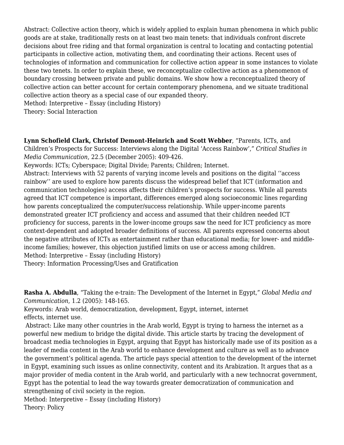Abstract: Collective action theory, which is widely applied to explain human phenomena in which public goods are at stake, traditionally rests on at least two main tenets: that individuals confront discrete decisions about free riding and that formal organization is central to locating and contacting potential participants in collective action, motivating them, and coordinating their actions. Recent uses of technologies of information and communication for collective action appear in some instances to violate these two tenets. In order to explain these, we reconceptualize collective action as a phenomenon of boundary crossing between private and public domains. We show how a reconceptualized theory of collective action can better account for certain contemporary phenomena, and we situate traditional collective action theory as a special case of our expanded theory. Method: Interpretive – Essay (including History)

Theory: Social Interaction

**Lynn Schofield Clark, Christof Demont-Heinrich and Scott Webber**, "Parents, ICTs, and Children's Prospects for Success: Interviews along the Digital 'Access Rainbow'," *Critical Studies in Media Communication*, 22.5 (December 2005): 409-426.

Keywords: ICTs; Cyberspace; Digital Divide; Parents; Children; Internet.

Abstract: Interviews with 52 parents of varying income levels and positions on the digital ''access rainbow'' are used to explore how parents discuss the widespread belief that ICT (information and communication technologies) access affects their children's prospects for success. While all parents agreed that ICT competence is important, differences emerged along socioeconomic lines regarding how parents conceptualized the computer/success relationship. While upper-income parents demonstrated greater ICT proficiency and access and assumed that their children needed ICT proficiency for success, parents in the lower-income groups saw the need for ICT proficiency as more context-dependent and adopted broader definitions of success. All parents expressed concerns about the negative attributes of ICTs as entertainment rather than educational media; for lower- and middleincome families; however, this objection justified limits on use or access among children. Method: Interpretive – Essay (including History)

Theory: Information Processing/Uses and Gratification

**Rasha A. Abdulla**, "Taking the e-train: The Development of the Internet in Egypt," *Global Media and Communication*, 1.2 (2005): 148-165.

Keywords: Arab world, democratization, development, Egypt, internet, internet effects, internet use.

 Abstract: Like many other countries in the Arab world, Egypt is trying to harness the internet as a powerful new medium to bridge the digital divide. This article starts by tracing the development of broadcast media technologies in Egypt, arguing that Egypt has historically made use of its position as a leader of media content in the Arab world to enhance development and culture as well as to advance the government's political agenda. The article pays special attention to the development of the internet in Egypt, examining such issues as online connectivity, content and its Arabization. It argues that as a major provider of media content in the Arab world, and particularly with a new technocrat government, Egypt has the potential to lead the way towards greater democratization of communication and strengthening of civil society in the region.

Method: Interpretive – Essay (including History) Theory: Policy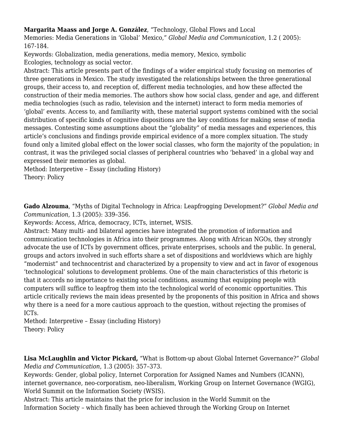# **Margarita Maass and Jorge A. González**, "Technology, Global Flows and Local

Memories: Media Generations in 'Global' Mexico," *Global Media and Communication*, 1.2 ( 2005): 167-184.

Keywords: Globalization, media generations, media memory, Mexico, symbolic Ecologies, technology as social vector.

Abstract: This article presents part of the findings of a wider empirical study focusing on memories of three generations in Mexico. The study investigated the relationships between the three generational groups, their access to, and reception of, different media technologies, and how these affected the construction of their media memories. The authors show how social class, gender and age, and different media technologies (such as radio, television and the internet) interact to form media memories of 'global' events. Access to, and familiarity with, these material support systems combined with the social distribution of specific kinds of cognitive dispositions are the key conditions for making sense of media messages. Contesting some assumptions about the "globality" of media messages and experiences, this article's conclusions and findings provide empirical evidence of a more complex situation. The study found only a limited global effect on the lower social classes, who form the majority of the population; in contrast, it was the privileged social classes of peripheral countries who 'behaved' in a global way and expressed their memories as global.

Method: Interpretive – Essay (including History) Theory: Policy

**Gado Alzouma**, "Myths of Digital Technology in Africa: Leapfrogging Development?" *Global Media and Communication*, 1.3 (2005): 339–356.

Keywords: Access, Africa, democracy, ICTs, internet, WSIS.

Abstract: Many multi- and bilateral agencies have integrated the promotion of information and communication technologies in Africa into their programmes. Along with African NGOs, they strongly advocate the use of ICTs by government offices, private enterprises, schools and the public. In general, groups and actors involved in such efforts share a set of dispositions and worldviews which are highly "modernist" and technocentrist and characterized by a propensity to view and act in favor of exogenous 'technological' solutions to development problems. One of the main characteristics of this rhetoric is that it accords no importance to existing social conditions, assuming that equipping people with computers will suffice to leapfrog them into the technological world of economic opportunities. This article critically reviews the main ideas presented by the proponents of this position in Africa and shows why there is a need for a more cautious approach to the question, without rejecting the promises of ICTs.

Method: Interpretive – Essay (including History) Theory: Policy

**Lisa McLaughlin and Victor Pickard,** "What is Bottom-up about Global Internet Governance?" *Global Media and Communication*, 1.3 (2005): 357–373.

Keywords: Gender, global policy, Internet Corporation for Assigned Names and Numbers (ICANN), internet governance, neo-corporatism, neo-liberalism, Working Group on Internet Governance (WGIG), World Summit on the Information Society (WSIS).

Abstract: This article maintains that the price for inclusion in the World Summit on the Information Society – which finally has been achieved through the Working Group on Internet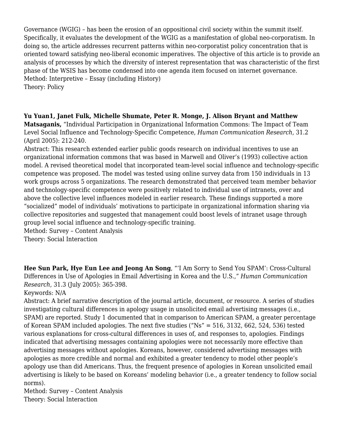Governance (WGIG) – has been the erosion of an oppositional civil society within the summit itself. Specifically, it evaluates the development of the WGIG as a manifestation of global neo-corporatism. In doing so, the article addresses recurrent patterns within neo-corporatist policy concentration that is oriented toward satisfying neo-liberal economic imperatives. The objective of this article is to provide an analysis of processes by which the diversity of interest representation that was characteristic of the first phase of the WSIS has become condensed into one agenda item focused on internet governance. Method: Interpretive – Essay (including History) Theory: Policy

**Yu Yuan1, Janet Fulk, Michelle Shumate, Peter R. Monge, J. Alison Bryant and Matthew Matsaganis,** "Individual Participation in Organizational Information Commons: The Impact of Team Level Social Influence and Technology-Specific Competence, *Human Communication Research*, 31.2 (April 2005): 212-240.

Abstract: This research extended earlier public goods research on individual incentives to use an organizational information commons that was based in Marwell and Oliver's (1993) collective action model. A revised theoretical model that incorporated team-level social influence and technology-specific competence was proposed. The model was tested using online survey data from 150 individuals in 13 work groups across 5 organizations. The research demonstrated that perceived team member behavior and technology-specific competence were positively related to individual use of intranets, over and above the collective level influences modeled in earlier research. These findings supported a more "socialized" model of individuals' motivations to participate in organizational information sharing via collective repositories and suggested that management could boost levels of intranet usage through group level social influence and technology-specific training.

Method: Survey – Content Analysis Theory: Social Interaction

**Hee Sun Park, Hye Eun Lee and Jeong An Song**, "'I Am Sorry to Send You SPAM': Cross-Cultural Differences in Use of Apologies in Email Advertising in Korea and the U.S.," *Human Communication Research*, 31.3 (July 2005): 365-398.

Keywords: N/A

Abstract: A brief narrative description of the journal article, document, or resource. A series of studies investigating cultural differences in apology usage in unsolicited email advertising messages (i.e., SPAM) are reported. Study 1 documented that in comparison to American SPAM, a greater percentage of Korean SPAM included apologies. The next five studies ("Ns" = 516, 3132, 662, 524, 536) tested various explanations for cross-cultural differences in uses of, and responses to, apologies. Findings indicated that advertising messages containing apologies were not necessarily more effective than advertising messages without apologies. Koreans, however, considered advertising messages with apologies as more credible and normal and exhibited a greater tendency to model other people's apology use than did Americans. Thus, the frequent presence of apologies in Korean unsolicited email advertising is likely to be based on Koreans' modeling behavior (i.e., a greater tendency to follow social norms).

Method: Survey – Content Analysis Theory: Social Interaction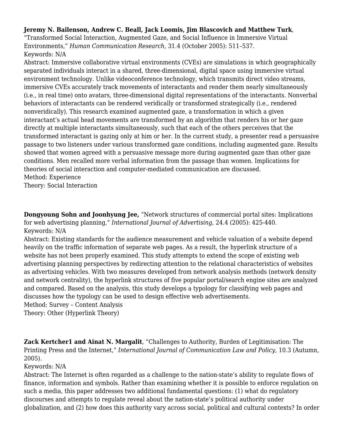### **Jeremy N. Bailenson, Andrew C. Beall, Jack Loomis, Jim Blascovich and Matthew Turk**,

"Transformed Social Interaction, Augmented Gaze, and Social Influence in Immersive Virtual Environments," *Human Communication Research*, 31.4 (October 2005): 511–537. Keywords: N/A

Abstract: Immersive collaborative virtual environments (CVEs) are simulations in which geographically separated individuals interact in a shared, three-dimensional, digital space using immersive virtual environment technology. Unlike videoconference technology, which transmits direct video streams, immersive CVEs accurately track movements of interactants and render them nearly simultaneously (i.e., in real time) onto avatars, three-dimensional digital representations of the interactants. Nonverbal behaviors of interactants can be rendered veridically or transformed strategically (i.e., rendered nonveridically). This research examined augmented gaze, a transformation in which a given interactant's actual head movements are transformed by an algorithm that renders his or her gaze directly at multiple interactants simultaneously, such that each of the others perceives that the transformed interactant is gazing only at him or her. In the current study, a presenter read a persuasive passage to two listeners under various transformed gaze conditions, including augmented gaze. Results showed that women agreed with a persuasive message more during augmented gaze than other gaze conditions. Men recalled more verbal information from the passage than women. Implications for theories of social interaction and computer-mediated communication are discussed. Method: Experience

Theory: Social Interaction

**Dongyoung Sohn and Joonhyung Jee,** "Network structures of commercial portal sites: Implications for web advertising planning," *International Journal of Advertising*, 24.4 (2005): 425-440. Keywords: N/A

Abstract: Existing standards for the audience measurement and vehicle valuation of a website depend heavily on the traffic information of separate web pages. As a result, the hyperlink structure of a website has not been properly examined. This study attempts to extend the scope of existing web advertising planning perspectives by redirecting attention to the relational characteristics of websites as advertising vehicles. With two measures developed from network analysis methods (network density and network centrality), the hyperlink structures of five popular portal/search engine sites are analyzed and compared. Based on the analysis, this study develops a typology for classifying web pages and discusses how the typology can be used to design effective web advertisements.

Method: Survey – Content Analysis

Theory: Other (Hyperlink Theory)

**Zack Kertcher1 and Ainat N. Margalit**, "Challenges to Authority, Burden of Legitimisation: The Printing Press and the Internet," *International Journal of Communication Law and Policy*, 10.3 (Autumn, 2005).

## Keywords: N/A

Abstract: The Internet is often regarded as a challenge to the nation-state's ability to regulate flows of finance, information and symbols. Rather than examining whether it is possible to enforce regulation on such a media, this paper addresses two additional fundamental questions: (1) what do regulatory discourses and attempts to regulate reveal about the nation-state's political authority under globalization, and (2) how does this authority vary across social, political and cultural contexts? In order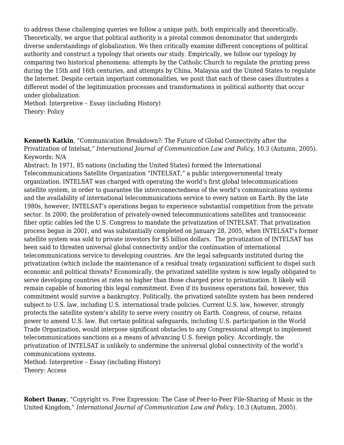to address these challenging queries we follow a unique path, both empirically and theoretically. Theoretically, we argue that political authority is a pivotal common denominator that undergirds diverse understandings of globalization. We then critically examine different conceptions of political authority and construct a typology that orients our study. Empirically, we follow our typology by comparing two historical phenomena: attempts by the Catholic Church to regulate the printing press during the 15th and 16th centuries, and attempts by China, Malaysia and the United States to regulate the Internet. Despite certain important commonalities, we posit that each of these cases illustrates a different model of the legitimization processes and transformations in political authority that occur under globalization.

Method: Interpretive – Essay (including History) Theory: Policy

**Kenneth Katkin**, "Communication Breakdown?: The Future of Global Connectivity after the Privatization of Intelsat," *International Journal of Communication Law and Policy*, 10.3 (Autumn, 2005). Keywords: N/A

Abstract: In 1971, 85 nations (including the United States) formed the International Telecommunications Satellite Organization "INTELSAT," a public intergovernmental treaty organization. INTELSAT was charged with operating the world's first global telecommunications satellite system, in order to guarantee the interconnectedness of the world's communications systems and the availability of international telecommunications service to every nation on Earth. By the late 1980s, however, INTELSAT's operations began to experience substantial competition from the private sector. In 2000, the proliferation of privately-owned telecommunications satellites and transoceanic fiber optic cables led the U.S. Congress to mandate the privatization of INTELSAT. That privatization process began in 2001, and was substantially completed on January 28, 2005, when INTELSAT's former satellite system was sold to private investors for \$5 billion dollars. The privatization of INTELSAT has been said to threaten universal global connectivity and/or the continuation of international telecommunications service to developing countries. Are the legal safeguards instituted during the privatization (which include the maintenance of a residual treaty organization) sufficient to dispel such economic and political threats? Economically, the privatized satellite system is now legally obligated to serve developing countries at rates no higher than those charged prior to privatization. It likely will remain capable of honoring this legal commitment. Even if its business operations fail, however, this commitment would survive a bankruptcy. Politically, the privatized satellite system has been rendered subject to U.S. law, including U.S. international trade policies. Current U.S. law, however, strongly protects the satellite system's ability to serve every country on Earth. Congress, of course, retains power to amend U.S. law. But certain political safeguards, including U.S. participation in the World Trade Organization, would interpose significant obstacles to any Congressional attempt to implement telecommunications sanctions as a means of advancing U.S. foreign policy. Accordingly, the privatization of INTELSAT is unlikely to undermine the universal global connectivity of the world's communications systems.

Method: Interpretive – Essay (including History) Theory: Access

**Robert Danay**, "Copyright vs. Free Expression: The Case of Peer-to-Peer File-Sharing of Music in the United Kingdom," *International Journal of Communication Law and Policy*, 10.3 (Autumn, 2005).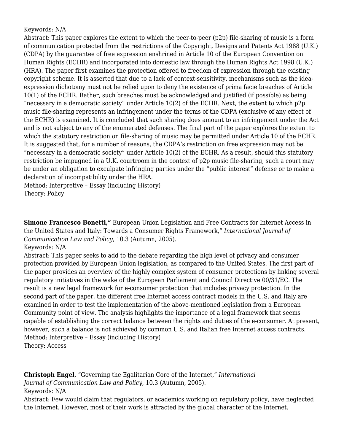Keywords: N/A

Abstract: This paper explores the extent to which the peer-to-peer (p2p) file-sharing of music is a form of communication protected from the restrictions of the Copyright, Designs and Patents Act 1988 (U.K.) (CDPA) by the guarantee of free expression enshrined in Article 10 of the European Convention on Human Rights (ECHR) and incorporated into domestic law through the Human Rights Act 1998 (U.K.) (HRA). The paper first examines the protection offered to freedom of expression through the existing copyright scheme. It is asserted that due to a lack of context-sensitivity, mechanisms such as the ideaexpression dichotomy must not be relied upon to deny the existence of prima facie breaches of Article 10(1) of the ECHR. Rather, such breaches must be acknowledged and justified (if possible) as being "necessary in a democratic society" under Article 10(2) of the ECHR. Next, the extent to which p2p music file-sharing represents an infringement under the terms of the CDPA (exclusive of any effect of the ECHR) is examined. It is concluded that such sharing does amount to an infringement under the Act and is not subject to any of the enumerated defenses. The final part of the paper explores the extent to which the statutory restriction on file-sharing of music may be permitted under Article 10 of the ECHR. It is suggested that, for a number of reasons, the CDPA's restriction on free expression may not be "necessary in a democratic society" under Article 10(2) of the ECHR. As a result, should this statutory restriction be impugned in a U.K. courtroom in the context of p2p music file-sharing, such a court may be under an obligation to exculpate infringing parties under the "public interest" defense or to make a declaration of incompatibility under the HRA. Method: Interpretive – Essay (including History)

Theory: Policy

**Simone Francesco Bonetti,"** European Union Legislation and Free Contracts for Internet Access in the United States and Italy: Towards a Consumer Rights Framework," *International Journal of Communication Law and Policy*, 10.3 (Autumn, 2005).

Keywords: N/A

Abstract: This paper seeks to add to the debate regarding the high level of privacy and consumer protection provided by European Union legislation, as compared to the United States. The first part of the paper provides an overview of the highly complex system of consumer protections by linking several regulatory initiatives in the wake of the European Parliament and Council Directive 00/31/EC. The result is a new legal framework for e-consumer protection that includes privacy protection. In the second part of the paper, the different free Internet access contract models in the U.S. and Italy are examined in order to test the implementation of the above-mentioned legislation from a European Community point of view. The analysis highlights the importance of a legal framework that seems capable of establishing the correct balance between the rights and duties of the e-consumer. At present, however, such a balance is not achieved by common U.S. and Italian free Internet access contracts. Method: Interpretive – Essay (including History) Theory: Access

**Christoph Engel**, "Governing the Egalitarian Core of the Internet," *International*

*Journal of Communication Law and Policy*, 10.3 (Autumn, 2005).

Keywords: N/A

Abstract: Few would claim that regulators, or academics working on regulatory policy, have neglected the Internet. However, most of their work is attracted by the global character of the Internet.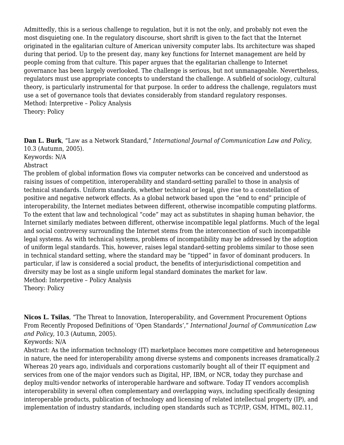Admittedly, this is a serious challenge to regulation, but it is not the only, and probably not even the most disquieting one. In the regulatory discourse, short shrift is given to the fact that the Internet originated in the egalitarian culture of American university computer labs. Its architecture was shaped during that period. Up to the present day, many key functions for Internet management are held by people coming from that culture. This paper argues that the egalitarian challenge to Internet governance has been largely overlooked. The challenge is serious, but not unmanageable. Nevertheless, regulators must use appropriate concepts to understand the challenge. A subfield of sociology, cultural theory, is particularly instrumental for that purpose. In order to address the challenge, regulators must use a set of governance tools that deviates considerably from standard regulatory responses. Method: Interpretive – Policy Analysis Theory: Policy

**Dan L. Burk**, "Law as a Network Standard," *International Journal of Communication Law and Policy*, 10.3 (Autumn, 2005).

Keywords: N/A

Abstract

The problem of global information flows via computer networks can be conceived and understood as raising issues of competition, interoperability and standard-setting parallel to those in analysis of technical standards. Uniform standards, whether technical or legal, give rise to a constellation of positive and negative network effects. As a global network based upon the "end to end" principle of interoperability, the Internet mediates between different, otherwise incompatible computing platforms. To the extent that law and technological "code" may act as substitutes in shaping human behavior, the Internet similarly mediates between different, otherwise incompatible legal platforms. Much of the legal and social controversy surrounding the Internet stems from the interconnection of such incompatible legal systems. As with technical systems, problems of incompatibility may be addressed by the adoption of uniform legal standards. This, however, raises legal standard-setting problems similar to those seen in technical standard setting, where the standard may be "tipped" in favor of dominant producers. In particular, if law is considered a social product, the benefits of interjurisdictional competition and diversity may be lost as a single uniform legal standard dominates the market for law. Method: Interpretive – Policy Analysis Theory: Policy

**Nicos L. Tsilas**, "The Threat to Innovation, Interoperability, and Government Procurement Options From Recently Proposed Definitions of 'Open Standards'," *International Journal of Communication Law and Policy*, 10.3 (Autumn, 2005).

#### Keywords: N/A

Abstract: As the information technology (IT) marketplace becomes more competitive and heterogeneous in nature, the need for interoperability among diverse systems and components increases dramatically.2 Whereas 20 years ago, individuals and corporations customarily bought all of their IT equipment and services from one of the major vendors such as Digital, HP, IBM, or NCR, today they purchase and deploy multi-vendor networks of interoperable hardware and software. Today IT vendors accomplish interoperability in several often complementary and overlapping ways, including specifically designing interoperable products, publication of technology and licensing of related intellectual property (IP), and implementation of industry standards, including open standards such as TCP/IP, GSM, HTML, 802.11,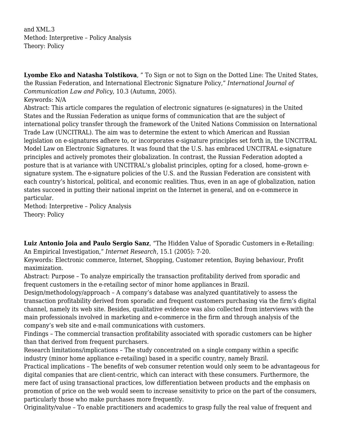and XML.3 Method: Interpretive – Policy Analysis Theory: Policy

**Lyombe Eko and Natasha Tolstikova**, " To Sign or not to Sign on the Dotted Line: The United States, the Russian Federation, and International Electronic Signature Policy," *International Journal of Communication Law and Policy*, 10.3 (Autumn, 2005).

Keywords: N/A

Abstract: This article compares the regulation of electronic signatures (e-signatures) in the United States and the Russian Federation as unique forms of communication that are the subject of international policy transfer through the framework of the United Nations Commission on International Trade Law (UNCITRAL). The aim was to determine the extent to which American and Russian legislation on e-signatures adhere to, or incorporates e-signature principles set forth in, the UNCITRAL Model Law on Electronic Signatures. It was found that the U.S. has embraced UNCITRAL e-signature principles and actively promotes their globalization. In contrast, the Russian Federation adopted a posture that is at variance with UNCITRAL's globalist principles, opting for a closed, home–grown esignature system. The e-signature policies of the U.S. and the Russian Federation are consistent with each country's historical, political, and economic realities. Thus, even in an age of globalization, nation states succeed in putting their national imprint on the Internet in general, and on e-commerce in particular.

Method: Interpretive – Policy Analysis Theory: Policy

**Luiz Antonio Joia and Paulo Sergio Sanz**, "The Hidden Value of Sporadic Customers in e-Retailing: An Empirical Investigation," *Internet Research*, 15.1 (2005): 7-20.

Keywords: Electronic commerce, Internet, Shopping, Customer retention, Buying behaviour, Profit maximization.

Abstract: Purpose – To analyze empirically the transaction profitability derived from sporadic and frequent customers in the e-retailing sector of minor home appliances in Brazil.

Design/methodology/approach – A company's database was analyzed quantitatively to assess the transaction profitability derived from sporadic and frequent customers purchasing via the firm's digital channel, namely its web site. Besides, qualitative evidence was also collected from interviews with the main professionals involved in marketing and e-commerce in the firm and through analysis of the company's web site and e-mail communications with customers.

Findings – The commercial transaction profitability associated with sporadic customers can be higher than that derived from frequent purchasers.

Research limitations/implications – The study concentrated on a single company within a specific industry (minor home appliance e-retailing) based in a specific country, namely Brazil.

Practical implications – The benefits of web consumer retention would only seem to be advantageous for digital companies that are client-centric, which can interact with these consumers. Furthermore, the mere fact of using transactional practices, low differentiation between products and the emphasis on promotion of price on the web would seem to increase sensitivity to price on the part of the consumers, particularly those who make purchases more frequently.

Originality/value – To enable practitioners and academics to grasp fully the real value of frequent and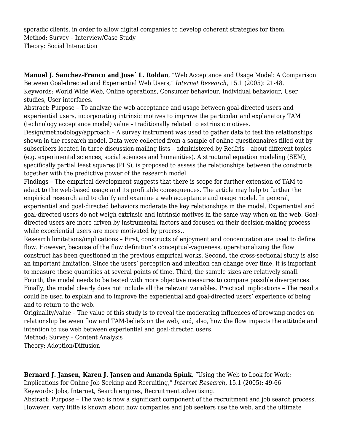sporadic clients, in order to allow digital companies to develop coherent strategies for them. Method: Survey – Interview/Case Study Theory: Social Interaction

**Manuel J. Sanchez-Franco and Jose´ L. Roldan**, "Web Acceptance and Usage Model: A Comparison Between Goal-directed and Experiential Web Users," *Internet Research*, 15.1 (2005): 21-48. Keywords: World Wide Web, Online operations, Consumer behaviour, Individual behaviour, User studies, User interfaces.

Abstract: Purpose – To analyze the web acceptance and usage between goal-directed users and experiential users, incorporating intrinsic motives to improve the particular and explanatory TAM (technology acceptance model) value – traditionally related to extrinsic motives.

Design/methodology/approach – A survey instrument was used to gather data to test the relationships shown in the research model. Data were collected from a sample of online questionnaires filled out by subscribers located in three discussion-mailing lists – administered by RedIris – about different topics (e.g. experimental sciences, social sciences and humanities). A structural equation modeling (SEM), specifically partial least squares (PLS), is proposed to assess the relationships between the constructs together with the predictive power of the research model.

Findings – The empirical development suggests that there is scope for further extension of TAM to adapt to the web-based usage and its profitable consequences. The article may help to further the empirical research and to clarify and examine a web acceptance and usage model. In general, experiential and goal-directed behaviors moderate the key relationships in the model. Experiential and goal-directed users do not weigh extrinsic and intrinsic motives in the same way when on the web. Goaldirected users are more driven by instrumental factors and focused on their decision-making process while experiential users are more motivated by process..

Research limitations/implications – First, constructs of enjoyment and concentration are used to define flow. However, because of the flow definition's conceptual-vagueness, operationalizing the flow construct has been questioned in the previous empirical works. Second, the cross-sectional study is also an important limitation. Since the users' perception and intention can change over time, it is important to measure these quantities at several points of time. Third, the sample sizes are relatively small. Fourth, the model needs to be tested with more objective measures to compare possible divergences. Finally, the model clearly does not include all the relevant variables. Practical implications – The results could be used to explain and to improve the experiential and goal-directed users' experience of being and to return to the web.

Originality/value – The value of this study is to reveal the moderating influences of browsing-modes on relationship between flow and TAM-beliefs on the web, and, also, how the flow impacts the attitude and intention to use web between experiential and goal-directed users.

Method: Survey – Content Analysis Theory: Adoption/Diffusion

**Bernard J. Jansen, Karen J. Jansen and Amanda Spink**, "Using the Web to Look for Work: Implications for Online Job Seeking and Recruiting," *Internet Research*, 15.1 (2005): 49-66 Keywords: Jobs, Internet, Search engines, Recruitment advertising.

Abstract: Purpose – The web is now a significant component of the recruitment and job search process. However, very little is known about how companies and job seekers use the web, and the ultimate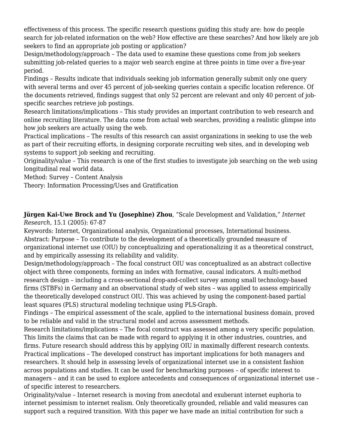effectiveness of this process. The specific research questions guiding this study are: how do people search for job-related information on the web? How effective are these searches? And how likely are job seekers to find an appropriate job posting or application?

Design/methodology/approach – The data used to examine these questions come from job seekers submitting job-related queries to a major web search engine at three points in time over a five-year period.

Findings – Results indicate that individuals seeking job information generally submit only one query with several terms and over 45 percent of job-seeking queries contain a specific location reference. Of the documents retrieved, findings suggest that only 52 percent are relevant and only 40 percent of jobspecific searches retrieve job postings.

Research limitations/implications – This study provides an important contribution to web research and online recruiting literature. The data come from actual web searches, providing a realistic glimpse into how job seekers are actually using the web.

Practical implications – The results of this research can assist organizations in seeking to use the web as part of their recruiting efforts, in designing corporate recruiting web sites, and in developing web systems to support job seeking and recruiting.

Originality/value – This research is one of the first studies to investigate job searching on the web using longitudinal real world data.

Method: Survey – Content Analysis

Theory: Information Processing/Uses and Gratification

**Jürgen Kai-Uwe Brock and Yu (Josephine) Zhou**, "Scale Development and Validation," *Internet Research*, 15.1 (2005): 67-87

Keywords: Internet, Organizational analysis, Organizational processes, International business. Abstract: Purpose – To contribute to the development of a theoretically grounded measure of organizational internet use (OIU) by conceptualizing and operationalizing it as a theoretical construct, and by empirically assessing its reliability and validity.

Design/methodology/approach – The focal construct OIU was conceptualized as an abstract collective object with three components, forming an index with formative, causal indicators. A multi-method research design – including a cross-sectional drop-and-collect survey among small technology-based firms (STBFs) in Germany and an observational study of web sites – was applied to assess empirically the theoretically developed construct OIU. This was achieved by using the component-based partial least squares (PLS) structural modeling technique using PLS-Graph.

Findings – The empirical assessment of the scale, applied to the international business domain, proved to be reliable and valid in the structural model and across assessment methods.

Research limitations/implications – The focal construct was assessed among a very specific population. This limits the claims that can be made with regard to applying it in other industries, countries, and firms. Future research should address this by applying OIU in maximally different research contexts. Practical implications – The developed construct has important implications for both managers and researchers. It should help in assessing levels of organizational internet use in a consistent fashion across populations and studies. It can be used for benchmarking purposes – of specific interest to managers – and it can be used to explore antecedents and consequences of organizational internet use – of specific interest to researchers.

Originality/value – Internet research is moving from anecdotal and exuberant internet euphoria to internet pessimism to internet realism. Only theoretically grounded, reliable and valid measures can support such a required transition. With this paper we have made an initial contribution for such a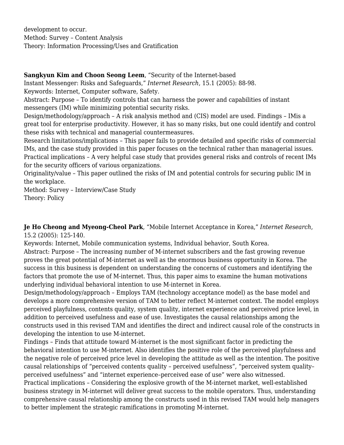development to occur. Method: Survey – Content Analysis Theory: Information Processing/Uses and Gratification

## **Sangkyun Kim and Choon Seong Leem**, "Security of the Internet-based

Instant Messenger: Risks and Safeguards," *Internet Research*, 15.1 (2005): 88-98.

Keywords: Internet, Computer software, Safety.

Abstract: Purpose – To identify controls that can harness the power and capabilities of instant messengers (IM) while minimizing potential security risks.

Design/methodology/approach – A risk analysis method and (CIS) model are used. Findings – IMis a great tool for enterprise productivity. However, it has so many risks, but one could identify and control these risks with technical and managerial countermeasures.

Research limitations/implications – This paper fails to provide detailed and specific risks of commercial IMs, and the case study provided in this paper focuses on the technical rather than managerial issues. Practical implications – A very helpful case study that provides general risks and controls of recent IMs for the security officers of various organizations.

Originality/value – This paper outlined the risks of IM and potential controls for securing public IM in the workplace.

Method: Survey – Interview/Case Study Theory: Policy

**Je Ho Cheong and Myeong-Cheol Park**, "Mobile Internet Acceptance in Korea," *Internet Research*, 15.2 (2005): 125-140.

Keywords: Internet, Mobile communication systems, Individual behavior, South Korea. Abstract: Purpose – The increasing number of M-internet subscribers and the fast growing revenue proves the great potential of M-internet as well as the enormous business opportunity in Korea. The success in this business is dependent on understanding the concerns of customers and identifying the factors that promote the use of M-internet. Thus, this paper aims to examine the human motivations underlying individual behavioral intention to use M-internet in Korea.

Design/methodology/approach – Employs TAM (technology acceptance model) as the base model and develops a more comprehensive version of TAM to better reflect M-internet context. The model employs perceived playfulness, contents quality, system quality, internet experience and perceived price level, in addition to perceived usefulness and ease of use. Investigates the causal relationships among the constructs used in this revised TAM and identifies the direct and indirect causal role of the constructs in developing the intention to use M-internet.

Findings – Finds that attitude toward M-internet is the most significant factor in predicting the behavioral intention to use M-internet. Also identifies the positive role of the perceived playfulness and the negative role of perceived price level in developing the attitude as well as the intention. The positive causal relationships of "perceived contents quality – perceived usefulness", "perceived system quality– perceived usefulness" and "internet experience–perceived ease of use" were also witnessed. Practical implications – Considering the explosive growth of the M-internet market, well-established business strategy in M-internet will deliver great success to the mobile operators. Thus, understanding comprehensive causal relationship among the constructs used in this revised TAM would help managers to better implement the strategic ramifications in promoting M-internet.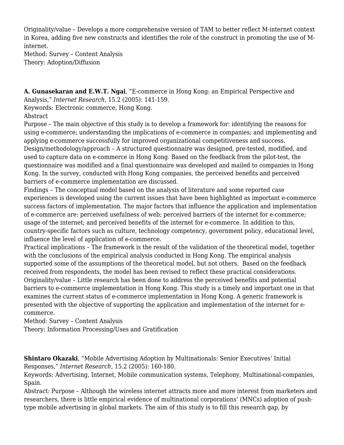Originality/value – Develops a more comprehensive version of TAM to better reflect M-internet context in Korea, adding five new constructs and identifies the role of the construct in promoting the use of Minternet.

Method: Survey – Content Analysis Theory: Adoption/Diffusion

**A. Gunasekaran and E.W.T. Ngai**, "E-commerce in Hong Kong: an Empirical Perspective and Analysis," *Internet Research*, 15.2 (2005): 141-159.

Keywords: Electronic commerce, Hong Kong.

Abstract

Purpose – The main objective of this study is to develop a framework for: identifying the reasons for using e-commerce; understanding the implications of e-commerce in companies; and implementing and applying e-commerce successfully for improved organizational competitiveness and success. Design/methodology/approach – A structured questionnaire was designed, pre-tested, modified, and used to capture data on e-commerce in Hong Kong. Based on the feedback from the pilot-test, the questionnaire was modified and a final questionnaire was developed and mailed to companies in Hong Kong. In the survey, conducted with Hong Kong companies, the perceived benefits and perceived barriers of e-commerce implementation are discussed.

Findings – The conceptual model based on the analysis of literature and some reported case experiences is developed using the current issues that have been highlighted as important e-commerce success factors of implementation. The major factors that influence the application and implementation of e-commerce are: perceived usefulness of web; perceived barriers of the internet for e-commerce; usage of the internet; and perceived benefits of the internet for e-commerce. In addition to this, country-specific factors such as culture, technology competency, government policy, educational level, influence the level of application of e-commerce.

Practical implications – The framework is the result of the validation of the theoretical model, together with the conclusions of the empirical analysis conducted in Hong Kong. The empirical analysis supported some of the assumptions of the theoretical model, but not others. Based on the feedback received from respondents, the model has been revised to reflect these practical considerations. Originality/value – Little research has been done to address the perceived benefits and potential barriers to e-commerce implementation in Hong Kong. This study is a timely and important one in that examines the current status of e-commerce implementation in Hong Kong. A generic framework is presented with the objective of supporting the application and implementation of the internet for ecommerce.

Method: Survey – Content Analysis

Theory: Information Processing/Uses and Gratification

**Shintaro Okazaki**, "Mobile Advertising Adoption by Multinationals: Senior Executives' Initial Responses," *Internet Research*, 15.2 (2005): 160-180.

Keywords: Advertising, Internet, Mobile communication systems, Telephony, Multinational-companies, Spain.

Abstract: Purpose – Although the wireless internet attracts more and more interest from marketers and researchers, there is little empirical evidence of multinational corporations' (MNCs) adoption of pushtype mobile advertising in global markets. The aim of this study is to fill this research gap, by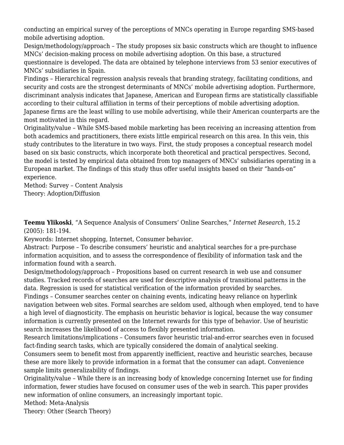conducting an empirical survey of the perceptions of MNCs operating in Europe regarding SMS-based mobile advertising adoption.

Design/methodology/approach – The study proposes six basic constructs which are thought to influence MNCs' decision-making process on mobile advertising adoption. On this base, a structured questionnaire is developed. The data are obtained by telephone interviews from 53 senior executives of MNCs' subsidiaries in Spain.

Findings – Hierarchical regression analysis reveals that branding strategy, facilitating conditions, and security and costs are the strongest determinants of MNCs' mobile advertising adoption. Furthermore, discriminant analysis indicates that Japanese, American and European firms are statistically classifiable according to their cultural affiliation in terms of their perceptions of mobile advertising adoption. Japanese firms are the least willing to use mobile advertising, while their American counterparts are the most motivated in this regard.

Originality/value – While SMS-based mobile marketing has been receiving an increasing attention from both academics and practitioners, there exists little empirical research on this area. In this vein, this study contributes to the literature in two ways. First, the study proposes a conceptual research model based on six basic constructs, which incorporate both theoretical and practical perspectives. Second, the model is tested by empirical data obtained from top managers of MNCs' subsidiaries operating in a European market. The findings of this study thus offer useful insights based on their "hands-on" experience.

Method: Survey – Content Analysis Theory: Adoption/Diffusion

**Teemu Ylikoski**, "A Sequence Analysis of Consumers' Online Searches," *Internet Research*, 15.2 (2005): 181-194.

Keywords: Internet shopping, Internet, Consumer behavior.

Abstract: Purpose – To describe consumers' heuristic and analytical searches for a pre-purchase information acquisition, and to assess the correspondence of flexibility of information task and the information found with a search.

Design/methodology/approach – Propositions based on current research in web use and consumer studies. Tracked records of searches are used for descriptive analysis of transitional patterns in the data. Regression is used for statistical verification of the information provided by searches.

Findings – Consumer searches center on chaining events, indicating heavy reliance on hyperlink navigation between web sites. Formal searches are seldom used, although when employed, tend to have a high level of diagnosticity. The emphasis on heuristic behavior is logical, because the way consumer information is currently presented on the Internet rewards for this type of behavior. Use of heuristic search increases the likelihood of access to flexibly presented information.

Research limitations/implications – Consumers favor heuristic trial-and-error searches even in focused fact-finding search tasks, which are typically considered the domain of analytical seeking.

Consumers seem to benefit most from apparently inefficient, reactive and heuristic searches, because these are more likely to provide information in a format that the consumer can adapt. Convenience sample limits generalizability of findings.

Originality/value – While there is an increasing body of knowledge concerning Internet use for finding information, fewer studies have focused on consumer uses of the web in search. This paper provides new information of online consumers, an increasingly important topic.

Method: Meta-Analysis

Theory: Other (Search Theory)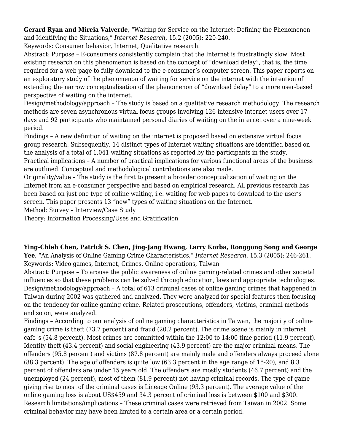**Gerard Ryan and Mireia Valverde**, "Waiting for Service on the Internet: Defining the Phenomenon and Identifying the Situations," *Internet Research*, 15.2 (2005): 220-240.

Keywords: Consumer behavior, Internet, Qualitative research.

Abstract: Purpose – E-consumers consistently complain that the Internet is frustratingly slow. Most existing research on this phenomenon is based on the concept of "download delay", that is, the time required for a web page to fully download to the e-consumer's computer screen. This paper reports on an exploratory study of the phenomenon of waiting for service on the internet with the intention of extending the narrow conceptualisation of the phenomenon of "download delay" to a more user-based perspective of waiting on the internet.

Design/methodology/approach – The study is based on a qualitative research methodology. The research methods are seven asynchronous virtual focus groups involving 126 intensive internet users over 17 days and 92 participants who maintained personal diaries of waiting on the internet over a nine-week period.

Findings – A new definition of waiting on the internet is proposed based on extensive virtual focus group research. Subsequently, 14 distinct types of Internet waiting situations are identified based on the analysis of a total of 1,041 waiting situations as reported by the participants in the study. Practical implications – A number of practical implications for various functional areas of the business are outlined. Conceptual and methodological contributions are also made.

Originality/value – The study is the first to present a broader conceptualization of waiting on the Internet from an e-consumer perspective and based on empirical research. All previous research has been based on just one type of online waiting, i.e. waiting for web pages to download to the user's screen. This paper presents 13 "new" types of waiting situations on the Internet.

Method: Survey – Interview/Case Study

Theory: Information Processing/Uses and Gratification

**Ying-Chieh Chen, Patrick S. Chen, Jing-Jang Hwang, Larry Korba, Ronggong Song and George**

**Yee**, "An Analysis of Online Gaming Crime Characteristics," *Internet Research*, 15.3 (2005): 246-261. Keywords: Video games, Internet, Crimes, Online operations, Taiwan

Abstract: Purpose – To arouse the public awareness of online gaming-related crimes and other societal influences so that these problems can be solved through education, laws and appropriate technologies. Design/methodology/approach – A total of 613 criminal cases of online gaming crimes that happened in Taiwan during 2002 was gathered and analyzed. They were analyzed for special features then focusing on the tendency for online gaming crime. Related prosecutions, offenders, victims, criminal methods and so on, were analyzed.

Findings – According to our analysis of online gaming characteristics in Taiwan, the majority of online gaming crime is theft (73.7 percent) and fraud (20.2 percent). The crime scene is mainly in internet cafe´s (54.8 percent). Most crimes are committed within the 12:00 to 14:00 time period (11.9 percent). Identity theft (43.4 percent) and social engineering (43.9 percent) are the major criminal means. The offenders (95.8 percent) and victims (87.8 percent) are mainly male and offenders always proceed alone (88.3 percent). The age of offenders is quite low (63.3 percent in the age range of 15-20), and 8.3 percent of offenders are under 15 years old. The offenders are mostly students (46.7 percent) and the unemployed (24 percent), most of them (81.9 percent) not having criminal records. The type of game giving rise to most of the criminal cases is Lineage Online (93.3 percent). The average value of the online gaming loss is about US\$459 and 34.3 percent of criminal loss is between \$100 and \$300. Research limitations/implications – These criminal cases were retrieved from Taiwan in 2002. Some criminal behavior may have been limited to a certain area or a certain period.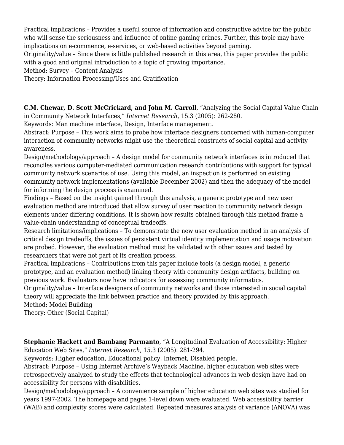Practical implications – Provides a useful source of information and constructive advice for the public who will sense the seriousness and influence of online gaming crimes. Further, this topic may have implications on e-commence, e-services, or web-based activities beyond gaming.

Originality/value – Since there is little published research in this area, this paper provides the public with a good and original introduction to a topic of growing importance.

Method: Survey – Content Analysis

Theory: Information Processing/Uses and Gratification

**C.M. Chewar, D. Scott McCrickard, and John M. Carroll**, "Analyzing the Social Capital Value Chain in Community Network Interfaces," *Internet Research*, 15.3 (2005): 262-280.

Keywords: Man machine interface, Design, Interface management.

Abstract: Purpose – This work aims to probe how interface designers concerned with human-computer interaction of community networks might use the theoretical constructs of social capital and activity awareness.

Design/methodology/approach – A design model for community network interfaces is introduced that reconciles various computer-mediated communication research contributions with support for typical community network scenarios of use. Using this model, an inspection is performed on existing community network implementations (available December 2002) and then the adequacy of the model for informing the design process is examined.

Findings – Based on the insight gained through this analysis, a generic prototype and new user evaluation method are introduced that allow survey of user reaction to community network design elements under differing conditions. It is shown how results obtained through this method frame a value-chain understanding of conceptual tradeoffs.

Research limitations/implications – To demonstrate the new user evaluation method in an analysis of critical design tradeoffs, the issues of persistent virtual identity implementation and usage motivation are probed. However, the evaluation method must be validated with other issues and tested by researchers that were not part of its creation process.

Practical implications – Contributions from this paper include tools (a design model, a generic prototype, and an evaluation method) linking theory with community design artifacts, building on previous work. Evaluators now have indicators for assessing community informatics.

Originality/value – Interface designers of community networks and those interested in social capital theory will appreciate the link between practice and theory provided by this approach.

Method: Model Building

Theory: Other (Social Capital)

**Stephanie Hackett and Bambang Parmanto**, "A Longitudinal Evaluation of Accessibility: Higher Education Web Sites," *Internet Research*, 15.3 (2005): 281-294.

Keywords: Higher education, Educational policy, Internet, Disabled people.

Abstract: Purpose – Using Internet Archive's Wayback Machine, higher education web sites were retrospectively analyzed to study the effects that technological advances in web design have had on accessibility for persons with disabilities.

Design/methodology/approach – A convenience sample of higher education web sites was studied for years 1997-2002. The homepage and pages 1-level down were evaluated. Web accessibility barrier (WAB) and complexity scores were calculated. Repeated measures analysis of variance (ANOVA) was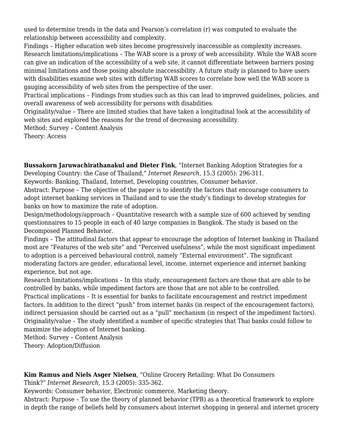used to determine trends in the data and Pearson's correlation (r) was computed to evaluate the relationship between accessibility and complexity.

Findings – Higher education web sites become progressively inaccessible as complexity increases. Research limitations/implications – The WAB score is a proxy of web accessibility. While the WAB score can give an indication of the accessibility of a web site, it cannot differentiate between barriers posing minimal limitations and those posing absolute inaccessibility. A future study is planned to have users with disabilities examine web sites with differing WAB scores to correlate how well the WAB score is gauging accessibility of web sites from the perspective of the user.

Practical implications – Findings from studies such as this can lead to improved guidelines, policies, and overall awareness of web accessibility for persons with disabilities.

Originality/value – There are limited studies that have taken a longitudinal look at the accessibility of web sites and explored the reasons for the trend of decreasing accessibility.

Method: Survey – Content Analysis

Theory: Access

**Bussakorn Jaruwachirathanakul and Dieter Fink**, "Internet Banking Adoption Strategies for a Developing Country: the Case of Thailand," *Internet Research*, 15.3 (2005): 296-311.

Keywords: Banking, Thailand, Internet, Developing countries, Consumer behavior.

Abstract: Purpose – The objective of the paper is to identify the factors that encourage consumers to adopt internet banking services in Thailand and to use the study's findings to develop strategies for banks on how to maximize the rate of adoption.

Design/methodology/approach – Quantitative research with a sample size of 600 achieved by sending questionnaires to 15 people in each of 40 large companies in Bangkok. The study is based on the Decomposed Planned Behavior.

Findings – The attitudinal factors that appear to encourage the adoption of Internet banking in Thailand most are "Features of the web site" and "Perceived usefulness", while the most significant impediment to adoption is a perceived behavioural control, namely "External environment". The significant moderating factors are gender, educational level, income, internet experience and internet banking experience, but not age.

Research limitations/implications – In this study, encouragement factors are those that are able to be controlled by banks, while impediment factors are those that are not able to be controlled.

Practical implications – It is essential for banks to facilitate encouragement and restrict impediment factors. In addition to the direct "push" from internet banks (in respect of the encouragement factors), indirect persuasion should be carried out as a "pull" mechanism (in respect of the impediment factors). Originality/value – The study identified a number of specific strategies that Thai banks could follow to maximize the adoption of Internet banking.

Method: Survey – Content Analysis Theory: Adoption/Diffusion

**Kim Ramus and Niels Asger Nielsen**, "Online Grocery Retailing: What Do Consumers

Think?" *Internet Research,* 15.3 (2005): 335-362.

Keywords: Consumer behavior, Electronic commerce, Marketing theory.

Abstract: Purpose – To use the theory of planned behavior (TPB) as a theoretical framework to explore in depth the range of beliefs held by consumers about internet shopping in general and internet grocery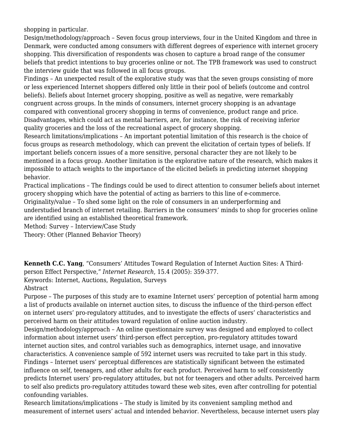shopping in particular.

Design/methodology/approach – Seven focus group interviews, four in the United Kingdom and three in Denmark, were conducted among consumers with different degrees of experience with internet grocery shopping. This diversification of respondents was chosen to capture a broad range of the consumer beliefs that predict intentions to buy groceries online or not. The TPB framework was used to construct the interview guide that was followed in all focus groups.

Findings – An unexpected result of the explorative study was that the seven groups consisting of more or less experienced Internet shoppers differed only little in their pool of beliefs (outcome and control beliefs). Beliefs about Internet grocery shopping, positive as well as negative, were remarkably congruent across groups. In the minds of consumers, internet grocery shopping is an advantage compared with conventional grocery shopping in terms of convenience, product range and price. Disadvantages, which could act as mental barriers, are, for instance, the risk of receiving inferior quality groceries and the loss of the recreational aspect of grocery shopping.

Research limitations/implications – An important potential limitation of this research is the choice of focus groups as research methodology, which can prevent the elicitation of certain types of beliefs. If important beliefs concern issues of a more sensitive, personal character they are not likely to be mentioned in a focus group. Another limitation is the explorative nature of the research, which makes it impossible to attach weights to the importance of the elicited beliefs in predicting internet shopping behavior.

Practical implications – The findings could be used to direct attention to consumer beliefs about internet grocery shopping which have the potential of acting as barriers to this line of e-commerce. Originality/value – To shed some light on the role of consumers in an underperforming and understudied branch of internet retailing. Barriers in the consumers' minds to shop for groceries online

are identified using an established theoretical framework.

Method: Survey – Interview/Case Study

Theory: Other (Planned Behavior Theory)

**Kenneth C.C. Yang**, "Consumers' Attitudes Toward Regulation of Internet Auction Sites: A Thirdperson Effect Perspective," *Internet Research*, 15.4 (2005): 359-377. Keywords: Internet, Auctions, Regulation, Surveys Abstract

Purpose – The purposes of this study are to examine Internet users' perception of potential harm among a list of products available on internet auction sites, to discuss the influence of the third-person effect on internet users' pro-regulatory attitudes, and to investigate the effects of users' characteristics and perceived harm on their attitudes toward regulation of online auction industry.

Design/methodology/approach – An online questionnaire survey was designed and employed to collect information about internet users' third-person effect perception, pro-regulatory attitudes toward internet auction sites, and control variables such as demographics, internet usage, and innovative characteristics. A convenience sample of 592 internet users was recruited to take part in this study. Findings – Internet users' perceptual differences are statistically significant between the estimated influence on self, teenagers, and other adults for each product. Perceived harm to self consistently predicts Internet users' pro-regulatory attitudes, but not for teenagers and other adults. Perceived harm to self also predicts pro-regulatory attitudes toward these web sites, even after controlling for potential confounding variables.

Research limitations/implications – The study is limited by its convenient sampling method and measurement of internet users' actual and intended behavior. Nevertheless, because internet users play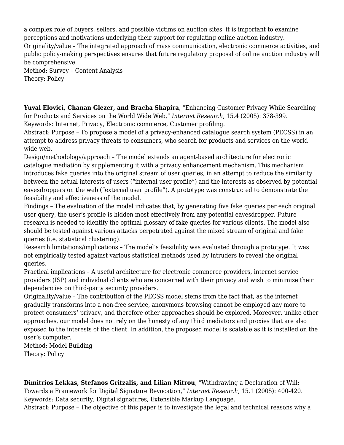a complex role of buyers, sellers, and possible victims on auction sites, it is important to examine perceptions and motivations underlying their support for regulating online auction industry. Originality/value – The integrated approach of mass communication, electronic commerce activities, and public policy-making perspectives ensures that future regulatory proposal of online auction industry will be comprehensive.

Method: Survey – Content Analysis Theory: Policy

**Yuval Elovici, Chanan Glezer, and Bracha Shapira**, "Enhancing Customer Privacy While Searching for Products and Services on the World Wide Web," *Internet Research*, 15.4 (2005): 378-399. Keywords: Internet, Privacy, Electronic commerce, Customer profiling.

Abstract: Purpose – To propose a model of a privacy-enhanced catalogue search system (PECSS) in an attempt to address privacy threats to consumers, who search for products and services on the world wide web.

Design/methodology/approach – The model extends an agent-based architecture for electronic catalogue mediation by supplementing it with a privacy enhancement mechanism. This mechanism introduces fake queries into the original stream of user queries, in an attempt to reduce the similarity between the actual interests of users ("internal user profile") and the interests as observed by potential eavesdroppers on the web ("external user profile"). A prototype was constructed to demonstrate the feasibility and effectiveness of the model.

Findings – The evaluation of the model indicates that, by generating five fake queries per each original user query, the user's profile is hidden most effectively from any potential eavesdropper. Future research is needed to identify the optimal glossary of fake queries for various clients. The model also should be tested against various attacks perpetrated against the mixed stream of original and fake queries (i.e. statistical clustering).

Research limitations/implications – The model's feasibility was evaluated through a prototype. It was not empirically tested against various statistical methods used by intruders to reveal the original queries.

Practical implications – A useful architecture for electronic commerce providers, internet service providers (ISP) and individual clients who are concerned with their privacy and wish to minimize their dependencies on third-party security providers.

Originality/value – The contribution of the PECSS model stems from the fact that, as the internet gradually transforms into a non-free service, anonymous browsing cannot be employed any more to protect consumers' privacy, and therefore other approaches should be explored. Moreover, unlike other approaches, our model does not rely on the honesty of any third mediators and proxies that are also exposed to the interests of the client. In addition, the proposed model is scalable as it is installed on the user's computer.

Method: Model Building Theory: Policy

**Dimitrios Lekkas, Stefanos Gritzalis, and Lilian Mitrou**, "Withdrawing a Declaration of Will: Towards a Framework for Digital Signature Revocation," *Internet Research*, 15.1 (2005): 400-420. Keywords: Data security, Digital signatures, Extensible Markup Language. Abstract: Purpose – The objective of this paper is to investigate the legal and technical reasons why a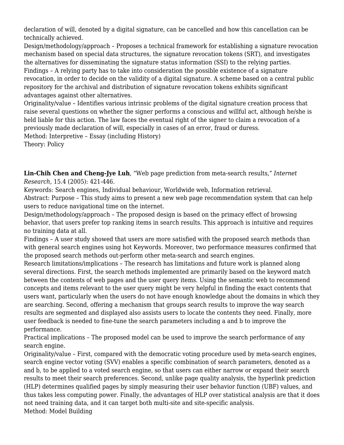declaration of will, denoted by a digital signature, can be cancelled and how this cancellation can be technically achieved.

Design/methodology/approach – Proposes a technical framework for establishing a signature revocation mechanism based on special data structures, the signature revocation tokens (SRT), and investigates the alternatives for disseminating the signature status information (SSI) to the relying parties. Findings – A relying party has to take into consideration the possible existence of a signature revocation, in order to decide on the validity of a digital signature. A scheme based on a central public repository for the archival and distribution of signature revocation tokens exhibits significant advantages against other alternatives.

Originality/value – Identifies various intrinsic problems of the digital signature creation process that raise several questions on whether the signer performs a conscious and willful act, although he/she is held liable for this action. The law faces the eventual right of the signer to claim a revocation of a previously made declaration of will, especially in cases of an error, fraud or duress.

Method: Interpretive – Essay (including History)

Theory: Policy

**Lin-Chih Chen and Cheng-Jye Luh**, "Web page prediction from meta-search results," *Internet Research*, 15.4 (2005): 421-446.

Keywords: Search engines, Individual behaviour, Worldwide web, Information retrieval. Abstract: Purpose – This study aims to present a new web page recommendation system that can help users to reduce navigational time on the internet.

Design/methodology/approach – The proposed design is based on the primacy effect of browsing behavior, that users prefer top ranking items in search results. This approach is intuitive and requires no training data at all.

Findings – A user study showed that users are more satisfied with the proposed search methods than with general search engines using hot Keywords. Moreover, two performance measures confirmed that the proposed search methods out-perform other meta-search and search engines.

Research limitations/implications – The research has limitations and future work is planned along several directions. First, the search methods implemented are primarily based on the keyword match between the contents of web pages and the user query items. Using the semantic web to recommend concepts and items relevant to the user query might be very helpful in finding the exact contents that users want, particularly when the users do not have enough knowledge about the domains in which they are searching. Second, offering a mechanism that groups search results to improve the way search results are segmented and displayed also assists users to locate the contents they need. Finally, more user feedback is needed to fine-tune the search parameters including a and b to improve the performance.

Practical implications – The proposed model can be used to improve the search performance of any search engine.

Originality/value – First, compared with the democratic voting procedure used by meta-search engines, search engine vector voting (SVV) enables a specific combination of search parameters, denoted as a and b, to be applied to a voted search engine, so that users can either narrow or expand their search results to meet their search preferences. Second, unlike page quality analysis, the hyperlink prediction (HLP) determines qualified pages by simply measuring their user behavior function (UBF) values, and thus takes less computing power. Finally, the advantages of HLP over statistical analysis are that it does not need training data, and it can target both multi-site and site-specific analysis. Method: Model Building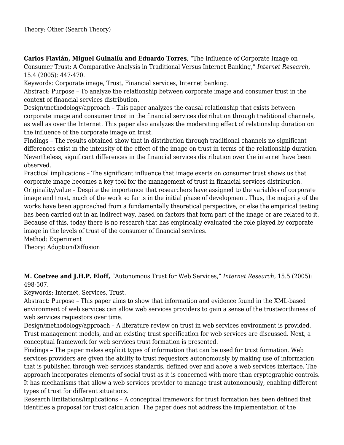**Carlos Flavián, Miguel Guinalíu and Eduardo Torres**, "The Influence of Corporate Image on Consumer Trust: A Comparative Analysis in Traditional Versus Internet Banking," *Internet Research*, 15.4 (2005): 447-470.

Keywords: Corporate image, Trust, Financial services, Internet banking.

Abstract: Purpose – To analyze the relationship between corporate image and consumer trust in the context of financial services distribution.

Design/methodology/approach – This paper analyzes the causal relationship that exists between corporate image and consumer trust in the financial services distribution through traditional channels, as well as over the Internet. This paper also analyzes the moderating effect of relationship duration on the influence of the corporate image on trust.

Findings – The results obtained show that in distribution through traditional channels no significant differences exist in the intensity of the effect of the image on trust in terms of the relationship duration. Nevertheless, significant differences in the financial services distribution over the internet have been observed.

Practical implications – The significant influence that image exerts on consumer trust shows us that corporate image becomes a key tool for the management of trust in financial services distribution. Originality/value – Despite the importance that researchers have assigned to the variables of corporate image and trust, much of the work so far is in the initial phase of development. Thus, the majority of the works have been approached from a fundamentally theoretical perspective, or else the empirical testing has been carried out in an indirect way, based on factors that form part of the image or are related to it. Because of this, today there is no research that has empirically evaluated the role played by corporate image in the levels of trust of the consumer of financial services.

Method: Experiment

Theory: Adoption/Diffusion

**M. Coetzee and J.H.P. Eloff,** "Autonomous Trust for Web Services," *Internet Research,* 15.5 (2005): 498-507.

Keywords: Internet, Services, Trust.

Abstract: Purpose – This paper aims to show that information and evidence found in the XML-based environment of web services can allow web services providers to gain a sense of the trustworthiness of web services requestors over time.

Design/methodology/approach – A literature review on trust in web services environment is provided. Trust management models, and an existing trust specification for web services are discussed. Next, a conceptual framework for web services trust formation is presented.

Findings – The paper makes explicit types of information that can be used for trust formation. Web services providers are given the ability to trust requestors autonomously by making use of information that is published through web services standards, defined over and above a web services interface. The approach incorporates elements of social trust as it is concerned with more than cryptographic controls. It has mechanisms that allow a web services provider to manage trust autonomously, enabling different types of trust for different situations.

Research limitations/implications – A conceptual framework for trust formation has been defined that identifies a proposal for trust calculation. The paper does not address the implementation of the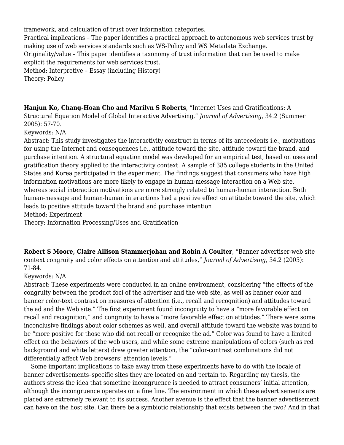framework, and calculation of trust over information categories. Practical implications – The paper identifies a practical approach to autonomous web services trust by making use of web services standards such as WS-Policy and WS Metadata Exchange. Originality/value – This paper identifies a taxonomy of trust information that can be used to make explicit the requirements for web services trust. Method: Interpretive – Essay (including History) Theory: Policy

**Hanjun Ko, Chang-Hoan Cho and Marilyn S Roberts**, "Internet Uses and Gratifications: A Structural Equation Model of Global Interactive Advertising," *Journal of Advertising*, 34.2 (Summer 2005): 57-70.

Keywords: N/A

Abstract: This study investigates the interactivity construct in terms of its antecedents i.e., motivations for using the Internet and consequences i.e., attitude toward the site, attitude toward the brand, and purchase intention. A structural equation model was developed for an empirical test, based on uses and gratification theory applied to the interactivity context. A sample of 385 college students in the United States and Korea participated in the experiment. The findings suggest that consumers who have high information motivations are more likely to engage in human-message interaction on a Web site, whereas social interaction motivations are more strongly related to human-human interaction. Both human-message and human-human interactions had a positive effect on attitude toward the site, which leads to positive attitude toward the brand and purchase intention

Method: Experiment

Theory: Information Processing/Uses and Gratification

**Robert S Moore, Claire Allison Stammerjohan and Robin A Coulter**, "Banner advertiser-web site context congruity and color effects on attention and attitudes," *Journal of Advertising*, 34.2 (2005): 71-84.

#### Keywords: N/A

Abstract: These experiments were conducted in an online environment, considering "the effects of the congruity between the product foci of the advertiser and the web site, as well as banner color and banner color-text contrast on measures of attention (i.e., recall and recognition) and attitudes toward the ad and the Web site." The first experiment found incongruity to have a "more favorable effect on recall and recognition," and congruity to have a "more favorable effect on attitudes." There were some inconclusive findings about color schemes as well, and overall attitude toward the website was found to be "more positive for those who did not recall or recognize the ad." Color was found to have a limited effect on the behaviors of the web users, and while some extreme manipulations of colors (such as red background and white letters) drew greater attention, the "color-contrast combinations did not differentially affect Web browsers' attention levels."

 Some important implications to take away from these experiments have to do with the locale of banner advertisements–specific sites they are located on and pertain to. Regarding my thesis, the authors stress the idea that sometime incongruence is needed to attract consumers' initial attention, although the incongruence operates on a fine line. The environment in which these advertisements are placed are extremely relevant to its success. Another avenue is the effect that the banner advertisement can have on the host site. Can there be a symbiotic relationship that exists between the two? And in that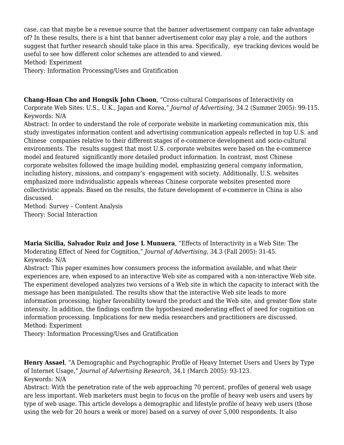case, can that maybe be a revenue source that the banner advertisement company can take advantage of? In these results, there is a hint that banner advertisement color may play a role, and the authors suggest that further research should take place in this area. Specifically, eye tracking devices would be useful to see how different color schemes are attended to and viewed. Method: Experiment

Theory: Information Processing/Uses and Gratification

**Chang-Hoan Cho and Hongsik John Choon**, "Cross-cultural Comparisons of Interactivity on Corporate Web Sites: U.S., U.K., Japan and Korea," *Journal of Advertising*, 34.2 (Summer 2005): 99-115. Keywords: N/A

Abstract: In order to understand the role of corporate website in marketing communication mix, this study investigates information content and advertising communication appeals reflected in top U.S. and Chinese companies relative to their different stages of e-commerce development and socio-cultural environments. The results suggest that most U.S. corporate websites were based on the e-commerce model and featured significantly more detailed product information. In contrast, most Chinese corporate websites followed the image building model, emphasizing general company information, including history, missions, and company's engagement with society. Additionally, U.S. websites emphasized more individualistic appeals whereas Chinese corporate websites presented more collectivistic appeals. Based on the results, the future development of e-commerce in China is also discussed.

Method: Survey – Content Analysis Theory: Social Interaction

**Maria Sicilia, Salvador Ruiz and Jose L Munuera**, "Effects of Interactivity in a Web Site: The Moderating Effect of Need for Cognition," *Journal of Advertising*, 34.3 (Fall 2005): 31-45. Keywords: N/A

Abstract: This paper examines how consumers process the information available, and what their experiences are, when exposed to an interactive Web site as compared with a non-interactive Web site. The experiment developed analyzes two versions of a Web site in which the capacity to interact with the message has been manipulated. The results show that the interactive Web site leads to more information processing, higher favorability toward the product and the Web site, and greater flow state intensity. In addition, the findings confirm the hypothesized moderating effect of need for cognition on information processing. Implications for new media researchers and practitioners are discussed. Method: Experiment

Theory: Information Processing/Uses and Gratification

**Henry Assael**, "A Demographic and Psychographic Profile of Heavy Internet Users and Users by Type of Internet Usage," *Journal of Advertising Research*, 34.1 (March 2005): 93-123. Keywords: N/A

Abstract: With the penetration rate of the web approaching 70 percent, profiles of general web usage are less important. Web marketers must begin to focus on the profile of heavy web users and users by type of web usage. This article develops a demographic and lifestyle profile of heavy web users (those using the web for 20 hours a week or more) based on a survey of over 5,000 respondents. It also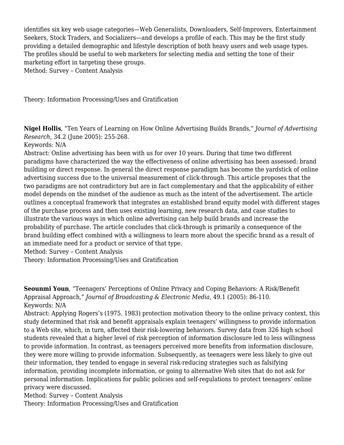identifies six key web usage categories—Web Generalists, Downloaders, Self-Improvers, Entertainment Seekers, Stock Traders, and Socializers—and develops a profile of each. This may be the first study providing a detailed demographic and lifestyle description of both heavy users and web usage types. The profiles should be useful to web marketers for selecting media and setting the tone of their marketing effort in targeting these groups. Method: Survey – Content Analysis

Theory: Information Processing/Uses and Gratification

**Nigel Hollis**, "Ten Years of Learning on How Online Advertising Builds Brands," *Journal of Advertising Research*, 34.2 (June 2005): 255-268.

Keywords: N/A

Abstract: Online advertising has been with us for over 10 years. During that time two different paradigms have characterized the way the effectiveness of online advertising has been assessed: brand building or direct response. In general the direct response paradigm has become the yardstick of online advertising success due to the universal measurement of click-through. This article proposes that the two paradigms are not contradictory but are in fact complementary and that the applicability of either model depends on the mindset of the audience as much as the intent of the advertisement. The article outlines a conceptual framework that integrates an established brand equity model with different stages of the purchase process and then uses existing learning, new research data, and case studies to illustrate the various ways in which online advertising can help build brands and increase the probability of purchase. The article concludes that click-through is primarily a consequence of the brand building effect combined with a willingness to learn more about the specific brand as a result of an immediate need for a product or service of that type.

Method: Survey – Content Analysis

Theory: Information Processing/Uses and Gratification

**Seounmi Youn**, "Teenagers' Perceptions of Online Privacy and Coping Behaviors: A Risk/Benefit Appraisal Approach," *Journal of Broadcasting & Electronic Media*, 49.1 (2005): 86-110. Keywords: N/A

Abstract: Applying Rogers's (1975, 1983) protection motivation theory to the online privacy context, this study determined that risk and benefit appraisals explain teenagers' willingness to provide information to a Web site, which, in turn, affected their risk-lowering behaviors. Survey data from 326 high school students revealed that a higher level of risk perception of information disclosure led to less willingness to provide information. In contrast, as teenagers perceived more benefits from information disclosure, they were more willing to provide information. Subsequently, as teenagers were less likely to give out their information, they tended to engage in several risk-reducing strategies such as falsifying information, providing incomplete information, or going to alternative Web sites that do not ask for personal information. Implications for public policies and self-regulations to protect teenagers' online privacy were discussed.

Method: Survey – Content Analysis

Theory: Information Processing/Uses and Gratification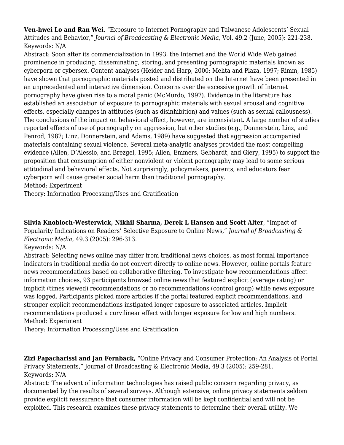**Ven-hwei Lo and Ran Wei**, "Exposure to Internet Pornography and Taiwanese Adolescents' Sexual Attitudes and Behavior," *Journal of Broadcasting & Electronic Media*, Vol. 49.2 (June, 2005): 221-238. Keywords: N/A

Abstract: Soon after its commercialization in 1993, the Internet and the World Wide Web gained prominence in producing, disseminating, storing, and presenting pornographic materials known as cyberporn or cybersex. Content analyses (Heider and Harp, 2000; Mehta and Plaza, 1997; Rimm, 1985) have shown that pornographic materials posted and distributed on the Internet have been presented in an unprecedented and interactive dimension. Concerns over the excessive growth of Internet pornography have given rise to a moral panic (McMurdo, 1997). Evidence in the literature has established an association of exposure to pornographic materials with sexual arousal and cognitive effects, especially changes in attitudes (such as disinhibition) and values (such as sexual callousness). The conclusions of the impact on behavioral effect, however, are inconsistent. A large number of studies reported effects of use of pornography on aggression, but other studies (e.g., Donnerstein, Linz, and Penrod, 1987; Linz, Donnerstein, and Adams, 1989) have suggested that aggression accompanied materials containing sexual violence. Several meta-analytic analyses provided the most compelling evidence (Allen, D'Alessio, and Brezgel, 1995; Allen, Emmers, Gebhardt, and Giery, 1995) to support the proposition that consumption of either nonviolent or violent pornography may lead to some serious attitudinal and behavioral effects. Not surprisingly, policymakers, parents, and educators fear cyberporn will cause greater social harm than traditional pornography.

Method: Experiment

Theory: Information Processing/Uses and Gratification

**Silvia Knobloch-Westerwick, Nikhil Sharma, Derek L Hansen and Scott Alter**, "Impact of Popularity Indications on Readers' Selective Exposure to Online News," *Journal of Broadcasting & Electronic Media*, 49.3 (2005): 296-313.

Keywords: N/A

Abstract: Selecting news online may differ from traditional news choices, as most formal importance indicators in traditional media do not convert directly to online news. However, online portals feature news recommendations based on collaborative filtering. To investigate how recommendations affect information choices, 93 participants browsed online news that featured explicit (average rating) or implicit (times viewed) recommendations or no recommendations (control group) while news exposure was logged. Participants picked more articles if the portal featured explicit recommendations, and stronger explicit recommendations instigated longer exposure to associated articles. Implicit recommendations produced a curvilinear effect with longer exposure for low and high numbers. Method: Experiment

Theory: Information Processing/Uses and Gratification

**Zizi Papacharissi and Jan Fernback,** "Online Privacy and Consumer Protection: An Analysis of Portal Privacy Statements," Journal of Broadcasting & Electronic Media, 49.3 (2005): 259-281. Keywords: N/A

Abstract: The advent of information technologies has raised public concern regarding privacy, as documented by the results of several surveys. Although extensive, online privacy statements seldom provide explicit reassurance that consumer information will be kept confidential and will not be exploited. This research examines these privacy statements to determine their overall utility. We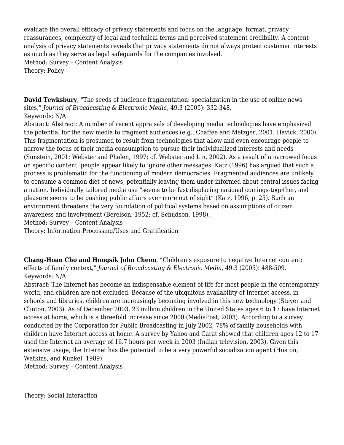evaluate the overall efficacy of privacy statements and focus on the language, format, privacy reassurances, complexity of legal and technical terms and perceived statement credibility. A content analysis of privacy statements reveals that privacy statements do not always protect customer interests as much as they serve as legal safeguards for the companies involved. Method: Survey – Content Analysis Theory: Policy

**David Tewksbury**, "The seeds of audience fragmentation: specialization in the use of online news sites," *Journal of Broadcasting & Electronic Media*, 49.3 (2005): 332-348. Keywords: N/A

Abstract: Abstract: A number of recent appraisals of developing media technologies have emphasized the potential for the new media to fragment audiences (e.g., Chaffee and Metzger, 2001; Havick, 2000). This fragmentation is presumed to result from technologies that allow and even encourage people to narrow the focus of their media consumption to pursue their individualized interests and needs (Sunstein, 2001; Webster and Phalen, 1997; cf. Webster and Lin, 2002). As a result of a narrowed focus on specific content, people appear likely to ignore other messages. Katz (1996) has argued that such a process is problematic for the functioning of modern democracies. Fragmented audiences are unlikely to consume a common diet of news, potentially leaving them under-informed about central issues facing a nation. Individually tailored media use "seems to be fast displacing national comings-together, and pleasure seems to be pushing public affairs ever more out of sight" (Katz, 1996, p. 25). Such an environment threatens the very foundation of political systems based on assumptions of citizen awareness and involvement (Berelson, 1952; cf. Schudson, 1998).

Method: Survey – Content Analysis

Theory: Information Processing/Uses and Gratification

**Chang-Hoan Cho and Hongsik John Cheon**, "Children's exposure to negative Internet content: effects of family context," *Journal of Broadcasting & Electronic Media*, 49.3 (2005): 488-509. Keywords: N/A

Abstract: The Internet has become an indispensable element of life for most people in the contemporary world, and children are not excluded. Because of the ubiquitous availability of Internet access, in schools and libraries, children are increasingly becoming involved in this new technology (Steyer and Clinton, 2003). As of December 2003, 23 million children in the United States ages 6 to 17 have Internet access at home, which is a threefold increase since 2000 (MediaPost, 2003). According to a survey conducted by the Corporation for Public Broadcasting in July 2002, 78% of family households with children have Internet access at home. A survey by Yahoo and Carat showed that children ages 12 to 17 used the Internet an average of 16.7 hours per week in 2003 (Indian television, 2003). Given this extensive usage, the Internet has the potential to be a very powerful socialization agent (Huston, Watkins, and Kunkel, 1989).

Method: Survey – Content Analysis

Theory: Social Interaction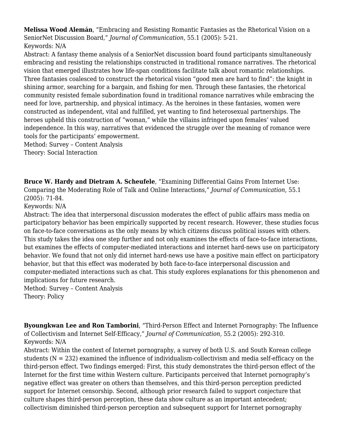**Melissa Wood Alemán**, "Embracing and Resisting Romantic Fantasies as the Rhetorical Vision on a SeniorNet Discussion Board," *Journal of Communication*, 55.1 (2005): 5-21. Keywords: N/A

Abstract: A fantasy theme analysis of a SeniorNet discussion board found participants simultaneously embracing and resisting the relationships constructed in traditional romance narratives. The rhetorical vision that emerged illustrates how life-span conditions facilitate talk about romantic relationships. Three fantasies coalesced to construct the rhetorical vision "good men are hard to find": the knight in shining armor, searching for a bargain, and fishing for men. Through these fantasies, the rhetorical community resisted female subordination found in traditional romance narratives while embracing the need for love, partnership, and physical intimacy. As the heroines in these fantasies, women were constructed as independent, vital and fulfilled, yet wanting to find heterosexual partnerships. The heroes upheld this construction of "woman," while the villains infringed upon females' valued independence. In this way, narratives that evidenced the struggle over the meaning of romance were tools for the participants' empowerment.

Method: Survey – Content Analysis

Theory: Social Interaction

**Bruce W. Hardy and Dietram A. Scheufele**, "Examining Differential Gains From Internet Use: Comparing the Moderating Role of Talk and Online Interactions," *Journal of Communication*, 55.1 (2005): 71-84.

#### Keywords: N/A

Abstract: The idea that interpersonal discussion moderates the effect of public affairs mass media on participatory behavior has been empirically supported by recent research. However, these studies focus on face-to-face conversations as the only means by which citizens discuss political issues with others. This study takes the idea one step further and not only examines the effects of face-to-face interactions, but examines the effects of computer-mediated interactions and internet hard-news use on participatory behavior. We found that not only did internet hard-news use have a positive main effect on participatory behavior, but that this effect was moderated by both face-to-face interpersonal discussion and computer-mediated interactions such as chat. This study explores explanations for this phenomenon and implications for future research.

Method: Survey – Content Analysis Theory: Policy

**Byoungkwan Lee and Ron Tamborini**, "Third-Person Effect and Internet Pornography: The Influence of Collectivism and Internet Self-Efficacy," *Journal of Communication,* 55.2 (2005): 292-310. Keywords: N/A

Abstract: Within the context of Internet pornography, a survey of both U.S. and South Korean college students  $(N = 232)$  examined the influence of individualism-collectivism and media self-efficacy on the third-person effect. Two findings emerged: First, this study demonstrates the third-person effect of the Internet for the first time within Western culture. Participants perceived that Internet pornography's negative effect was greater on others than themselves, and this third-person perception predicted support for Internet censorship. Second, although prior research failed to support conjecture that culture shapes third-person perception, these data show culture as an important antecedent; collectivism diminished third-person perception and subsequent support for Internet pornography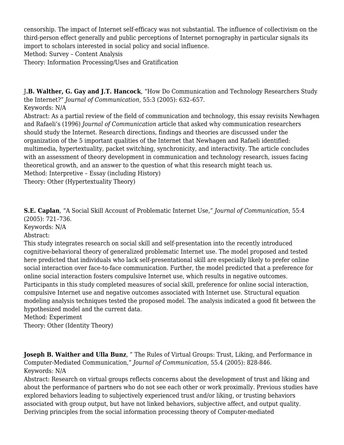censorship. The impact of Internet self-efficacy was not substantial. The influence of collectivism on the third-person effect generally and public perceptions of Internet pornography in particular signals its import to scholars interested in social policy and social influence.

Method: Survey – Content Analysis

Theory: Information Processing/Uses and Gratification

J**.B. Walther, G. Gay and J.T. Hancock**, "How Do Communication and Technology Researchers Study the Internet?" *Journal of Communication*, 55:3 (2005): 632–657. Keywords: N/A

Abstract: As a partial review of the field of communication and technology, this essay revisits Newhagen and Rafaeli's (1996) *Journal of Communication* article that asked why communication researchers should study the Internet. Research directions, findings and theories are discussed under the organization of the 5 important qualities of the Internet that Newhagen and Rafaeli identified: multimedia, hypertextuality, packet switching, synchronicity, and interactivity. The article concludes with an assessment of theory development in communication and technology research, issues facing theoretical growth, and an answer to the question of what this research might teach us. Method: Interpretive – Essay (including History)

Theory: Other (Hypertextuality Theory)

**S.E. Caplan**, "A Social Skill Account of Problematic Internet Use," *Journal of Communication*, 55:4 (2005): 721–736.

Keywords: N/A

Abstract:

This study integrates research on social skill and self-presentation into the recently introduced cognitive-behavioral theory of generalized problematic Internet use. The model proposed and tested here predicted that individuals who lack self-presentational skill are especially likely to prefer online social interaction over face-to-face communication. Further, the model predicted that a preference for online social interaction fosters compulsive Internet use, which results in negative outcomes. Participants in this study completed measures of social skill, preference for online social interaction, compulsive Internet use and negative outcomes associated with Internet use. Structural equation modeling analysis techniques tested the proposed model. The analysis indicated a good fit between the hypothesized model and the current data.

Method: Experiment

Theory: Other (Identity Theory)

**Joseph B. Waither and Ulla Bunz**, " The Rules of Virtual Groups: Trust, Liking, and Performance in Computer-Mediated Communication," *Journal of Communication,* 55.4 (2005): 828-846. Keywords: N/A

Abstract: Research on virtual groups reflects concerns about the development of trust and liking and about the performance of partners who do not see each other or work proximally. Previous studies have explored behaviors leading to subjectively experienced trust and/or liking, or trusting behaviors associated with group output, but have not linked behaviors, subjective affect, and output quality. Deriving principles from the social information processing theory of Computer-mediated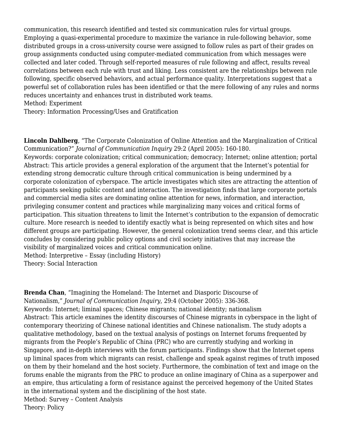communication, this research identified and tested six communication rules for virtual groups. Employing a quasi-experimental procedure to maximize the variance in rule-following behavior, some distributed groups in a cross-university course were assigned to follow rules as part of their grades on group assignments conducted using computer-mediated communication from which messages were collected and later coded. Through self-reported measures of rule following and affect, results reveal correlations between each rule with trust and liking. Less consistent are the relationships between rule following, specific observed behaviors, and actual performance quality. Interpretations suggest that a powerful set of collaboration rules has been identified or that the mere following of any rules and norms reduces uncertainty and enhances trust in distributed work teams. Method: Experiment

Theory: Information Processing/Uses and Gratification

**Lincoln Dahlberg**, "The Corporate Colonization of Online Attention and the Marginalization of Critical Communication?" *Journal of Communication Inquiry* 29:2 (April 2005): 160-180.

Keywords: corporate colonization; critical communication; democracy; Internet; online attention; portal Abstract: This article provides a general exploration of the argument that the Internet's potential for extending strong democratic culture through critical communication is being undermined by a corporate colonization of cyberspace. The article investigates which sites are attracting the attention of participants seeking public content and interaction. The investigation finds that large corporate portals and commercial media sites are dominating online attention for news, information, and interaction, privileging consumer content and practices while marginalizing many voices and critical forms of participation. This situation threatens to limit the Internet's contribution to the expansion of democratic culture. More research is needed to identify exactly what is being represented on which sites and how different groups are participating. However, the general colonization trend seems clear, and this article concludes by considering public policy options and civil society initiatives that may increase the visibility of marginalized voices and critical communication online.

Method: Interpretive – Essay (including History)

Theory: Social Interaction

**Brenda Chan**, "Imagining the Homeland: The Internet and Diasporic Discourse of Nationalism," *Journal of Communication Inquiry*, 29:4 (October 2005): 336-368. Keywords: Internet; liminal spaces; Chinese migrants; national identity; nationalism Abstract: This article examines the identity discourses of Chinese migrants in cyberspace in the light of contemporary theorizing of Chinese national identities and Chinese nationalism. The study adopts a qualitative methodology, based on the textual analysis of postings on Internet forums frequented by migrants from the People's Republic of China (PRC) who are currently studying and working in Singapore, and in-depth interviews with the forum participants. Findings show that the Internet opens up liminal spaces from which migrants can resist, challenge and speak against regimes of truth imposed on them by their homeland and the host society. Furthermore, the combination of text and image on the forums enable the migrants from the PRC to produce an online imaginary of China as a superpower and an empire, thus articulating a form of resistance against the perceived hegemony of the United States in the international system and the disciplining of the host state. Method: Survey – Content Analysis Theory: Policy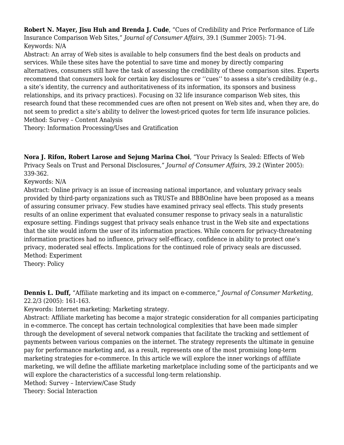**Robert N. Mayer, Jisu Huh and Brenda J. Cude**, "Cues of Credibility and Price Performance of Life Insurance Comparison Web Sites," *Journal of Consumer Affairs,* 39.1 (Summer 2005): 71-94. Keywords: N/A

Abstract: An array of Web sites is available to help consumers find the best deals on products and services. While these sites have the potential to save time and money by directly comparing alternatives, consumers still have the task of assessing the credibility of these comparison sites. Experts recommend that consumers look for certain key disclosures or ''cues'' to assess a site's credibility (e.g., a site's identity, the currency and authoritativeness of its information, its sponsors and business relationships, and its privacy practices). Focusing on 32 life insurance comparison Web sites, this research found that these recommended cues are often not present on Web sites and, when they are, do not seem to predict a site's ability to deliver the lowest-priced quotes for term life insurance policies. Method: Survey – Content Analysis

Theory: Information Processing/Uses and Gratification

**Nora J. Rifon, Robert Larose and Sejung Marina Choi**, "Your Privacy Is Sealed: Effects of Web Privacy Seals on Trust and Personal Disclosures," *Journal of Consumer Affairs*, 39.2 (Winter 2005): 339-362.

Keywords: N/A

Abstract: Online privacy is an issue of increasing national importance, and voluntary privacy seals provided by third-party organizations such as TRUSTe and BBBOnline have been proposed as a means of assuring consumer privacy. Few studies have examined privacy seal effects. This study presents results of an online experiment that evaluated consumer response to privacy seals in a naturalistic exposure setting. Findings suggest that privacy seals enhance trust in the Web site and expectations that the site would inform the user of its information practices. While concern for privacy-threatening information practices had no influence, privacy self-efficacy, confidence in ability to protect one's privacy, moderated seal effects. Implications for the continued role of privacy seals are discussed. Method: Experiment

Theory: Policy

**Dennis L. Duff,** "Affiliate marketing and its impact on e-commerce," *Journal of Consumer Marketing*, 22.2/3 (2005): 161-163.

Keywords: Internet marketing; Marketing strategy.

Abstract: Affiliate marketing has become a major strategic consideration for all companies participating in e-commerce. The concept has certain technological complexities that have been made simpler through the development of several network companies that facilitate the tracking and settlement of payments between various companies on the internet. The strategy represents the ultimate in genuine pay for performance marketing and, as a result, represents one of the most promising long-term marketing strategies for e-commerce. In this article we will explore the inner workings of affiliate marketing, we will define the affiliate marketing marketplace including some of the participants and we will explore the characteristics of a successful long-term relationship.

Method: Survey – Interview/Case Study

Theory: Social Interaction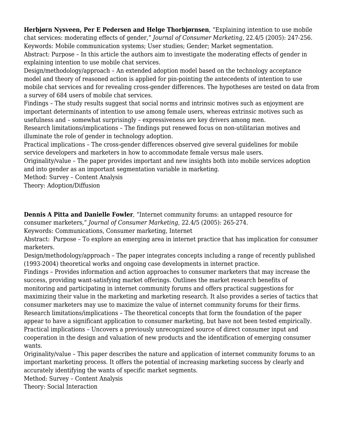**Herbjørn Nysveen, Per E Pedersen and Helge Thorbjørnsen**, "Explaining intention to use mobile chat services: moderating effects of gender," *Journal of Consumer Marketing,* 22.4/5 (2005): 247-256. Keywords: Mobile communication systems; User studies; Gender; Market segmentation.

Abstract: Purpose – In this article the authors aim to investigate the moderating effects of gender in explaining intention to use mobile chat services.

Design/methodology/approach – An extended adoption model based on the technology acceptance model and theory of reasoned action is applied for pin-pointing the antecedents of intention to use mobile chat services and for revealing cross-gender differences. The hypotheses are tested on data from a survey of 684 users of mobile chat services.

Findings – The study results suggest that social norms and intrinsic motives such as enjoyment are important determinants of intention to use among female users, whereas extrinsic motives such as usefulness and – somewhat surprisingly – expressiveness are key drivers among men.

Research limitations/implications – The findings put renewed focus on non-utilitarian motives and illuminate the role of gender in technology adoption.

Practical implications – The cross-gender differences observed give several guidelines for mobile service developers and marketers in how to accommodate female versus male users.

Originality/value – The paper provides important and new insights both into mobile services adoption and into gender as an important segmentation variable in marketing.

Method: Survey – Content Analysis

Theory: Adoption/Diffusion

**Dennis A Pitta and Danielle Fowler**, "Internet community forums: an untapped resource for consumer marketers," *Journal of Consumer Marketing*, 22.4/5 (2005): 265-274.

Keywords: Communications, Consumer marketing, Internet

Abstract: Purpose – To explore an emerging area in internet practice that has implication for consumer marketers.

Design/methodology/approach – The paper integrates concepts including a range of recently published (1993-2004) theoretical works and ongoing case developments in internet practice.

Findings – Provides information and action approaches to consumer marketers that may increase the success, providing want-satisfying market offerings. Outlines the market research benefits of monitoring and participating in internet community forums and offers practical suggestions for maximizing their value in the marketing and marketing research. It also provides a series of tactics that consumer marketers may use to maximize the value of internet community forums for their firms. Research limitations/implications – The theoretical concepts that form the foundation of the paper appear to have a significant application to consumer marketing, but have not been tested empirically. Practical implications – Uncovers a previously unrecognized source of direct consumer input and cooperation in the design and valuation of new products and the identification of emerging consumer wants.

Originality/value – This paper describes the nature and application of internet community forums to an important marketing process. It offers the potential of increasing marketing success by clearly and accurately identifying the wants of specific market segments.

Method: Survey – Content Analysis

Theory: Social Interaction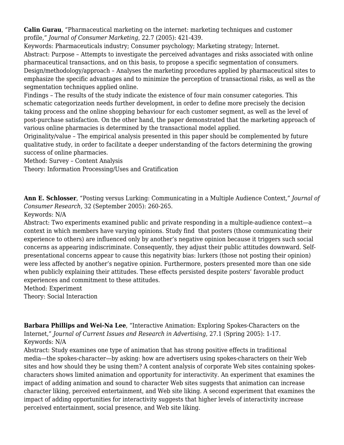**Calin Gurau**, "Pharmaceutical marketing on the internet: marketing techniques and customer profile," *Journal of Consumer Marketing*, 22.7 (2005): 421-439.

Keywords: Pharmaceuticals industry; Consumer psychology; Marketing strategy; Internet. Abstract: Purpose – Attempts to investigate the perceived advantages and risks associated with online pharmaceutical transactions, and on this basis, to propose a specific segmentation of consumers. Design/methodology/approach – Analyses the marketing procedures applied by pharmaceutical sites to emphasize the specific advantages and to minimize the perception of transactional risks, as well as the segmentation techniques applied online.

Findings – The results of the study indicate the existence of four main consumer categories. This schematic categorization needs further development, in order to define more precisely the decision taking process and the online shopping behaviour for each customer segment, as well as the level of post-purchase satisfaction. On the other hand, the paper demonstrated that the marketing approach of various online pharmacies is determined by the transactional model applied.

Originality/value – The empirical analysis presented in this paper should be complemented by future qualitative study, in order to facilitate a deeper understanding of the factors determining the growing success of online pharmacies.

Method: Survey – Content Analysis

Theory: Information Processing/Uses and Gratification

**Ann E. Schlosser**, "Posting versus Lurking: Communicating in a Multiple Audience Context*," Journal of Consumer Research*, 32 (September 2005): 260-265.

Keywords: N/A

Abstract: Two experiments examined public and private responding in a multiple-audience context—a context in which members have varying opinions. Study find that posters (those communicating their experience to others) are influenced only by another's negative opinion because it triggers such social concerns as appearing indiscriminate. Consequently, they adjust their public attitudes downward. Selfpresentational concerns appear to cause this negativity bias: lurkers (those not posting their opinion) were less affected by another's negative opinion. Furthermore, posters presented more than one side when publicly explaining their attitudes. These effects persisted despite posters' favorable product experiences and commitment to these attitudes.

Method: Experiment

Theory: Social Interaction

**Barbara Phillips and Wei-Na Lee**, "Interactive Animation: Exploring Spokes-Characters on the Internet," *Journal of Current Issues and Research in Advertising*, 27.1 (Spring 2005): 1-17. Keywords: N/A

Abstract: Study examines one type of animation that has strong positive effects in traditional media—the spokes-character—by asking: how are advertisers using spokes-characters on their Web sites and how should they be using them? A content analysis of corporate Web sites containing spokescharacters shows limited animation and opportunity for interactivity. An experiment that examines the impact of adding animation and sound to character Web sites suggests that animation can increase character liking, perceived entertainment, and Web site liking. A second experiment that examines the impact of adding opportunities for interactivity suggests that higher levels of interactivity increase perceived entertainment, social presence, and Web site liking.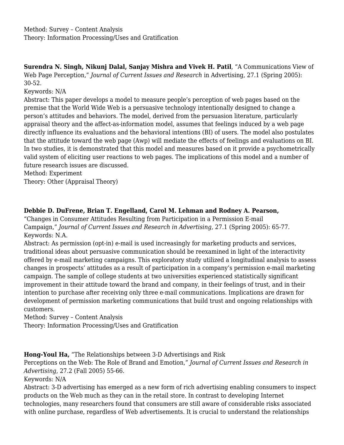**Surendra N. Singh, Nikunj Dalal, Sanjay Mishra and Vivek H. Patil**, "A Communications View of Web Page Perception," *Journal of Current Issues and Research* in Advertising, 27.1 (Spring 2005): 30-52.

### Keywords: N/A

Abstract: This paper develops a model to measure people's perception of web pages based on the premise that the World Wide Web is a persuasive technology intentionally designed to change a person's attitudes and behaviors. The model, derived from the persuasion literature, particularly appraisal theory and the affect-as-information model, assumes that feelings induced by a web page directly influence its evaluations and the behavioral intentions (BI) of users. The model also postulates that the attitude toward the web page (Awp) will mediate the effects of feelings and evaluations on BI. In two studies, it is demonstrated that this model and measures based on it provide a psychometrically valid system of eliciting user reactions to web pages. The implications of this model and a number of future research issues are discussed.

Method: Experiment

Theory: Other (Appraisal Theory)

# **Debbie D. DuFrene, Brian T. Engelland, Carol M. Lehman and Rodney A. Pearson,**

"Changes in Consumer Attitudes Resulting from Participation in a Permission E-mail Campaign," *Journal of Current Issues and Research in Advertising,* 27.1 (Spring 2005): 65-77. Keywords: N.A.

Abstract: As permission (opt-in) e-mail is used increasingly for marketing products and services, traditional ideas about persuasive communication should be reexamined in light of the interactivity offered by e-mail marketing campaigns. This exploratory study utilized a longitudinal analysis to assess changes in prospects' attitudes as a result of participation in a company's permission e-mail marketing campaign. The sample of college students at two universities experienced statistically significant improvement in their attitude toward the brand and company, in their feelings of trust, and in their intention to purchase after receiving only three e-mail communications. Implications are drawn for development of permission marketing communications that build trust and ongoing relationships with customers.

Method: Survey – Content Analysis

Theory: Information Processing/Uses and Gratification

**Hong-Youl Ha,** "The Relationships between 3-D Advertisings and Risk

Perceptions on the Web: The Role of Brand and Emotion," *Journal of Current Issues and Research in Advertising*, 27.2 (Fall 2005) 55-66.

### Keywords: N/A

Abstract: 3-D advertising has emerged as a new form of rich advertising enabling consumers to inspect products on the Web much as they can in the retail store. In contrast to developing Internet technologies, many researchers found that consumers are still aware of considerable risks associated with online purchase, regardless of Web advertisements. It is crucial to understand the relationships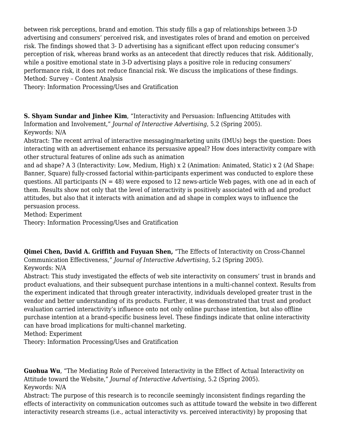between risk perceptions, brand and emotion. This study fills a gap of relationships between 3-D advertising and consumers' perceived risk, and investigates roles of brand and emotion on perceived risk. The findings showed that 3- D advertising has a significant effect upon reducing consumer's perception of risk, whereas brand works as an antecedent that directly reduces that risk. Additionally, while a positive emotional state in 3-D advertising plays a positive role in reducing consumers' performance risk, it does not reduce financial risk. We discuss the implications of these findings. Method: Survey – Content Analysis

Theory: Information Processing/Uses and Gratification

**S. Shyam Sundar and Jinhee Kim**, "Interactivity and Persuasion: Influencing Attitudes with Information and Involvement," *Journal of Interactive Advertising*, 5.2 (Spring 2005). Keywords: N/A

Abstract: The recent arrival of interactive messaging/marketing units (IMUs) begs the question: Does interacting with an advertisement enhance its persuasive appeal? How does interactivity compare with other structural features of online ads such as animation

and ad shape? A 3 (Interactivity: Low, Medium, High) x 2 (Animation: Animated, Static) x 2 (Ad Shape: Banner, Square) fully-crossed factorial within-participants experiment was conducted to explore these questions. All participants ( $N = 48$ ) were exposed to 12 news-article Web pages, with one ad in each of them. Results show not only that the level of interactivity is positively associated with ad and product attitudes, but also that it interacts with animation and ad shape in complex ways to influence the persuasion process.

Method: Experiment

Theory: Information Processing/Uses and Gratification

**Qimei Chen, David A. Griffith and Fuyuan Shen,** "The Effects of Interactivity on Cross-Channel Communication Effectiveness," *Journal of Interactive Advertising*, 5.2 (Spring 2005). Keywords: N/A

Abstract: This study investigated the effects of web site interactivity on consumers' trust in brands and product evaluations, and their subsequent purchase intentions in a multi-channel context. Results from the experiment indicated that through greater interactivity, individuals developed greater trust in the vendor and better understanding of its products. Further, it was demonstrated that trust and product evaluation carried interactivity's influence onto not only online purchase intention, but also offline purchase intention at a brand-specific business level. These findings indicate that online interactivity can have broad implications for multi-channel marketing.

Method: Experiment

Theory: Information Processing/Uses and Gratification

**Guohua Wu**, "The Mediating Role of Perceived Interactivity in the Effect of Actual Interactivity on Attitude toward the Website," *Journal of Interactive Advertising,* 5.2 (Spring 2005). Keywords: N/A

Abstract: The purpose of this research is to reconcile seemingly inconsistent findings regarding the effects of interactivity on communication outcomes such as attitude toward the website in two different interactivity research streams (i.e., actual interactivity vs. perceived interactivity) by proposing that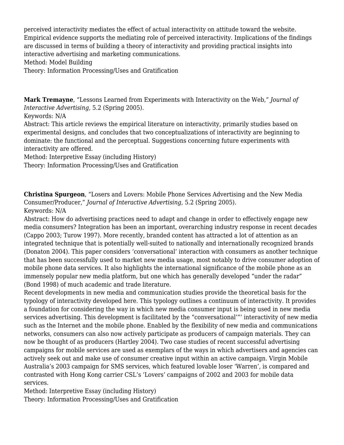perceived interactivity mediates the effect of actual interactivity on attitude toward the website. Empirical evidence supports the mediating role of perceived interactivity. Implications of the findings are discussed in terms of building a theory of interactivity and providing practical insights into interactive advertising and marketing communications. Method: Model Building

Theory: Information Processing/Uses and Gratification

**Mark Tremayne**, "Lessons Learned from Experiments with Interactivity on the Web," *Journal of Interactive Advertising,* 5.2 (Spring 2005).

Keywords: N/A

Abstract: This article reviews the empirical literature on interactivity, primarily studies based on experimental designs, and concludes that two conceptualizations of interactivity are beginning to dominate: the functional and the perceptual. Suggestions concerning future experiments with interactivity are offered.

Method: Interpretive Essay (including History)

Theory: Information Processing/Uses and Gratification

**Christina Spurgeon**, "Losers and Lovers: Mobile Phone Services Advertising and the New Media Consumer/Producer," *Journal of Interactive Advertising*, 5.2 (Spring 2005). Keywords: N/A

Abstract: How do advertising practices need to adapt and change in order to effectively engage new media consumers? Integration has been an important, overarching industry response in recent decades (Cappo 2003; Turow 1997). More recently, branded content has attracted a lot of attention as an integrated technique that is potentially well-suited to nationally and internationally recognized brands (Donaton 2004). This paper considers 'conversational' interaction with consumers as another technique that has been successfully used to market new media usage, most notably to drive consumer adoption of mobile phone data services. It also highlights the international significance of the mobile phone as an immensely popular new media platform, but one which has generally developed "under the radar" (Bond 1998) of much academic and trade literature.

Recent developments in new media and communication studies provide the theoretical basis for the typology of interactivity developed here. This typology outlines a continuum of interactivity. It provides a foundation for considering the way in which new media consumer input is being used in new media services advertising. This development is facilitated by the "conversational'"' interactivity of new media such as the Internet and the mobile phone. Enabled by the flexibility of new media and communications networks, consumers can also now actively participate as producers of campaign materials. They can now be thought of as producers (Hartley 2004). Two case studies of recent successful advertising campaigns for mobile services are used as exemplars of the ways in which advertisers and agencies can actively seek out and make use of consumer creative input within an active campaign. Virgin Mobile Australia's 2003 campaign for SMS services, which featured lovable loser 'Warren', is compared and contrasted with Hong Kong carrier CSL's 'Lovers' campaigns of 2002 and 2003 for mobile data services.

Method: Interpretive Essay (including History) Theory: Information Processing/Uses and Gratification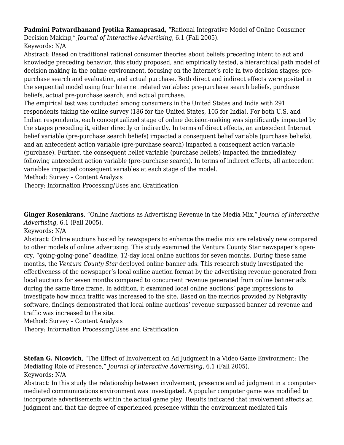**Padmini Patwardhanand Jyotika Ramaprasad,** "Rational Integrative Model of Online Consumer Decision Making," *Journal of Interactive Advertising*, 6.1 (Fall 2005). Keywords: N/A

Abstract: Based on traditional rational consumer theories about beliefs preceding intent to act and knowledge preceding behavior, this study proposed, and empirically tested, a hierarchical path model of decision making in the online environment, focusing on the Internet's role in two decision stages: prepurchase search and evaluation, and actual purchase. Both direct and indirect effects were posited in the sequential model using four Internet related variables: pre-purchase search beliefs, purchase beliefs, actual pre-purchase search, and actual purchase.

The empirical test was conducted among consumers in the United States and India with 291 respondents taking the online survey (186 for the United States, 105 for India). For both U.S. and Indian respondents, each conceptualized stage of online decision-making was significantly impacted by the stages preceding it, either directly or indirectly. In terms of direct effects, an antecedent Internet belief variable (pre-purchase search beliefs) impacted a consequent belief variable (purchase beliefs), and an antecedent action variable (pre-purchase search) impacted a consequent action variable (purchase). Further, the consequent belief variable (purchase beliefs) impacted the immediately following antecedent action variable (pre-purchase search). In terms of indirect effects, all antecedent variables impacted consequent variables at each stage of the model.

Method: Survey – Content Analysis

Theory: Information Processing/Uses and Gratification

**Ginger Rosenkrans**, "Online Auctions as Advertising Revenue in the Media Mix," *Journal of Interactive Advertising*, 6.1 (Fall 2005).

#### Keywords: N/A

Abstract: Online auctions hosted by newspapers to enhance the media mix are relatively new compared to other models of online advertising. This study examined the Ventura County Star newspaper's opencry, "going-going-gone" deadline, 12-day local online auctions for seven months. During these same months, the *Ventura County Star* deployed online banner ads. This research study investigated the effectiveness of the newspaper's local online auction format by the advertising revenue generated from local auctions for seven months compared to concurrent revenue generated from online banner ads during the same time frame. In addition, it examined local online auctions' page impressions to investigate how much traffic was increased to the site. Based on the metrics provided by Netgravity software, findings demonstrated that local online auctions' revenue surpassed banner ad revenue and traffic was increased to the site.

Method: Survey – Content Analysis

Theory: Information Processing/Uses and Gratification

**Stefan G. Nicovich**, "The Effect of Involvement on Ad Judgment in a Video Game Environment: The Mediating Role of Presence," *Journal of Interactive Advertising*, 6.1 (Fall 2005). Keywords: N/A

Abstract: In this study the relationship between involvement, presence and ad judgment in a computermediated communications environment was investigated. A popular computer game was modified to incorporate advertisements within the actual game play. Results indicated that involvement affects ad judgment and that the degree of experienced presence within the environment mediated this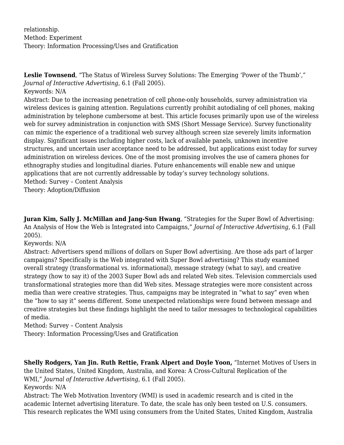relationship. Method: Experiment Theory: Information Processing/Uses and Gratification

**Leslie Townsend**, "The Status of Wireless Survey Solutions: The Emerging 'Power of the Thumb'*," Journal of Interactive Advertising*, 6.1 (Fall 2005).

#### Keywords: N/A

Abstract: Due to the increasing penetration of cell phone-only households, survey administration via wireless devices is gaining attention. Regulations currently prohibit autodialing of cell phones, making administration by telephone cumbersome at best. This article focuses primarily upon use of the wireless web for survey administration in conjunction with SMS (Short Message Service). Survey functionality can mimic the experience of a traditional web survey although screen size severely limits information display. Significant issues including higher costs, lack of available panels, unknown incentive structures, and uncertain user acceptance need to be addressed, but applications exist today for survey administration on wireless devices. One of the most promising involves the use of camera phones for ethnography studies and longitudinal diaries. Future enhancements will enable new and unique applications that are not currently addressable by today's survey technology solutions. Method: Survey – Content Analysis

Theory: Adoption/Diffusion

**Juran Kim, Sally J. McMillan and Jang-Sun Hwang**, "Strategies for the Super Bowl of Advertising: An Analysis of How the Web is Integrated into Campaigns," *Journal of Interactive Advertising*, 6.1 (Fall 2005).

Keywords: N/A

Abstract: Advertisers spend millions of dollars on Super Bowl advertising. Are those ads part of larger campaigns? Specifically is the Web integrated with Super Bowl advertising? This study examined overall strategy (transformational vs. informational), message strategy (what to say), and creative strategy (how to say it) of the 2003 Super Bowl ads and related Web sites. Television commercials used transformational strategies more than did Web sites. Message strategies were more consistent across media than were creative strategies. Thus, campaigns may be integrated in "what to say" even when the "how to say it" seems different. Some unexpected relationships were found between message and creative strategies but these findings highlight the need to tailor messages to technological capabilities of media.

Method: Survey – Content Analysis

Theory: Information Processing/Uses and Gratification

**Shelly Rodgers, Yan Jin. Ruth Rettie, Frank Alpert and Doyle Yoon,** "Internet Motives of Users in the United States, United Kingdom, Australia, and Korea: A Cross-Cultural Replication of the WMI," *Journal of Interactive Advertising*, 6.1 (Fall 2005). Keywords: N/A

Abstract: The Web Motivation Inventory (WMI) is used in academic research and is cited in the academic Internet advertising literature. To date, the scale has only been tested on U.S. consumers. This research replicates the WMI using consumers from the United States, United Kingdom, Australia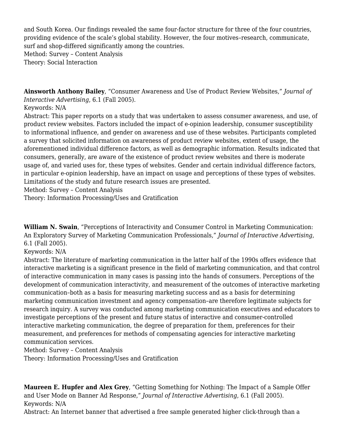and South Korea. Our findings revealed the same four-factor structure for three of the four countries, providing evidence of the scale's global stability. However, the four motives–research, communicate, surf and shop-differed significantly among the countries.

Method: Survey – Content Analysis Theory: Social Interaction

**Ainsworth Anthony Bailey**, "Consumer Awareness and Use of Product Review Websites," *Journal of Interactive Advertising*, 6.1 (Fall 2005).

Keywords: N/A

Abstract: This paper reports on a study that was undertaken to assess consumer awareness, and use, of product review websites. Factors included the impact of e-opinion leadership, consumer susceptibility to informational influence, and gender on awareness and use of these websites. Participants completed a survey that solicited information on awareness of product review websites, extent of usage, the aforementioned individual difference factors, as well as demographic information. Results indicated that consumers, generally, are aware of the existence of product review websites and there is moderate usage of, and varied uses for, these types of websites. Gender and certain individual difference factors, in particular e-opinion leadership, have an impact on usage and perceptions of these types of websites. Limitations of the study and future research issues are presented.

Method: Survey – Content Analysis

Theory: Information Processing/Uses and Gratification

**William N. Swain**, "Perceptions of Interactivity and Consumer Control in Marketing Communication: An Exploratory Survey of Marketing Communication Professionals," *Journal of Interactive Advertising*, 6.1 (Fall 2005).

Keywords: N/A

Abstract: The literature of marketing communication in the latter half of the 1990s offers evidence that interactive marketing is a significant presence in the field of marketing communication, and that control of interactive communication in many cases is passing into the hands of consumers. Perceptions of the development of communication interactivity, and measurement of the outcomes of interactive marketing communication–both as a basis for measuring marketing success and as a basis for determining marketing communication investment and agency compensation–are therefore legitimate subjects for research inquiry. A survey was conducted among marketing communication executives and educators to investigate perceptions of the present and future status of interactive and consumer-controlled interactive marketing communication, the degree of preparation for them, preferences for their measurement, and preferences for methods of compensating agencies for interactive marketing communication services.

Method: Survey – Content Analysis

Theory: Information Processing/Uses and Gratification

**Maureen E. Hupfer and Alex Grey**, "Getting Something for Nothing: The Impact of a Sample Offer and User Mode on Banner Ad Response," *Journal of Interactive Advertising*, 6.1 (Fall 2005). Keywords: N/A

Abstract: An Internet banner that advertised a free sample generated higher click-through than a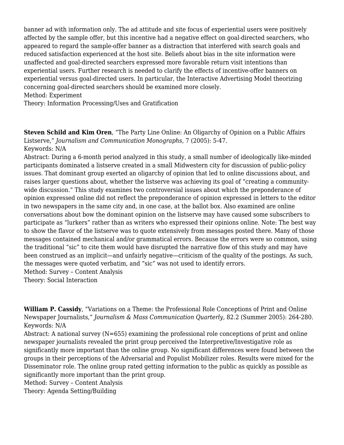banner ad with information only. The ad attitude and site focus of experiential users were positively affected by the sample offer, but this incentive had a negative effect on goal-directed searchers, who appeared to regard the sample-offer banner as a distraction that interfered with search goals and reduced satisfaction experienced at the host site. Beliefs about bias in the site information were unaffected and goal-directed searchers expressed more favorable return visit intentions than experiential users. Further research is needed to clarify the effects of incentive-offer banners on experiential versus goal-directed users. In particular, the Interactive Advertising Model theorizing concerning goal-directed searchers should be examined more closely.

Method: Experiment

Theory: Information Processing/Uses and Gratification

**Steven Schild and Kim Oren**, "The Party Line Online: An Oligarchy of Opinion on a Public Affairs Listserve," *Journalism and Communication Monographs*, 7 (2005): 5-47. Keywords: N/A

Abstract: During a 6-month period analyzed in this study, a small number of ideologically like-minded participants dominated a listserve created in a small Midwestern city for discussion of public-policy issues. That dominant group exerted an oligarchy of opinion that led to online discussions about, and raises larger questions about, whether the listserve was achieving its goal of "creating a communitywide discussion." This study examines two controversial issues about which the preponderance of opinion expressed online did not reflect the preponderance of opinion expressed in letters to the editor in two newspapers in the same city and, in one case, at the ballot box. Also examined are online conversations about bow the dominant opinion on the listserve may have caused some subscribers to participate as "lurkers" rather than as writers who expressed their opinions online. Note: The best way to show the flavor of the listserve was to quote extensively from messages posted there. Many of those messages contained mechanical and/or grammatical errors. Because the errors were so common, using the traditional "sic" to cite them would have disrupted the narrative flow of this study and may have been construed as an implicit—and unfairly negative—criticism of the quality of the postings. As such, the messages were quoted verbatim, and "sic" was not used to identify errors. Method: Survey – Content Analysis

Theory: Social Interaction

**William P. Cassidy**, "Variations on a Theme: the Professional Role Conceptions of Print and Online Newspaper Journalists," *Journalism & Mass Communication Quarterly,* 82.2 (Summer 2005): 264-280. Keywords: N/A

Abstract: A national survey  $(N=655)$  examining the professional role conceptions of print and online newspaper journalists revealed the print group perceived the Interpretive/Investigative role as significantly more important than the online group. No significant differences were found between the groups in their perceptions of the Adversarial and Populist Mobilizer roles. Results were mixed for the Disseminator role. The online group rated getting information to the public as quickly as possible as significantly more important than the print group.

Method: Survey – Content Analysis

Theory: Agenda Setting/Building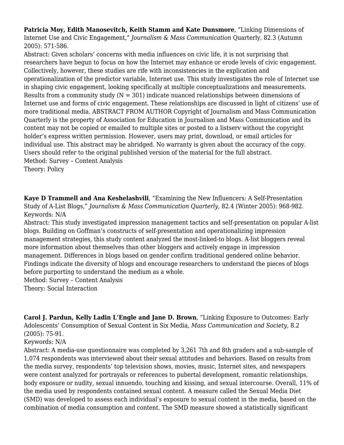**Patricia Moy, Edith Manosevitch, Keith Stamm and Kate Dunsmore**, "Linking Dimensions of Internet Use and Civic Engagement," *Journalism & Mass Communication* Quarterly, 82.3 (Autumn 2005): 571-586.

Abstract: Given scholars' concerns with media influences on civic life, it is not surprising that researchers have begun to focus on how the Internet may enhance or erode levels of civic engagement. Collectively, however, these studies are rife with inconsistencies in the explication and operationalization of the predictor variable, Internet use. This study investigates the role of Internet use in shaping civic engagement, looking specifically at multiple conceptualizations and measurements. Results from a community study  $(N = 301)$  indicate nuanced relationships between dimensions of Internet use and forms of civic engagement. These relationships are discussed in light of citizens' use of more traditional media. ABSTRACT FROM AUTHOR Copyright of Journalism and Mass Communication Quarterly is the property of Association for Education in Journalism and Mass Communication and its content may not be copied or emailed to multiple sites or posted to a listserv without the copyright holder's express written permission. However, users may print, download, or email articles for individual use. This abstract may be abridged. No warranty is given about the accuracy of the copy. Users should refer to the original published version of the material for the full abstract. Method: Survey – Content Analysis Theory: Policy

**Kaye D Trammell and Ana Keshelashvili**, "Examining the New Influencers: A Self-Presentation Study of A-List Blogs," *Journalism & Mass Communication Quarterly*, 82.4 (Winter 2005): 968-982. Keywords: N/A

Abstract: This study investigated impression management tactics and self-presentation on popular A-list blogs. Building on Goffman's constructs of self-presentation and operationalizing impression management strategies, this study content analyzed the most-linked-to blogs. A-list bloggers reveal more information about themselves than other bloggers and actively engage in impression management. Differences in blogs based on gender confirm traditional gendered online behavior. Findings indicate the diversity of blogs and encourage researchers to understand the pieces of blogs before purporting to understand the medium as a whole.

Method: Survey – Content Analysis

Theory: Social Interaction

**Carol J. Pardun, Kelly Ladin L'Engle and Jane D. Brown**, "Linking Exposure to Outcomes: Early Adolescents' Consumption of Sexual Content in Six Media, *Mass Communication and Society*, 8.2 (2005): 75-91.

### Keywords: N/A

Abstract: A media-use questionnaire was completed by 3,261 7th and 8th graders and a sub-sample of 1,074 respondents was interviewed about their sexual attitudes and behaviors. Based on results from the media survey, respondents' top television shows, movies, music, Internet sites, and newspapers were content analyzed for portrayals or references to pubertal development, romantic relationships, body exposure or nudity, sexual innuendo, touching and kissing, and sexual intercourse. Overall, 11% of the media used by respondents contained sexual content. A measure called the Sexual Media Diet (SMD) was developed to assess each individual's exposure to sexual content in the media, based on the combination of media consumption and content. The SMD measure showed a statistically significant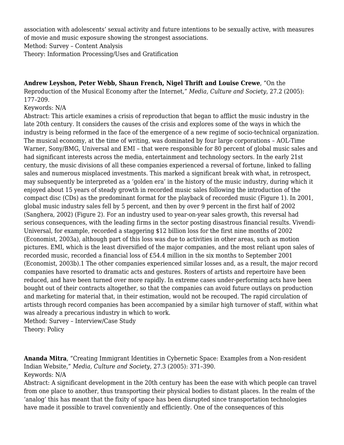association with adolescents' sexual activity and future intentions to be sexually active, with measures of movie and music exposure showing the strongest associations. Method: Survey – Content Analysis

Theory: Information Processing/Uses and Gratification

# **Andrew Leyshon, Peter Webb, Shaun French, Nigel Thrift and Louise Crewe**, "On the

Reproduction of the Musical Economy after the Internet," *Media, Culture and Society*, 27.2 (2005): 177–209.

# Keywords: N/A

Abstract: This article examines a crisis of reproduction that began to afflict the music industry in the late 20th century. It considers the causes of the crisis and explores some of the ways in which the industry is being reformed in the face of the emergence of a new regime of socio-technical organization. The musical economy, at the time of writing, was dominated by four large corporations – AOL-Time Warner, Sony/BMG, Universal and EMI – that were responsible for 80 percent of global music sales and had significant interests across the media, entertainment and technology sectors. In the early 21st century, the music divisions of all these companies experienced a reversal of fortune, linked to falling sales and numerous misplaced investments. This marked a significant break with what, in retrospect, may subsequently be interpreted as a 'golden era' in the history of the music industry, during which it enjoyed about 15 years of steady growth in recorded music sales following the introduction of the compact disc (CDs) as the predominant format for the playback of recorded music (Figure 1). In 2001, global music industry sales fell by 5 percent, and then by over 9 percent in the first half of 2002 (Sanghera, 2002) (Figure 2). For an industry used to year-on-year sales growth, this reversal had serious consequences, with the leading firms in the sector posting disastrous financial results. Vivendi-Universal, for example, recorded a staggering \$12 billion loss for the first nine months of 2002 (Economist, 2003a), although part of this loss was due to activities in other areas, such as motion pictures. EMI, which is the least diversified of the major companies, and the most reliant upon sales of recorded music, recorded a financial loss of £54.4 million in the six months to September 2001 (Economist, 2003b).1 The other companies experienced similar losses and, as a result, the major record companies have resorted to dramatic acts and gestures. Rosters of artists and repertoire have been reduced, and have been turned over more rapidly. In extreme cases under-performing acts have been bought out of their contracts altogether, so that the companies can avoid future outlays on production and marketing for material that, in their estimation, would not be recouped. The rapid circulation of artists through record companies has been accompanied by a similar high turnover of staff, within what was already a precarious industry in which to work. Method: Survey – Interview/Case Study

Theory: Policy

**Ananda Mitra**, "Creating Immigrant Identities in Cybernetic Space: Examples from a Non-resident Indian Website," *Media, Culture and Society*, 27.3 (2005): 371–390. Keywords: N/A

Abstract: A significant development in the 20th century has been the ease with which people can travel from one place to another, thus transporting their physical bodies to distant places. In the realm of the 'analog' this has meant that the fixity of space has been disrupted since transportation technologies have made it possible to travel conveniently and efficiently. One of the consequences of this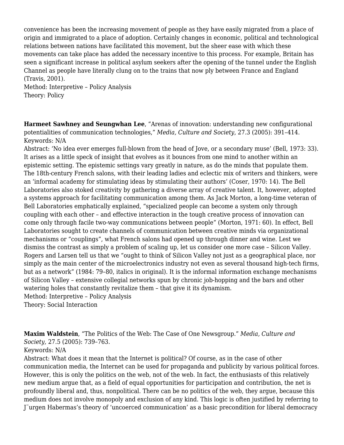convenience has been the increasing movement of people as they have easily migrated from a place of origin and immigrated to a place of adoption. Certainly changes in economic, political and technological relations between nations have facilitated this movement, but the sheer ease with which these movements can take place has added the necessary incentive to this process. For example, Britain has seen a significant increase in political asylum seekers after the opening of the tunnel under the English Channel as people have literally clung on to the trains that now ply between France and England (Travis, 2001).

Method: Interpretive – Policy Analysis Theory: Policy

**Harmeet Sawhney and Seungwhan Lee**, "Arenas of innovation: understanding new configurational potentialities of communication technologies," *Media, Culture and Society*, 27.3 (2005): 391–414. Keywords: N/A

Abstract: 'No idea ever emerges full-blown from the head of Jove, or a secondary muse' (Bell, 1973: 33). It arises as a little speck of insight that evolves as it bounces from one mind to another within an epistemic setting. The epistemic settings vary greatly in nature, as do the minds that populate them. The 18th-century French salons, with their leading ladies and eclectic mix of writers and thinkers, were an 'informal academy for stimulating ideas by stimulating their authors' (Coser, 1970: 14). The Bell Laboratories also stoked creativity by gathering a diverse array of creative talent. It, however, adopted a systems approach for facilitating communication among them. As Jack Morton, a long-time veteran of Bell Laboratories emphatically explained, "specialized people can become a system only through coupling with each other – and effective interaction in the tough creative process of innovation can come only through facile two-way communications between people" (Morton, 1971: 60). In effect, Bell Laboratories sought to create channels of communication between creative minds via organizational mechanisms or "couplings", what French salons had opened up through dinner and wine. Lest we dismiss the contrast as simply a problem of scaling up, let us consider one more case – Silicon Valley. Rogers and Larsen tell us that we "ought to think of Silicon Valley not just as a geographical place, nor simply as the main center of the microelectronics industry not even as several thousand high-tech firms, but as a network" (1984: 79–80, italics in original). It is the informal information exchange mechanisms of Silicon Valley – extensive collegial networks spun by chronic job-hopping and the bars and other watering holes that constantly revitalize them – that give it its dynamism. Method: Interpretive – Policy Analysis Theory: Social Interaction

**Maxim Waldstein**, "The Politics of the Web: The Case of One Newsgroup." *Media, Culture and Society,* 27.5 (2005): 739–763.

#### Keywords: N/A

Abstract: What does it mean that the Internet is political? Of course, as in the case of other communication media, the Internet can be used for propaganda and publicity by various political forces. However, this is only the politics on the web, not of the web. In fact, the enthusiasts of this relatively new medium argue that, as a field of equal opportunities for participation and contribution, the net is profoundly liberal and, thus, nonpolitical. There can be no politics of the web, they argue, because this medium does not involve monopoly and exclusion of any kind. This logic is often justified by referring to J¨urgen Habermas's theory of 'uncoerced communication' as a basic precondition for liberal democracy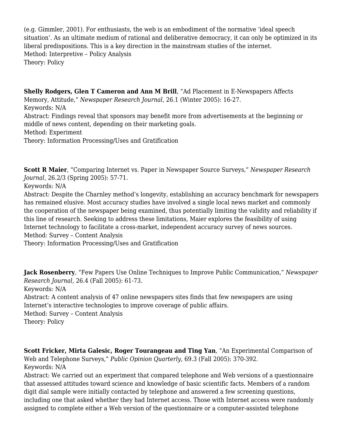(e.g. Gimmler, 2001). For enthusiasts, the web is an embodiment of the normative 'ideal speech situation'. As an ultimate medium of rational and deliberative democracy, it can only be optimized in its liberal predispositions. This is a key direction in the mainstream studies of the internet. Method: Interpretive – Policy Analysis Theory: Policy

**Shelly Rodgers, Glen T Cameron and Ann M Brill**, "Ad Placement in E-Newspapers Affects Memory, Attitude," *Newspaper Research Journal*, 26.1 (Winter 2005): 16-27. Keywords: N/A Abstract: Findings reveal that sponsors may benefit more from advertisements at the beginning or middle of news content, depending on their marketing goals. Method: Experiment Theory: Information Processing/Uses and Gratification

**Scott R Maier**, "Comparing Internet vs. Paper in Newspaper Source Surveys," *Newspaper Research Journal*, 26.2/3 (Spring 2005): 57-71.

Keywords: N/A

Abstract: Despite the Charnley method's longevity, establishing an accuracy benchmark for newspapers has remained elusive. Most accuracy studies have involved a single local news market and commonly the cooperation of the newspaper being examined, thus potentially limiting the validity and reliability if this line of research. Seeking to address these limitations, Maier explores the feasibility of using Internet technology to facilitate a cross-market, independent accuracy survey of news sources. Method: Survey – Content Analysis

Theory: Information Processing/Uses and Gratification

**Jack Rosenberry**, "Few Papers Use Online Techniques to Improve Public Communication," *Newspaper Research Journal,* 26.4 (Fall 2005): 61-73. Keywords: N/A Abstract: A content analysis of 47 online newspapers sites finds that few newspapers are using Internet's interactive technologies to improve coverage of public affairs. Method: Survey – Content Analysis Theory: Policy

**Scott Fricker, Mirta Galesic, Roger Tourangeau and Ting Yan**, "An Experimental Comparison of Web and Telephone Surveys," *Public Opinion Quarterly*, 69.3 (Fall 2005): 370-392. Keywords: N/A

Abstract: We carried out an experiment that compared telephone and Web versions of a questionnaire that assessed attitudes toward science and knowledge of basic scientific facts. Members of a random digit dial sample were initially contacted by telephone and answered a few screening questions, including one that asked whether they had Internet access. Those with Internet access were randomly assigned to complete either a Web version of the questionnaire or a computer-assisted telephone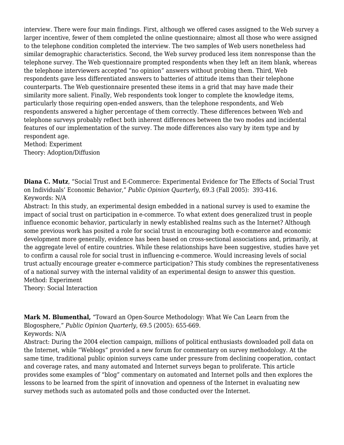interview. There were four main findings. First, although we offered cases assigned to the Web survey a larger incentive, fewer of them completed the online questionnaire; almost all those who were assigned to the telephone condition completed the interview. The two samples of Web users nonetheless had similar demographic characteristics. Second, the Web survey produced less item nonresponse than the telephone survey. The Web questionnaire prompted respondents when they left an item blank, whereas the telephone interviewers accepted "no opinion" answers without probing them. Third, Web respondents gave less differentiated answers to batteries of attitude items than their telephone counterparts. The Web questionnaire presented these items in a grid that may have made their similarity more salient. Finally, Web respondents took longer to complete the knowledge items, particularly those requiring open-ended answers, than the telephone respondents, and Web respondents answered a higher percentage of them correctly. These differences between Web and telephone surveys probably reflect both inherent differences between the two modes and incidental features of our implementation of the survey. The mode differences also vary by item type and by respondent age.

Method: Experiment Theory: Adoption/Diffusion

**Diana C. Mutz**, "Social Trust and E-Commerce: Experimental Evidence for The Effects of Social Trust on Individuals' Economic Behavior," *Public Opinion Quarterly*, 69.3 (Fall 2005): 393-416. Keywords: N/A

Abstract: In this study, an experimental design embedded in a national survey is used to examine the impact of social trust on participation in e-commerce. To what extent does generalized trust in people influence economic behavior, particularly in newly established realms such as the Internet? Although some previous work has posited a role for social trust in encouraging both e-commerce and economic development more generally, evidence has been based on cross-sectional associations and, primarily, at the aggregate level of entire countries. While these relationships have been suggestive, studies have yet to confirm a causal role for social trust in influencing e-commerce. Would increasing levels of social trust actually encourage greater e-commerce participation? This study combines the representativeness of a national survey with the internal validity of an experimental design to answer this question. Method: Experiment

Theory: Social Interaction

**Mark M. Blumenthal,** "Toward an Open-Source Methodology: What We Can Learn from the Blogosphere," *Public Opinion Quarterly*, 69.5 (2005): 655-669. Keywords: N/A

Abstract: During the 2004 election campaign, millions of political enthusiasts downloaded poll data on the Internet, while "Weblogs" provided a new forum for commentary on survey methodology. At the same time, traditional public opinion surveys came under pressure from declining cooperation, contact and coverage rates, and many automated and Internet surveys began to proliferate. This article provides some examples of "blog" commentary on automated and Internet polls and then explores the lessons to be learned from the spirit of innovation and openness of the Internet in evaluating new survey methods such as automated polls and those conducted over the Internet.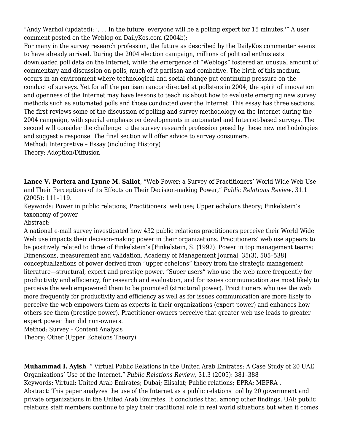"Andy Warhol (updated): '. . . In the future, everyone will be a polling expert for 15 minutes.'" A user comment posted on the Weblog on DailyKos.com (2004b):

For many in the survey research profession, the future as described by the DailyKos commenter seems to have already arrived. During the 2004 election campaign, millions of political enthusiasts downloaded poll data on the Internet, while the emergence of "Weblogs" fostered an unusual amount of commentary and discussion on polls, much of it partisan and combative. The birth of this medium occurs in an environment where technological and social change put continuing pressure on the conduct of surveys. Yet for all the partisan rancor directed at pollsters in 2004, the spirit of innovation and openness of the Internet may have lessons to teach us about how to evaluate emerging new survey methods such as automated polls and those conducted over the Internet. This essay has three sections. The first reviews some of the discussion of polling and survey methodology on the Internet during the 2004 campaign, with special emphasis on developments in automated and Internet-based surveys. The second will consider the challenge to the survey research profession posed by these new methodologies and suggest a response. The final section will offer advice to survey consumers.

Method: Interpretive – Essay (including History)

Theory: Adoption/Diffusion

**Lance V. Portera and Lynne M. Sallot**, "Web Power: a Survey of Practitioners' World Wide Web Use and Their Perceptions of its Effects on Their Decision-making Power," *Public Relations Review*, 31.1 (2005): 111–119.

Keywords: Power in public relations; Practitioners' web use; Upper echelons theory; Finkelstein's taxonomy of power

Abstract:

A national e-mail survey investigated how 432 public relations practitioners perceive their World Wide Web use impacts their decision-making power in their organizations. Practitioners' web use appears to be positively related to three of Finkelstein's [Finkelstein, S. (1992). Power in top management teams: Dimensions, measurement and validation. Academy of Management Journal, 35(3), 505–538] conceptualizations of power derived from "upper echelons" theory from the strategic management literature—structural, expert and prestige power. "Super users" who use the web more frequently for productivity and efficiency, for research and evaluation, and for issues communication are most likely to perceive the web empowered them to be promoted (structural power). Practitioners who use the web more frequently for productivity and efficiency as well as for issues communication are more likely to perceive the web empowers them as experts in their organizations (expert power) and enhances how others see them (prestige power). Practitioner-owners perceive that greater web use leads to greater expert power than did non-owners.

Method: Survey – Content Analysis

Theory: Other (Upper Echelons Theory)

**Muhammad I. Ayish**, " Virtual Public Relations in the United Arab Emirates: A Case Study of 20 UAE Organizations' Use of the Internet," *Public Relations Review*, 31.3 (2005): 381–388 Keywords: Virtual; United Arab Emirates; Dubai; Elisalat; Public relations; EPRA; MEPRA . Abstract: This paper analyzes the use of the Internet as a public relations tool by 20 government and private organizations in the United Arab Emirates. It concludes that, among other findings, UAE public relations staff members continue to play their traditional role in real world situations but when it comes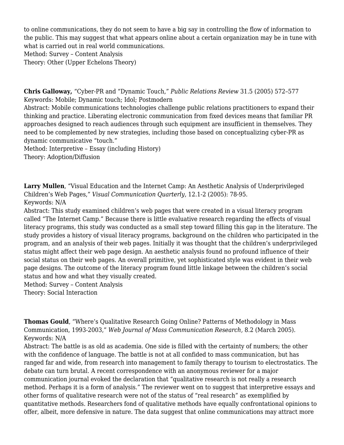to online communications, they do not seem to have a big say in controlling the flow of information to the public. This may suggest that what appears online about a certain organization may be in tune with what is carried out in real world communications.

Method: Survey – Content Analysis

Theory: Other (Upper Echelons Theory)

**Chris Galloway,** "Cyber-PR and "Dynamic Touch," *Public Relations Review* 31.5 (2005) 572–577 Keywords: Mobile; Dynamic touch; Idol; Postmodern

Abstract: Mobile communications technologies challenge public relations practitioners to expand their thinking and practice. Liberating electronic communication from fixed devices means that familiar PR approaches designed to reach audiences through such equipment are insufficient in themselves. They need to be complemented by new strategies, including those based on conceptualizing cyber-PR as dynamic communicative "touch."

Method: Interpretive – Essay (including History)

Theory: Adoption/Diffusion

**Larry Mullen**, "Visual Education and the Internet Camp: An Aesthetic Analysis of Underprivileged Children's Web Pages," *Visual Communication Quarterly*, 12.1-2 (2005): 78-95. Keywords: N/A

Abstract: This study examined children's web pages that were created in a visual literacy program called "The Internet Camp." Because there is little evaluative research regarding the effects of visual literacy programs, this study was conducted as a small step toward filling this gap in the literature. The study provides a history of visual literacy programs, background on the children who participated in the program, and an analysis of their web pages. Initially it was thought that the children's underprivileged status might affect their web page design. An aesthetic analysis found no profound influence of their social status on their web pages. An overall primitive, yet sophisticated style was evident in their web page designs. The outcome of the literacy program found little linkage between the children's social status and how and what they visually created.

Method: Survey – Content Analysis

Theory: Social Interaction

**Thomas Gould**, "Where's Qualitative Research Going Online? Patterns of Methodology in Mass Communication, 1993-2003," *Web Journal of Mass Communication Research,* 8.2 (March 2005). Keywords: N/A

Abstract: The battle is as old as academia. One side is filled with the certainty of numbers; the other with the confidence of language. The battle is not at all confided to mass communication, but has ranged far and wide, from research into management to family therapy to tourism to electrostatics. The debate can turn brutal. A recent correspondence with an anonymous reviewer for a major communication journal evoked the declaration that "qualitative research is not really a research method. Perhaps it is a form of analysis." The reviewer went on to suggest that interpretive essays and other forms of qualitative research were not of the status of "real research" as exemplified by quantitative methods. Researchers fond of qualitative methods have equally confrontational opinions to offer, albeit, more defensive in nature. The data suggest that online communications may attract more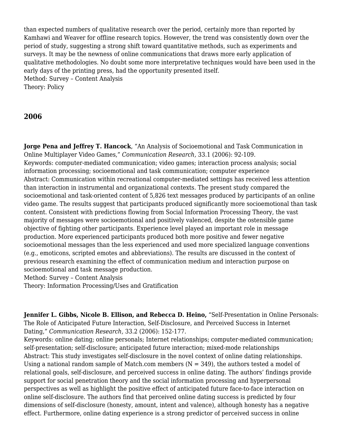than expected numbers of qualitative research over the period, certainly more than reported by Kamhawi and Weaver for offline research topics. However, the trend was consistently down over the period of study, suggesting a strong shift toward quantitative methods, such as experiments and surveys. It may be the newness of online communications that draws more early application of qualitative methodologies. No doubt some more interpretative techniques would have been used in the early days of the printing press, had the opportunity presented itself. Method: Survey – Content Analysis Theory: Policy

# **2006**

**Jorge Pena and Jeffrey T. Hancock**, "An Analysis of Socioemotional and Task Communication in Online Multiplayer Video Games," *Communication Research,* 33.1 (2006): 92-109. Keywords: computer-mediated communication; video games; interaction process analysis; social information processing; socioemotional and task communication; computer experience Abstract: Communication within recreational computer-mediated settings has received less attention than interaction in instrumental and organizational contexts. The present study compared the socioemotional and task-oriented content of 5,826 text messages produced by participants of an online video game. The results suggest that participants produced significantly more socioemotional than task content. Consistent with predictions flowing from Social Information Processing Theory, the vast majority of messages were socioemotional and positively valenced, despite the ostensible game objective of fighting other participants. Experience level played an important role in message production. More experienced participants produced both more positive and fewer negative socioemotional messages than the less experienced and used more specialized language conventions (e.g., emoticons, scripted emotes and abbreviations). The results are discussed in the context of previous research examining the effect of communication medium and interaction purpose on socioemotional and task message production.

Method: Survey – Content Analysis

Theory: Information Processing/Uses and Gratification

**Jennifer L. Gibbs, Nicole B. Ellison, and Rebecca D. Heino,** "Self-Presentation in Online Personals: The Role of Anticipated Future Interaction, Self-Disclosure, and Perceived Success in Internet Dating," *Communication Research,* 33.2 (2006): 152-177.

Keywords: online dating; online personals; Internet relationships; computer-mediated communication; self-presentation; self-disclosure; anticipated future interaction; mixed-mode relationships Abstract: This study investigates self-disclosure in the novel context of online dating relationships. Using a national random sample of Match.com members  $(N = 349)$ , the authors tested a model of relational goals, self-disclosure, and perceived success in online dating. The authors' findings provide support for social penetration theory and the social information processing and hyperpersonal perspectives as well as highlight the positive effect of anticipated future face-to-face interaction on online self-disclosure. The authors find that perceived online dating success is predicted by four dimensions of self-disclosure (honesty, amount, intent and valence), although honesty has a negative effect. Furthermore, online dating experience is a strong predictor of perceived success in online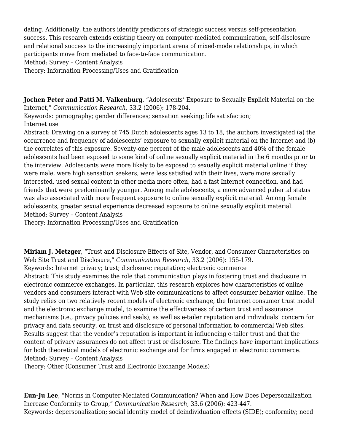dating. Additionally, the authors identify predictors of strategic success versus self-presentation success. This research extends existing theory on computer-mediated communication, self-disclosure and relational success to the increasingly important arena of mixed-mode relationships, in which participants move from mediated to face-to-face communication.

Method: Survey – Content Analysis

Theory: Information Processing/Uses and Gratification

**Jochen Peter and Patti M. Valkenburg**, "Adolescents' Exposure to Sexually Explicit Material on the Internet," *Communication Research*, 33.2 (2006): 178-204.

Keywords: pornography; gender differences; sensation seeking; life satisfaction;

Internet use

Abstract: Drawing on a survey of 745 Dutch adolescents ages 13 to 18, the authors investigated (a) the occurrence and frequency of adolescents' exposure to sexually explicit material on the Internet and (b) the correlates of this exposure. Seventy-one percent of the male adolescents and 40% of the female adolescents had been exposed to some kind of online sexually explicit material in the 6 months prior to the interview. Adolescents were more likely to be exposed to sexually explicit material online if they were male, were high sensation seekers, were less satisfied with their lives, were more sexually interested, used sexual content in other media more often, had a fast Internet connection, and had friends that were predominantly younger. Among male adolescents, a more advanced pubertal status was also associated with more frequent exposure to online sexually explicit material. Among female adolescents, greater sexual experience decreased exposure to online sexually explicit material. Method: Survey – Content Analysis

Theory: Information Processing/Uses and Gratification

**Miriam J. Metzger**, "Trust and Disclosure Effects of Site, Vendor, and Consumer Characteristics on Web Site Trust and Disclosure," *Communication Research*, 33.2 (2006): 155-179. Keywords: Internet privacy; trust; disclosure; reputation; electronic commerce Abstract: This study examines the role that communication plays in fostering trust and disclosure in electronic commerce exchanges. In particular, this research explores how characteristics of online vendors and consumers interact with Web site communications to affect consumer behavior online. The study relies on two relatively recent models of electronic exchange, the Internet consumer trust model and the electronic exchange model, to examine the effectiveness of certain trust and assurance mechanisms (i.e., privacy policies and seals), as well as e-tailer reputation and individuals' concern for privacy and data security, on trust and disclosure of personal information to commercial Web sites. Results suggest that the vendor's reputation is important in influencing e-tailer trust and that the content of privacy assurances do not affect trust or disclosure. The findings have important implications for both theoretical models of electronic exchange and for firms engaged in electronic commerce. Method: Survey – Content Analysis

Theory: Other (Consumer Trust and Electronic Exchange Models)

**Eun-Ju Lee**, "Norms in Computer-Mediated Communication? When and How Does Depersonalization Increase Conformity to Group," *Communication Research*, 33.6 (2006): 423-447. Keywords: depersonalization; social identity model of deindividuation effects (SIDE); conformity; need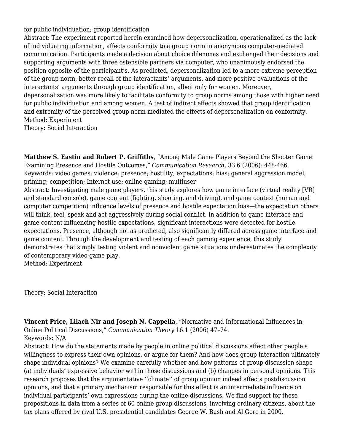for public individuation; group identification

Abstract: The experiment reported herein examined how depersonalization, operationalized as the lack of individuating information, affects conformity to a group norm in anonymous computer-mediated communication. Participants made a decision about choice dilemmas and exchanged their decisions and supporting arguments with three ostensible partners via computer, who unanimously endorsed the position opposite of the participant's. As predicted, depersonalization led to a more extreme perception of the group norm, better recall of the interactants' arguments, and more positive evaluations of the interactants' arguments through group identification, albeit only for women. Moreover, depersonalization was more likely to facilitate conformity to group norms among those with higher need for public individuation and among women. A test of indirect effects showed that group identification and extremity of the perceived group norm mediated the effects of depersonalization on conformity. Method: Experiment

Theory: Social Interaction

**Matthew S. Eastin and Robert P. Griffiths**, "Among Male Game Players Beyond the Shooter Game: Examining Presence and Hostile Outcomes," *Communication Research*, 33.6 (2006): 448-466. Keywords: video games; violence; presence; hostility; expectations; bias; general aggression model; priming; competition; Internet use; online gaming; multiuser

Abstract: Investigating male game players, this study explores how game interface (virtual reality [VR] and standard console), game content (fighting, shooting, and driving), and game context (human and computer competition) influence levels of presence and hostile expectation bias—the expectation others will think, feel, speak and act aggressively during social conflict. In addition to game interface and game content influencing hostile expectations, significant interactions were detected for hostile expectations. Presence, although not as predicted, also significantly differed across game interface and game content. Through the development and testing of each gaming experience, this study demonstrates that simply testing violent and nonviolent game situations underestimates the complexity of contemporary video-game play.

Method: Experiment

Theory: Social Interaction

**Vincent Price, Lilach Nir and Joseph N. Cappella**, "Normative and Informational Influences in Online Political Discussions," *Communication Theory* 16.1 (2006) 47–74. Keywords: N/A

Abstract: How do the statements made by people in online political discussions affect other people's willingness to express their own opinions, or argue for them? And how does group interaction ultimately shape individual opinions? We examine carefully whether and how patterns of group discussion shape (a) individuals' expressive behavior within those discussions and (b) changes in personal opinions. This research proposes that the argumentative ''climate'' of group opinion indeed affects postdiscussion opinions, and that a primary mechanism responsible for this effect is an intermediate influence on individual participants' own expressions during the online discussions. We find support for these propositions in data from a series of 60 online group discussions, involving ordinary citizens, about the tax plans offered by rival U.S. presidential candidates George W. Bush and Al Gore in 2000.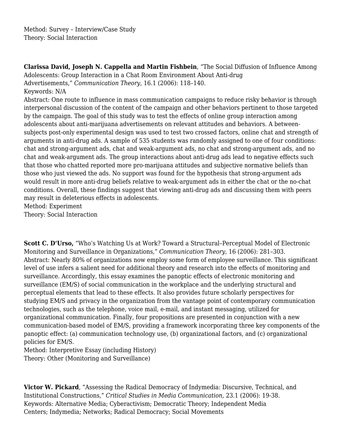**Clarissa David, Joseph N. Cappella and Martin Fishbein**, "The Social Diffusion of Influence Among Adolescents: Group Interaction in a Chat Room Environment About Anti-drug Advertisements," *Communication Theory*, 16.1 (2006): 118–140. Keywords: N/A

Abstract: One route to influence in mass communication campaigns to reduce risky behavior is through interpersonal discussion of the content of the campaign and other behaviors pertinent to those targeted by the campaign. The goal of this study was to test the effects of online group interaction among adolescents about anti-marijuana advertisements on relevant attitudes and behaviors. A betweensubjects post-only experimental design was used to test two crossed factors, online chat and strength of arguments in anti-drug ads. A sample of 535 students was randomly assigned to one of four conditions: chat and strong-argument ads, chat and weak-argument ads, no chat and strong-argument ads, and no chat and weak-argument ads. The group interactions about anti-drug ads lead to negative effects such that those who chatted reported more pro-marijuana attitudes and subjective normative beliefs than those who just viewed the ads. No support was found for the hypothesis that strong-argument ads would result in more anti-drug beliefs relative to weak-argument ads in either the chat or the no-chat conditions. Overall, these findings suggest that viewing anti-drug ads and discussing them with peers may result in deleterious effects in adolescents.

Method: Experiment

Theory: Social Interaction

**Scott C. D'Urso,** "Who's Watching Us at Work? Toward a Structural–Perceptual Model of Electronic Monitoring and Surveillance in Organizations," *Communication Theory*, 16 (2006): 281–303. Abstract: Nearly 80% of organizations now employ some form of employee surveillance. This significant level of use infers a salient need for additional theory and research into the effects of monitoring and surveillance. Accordingly, this essay examines the panoptic effects of electronic monitoring and surveillance (EM/S) of social communication in the workplace and the underlying structural and perceptual elements that lead to these effects. It also provides future scholarly perspectives for studying EM/S and privacy in the organization from the vantage point of contemporary communication technologies, such as the telephone, voice mail, e-mail, and instant messaging, utilized for organizational communication. Finally, four propositions are presented in conjunction with a new communication-based model of EM/S, providing a framework incorporating three key components of the panoptic effect: (a) communication technology use, (b) organizational factors, and (c) organizational policies for EM/S.

Method: Interpretive Essay (including History) Theory: Other (Monitoring and Surveillance)

**Victor W. Pickard**, "Assessing the Radical Democracy of Indymedia: Discursive, Technical, and Institutional Constructions," *Critical Studies in Media Communication,* 23.1 (2006): 19-38. Keywords: Alternative Media; Cyberactivism; Democratic Theory; Independent Media Centers; Indymedia; Networks; Radical Democracy; Social Movements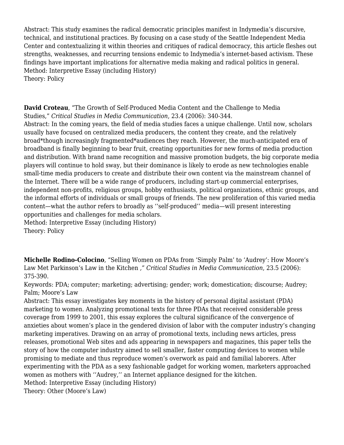Abstract: This study examines the radical democratic principles manifest in Indymedia's discursive, technical, and institutional practices. By focusing on a case study of the Seattle Independent Media Center and contextualizing it within theories and critiques of radical democracy, this article fleshes out strengths, weaknesses, and recurring tensions endemic to Indymedia's internet-based activism. These findings have important implications for alternative media making and radical politics in general. Method: Interpretive Essay (including History) Theory: Policy

**David Croteau**, "The Growth of Self-Produced Media Content and the Challenge to Media Studies," *Critical Studies in Media Communication*, 23.4 (2006): 340-344.

Abstract: In the coming years, the field of media studies faces a unique challenge. Until now, scholars usually have focused on centralized media producers, the content they create, and the relatively broad\*though increasingly fragmented\*audiences they reach. However, the much-anticipated era of broadband is finally beginning to bear fruit, creating opportunities for new forms of media production and distribution. With brand name recognition and massive promotion budgets, the big corporate media players will continue to hold sway, but their dominance is likely to erode as new technologies enable small-time media producers to create and distribute their own content via the mainstream channel of the Internet. There will be a wide range of producers, including start-up commercial enterprises, independent non-profits, religious groups, hobby enthusiasts, political organizations, ethnic groups, and the informal efforts of individuals or small groups of friends. The new proliferation of this varied media content—what the author refers to broadly as ''self-produced'' media—will present interesting opportunities and challenges for media scholars.

Method: Interpretive Essay (including History)

Theory: Policy

**Michelle Rodino-Colocino**, "Selling Women on PDAs from 'Simply Palm' to 'Audrey': How Moore's Law Met Parkinson's Law in the Kitchen *," Critical Studies in Media Communication*, 23.5 (2006): 375-390.

Keywords: PDA; computer; marketing; advertising; gender; work; domestication; discourse; Audrey; Palm; Moore's Law

Abstract: This essay investigates key moments in the history of personal digital assistant (PDA) marketing to women. Analyzing promotional texts for three PDAs that received considerable press coverage from 1999 to 2001, this essay explores the cultural significance of the convergence of anxieties about women's place in the gendered division of labor with the computer industry's changing marketing imperatives. Drawing on an array of promotional texts, including news articles, press releases, promotional Web sites and ads appearing in newspapers and magazines, this paper tells the story of how the computer industry aimed to sell smaller, faster computing devices to women while promising to mediate and thus reproduce women's overwork as paid and familial laborers. After experimenting with the PDA as a sexy fashionable gadget for working women, marketers approached women as mothers with ''Audrey,'' an Internet appliance designed for the kitchen.

Method: Interpretive Essay (including History)

Theory: Other (Moore's Law)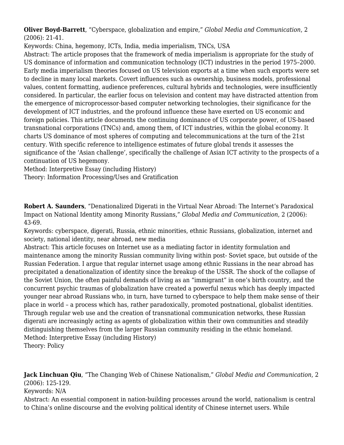**Oliver Boyd-Barrett**, "Cyberspace, globalization and empire," *Global Media and Communication*, 2 (2006): 21-41.

Keywords: China, hegemony, ICTs, India, media imperialism, TNCs, USA

Abstract: The article proposes that the framework of media imperialism is appropriate for the study of US dominance of information and communication technology (ICT) industries in the period 1975–2000. Early media imperialism theories focused on US television exports at a time when such exports were set to decline in many local markets. Covert influences such as ownership, business models, professional values, content formatting, audience preferences, cultural hybrids and technologies, were insufficiently considered. In particular, the earlier focus on television and content may have distracted attention from the emergence of microprocessor-based computer networking technologies, their significance for the development of ICT industries, and the profound influence these have exerted on US economic and foreign policies. This article documents the continuing dominance of US corporate power, of US-based transnational corporations (TNCs) and, among them, of ICT industries, within the global economy. It charts US dominance of most spheres of computing and telecommunications at the turn of the 21st century. With specific reference to intelligence estimates of future global trends it assesses the significance of the 'Asian challenge', specifically the challenge of Asian ICT activity to the prospects of a continuation of US hegemony.

Method: Interpretive Essay (including History)

Theory: Information Processing/Uses and Gratification

**Robert A. Saunders**, "Denationalized Digerati in the Virtual Near Abroad: The Internet's Paradoxical Impact on National Identity among Minority Russians," *Global Media and Communication*, 2 (2006): 43-69.

Keywords: cyberspace, digerati, Russia, ethnic minorities, ethnic Russians, globalization, internet and society, national identity, near abroad, new media

Abstract: This article focuses on Internet use as a mediating factor in identity formulation and maintenance among the minority Russian community living within post- Soviet space, but outside of the Russian Federation. I argue that regular internet usage among ethnic Russians in the near abroad has precipitated a denationalization of identity since the breakup of the USSR. The shock of the collapse of the Soviet Union, the often painful demands of living as an "immigrant" in one's birth country, and the concurrent psychic traumas of globalization have created a powerful nexus which has deeply impacted younger near abroad Russians who, in turn, have turned to cyberspace to help them make sense of their place in world – a process which has, rather paradoxically, promoted postnational, globalist identities. Through regular web use and the creation of transnational communication networks, these Russian digerati are increasingly acting as agents of globalization within their own communities and steadily distinguishing themselves from the larger Russian community residing in the ethnic homeland. Method: Interpretive Essay (including History) Theory: Policy

**Jack Linchuan Qiu**, "The Changing Web of Chinese Nationalism," *Global Media and Communication*, 2 (2006): 125-129.

Keywords: N/A

Abstract: An essential component in nation-building processes around the world, nationalism is central to China's online discourse and the evolving political identity of Chinese internet users. While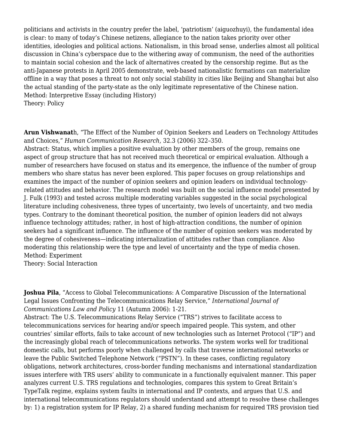politicians and activists in the country prefer the label, 'patriotism' (aiguozhuyi), the fundamental idea is clear: to many of today's Chinese netizens, allegiance to the nation takes priority over other identities, ideologies and political actions. Nationalism, in this broad sense, underlies almost all political discussion in China's cyberspace due to the withering away of communism, the need of the authorities to maintain social cohesion and the lack of alternatives created by the censorship regime. But as the anti-Japanese protests in April 2005 demonstrate, web-based nationalistic formations can materialize offline in a way that poses a threat to not only social stability in cities like Beijing and Shanghai but also the actual standing of the party-state as the only legitimate representative of the Chinese nation. Method: Interpretive Essay (including History) Theory: Policy

**Arun Vishwanat**h, "The Effect of the Number of Opinion Seekers and Leaders on Technology Attitudes and Choices," *Human Communication Research*, 32.3 (2006) 322–350.

Abstract: Status, which implies a positive evaluation by other members of the group, remains one aspect of group structure that has not received much theoretical or empirical evaluation. Although a number of researchers have focused on status and its emergence, the influence of the number of group members who share status has never been explored. This paper focuses on group relationships and examines the impact of the number of opinion seekers and opinion leaders on individual technologyrelated attitudes and behavior. The research model was built on the social influence model presented by J. Fulk (1993) and tested across multiple moderating variables suggested in the social psychological literature including cohesiveness, three types of uncertainty, two levels of uncertainty, and two media types. Contrary to the dominant theoretical position, the number of opinion leaders did not always influence technology attitudes; rather, in host of high-attraction conditions, the number of opinion seekers had a significant influence. The influence of the number of opinion seekers was moderated by the degree of cohesiveness—indicating internalization of attitudes rather than compliance. Also moderating this relationship were the type and level of uncertainty and the type of media chosen. Method: Experiment

Theory: Social Interaction

**Joshua Pila**, "Access to Global Telecommunications: A Comparative Discussion of the International Legal Issues Confronting the Telecommunications Relay Service," *International Journal of Communications Law and Policy* 11 (Autumn 2006): 1-21.

Abstract: The U.S. Telecommunications Relay Service ("TRS") strives to facilitate access to telecommunications services for hearing and/or speech impaired people. This system, and other countries' similar efforts, fails to take account of new technologies such as Internet Protocol ("IP") and the increasingly global reach of telecommunications networks. The system works well for traditional domestic calls, but performs poorly when challenged by calls that traverse international networks or leave the Public Switched Telephone Network ("PSTN"). In these cases, conflicting regulatory obligations, network architectures, cross-border funding mechanisms and international standardization issues interfere with TRS users' ability to communicate in a functionally equivalent manner. This paper analyzes current U.S. TRS regulations and technologies, compares this system to Great Britain's TypeTalk regime, explains system faults in international and IP contexts, and argues that U.S. and international telecommunications regulators should understand and attempt to resolve these challenges by: 1) a registration system for IP Relay, 2) a shared funding mechanism for required TRS provision tied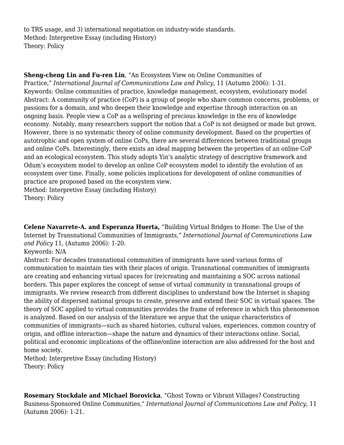to TRS usage, and 3) international negotiation on industry-wide standards. Method: Interpretive Essay (including History) Theory: Policy

**Sheng-cheng Lin and Fu-ren Lin**, "An Ecosystem View on Online Communities of Practice," *International Journal of Communications Law and Policy*, 11 (Autumn 2006): 1-31. Keywords: Online communities of practice, knowledge management, ecosystem, evolutionary model Abstract: A community of practice (CoP) is a group of people who share common concerns, problems, or passions for a domain, and who deepen their knowledge and expertise through interaction on an ongoing basis. People view a CoP as a wellspring of precious knowledge in the era of knowledge economy. Notably, many researchers support the notion that a CoP is not designed or made but grown. However, there is no systematic theory of online community development. Based on the properties of autotrophic and open system of online CoPs, there are several differences between traditional groups and online CoPs. Interestingly, there exists an ideal mapping between the properties of an online CoP and an ecological ecosystem. This study adopts Yin's analytic strategy of descriptive framework and Odum's ecosystem model to develop an online CoP ecosystem model to identify the evolution of an ecosystem over time. Finally, some policies implications for development of online communities of practice are proposed based on the ecosystem view.

Method: Interpretive Essay (including History) Theory: Policy

**Celene Navarrete-A. and Esperanza Huerta,** "Building Virtual Bridges to Home: The Use of the Internet by Transnational Communities of Immigrants," *International Journal of Communications Law and Policy* 11, (Autumn 2006): 1-20.

Keywords: N/A

Abstract: For decades transnational communities of immigrants have used various forms of communication to maintain ties with their places of origin. Transnational communities of immigrants are creating and enhancing virtual spaces for (re)creating and maintaining a SOC across national borders. This paper explores the concept of sense of virtual community in transnational groups of immigrants. We review research from different disciplines to understand how the Internet is shaping the ability of dispersed national groups to create, preserve and extend their SOC in virtual spaces. The theory of SOC applied to virtual communities provides the frame of reference in which this phenomenon is analyzed. Based on our analysis of the literature we argue that the unique characteristics of communities of immigrants—such as shared histories, cultural values, experiences, common country of origin, and offline interaction—shape the nature and dynamics of their interactions online. Social, political and economic implications of the offline/online interaction are also addressed for the host and home society.

Method: Interpretive Essay (including History) Theory: Policy

**Rosemary Stockdale and Michael Borovicka**, "Ghost Towns or Vibrant Villages? Constructing Business-Sponsored Online Communities," *International Journal of Communications Law and Policy*, 11 (Autumn 2006): 1-21.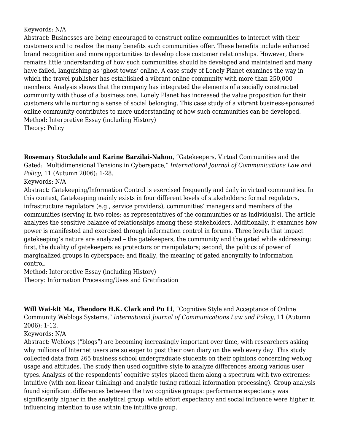#### Keywords: N/A

Abstract: Businesses are being encouraged to construct online communities to interact with their customers and to realize the many benefits such communities offer. These benefits include enhanced brand recognition and more opportunities to develop close customer relationships. However, there remains little understanding of how such communities should be developed and maintained and many have failed, languishing as 'ghost towns' online. A case study of Lonely Planet examines the way in which the travel publisher has established a vibrant online community with more than 250,000 members. Analysis shows that the company has integrated the elements of a socially constructed community with those of a business one. Lonely Planet has increased the value proposition for their customers while nurturing a sense of social belonging. This case study of a vibrant business-sponsored online community contributes to more understanding of how such communities can be developed. Method: Interpretive Essay (including History) Theory: Policy

**Rosemary Stockdale and Karine Barzilai-Nahon**, "Gatekeepers, Virtual Communities and the Gated: Multidimensional Tensions in Cyberspace," *International Journal of Communications Law and Policy*, 11 (Autumn 2006): 1-28.

Keywords: N/A

Abstract: Gatekeeping/Information Control is exercised frequently and daily in virtual communities. In this context, Gatekeeping mainly exists in four different levels of stakeholders: formal regulators, infrastructure regulators (e.g., service providers), communities' managers and members of the communities (serving in two roles: as representatives of the communities or as individuals). The article analyzes the sensitive balance of relationships among these stakeholders. Additionally, it examines how power is manifested and exercised through information control in forums. Three levels that impact gatekeeping's nature are analyzed – the gatekeepers, the community and the gated while addressing: first, the duality of gatekeepers as protectors or manipulators; second, the politics of power of marginalized groups in cyberspace; and finally, the meaning of gated anonymity to information control.

Method: Interpretive Essay (including History) Theory: Information Processing/Uses and Gratification

**Will Wai-kit Ma, Theodore H.K. Clark and Pu Li**, "Cognitive Style and Acceptance of Online Community Weblogs Systems," *International Journal of Communications Law and Policy*, 11 (Autumn 2006): 1-12.

Keywords: N/A

Abstract: Weblogs ("blogs") are becoming increasingly important over time, with researchers asking why millions of Internet users are so eager to post their own diary on the web every day. This study collected data from 265 business school undergraduate students on their opinions concerning weblog usage and attitudes. The study then used cognitive style to analyze differences among various user types. Analysis of the respondents' cognitive styles placed them along a spectrum with two extremes: intuitive (with non-linear thinking) and analytic (using rational information processing). Group analysis found significant differences between the two cognitive groups: performance expectancy was significantly higher in the analytical group, while effort expectancy and social influence were higher in influencing intention to use within the intuitive group.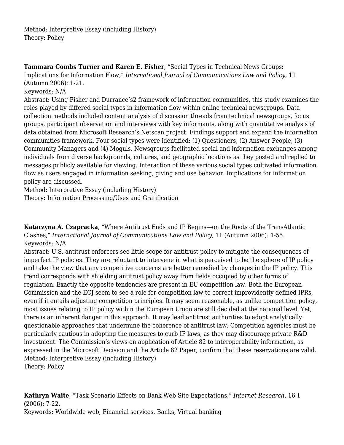**Tammara Combs Turner and Karen E. Fisher**, "Social Types in Technical News Groups: Implications for Information Flow," *International Journal of Communications Law and Policy*, 11 (Autumn 2006): 1-21.

#### Keywords: N/A

Abstract: Using Fisher and Durrance's2 framework of information communities, this study examines the roles played by differed social types in information flow within online technical newsgroups. Data collection methods included content analysis of discussion threads from technical newsgroups, focus groups, participant observation and interviews with key informants, along with quantitative analysis of data obtained from Microsoft Research's Netscan project. Findings support and expand the information communities framework. Four social types were identified: (1) Questioners, (2) Answer People, (3) Community Managers and (4) Moguls. Newsgroups facilitated social and information exchanges among individuals from diverse backgrounds, cultures, and geographic locations as they posted and replied to messages publicly available for viewing. Interaction of these various social types cultivated information flow as users engaged in information seeking, giving and use behavior. Implications for information policy are discussed.

Method: Interpretive Essay (including History)

Theory: Information Processing/Uses and Gratification

**Katarzyna A. Czapracka**, "Where Antitrust Ends and IP Begins—on the Roots of the TransAtlantic Clashes," *International Journal of Communications Law and Policy*, 11 (Autumn 2006): 1-55. Keywords: N/A

Abstract: U.S. antitrust enforcers see little scope for antitrust policy to mitigate the consequences of imperfect IP policies. They are reluctant to intervene in what is perceived to be the sphere of IP policy and take the view that any competitive concerns are better remedied by changes in the IP policy. This trend corresponds with shielding antitrust policy away from fields occupied by other forms of regulation. Exactly the opposite tendencies are present in EU competition law. Both the European Commission and the ECJ seem to see a role for competition law to correct improvidently defined IPRs, even if it entails adjusting competition principles. It may seem reasonable, as unlike competition policy, most issues relating to IP policy within the European Union are still decided at the national level. Yet, there is an inherent danger in this approach. It may lead antitrust authorities to adopt analytically questionable approaches that undermine the coherence of antitrust law. Competition agencies must be particularly cautious in adopting the measures to curb IP laws, as they may discourage private R&D investment. The Commission's views on application of Article 82 to interoperability information, as expressed in the Microsoft Decision and the Article 82 Paper, confirm that these reservations are valid. Method: Interpretive Essay (including History)

Theory: Policy

**Kathryn Waite**, "Task Scenario Effects on Bank Web Site Expectations," *Internet Research,* 16.1 (2006): 7-22. Keywords: Worldwide web, Financial services, Banks, Virtual banking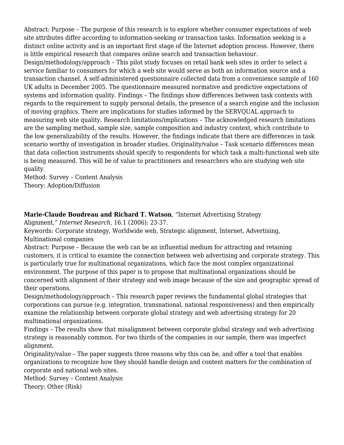Abstract: Purpose – The purpose of this research is to explore whether consumer expectations of web site attributes differ according to information-seeking or transaction tasks. Information seeking is a distinct online activity and is an important first stage of the Internet adoption process. However, there is little empirical research that compares online search and transaction behaviour.

Design/methodology/approach – This pilot study focuses on retail bank web sites in order to select a service familiar to consumers for which a web site would serve as both an information source and a transaction channel. A self-administered questionnaire collected data from a convenience sample of 160 UK adults in December 2005. The questionnaire measured normative and predictive expectations of systems and information quality. Findings – The findings show differences between task contexts with regards to the requirement to supply personal details, the presence of a search engine and the inclusion of moving graphics. There are implications for studies informed by the SERVQUAL approach to measuring web site quality. Research limitations/implications – The acknowledged research limitations are the sampling method, sample size, sample composition and industry context, which contribute to the low generalizability of the results. However, the findings indicate that there are differences in task scenario worthy of investigation in broader studies. Originality/value – Task scenario differences mean that data collection instruments should specify to respondents for which task a multi-functional web site is being measured. This will be of value to practitioners and researchers who are studying web site quality.

Method: Survey – Content Analysis Theory: Adoption/Diffusion

**Marie-Claude Boudreau and Richard T. Watson**, "Internet Advertising Strategy

Alignment," *Internet Research*, 16.1 (2006): 23-37.

Keywords: Corporate strategy, Worldwide web, Strategic alignment, Internet, Advertising, Multinational companies

Abstract: Purpose – Because the web can be an influential medium for attracting and retaining customers, it is critical to examine the connection between web advertising and corporate strategy. This is particularly true for multinational organizations, which face the most complex organizational environment. The purpose of this paper is to propose that multinational organizations should be concerned with alignment of their strategy and web image because of the size and geographic spread of their operations.

Design/methodology/approach – This research paper reviews the fundamental global strategies that corporations can pursue (e.g. integration, transnational, national responsiveness) and then empirically examine the relationship between corporate global strategy and web advertising strategy for 20 multinational organizations.

Findings – The results show that misalignment between corporate global strategy and web advertising strategy is reasonably common. For two thirds of the companies in our sample, there was imperfect alignment.

Originality/value – The paper suggests three reasons why this can be, and offer a tool that enables organizations to recognize how they should handle design and content matters for the combination of corporate and national web sites.

Method: Survey – Content Analysis Theory: Other (Risk)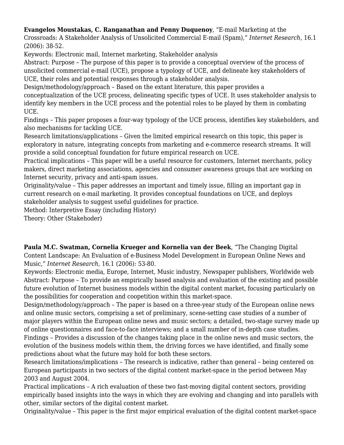# **Evangelos Moustakas, C. Ranganathan and Penny Duquenoy**, "E-mail Marketing at the

Crossroads: A Stakeholder Analysis of Unsolicited Commercial E-mail (Spam)," *Internet Research*, 16.1 (2006): 38-52.

Keywords: Electronic mail, Internet marketing, Stakeholder analysis

Abstract: Purpose – The purpose of this paper is to provide a conceptual overview of the process of unsolicited commercial e-mail (UCE), propose a typology of UCE, and delineate key stakeholders of UCE, their roles and potential responses through a stakeholder analysis.

Design/methodology/approach – Based on the extant literature, this paper provides a conceptualization of the UCE process, delineating specific types of UCE. It uses stakeholder analysis to identify key members in the UCE process and the potential roles to be played by them in combating UCE.

Findings – This paper proposes a four-way typology of the UCE process, identifies key stakeholders, and also mechanisms for tackling UCE.

Research limitations/applications – Given the limited empirical research on this topic, this paper is exploratory in nature, integrating concepts from marketing and e-commerce research streams. It will provide a solid conceptual foundation for future empirical research on UCE.

Practical implications – This paper will be a useful resource for customers, Internet merchants, policy makers, direct marketing associations, agencies and consumer awareness groups that are working on Internet security, privacy and anti-spam issues.

Originality/value – This paper addresses an important and timely issue, filling an important gap in current research on e-mail marketing. It provides conceptual foundations on UCE, and deploys stakeholder analysis to suggest useful guidelines for practice.

Method: Interpretive Essay (including History)

Theory: Other (Stakehoder)

**Paula M.C. Swatman, Cornelia Krueger and Kornelia van der Beek**, "The Changing Digital Content Landscape: An Evaluation of e-Business Model Development in European Online News and Music*," Internet Research*, 16.1 (2006): 53-80.

Keywords: Electronic media, Europe, Internet, Music industry, Newspaper publishers, Worldwide web Abstract: Purpose – To provide an empirically based analysis and evaluation of the existing and possible future evolution of Internet business models within the digital content market, focusing particularly on the possibilities for cooperation and coopetition within this market-space.

Design/methodology/approach – The paper is based on a three-year study of the European online news and online music sectors, comprising a set of preliminary, scene-setting case studies of a number of major players within the European online news and music sectors; a detailed, two-stage survey made up of online questionnaires and face-to-face interviews; and a small number of in-depth case studies. Findings – Provides a discussion of the changes taking place in the online news and music sectors, the evolution of the business models within them, the driving forces we have identified, and finally some

predictions about what the future may hold for both these sectors.

Research limitations/implications – The research is indicative, rather than general – being centered on European participants in two sectors of the digital content market-space in the period between May 2003 and August 2004.

Practical implications – A rich evaluation of these two fast-moving digital content sectors, providing empirically based insights into the ways in which they are evolving and changing and into parallels with other, similar sectors of the digital content market.

Originality/value – This paper is the first major empirical evaluation of the digital content market-space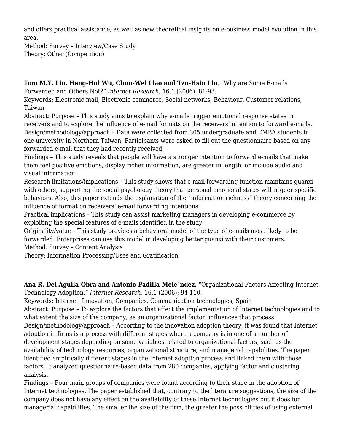and offers practical assistance, as well as new theoretical insights on e-business model evolution in this area.

Method: Survey – Interview/Case Study Theory: Other (Competition)

**Tom M.Y. Lin, Heng-Hui Wu, Chun-Wei Liao and Tzu-Hsin Liu**, "Why are Some E-mails Forwarded and Others Not?" *Internet Research*, 16.1 (2006): 81-93.

Keywords: Electronic mail, Electronic commerce, Social networks, Behaviour, Customer relations, Taiwan

Abstract: Purpose – This study aims to explain why e-mails trigger emotional response states in receivers and to explore the influence of e-mail formats on the receivers' intention to forward e-mails. Design/methodology/approach – Data were collected from 305 undergraduate and EMBA students in one university in Northern Taiwan. Participants were asked to fill out the questionnaire based on any forwarded e-mail that they had recently received.

Findings – This study reveals that people will have a stronger intention to forward e-mails that make them feel positive emotions, display richer information, are greater in length, or include audio and visual information.

Research limitations/implications – This study shows that e-mail forwarding function maintains guanxi with others, supporting the social psychology theory that personal emotional states will trigger specific behaviors. Also, this paper extends the explanation of the "information richness" theory concerning the influence of format on receivers' e-mail forwarding intentions.

Practical implications – This study can assist marketing managers in developing e-commerce by exploiting the special features of e-mails identified in the study.

Originality/value – This study provides a behavioral model of the type of e-mails most likely to be forwarded. Enterprises can use this model in developing better guanxi with their customers.

Method: Survey – Content Analysis

Theory: Information Processing/Uses and Gratification

**Ana R. Del Aguila-Obra and Antonio Padilla-Mele´ndez,** "Organizational Factors Affecting Internet Technology Adoption," *Internet Research*, 16.1 (2006): 94-110.

Keywords: Internet, Innovation, Companies, Communication technologies, Spain

Abstract: Purpose – To explore the factors that affect the implementation of Internet technologies and to what extent the size of the company, as an organizational factor, influences that process.

Design/methodology/approach – According to the innovation adoption theory, it was found that Internet adoption in firms is a process with different stages where a company is in one of a number of development stages depending on some variables related to organizational factors, such as the availability of technology resources, organizational structure, and managerial capabilities. The paper identified empirically different stages in the Internet adoption process and linked them with those factors. It analyzed questionnaire-based data from 280 companies, applying factor and clustering analysis.

Findings – Four main groups of companies were found according to their stage in the adoption of Internet technologies. The paper established that, contrary to the literature suggestions, the size of the company does not have any effect on the availability of these Internet technologies but it does for managerial capabilities. The smaller the size of the firm, the greater the possibilities of using external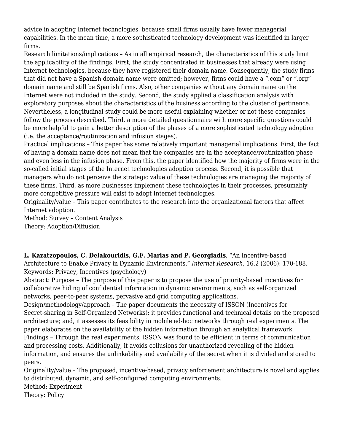advice in adopting Internet technologies, because small firms usually have fewer managerial capabilities. In the mean time, a more sophisticated technology development was identified in larger firms.

Research limitations/implications – As in all empirical research, the characteristics of this study limit the applicability of the findings. First, the study concentrated in businesses that already were using Internet technologies, because they have registered their domain name. Consequently, the study firms that did not have a Spanish domain name were omitted; however, firms could have a ".com" or ".org" domain name and still be Spanish firms. Also, other companies without any domain name on the Internet were not included in the study. Second, the study applied a classification analysis with exploratory purposes about the characteristics of the business according to the cluster of pertinence. Nevertheless, a longitudinal study could be more useful explaining whether or not these companies follow the process described. Third, a more detailed questionnaire with more specific questions could be more helpful to gain a better description of the phases of a more sophisticated technology adoption (i.e. the acceptance/routinization and infusion stages).

Practical implications – This paper has some relatively important managerial implications. First, the fact of having a domain name does not mean that the companies are in the acceptance/routinization phase and even less in the infusion phase. From this, the paper identified how the majority of firms were in the so-called initial stages of the Internet technologies adoption process. Second, it is possible that managers who do not perceive the strategic value of these technologies are managing the majority of these firms. Third, as more businesses implement these technologies in their processes, presumably more competitive pressure will exist to adopt Internet technologies.

Originality/value – This paper contributes to the research into the organizational factors that affect Internet adoption.

Method: Survey – Content Analysis Theory: Adoption/Diffusion

**L. Kazatzopoulos, C. Delakouridis, G.F. Marias and P. Georgiadis**, "An Incentive-based Architecture to Enable Privacy in Dynamic Environments," *Internet Research*, 16.2 (2006): 170-188. Keywords: Privacy, Incentives (psychology)

Abstract: Purpose – The purpose of this paper is to propose the use of priority-based incentives for collaborative hiding of confidential information in dynamic environments, such as self-organized networks, peer-to-peer systems, pervasive and grid computing applications.

Design/methodology/approach – The paper documents the necessity of ISSON (Incentives for Secret-sharing in Self-Organized Networks); it provides functional and technical details on the proposed architecture; and, it assesses its feasibility in mobile ad-hoc networks through real experiments. The paper elaborates on the availability of the hidden information through an analytical framework. Findings – Through the real experiments, ISSON was found to be efficient in terms of communication and processing costs. Additionally, it avoids collusions for unauthorized revealing of the hidden information, and ensures the unlinkability and availability of the secret when it is divided and stored to peers.

Originality/value – The proposed, incentive-based, privacy enforcement architecture is novel and applies to distributed, dynamic, and self-configured computing environments.

Method: Experiment

Theory: Policy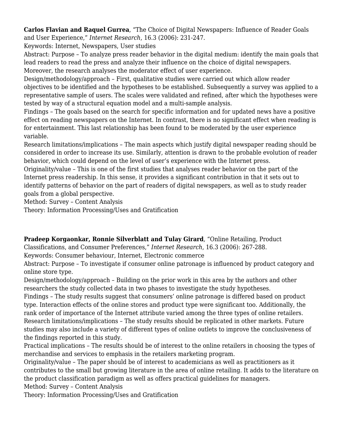**Carlos Flavian and Raquel Gurrea**, "The Choice of Digital Newspapers: Influence of Reader Goals and User Experience," *Internet Research*, 16.3 (2006): 231-247.

Keywords: Internet, Newspapers, User studies

Abstract: Purpose – To analyze press reader behavior in the digital medium: identify the main goals that lead readers to read the press and analyze their influence on the choice of digital newspapers. Moreover, the research analyses the moderator effect of user experience.

Design/methodology/approach – First, qualitative studies were carried out which allow reader objectives to be identified and the hypotheses to be established. Subsequently a survey was applied to a representative sample of users. The scales were validated and refined, after which the hypotheses were tested by way of a structural equation model and a multi-sample analysis.

Findings – The goals based on the search for specific information and for updated news have a positive effect on reading newspapers on the Internet. In contrast, there is no significant effect when reading is for entertainment. This last relationship has been found to be moderated by the user experience variable.

Research limitations/implications – The main aspects which justify digital newspaper reading should be considered in order to increase its use. Similarly, attention is drawn to the probable evolution of reader behavior, which could depend on the level of user's experience with the Internet press.

Originality/value – This is one of the first studies that analyses reader behavior on the part of the Internet press readership. In this sense, it provides a significant contribution in that it sets out to identify patterns of behavior on the part of readers of digital newspapers, as well as to study reader goals from a global perspective.

Method: Survey – Content Analysis

Theory: Information Processing/Uses and Gratification

**Pradeep Korgaonkar, Ronnie Silverblatt and Tulay Girard**, "Online Retailing, Product

Classifications, and Consumer Preferences," *Internet Research*, 16.3 (2006): 267-288.

Keywords: Consumer behaviour, Internet, Electronic commerce

Abstract: Purpose – To investigate if consumer online patronage is influenced by product category and online store type.

Design/methodology/approach – Building on the prior work in this area by the authors and other researchers the study collected data in two phases to investigate the study hypotheses.

Findings – The study results suggest that consumers' online patronage is differed based on product type. Interaction effects of the online stores and product type were significant too. Additionally, the rank order of importance of the Internet attribute varied among the three types of online retailers. Research limitations/implications – The study results should be replicated in other markets. Future studies may also include a variety of different types of online outlets to improve the conclusiveness of the findings reported in this study.

Practical implications – The results should be of interest to the online retailers in choosing the types of merchandise and services to emphasis in the retailers marketing program.

Originality/value – The paper should be of interest to academicians as well as practitioners as it contributes to the small but growing literature in the area of online retailing. It adds to the literature on the product classification paradigm as well as offers practical guidelines for managers.

Method: Survey – Content Analysis

Theory: Information Processing/Uses and Gratification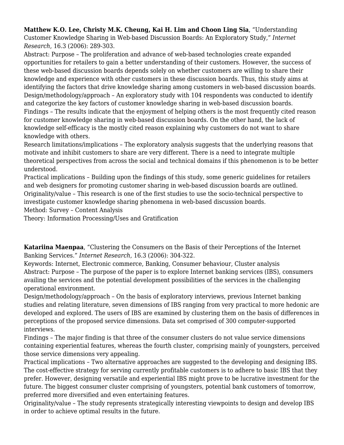**Matthew K.O. Lee, Christy M.K. Cheung, Kai H. Lim and Choon Ling Sia**, "Understanding Customer Knowledge Sharing in Web-based Discussion Boards: An Exploratory Study," *Internet Research*, 16.3 (2006): 289-303.

Abstract: Purpose – The proliferation and advance of web-based technologies create expanded opportunities for retailers to gain a better understanding of their customers. However, the success of these web-based discussion boards depends solely on whether customers are willing to share their knowledge and experience with other customers in these discussion boards. Thus, this study aims at identifying the factors that drive knowledge sharing among customers in web-based discussion boards. Design/methodology/approach – An exploratory study with 104 respondents was conducted to identify and categorize the key factors of customer knowledge sharing in web-based discussion boards. Findings – The results indicate that the enjoyment of helping others is the most frequently cited reason for customer knowledge sharing in web-based discussion boards. On the other hand, the lack of knowledge self-efficacy is the mostly cited reason explaining why customers do not want to share knowledge with others.

Research limitations/implications – The exploratory analysis suggests that the underlying reasons that motivate and inhibit customers to share are very different. There is a need to integrate multiple theoretical perspectives from across the social and technical domains if this phenomenon is to be better understood.

Practical implications – Building upon the findings of this study, some generic guidelines for retailers and web designers for promoting customer sharing in web-based discussion boards are outlined. Originality/value – This research is one of the first studies to use the socio-technical perspective to investigate customer knowledge sharing phenomena in web-based discussion boards.

Method: Survey – Content Analysis

Theory: Information Processing/Uses and Gratification

**Katariina Maenpaa**, "Clustering the Consumers on the Basis of their Perceptions of the Internet Banking Services." *Internet Research*, 16.3 (2006): 304-322.

Keywords: Internet, Electronic commerce, Banking, Consumer behaviour, Cluster analysis Abstract: Purpose – The purpose of the paper is to explore Internet banking services (IBS), consumers availing the services and the potential development possibilities of the services in the challenging operational environment.

Design/methodology/approach – On the basis of exploratory interviews, previous Internet banking studies and relating literature, seven dimensions of IBS ranging from very practical to more hedonic are developed and explored. The users of IBS are examined by clustering them on the basis of differences in perceptions of the proposed service dimensions. Data set comprised of 300 computer-supported interviews.

Findings – The major finding is that three of the consumer clusters do not value service dimensions containing experiential features, whereas the fourth cluster, comprising mainly of youngsters, perceived those service dimensions very appealing.

Practical implications – Two alternative approaches are suggested to the developing and designing IBS. The cost-effective strategy for serving currently profitable customers is to adhere to basic IBS that they prefer. However, designing versatile and experiential IBS might prove to be lucrative investment for the future. The biggest consumer cluster comprising of youngsters, potential bank customers of tomorrow, preferred more diversified and even entertaining features.

Originality/value – The study represents strategically interesting viewpoints to design and develop IBS in order to achieve optimal results in the future.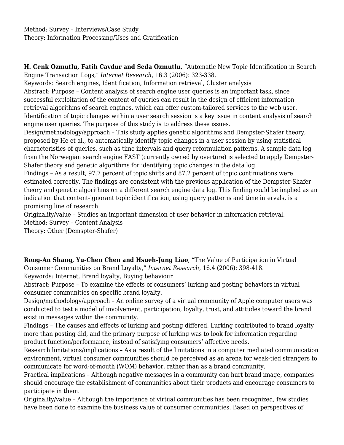Method: Survey – Interviews/Case Study Theory: Information Processing/Uses and Gratification

**H. Cenk Ozmutlu, Fatih Cavdur and Seda Ozmutlu**, "Automatic New Topic Identification in Search Engine Transaction Logs," *Internet Research*, 16.3 (2006): 323-338.

Keywords: Search engines, Identification, Information retrieval, Cluster analysis Abstract: Purpose – Content analysis of search engine user queries is an important task, since successful exploitation of the content of queries can result in the design of efficient information retrieval algorithms of search engines, which can offer custom-tailored services to the web user. Identification of topic changes within a user search session is a key issue in content analysis of search engine user queries. The purpose of this study is to address these issues.

Design/methodology/approach – This study applies genetic algorithms and Dempster-Shafer theory, proposed by He et al., to automatically identify topic changes in a user session by using statistical characteristics of queries, such as time intervals and query reformulation patterns. A sample data log from the Norwegian search engine FAST (currently owned by overture) is selected to apply Dempster-Shafer theory and genetic algorithms for identifying topic changes in the data log.

Findings – As a result, 97.7 percent of topic shifts and 87.2 percent of topic continuations were estimated correctly. The findings are consistent with the previous application of the Dempster-Shafer theory and genetic algorithms on a different search engine data log. This finding could be implied as an indication that content-ignorant topic identification, using query patterns and time intervals, is a promising line of research.

Originality/value – Studies an important dimension of user behavior in information retrieval. Method: Survey – Content Analysis

Theory: Other (Demspter-Shafer)

**Rong-An Shang, Yu-Chen Chen and Hsueh-Jung Liao**, "The Value of Participation in Virtual Consumer Communities on Brand Loyalty," *Internet Research*, 16.4 (2006): 398-418. Keywords: Internet, Brand loyalty, Buying behaviour

Abstract: Purpose – To examine the effects of consumers' lurking and posting behaviors in virtual consumer communities on specific brand loyalty.

Design/methodology/approach – An online survey of a virtual community of Apple computer users was conducted to test a model of involvement, participation, loyalty, trust, and attitudes toward the brand exist in messages within the community.

Findings – The causes and effects of lurking and posting differed. Lurking contributed to brand loyalty more than posting did, and the primary purpose of lurking was to look for information regarding product function/performance, instead of satisfying consumers' affective needs.

Research limitations/implications – As a result of the limitations in a computer mediated communication environment, virtual consumer communities should be perceived as an arena for weak-tied strangers to communicate for word-of-mouth (WOM) behavior, rather than as a brand community.

Practical implications – Although negative messages in a community can hurt brand image, companies should encourage the establishment of communities about their products and encourage consumers to participate in them.

Originality/value – Although the importance of virtual communities has been recognized, few studies have been done to examine the business value of consumer communities. Based on perspectives of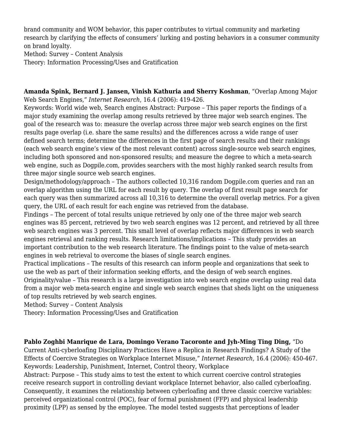brand community and WOM behavior, this paper contributes to virtual community and marketing research by clarifying the effects of consumers' lurking and posting behaviors in a consumer community on brand loyalty.

Method: Survey – Content Analysis

Theory: Information Processing/Uses and Gratification

**Amanda Spink, Bernard J. Jansen, Vinish Kathuria and Sherry Koshman**, "Overlap Among Major Web Search Engines," *Internet Research*, 16.4 (2006): 419-426.

Keywords: World wide web, Search engines Abstract: Purpose – This paper reports the findings of a major study examining the overlap among results retrieved by three major web search engines. The goal of the research was to: measure the overlap across three major web search engines on the first results page overlap (i.e. share the same results) and the differences across a wide range of user defined search terms; determine the differences in the first page of search results and their rankings (each web search engine's view of the most relevant content) across single-source web search engines, including both sponsored and non-sponsored results; and measure the degree to which a meta-search web engine, such as Dogpile.com, provides searchers with the most highly ranked search results from three major single source web search engines.

Design/methodology/approach – The authors collected 10,316 random Dogpile.com queries and ran an overlap algorithm using the URL for each result by query. The overlap of first result page search for each query was then summarized across all 10,316 to determine the overall overlap metrics. For a given query, the URL of each result for each engine was retrieved from the database.

Findings – The percent of total results unique retrieved by only one of the three major web search engines was 85 percent, retrieved by two web search engines was 12 percent, and retrieved by all three web search engines was 3 percent. This small level of overlap reflects major differences in web search engines retrieval and ranking results. Research limitations/implications – This study provides an important contribution to the web research literature. The findings point to the value of meta-search engines in web retrieval to overcome the biases of single search engines.

Practical implications – The results of this research can inform people and organizations that seek to use the web as part of their information seeking efforts, and the design of web search engines. Originality/value – This research is a large investigation into web search engine overlap using real data from a major web meta-search engine and single web search engines that sheds light on the uniqueness

of top results retrieved by web search engines.

Method: Survey – Content Analysis

Theory: Information Processing/Uses and Gratification

**Pablo Zoghbi Manrique de Lara, Domingo Verano Tacoronte and Jyh-Ming Ting Ding,** "Do

Current Anti-cyberloafing Disciplinary Practices Have a Replica in Research Findings? A Study of the Effects of Coercive Strategies on Workplace Internet Misuse," *Internet Research*, 16.4 (2006): 450-467. Keywords: Leadership, Punishment, Internet, Control theory, Workplace

Abstract: Purpose – This study aims to test the extent to which current coercive control strategies receive research support in controlling deviant workplace Internet behavior, also called cyberloafing. Consequently, it examines the relationship between cyberloafing and three classic coercive variables: perceived organizational control (POC), fear of formal punishment (FFP) and physical leadership proximity (LPP) as sensed by the employee. The model tested suggests that perceptions of leader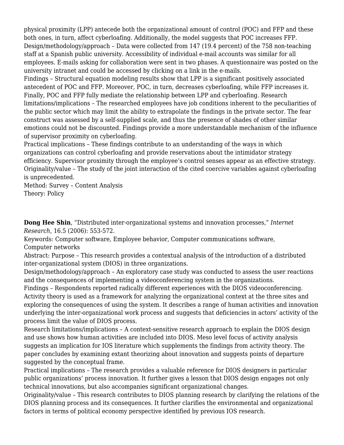physical proximity (LPP) antecede both the organizational amount of control (POC) and FFP and these both ones, in turn, affect cyberloafing. Additionally, the model suggests that POC increases FFP. Design/methodology/approach – Data were collected from 147 (19.4 percent) of the 758 non-teaching staff at a Spanish public university. Accessibility of individual e-mail accounts was similar for all employees. E-mails asking for collaboration were sent in two phases. A questionnaire was posted on the university intranet and could be accessed by clicking on a link in the e-mails.

Findings – Structural equation modeling results show that LPP is a significant positively associated antecedent of POC and FFP. Moreover, POC, in turn, decreases cyberloafing, while FFP increases it. Finally, POC and FFP fully mediate the relationship between LPP and cyberloafing. Research limitations/implications – The researched employees have job conditions inherent to the peculiarities of the public sector which may limit the ability to extrapolate the findings in the private sector. The fear construct was assessed by a self-supplied scale, and thus the presence of shades of other similar emotions could not be discounted. Findings provide a more understandable mechanism of the influence of supervisor proximity on cyberloafing.

Practical implications – These findings contribute to an understanding of the ways in which organizations can control cyberloafing and provide reservations about the intimidator strategy efficiency. Supervisor proximity through the employee's control senses appear as an effective strategy. Originality/value – The study of the joint interaction of the cited coercive variables against cyberloafing is unprecedented.

Method: Survey – Content Analysis Theory: Policy

**Dong Hee Shin**, "Distributed inter-organizational systems and innovation processes," *Internet Research*, 16.5 (2006): 553-572.

Keywords: Computer software, Employee behavior, Computer communications software, Computer networks

Abstract: Purpose – This research provides a contextual analysis of the introduction of a distributed inter-organizational system (DIOS) in three organizations.

Design/methodology/approach – An exploratory case study was conducted to assess the user reactions and the consequences of implementing a videoconferencing system in the organizations.

Findings – Respondents reported radically different experiences with the DIOS videoconferencing. Activity theory is used as a framework for analyzing the organizational context at the three sites and exploring the consequences of using the system. It describes a range of human activities and innovation underlying the inter-organizational work process and suggests that deficiencies in actors' activity of the process limit the value of DIOS process.

Research limitations/implications – A context-sensitive research approach to explain the DIOS design and use shows how human activities are included into DIOS. Meso level focus of activity analysis suggests an implication for IOS literature which supplements the findings from activity theory. The paper concludes by examining extant theorizing about innovation and suggests points of departure suggested by the conceptual frame.

Practical implications – The research provides a valuable reference for DIOS designers in particular public organizations' process innovation. It further gives a lesson that DIOS design engages not only technical innovations, but also accompanies significant organizational changes.

Originality/value – This research contributes to DIOS planning research by clarifying the relations of the DIOS planning process and its consequences. It further clarifies the environmental and organizational factors in terms of political economy perspective identified by previous IOS research.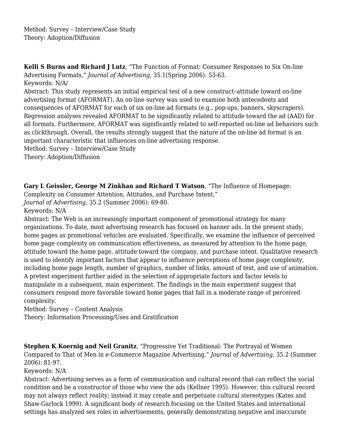Method: Survey – Interview/Case Study Theory: Adoption/Diffusion

**Kelli S Burns and Richard J Lutz**, "The Function of Format: Consumer Responses to Six On-line Advertising Formats," *Journal of Advertising*, 35.1(Spring 2006): 53-63. Keywords: N/A/

Abstract: This study represents an initial empirical test of a new construct–attitude toward on-line advertising format (AFORMAT). An on-line survey was used to examine both antecedents and consequences of AFORMAT for each of six on-line ad formats (e.g., pop-ups, banners, skyscrapers). Regression analyses revealed AFORMAT to be significantly related to attitude toward the ad (AAD) for all formats. Furthermore, AFORMAT was significantly related to self-reported on-line ad behaviors such as clickthrough. Overall, the results strongly suggest that the nature of the on-line ad format is an important characteristic that influences on-line advertising response. Method: Survey – Interview/Case Study

Theory: Adoption/Diffusion

**Gary L Geissler, George M Zinkhan and Richard T Watson**, "The Influence of Homepage:

Complexity on Consumer Attention, Attitudes, and Purchase Intent,"

*Journal of Advertising*, 35.2 (Summer 2006): 69-80.

Keywords: N/A

Abstract: The Web is an increasingly important component of promotional strategy for many organizations. To date, most advertising research has focused on banner ads. In the present study, home pages as promotional vehicles are evaluated. Specifically, we examine the influence of perceived home page complexity on communication effectiveness, as measured by attention to the home page, attitude toward the home page, attitude toward the company, and purchase intent. Qualitative research is used to identify important factors that appear to influence perceptions of home page complexity, including home page length, number of graphics, number of links, amount of text, and use of animation. A pretest experiment further aided in the selection of appropriate factors and factor levels to manipulate in a subsequent, main experiment. The findings in the main experiment suggest that consumers respond more favorable toward home pages that fall in a moderate range of perceived complexity.

Method: Survey – Content Analysis Theory: Information Processing/Uses and Gratification

**Stephen K Koernig and Neil Granitz**, "Progressive Yet Traditional: The Portrayal of Women Compared to That of Men in e-Commerce Magazine Advertising," *Journal of Advertising*, 35.2 (Summer 2006): 81-97.

Keywords: N/A

Abstract: Advertising serves as a form of communication and cultural record that can reflect the social condition and be a constructor of those who view the ads (Kellner 1995). However, this cultural record may not always reflect reality; instead it may create and perpetuate cultural stereotypes (Kates and Shaw-Garlock 1999). A significant body of research focusing on the United States and international settings has analyzed sex roles in advertisements, generally demonstrating negative and inaccurate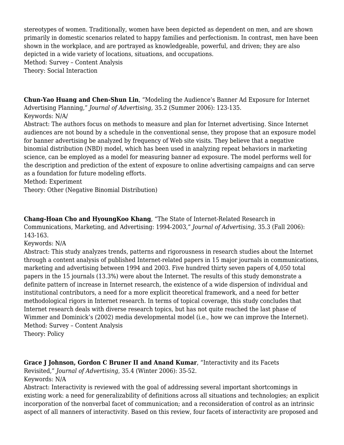stereotypes of women. Traditionally, women have been depicted as dependent on men, and are shown primarily in domestic scenarios related to happy families and perfectionism. In contrast, men have been shown in the workplace, and are portrayed as knowledgeable, powerful, and driven; they are also depicted in a wide variety of locations, situations, and occupations. Method: Survey – Content Analysis Theory: Social Interaction

**Chun-Yao Huang and Chen-Shun Lin**, "Modeling the Audience's Banner Ad Exposure for Internet Advertising Planning," *Journal of Advertising,* 35.2 (Summer 2006): 123-135. Keywords: N/A/

Abstract: The authors focus on methods to measure and plan for Internet advertising. Since Internet audiences are not bound by a schedule in the conventional sense, they propose that an exposure model for banner advertising be analyzed by frequency of Web site visits. They believe that a negative binomial distribution (NBD) model, which has been used in analyzing repeat behaviors in marketing science, can be employed as a model for measuring banner ad exposure. The model performs well for the description and prediction of the extent of exposure to online advertising campaigns and can serve as a foundation for future modeling efforts.

Method: Experiment

Theory: Other (Negative Binomial Distribution)

**Chang-Hoan Cho and HyoungKoo Khang**, "The State of Internet-Related Research in Communications, Marketing, and Advertising: 1994-2003," *Journal of Advertising*, 35.3 (Fall 2006): 143-163.

Keywords: N/A

Abstract: This study analyzes trends, patterns and rigorousness in research studies about the Internet through a content analysis of published Internet-related papers in 15 major journals in communications, marketing and advertising between 1994 and 2003. Five hundred thirty seven papers of 4,050 total papers in the 15 journals (13.3%) were about the Internet. The results of this study demonstrate a definite pattern of increase in Internet research, the existence of a wide dispersion of individual and institutional contributors, a need for a more explicit theoretical framework, and a need for better methodological rigors in Internet research. In terms of topical coverage, this study concludes that Internet research deals with diverse research topics, but has not quite reached the last phase of Wimmer and Dominick's (2002) media developmental model (i.e., how we can improve the Internet). Method: Survey – Content Analysis

Theory: Policy

**Grace J Johnson, Gordon C Bruner II and Anand Kumar**, "Interactivity and its Facets Revisited," *Journal of Advertising*, 35.4 (Winter 2006): 35-52.

Keywords: N/A

Abstract: Interactivity is reviewed with the goal of addressing several important shortcomings in existing work: a need for generalizability of definitions across all situations and technologies; an explicit incorporation of the nonverbal facet of communication; and a reconsideration of control as an intrinsic aspect of all manners of interactivity. Based on this review, four facets of interactivity are proposed and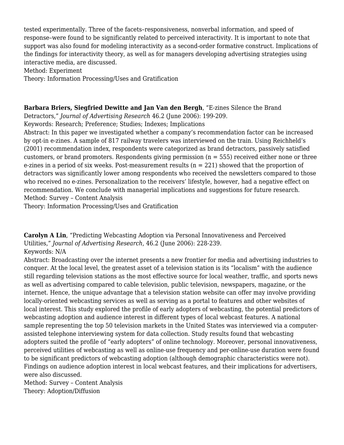tested experimentally. Three of the facets–responsiveness, nonverbal information, and speed of response–were found to be significantly related to perceived interactivity. It is important to note that support was also found for modeling interactivity as a second-order formative construct. Implications of the findings for interactivity theory, as well as for managers developing advertising strategies using interactive media, are discussed.

Method: Experiment

Theory: Information Processing/Uses and Gratification

**Barbara Briers, Siegfried Dewitte and Jan Van den Bergh**, "E-zines Silence the Brand Detractors," *Journal of Advertising Research* 46.2 (June 2006): 199-209.

Keywords: Research; Preference; Studies; Indexes; Implications

Abstract: In this paper we investigated whether a company's recommendation factor can be increased by opt-in e-zines. A sample of 817 railway travelers was interviewed on the train. Using Reichheld's (2001) recommendation index, respondents were categorized as brand detractors, passively satisfied customers, or brand promoters. Respondents giving permission ( $n = 555$ ) received either none or three e-zines in a period of six weeks. Post-measurement results ( $n = 221$ ) showed that the proportion of detractors was significantly lower among respondents who received the newsletters compared to those who received no e-zines. Personalization to the receivers' lifestyle, however, had a negative effect on recommendation. We conclude with managerial implications and suggestions for future research. Method: Survey – Content Analysis

Theory: Information Processing/Uses and Gratification

**Carolyn A Lin**, "Predicting Webcasting Adoption via Personal Innovativeness and Perceived Utilities," *Journal of Advertising Research*, 46.2 (June 2006): 228-239.

Keywords: N/A

Abstract: Broadcasting over the internet presents a new frontier for media and advertising industries to conquer. At the local level, the greatest asset of a television station is its "localism" with the audience still regarding television stations as the most effective source for local weather, traffic, and sports news as well as advertising compared to cable television, public television, newspapers, magazine, or the internet. Hence, the unique advantage that a television station website can offer may involve providing locally-oriented webcasting services as well as serving as a portal to features and other websites of local interest. This study explored the profile of early adopters of webcasting, the potential predictors of webcasting adoption and audience interest in different types of local webcast features. A national sample representing the top 50 television markets in the United States was interviewed via a computerassisted telephone interviewing system for data collection. Study results found that webcasting adopters suited the profile of "early adopters" of online technology. Moreover, personal innovativeness, perceived utilities of webcasting as well as online-use frequency and per-online-use duration were found to be significant predictors of webcasting adoption (although demographic characteristics were not). Findings on audience adoption interest in local webcast features, and their implications for advertisers, were also discussed.

Method: Survey – Content Analysis Theory: Adoption/Diffusion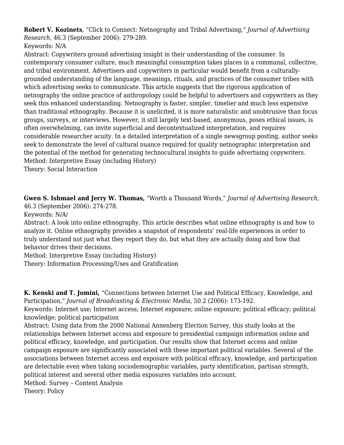**Robert V. Kozinets**, "Click to Connect: Netnography and Tribal Advertising," *Journal of Advertising Research*, 46.3 (September 2006): 279-289.

Keywords: N/A

Abstract: Copywriters ground advertising insight in their understanding of the consumer. In contemporary consumer culture, much meaningful consumption takes places in a communal, collective, and tribal environment. Advertisers and copywriters in particular would benefit from a culturallygrounded understanding of the language, meanings, rituals, and practices of the consumer tribes with which advertising seeks to communicate. This article suggests that the rigorous application of netnography the online practice of anthropology could be helpful to advertisers and copywriters as they seek this enhanced understanding. Netnography is faster, simpler, timelier and much less expensive than traditional ethnography. Because it is unelicited, it is more naturalistic and unobtrusive than focus groups, surveys, or interviews. However, it still largely text-based, anonymous, poses ethical issues, is often overwhelming, can invite superficial and decontextualized interpretation, and requires considerable researcher acuity. In a detailed interpretation of a single newsgroup posting, author seeks seek to demonstrate the level of cultural nuance required for quality netnographic interpretation and the potential of the method for generating technocultural insights to guide advertising copywriters. Method: Interpretive Essay (including History) Theory: Social Interaction

**Gwen S. Ishmael and Jerry W. Thomas,** "Worth a Thousand Words," *Journal of Advertising Research*, 46.3 (September 2006): 274-278.

Keywords: N/A/

Abstract: A look into online ethnography. This article describes what online ethnography is and how to analyze it. Online ethnography provides a snapshot of respondents' real-life experiences in order to truly understand not just what they report they do, but what they are actually doing and how that behavior drives their decisions.

Method: Interpretive Essay (including History)

Theory: Information Processing/Uses and Gratification

**K. Kenski and T. Jomini,** "Connections between Internet Use and Political Efficacy, Knowledge, and Participation," *Journal of Broadcasting & Electronic Media*, 50.2 (2006): 173-192.

Keywords: Internet use; Internet access; Internet exposure; online exposure; political efficacy; political knowledge; political participation

Abstract: Using data from the 2000 National Annenberg Election Survey, this study looks at the relationships between Internet access and exposure to presidential campaign information online and political efficacy, knowledge, and participation. Our results show that Internet access and online campaign exposure are significantly associated with these important political variables. Several of the associations between Internet access and exposure with political efficacy, knowledge, and participation are detectable even when taking sociodemographic variables, party identification, partisan strength, political interest and several other media exposures variables into account.

Method: Survey – Content Analysis

Theory: Policy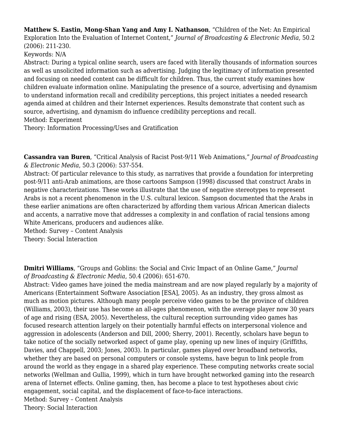**Matthew S. Eastin, Mong-Shan Yang and Amy I. Nathanson**, "Children of the Net: An Empirical Exploration Into the Evaluation of Internet Content," *Journal of Broadcasting & Electronic Media*, 50.2 (2006): 211-230.

Keywords: N/A

Abstract: During a typical online search, users are faced with literally thousands of information sources as well as unsolicited information such as advertising. Judging the legitimacy of information presented and focusing on needed content can be difficult for children. Thus, the current study examines how children evaluate information online. Manipulating the presence of a source, advertising and dynamism to understand information recall and credibility perceptions, this project initiates a needed research agenda aimed at children and their Internet experiences. Results demonstrate that content such as source, advertising, and dynamism do influence credibility perceptions and recall. Method: Experiment

Theory: Information Processing/Uses and Gratification

**Cassandra van Buren**, "Critical Analysis of Racist Post-9/11 Web Animations," *Journal of Broadcasting & Electronic Media*, 50.3 (2006): 537-554.

Abstract: Of particular relevance to this study, as narratives that provide a foundation for interpreting post-9/11 anti-Arab animations, are those cartoons Sampson (1998) discussed that construct Arabs in negative characterizations. These works illustrate that the use of negative stereotypes to represent Arabs is not a recent phenomenon in the U.S. cultural lexicon. Sampson documented that the Arabs in these earlier animations are often characterized by affording them various African American dialects and accents, a narrative move that addresses a complexity in and conflation of racial tensions among White Americans, producers and audiences alike.

Method: Survey – Content Analysis

Theory: Social Interaction

**Dmitri Williams**, "Groups and Goblins: the Social and Civic Impact of an Online Game," *Journal of Broadcasting & Electronic Media*, 50.4 (2006): 651-670.

Abstract: Video games have joined the media mainstream and are now played regularly by a majority of Americans (Entertainment Software Association [ESA], 2005). As an industry, they gross almost as much as motion pictures. Although many people perceive video games to be the province of children (Williams, 2003), their use has become an all-ages phenomenon, with the average player now 30 years of age and rising (ESA, 2005). Nevertheless, the cultural reception surrounding video games has focused research attention largely on their potentially harmful effects on interpersonal violence and aggression in adolescents (Anderson and Dill, 2000; Sherry, 2001). Recently, scholars have begun to take notice of the socially networked aspect of game play, opening up new lines of inquiry (Griffiths, Davies, and Chappell, 2003; Jones, 2003). In particular, games played over broadband networks, whether they are based on personal computers or console systems, have begun to link people from around the world as they engage in a shared play experience. These computing networks create social networks (Wellman and Gullia, 1999), which in turn have brought networked gaming into the research arena of Internet effects. Online gaming, then, has become a place to test hypotheses about civic engagement, social capital, and the displacement of face-to-face interactions. Method: Survey – Content Analysis Theory: Social Interaction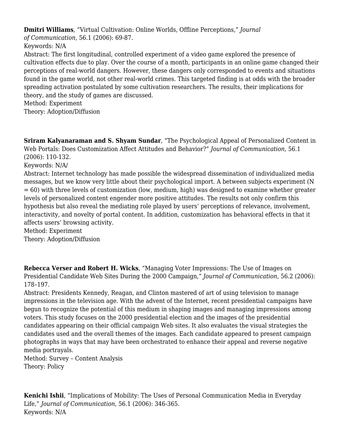**Dmitri Williams**, "Virtual Cultivation: Online Worlds, Offline Perceptions," *Journal*

*of Communication,* 56.1 (2006): 69-87.

Keywords: N/A

Abstract: The first longitudinal, controlled experiment of a video game explored the presence of cultivation effects due to play. Over the course of a month, participants in an online game changed their perceptions of real-world dangers. However, these dangers only corresponded to events and situations found in the game world, not other real-world crimes. This targeted finding is at odds with the broader spreading activation postulated by some cultivation researchers. The results, their implications for theory, and the study of games are discussed.

Method: Experiment

Theory: Adoption/Diffusion

**Sriram Kalyanaraman and S. Shyam Sundar**, "The Psychological Appeal of Personalized Content in Web Portals: Does Customization Affect Attitudes and Behavior?" *Journal of Communication*, 56.1 (2006): 110-132.

Keywords: N/A/

Abstract: Internet technology has made possible the widespread dissemination of individualized media messages, but we know very little about their psychological import. A between subjects experiment (N = 60) with three levels of customization (low, medium, high) was designed to examine whether greater levels of personalized content engender more positive attitudes. The results not only confirm this hypothesis but also reveal the mediating role played by users' perceptions of relevance, involvement, interactivity, and novelty of portal content. In addition, customization has behavioral effects in that it affects users' browsing activity.

Method: Experiment

Theory: Adoption/Diffusion

**Rebecca Verser and Robert H. Wicks**, "Managing Voter Impressions: The Use of Images on Presidential Candidate Web Sites During the 2000 Campaign," *Journal of Communication*, 56.2 (2006): 178–197.

Abstract: Presidents Kennedy, Reagan, and Clinton mastered of art of using television to manage impressions in the television age. With the advent of the Internet, recent presidential campaigns have begun to recognize the potential of this medium in shaping images and managing impressions among voters. This study focuses on the 2000 presidential election and the images of the presidential candidates appearing on their official campaign Web sites. It also evaluates the visual strategies the candidates used and the overall themes of the images. Each candidate appeared to present campaign photographs in ways that may have been orchestrated to enhance their appeal and reverse negative media portrayals.

Method: Survey – Content Analysis Theory: Policy

**Kenichi Ishii**, "Implications of Mobility: The Uses of Personal Communication Media in Everyday Life," *Journal of Communication*, 56.1 (2006): 346-365. Keywords: N/A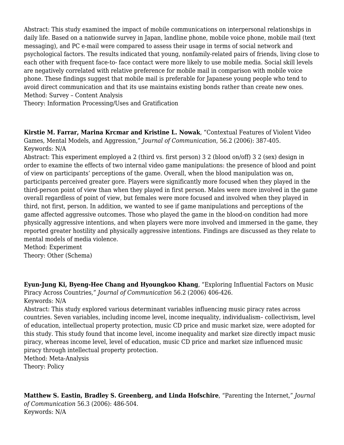Abstract: This study examined the impact of mobile communications on interpersonal relationships in daily life. Based on a nationwide survey in Japan, landline phone, mobile voice phone, mobile mail (text messaging), and PC e-mail were compared to assess their usage in terms of social network and psychological factors. The results indicated that young, nonfamily-related pairs of friends, living close to each other with frequent face-to- face contact were more likely to use mobile media. Social skill levels are negatively correlated with relative preference for mobile mail in comparison with mobile voice phone. These findings suggest that mobile mail is preferable for Japanese young people who tend to avoid direct communication and that its use maintains existing bonds rather than create new ones. Method: Survey – Content Analysis

Theory: Information Processing/Uses and Gratification

**Kirstie M. Farrar, Marina Krcmar and Kristine L. Nowak**, "Contextual Features of Violent Video Games, Mental Models, and Aggression," *Journal of Communication*, 56.2 (2006): 387-405. Keywords: N/A

Abstract: This experiment employed a 2 (third vs. first person) 3 2 (blood on/off) 3 2 (sex) design in order to examine the effects of two internal video game manipulations: the presence of blood and point of view on participants' perceptions of the game. Overall, when the blood manipulation was on, participants perceived greater gore. Players were significantly more focused when they played in the third-person point of view than when they played in first person. Males were more involved in the game overall regardless of point of view, but females were more focused and involved when they played in third, not first, person. In addition, we wanted to see if game manipulations and perceptions of the game affected aggressive outcomes. Those who played the game in the blood-on condition had more physically aggressive intentions, and when players were more involved and immersed in the game, they reported greater hostility and physically aggressive intentions. Findings are discussed as they relate to mental models of media violence.

Method: Experiment Theory: Other (Schema)

**Eyun-Jung Ki, Byeng-Hee Chang and Hyoungkoo Khang**, "Exploring Influential Factors on Music Piracy Across Countries*," Journal of Communication* 56.2 (2006) 406-426.

Keywords: N/A

Abstract: This study explored various determinant variables influencing music piracy rates across countries. Seven variables, including income level, income inequality, individualism– collectivism, level of education, intellectual property protection, music CD price and music market size, were adopted for this study. This study found that income level, income inequality and market size directly impact music piracy, whereas income level, level of education, music CD price and market size influenced music piracy through intellectual property protection.

Method: Meta-Analysis

Theory: Policy

**Matthew S. Eastin, Bradley S. Greenberg, and Linda Hofschire**, "Parenting the Internet," *Journal of Communication* 56.3 (2006): 486-504. Keywords: N/A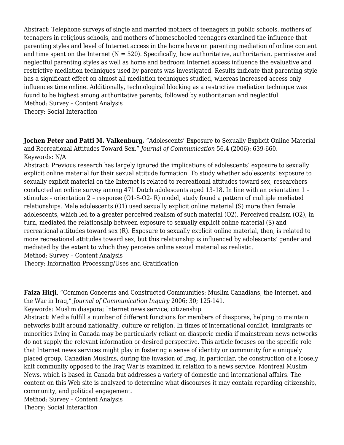Abstract: Telephone surveys of single and married mothers of teenagers in public schools, mothers of teenagers in religious schools, and mothers of homeschooled teenagers examined the influence that parenting styles and level of Internet access in the home have on parenting mediation of online content and time spent on the Internet  $(N = 520)$ . Specifically, how authoritative, authoritarian, permissive and neglectful parenting styles as well as home and bedroom Internet access influence the evaluative and restrictive mediation techniques used by parents was investigated. Results indicate that parenting style has a significant effect on almost all mediation techniques studied, whereas increased access only influences time online. Additionally, technological blocking as a restrictive mediation technique was found to be highest among authoritative parents, followed by authoritarian and neglectful. Method: Survey – Content Analysis

Theory: Social Interaction

**Jochen Peter and Patti M. Valkenburg,** "Adolescents' Exposure to Sexually Explicit Online Material and Recreational Attitudes Toward Sex," *Journal of Communication* 56.4 (2006): 639-660. Keywords: N/A

Abstract: Previous research has largely ignored the implications of adolescents' exposure to sexually explicit online material for their sexual attitude formation. To study whether adolescents' exposure to sexually explicit material on the Internet is related to recreational attitudes toward sex, researchers conducted an online survey among 471 Dutch adolescents aged 13–18. In line with an orientation 1 – stimulus – orientation 2 – response (O1-S-O2- R) model, study found a pattern of multiple mediated relationships. Male adolescents (O1) used sexually explicit online material (S) more than female adolescents, which led to a greater perceived realism of such material (O2). Perceived realism (O2), in turn, mediated the relationship between exposure to sexually explicit online material (S) and recreational attitudes toward sex (R). Exposure to sexually explicit online material, then, is related to more recreational attitudes toward sex, but this relationship is influenced by adolescents' gender and mediated by the extent to which they perceive online sexual material as realistic. Method: Survey – Content Analysis

Theory: Information Processing/Uses and Gratification

**Faiza Hirji**, "Common Concerns and Constructed Communities: Muslim Canadians, the Internet, and the War in Iraq," *Journal of Communication Inquiry* 2006; 30; 125-141.

Keywords: Muslim diaspora; Internet news service; citizenship

Abstract: Media fulfill a number of different functions for members of diasporas, helping to maintain networks built around nationality, culture or religion. In times of international conflict, immigrants or minorities living in Canada may be particularly reliant on diasporic media if mainstream news networks do not supply the relevant information or desired perspective. This article focuses on the specific role that Internet news services might play in fostering a sense of identity or community for a uniquely placed group, Canadian Muslims, during the invasion of Iraq. In particular, the construction of a loosely knit community opposed to the Iraq War is examined in relation to a news service, Montreal Muslim News, which is based in Canada but addresses a variety of domestic and international affairs. The content on this Web site is analyzed to determine what discourses it may contain regarding citizenship, community, and political engagement.

Method: Survey – Content Analysis Theory: Social Interaction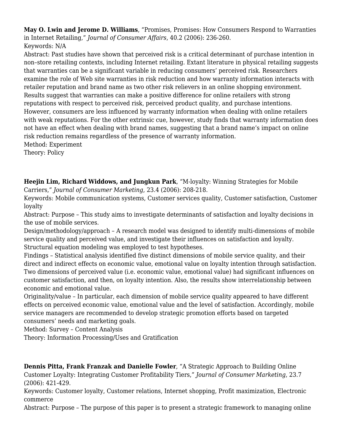**May O. Lwin and Jerome D. Williams**, "Promises, Promises: How Consumers Respond to Warranties in Internet Retailing," *Journal of Consumer Affairs*, 40.2 (2006): 236-260. Keywords: N/A

Abstract: Past studies have shown that perceived risk is a critical determinant of purchase intention in non–store retailing contexts, including Internet retailing. Extant literature in physical retailing suggests that warranties can be a significant variable in reducing consumers' perceived risk. Researchers examine the role of Web site warranties in risk reduction and how warranty information interacts with retailer reputation and brand name as two other risk relievers in an online shopping environment. Results suggest that warranties can make a positive difference for online retailers with strong reputations with respect to perceived risk, perceived product quality, and purchase intentions. However, consumers are less influenced by warranty information when dealing with online retailers with weak reputations. For the other extrinsic cue, however, study finds that warranty information does not have an effect when dealing with brand names, suggesting that a brand name's impact on online risk reduction remains regardless of the presence of warranty information.

Method: Experiment

Theory: Policy

**Heejin Lim, Richard Widdows, and Jungkun Park**, "M-loyalty: Winning Strategies for Mobile Carriers," *Journal of Consumer Marketing*, 23.4 (2006): 208-218.

Keywords: Mobile communication systems, Customer services quality, Customer satisfaction, Customer loyalty

Abstract: Purpose – This study aims to investigate determinants of satisfaction and loyalty decisions in the use of mobile services.

Design/methodology/approach – A research model was designed to identify multi-dimensions of mobile service quality and perceived value, and investigate their influences on satisfaction and loyalty. Structural equation modeling was employed to test hypotheses.

Findings – Statistical analysis identified five distinct dimensions of mobile service quality, and their direct and indirect effects on economic value, emotional value on loyalty intention through satisfaction. Two dimensions of perceived value (i.e. economic value, emotional value) had significant influences on customer satisfaction, and then, on loyalty intention. Also, the results show interrelationship between economic and emotional value.

Originality/value – In particular, each dimension of mobile service quality appeared to have different effects on perceived economic value, emotional value and the level of satisfaction. Accordingly, mobile service managers are recommended to develop strategic promotion efforts based on targeted consumers' needs and marketing goals.

Method: Survey – Content Analysis

Theory: Information Processing/Uses and Gratification

**Dennis Pitta, Frank Franzak and Danielle Fowler**, "A Strategic Approach to Building Online Customer Loyalty: Integrating Customer Profitability Tiers," *Journal of Consumer Marketing*, 23.7 (2006): 421-429.

Keywords: Customer loyalty, Customer relations, Internet shopping, Profit maximization, Electronic commerce

Abstract: Purpose – The purpose of this paper is to present a strategic framework to managing online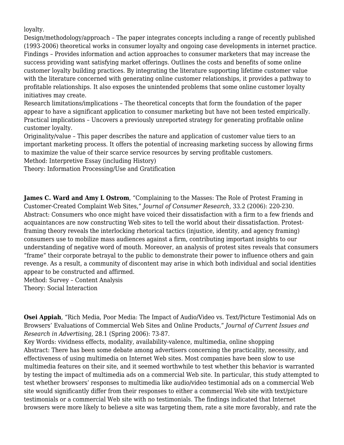loyalty.

Design/methodology/approach – The paper integrates concepts including a range of recently published (1993-2006) theoretical works in consumer loyalty and ongoing case developments in internet practice. Findings – Provides information and action approaches to consumer marketers that may increase the success providing want satisfying market offerings. Outlines the costs and benefits of some online customer loyalty building practices. By integrating the literature supporting lifetime customer value with the literature concerned with generating online customer relationships, it provides a pathway to profitable relationships. It also exposes the unintended problems that some online customer loyalty initiatives may create.

Research limitations/implications – The theoretical concepts that form the foundation of the paper appear to have a significant application to consumer marketing but have not been tested empirically. Practical implications – Uncovers a previously unreported strategy for generating profitable online customer loyalty.

Originality/value – This paper describes the nature and application of customer value tiers to an important marketing process. It offers the potential of increasing marketing success by allowing firms to maximize the value of their scarce service resources by serving profitable customers.

Method: Interpretive Essay (including History)

Theory: Information Processing/Use and Gratification

**James C. Ward and Amy L Ostrom**, "Complaining to the Masses: The Role of Protest Framing in Customer-Created Complaint Web Sites," *Journal of Consumer Research*, 33.2 (2006): 220-230. Abstract: Consumers who once might have voiced their dissatisfaction with a firm to a few friends and acquaintances are now constructing Web sites to tell the world about their dissatisfaction. Protestframing theory reveals the interlocking rhetorical tactics (injustice, identity, and agency framing) consumers use to mobilize mass audiences against a firm, contributing important insights to our understanding of negative word of mouth. Moreover, an analysis of protest sites reveals that consumers "frame" their corporate betrayal to the public to demonstrate their power to influence others and gain revenge. As a result, a community of discontent may arise in which both individual and social identities appear to be constructed and affirmed.

Method: Survey – Content Analysis Theory: Social Interaction

**Osei Appiah**, "Rich Media, Poor Media: The Impact of Audio/Video vs. Text/Picture Testimonial Ads on Browsers' Evaluations of Commercial Web Sites and Online Products," *Journal of Current Issues and Research in Advertising*, 28.1 (Spring 2006): 73-87.

Key Words: vividness effects, modality, availability-valence, multimedia, online shopping Abstract: There has been some debate among advertisers concerning the practicality, necessity, and effectiveness of using multimedia on Internet Web sites. Most companies have been slow to use multimedia features on their site, and it seemed worthwhile to test whether this behavior is warranted by testing the impact of multimedia ads on a commercial Web site. In particular, this study attempted to test whether browsers' responses to multimedia like audio/video testimonial ads on a commercial Web site would significantly differ from their responses to either a commercial Web site with text/picture testimonials or a commercial Web site with no testimonials. The findings indicated that Internet browsers were more likely to believe a site was targeting them, rate a site more favorably, and rate the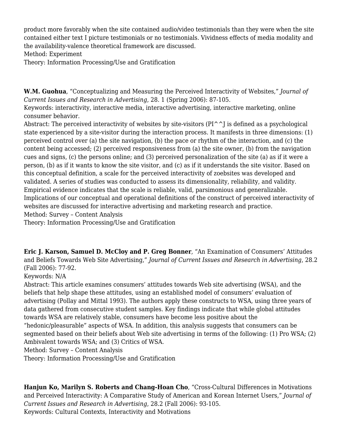product more favorably when the site contained audio/video testimonials than they were when the site contained either text I picture testimonials or no testimonials. Vividness effects of media modality and the availability-valence theoretical framework are discussed.

Method: Experiment

Theory: Information Processing/Use and Gratification

**W.M. Guohua**, "Conceptualizing and Measuring the Perceived Interactivity of Websites," *Journal of Current Issues and Research in Advertising*, 28. 1 (Spring 2006): 87-105.

Keywords: interactivity, interactive media, interactive advertising, interactive marketing, online consumer behavior.

Abstract: The perceived interactivity of websites by site-visitors  $(PI^{\wedge}I)$  is defined as a psychological state experienced by a site-visitor during the interaction process. It manifests in three dimensions: (1) perceived control over (a) the site navigation, (b) the pace or rhythm of the interaction, and (c) the content being accessed; (2) perceived responsiveness from (a) the site owner, (b) from the navigation cues and signs, (c) the persons online; and (3) perceived personalization of the site (a) as if it were a person, (b) as if it wants to know the site visitor, and (c) as if it understands the site visitor. Based on this conceptual definition, a scale for the perceived interactivity of zoebsites was developed and validated. A series of studies was conducted to assess its dimensionality, reliability, and validity. Empirical evidence indicates that the scale is reliable, valid, parsimonious and generalizable. Implications of our conceptual and operational definitions of the construct of perceived interactivity of websites are discussed for interactive advertising and marketing research and practice. Method: Survey – Content Analysis

Theory: Information Processing/Use and Gratification

**Eric J. Karson, Samuel D. McCloy and P. Greg Bonner**, "An Examination of Consumers' Attitudes and Beliefs Towards Web Site Advertising," *Journal of Current Issues and Research in Advertising*, 28.2 (Fall 2006): 77-92.

Keywords: N/A

Abstract: This article examines consumers' attitudes towards Web site advertising (WSA), and the beliefs that help shape these attitudes, using an established model of consumers' evaluation of advertising (Pollay and Mittal 1993). The authors apply these constructs to WSA, using three years of data gathered from consecutive student samples. Key findings indicate that while global attitudes towards WSA are relatively stable, consumers have become less positive about the "hedonic/pleasurable" aspects of WSA. In addition, this analysis suggests that consumers can be

segmented based on their beliefs about Web site advertising in terms of the following: (1) Pro WSA; (2) Ambivalent towards WSA; and (3) Critics of WSA.

Method: Survey – Content Analysis

Theory: Information Processing/Use and Gratification

**Hanjun Ko, Marilyn S. Roberts and Chang-Hoan Cho**, "Cross-Cultural Differences in Motivations and Perceived Interactivity: A Comparative Study of American and Korean Internet Users," *Journal of Current Issues and Research in Advertising*, 28.2 (Fall 2006): 93-105. Keywords: Cultural Contexts, Interactivity and Motivations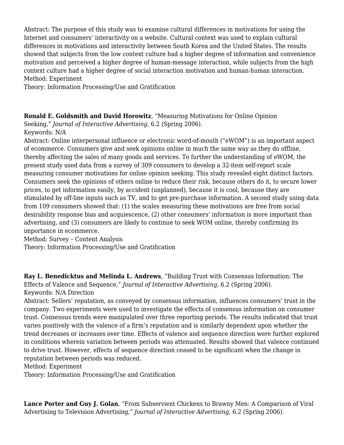Abstract: The purpose of this study was to examine cultural differences in motivations for using the Internet and consumers' interactivity on a website. Cultural context was used to explain cultural differences in motivations and interactivity between South Korea and the United States. The results showed that subjects from the low context culture had a higher degree of information and convenience motivation and perceived a higher degree of human-message interaction, while subjects from the high context culture had a higher degree of social interaction motivation and human-human interaction. Method: Experiment

Theory: Information Processing/Use and Gratification

**Ronald E. Goldsmith and David Horowitz**, "Measuring Motivations for Online Opinion Seeking," *Journal of Interactive Advertising*, 6.2 (Spring 2006).

Keywords: N/A

Abstract: Online interpersonal influence or electronic word-of-mouth ("eWOM") is an important aspect of ecommerce. Consumers give and seek opinions online in much the same way as they do offline, thereby affecting the sales of many goods and services. To further the understanding of eWOM, the present study used data from a survey of 309 consumers to develop a 32-item self-report scale measuring consumer motivations for online opinion seeking. This study revealed eight distinct factors. Consumers seek the opinions of others online to reduce their risk, because others do it, to secure lower prices, to get information easily, by accident (unplanned), because it is cool, because they are stimulated by off-line inputs such as TV, and to get pre-purchase information. A second study using data from 109 consumers showed that: (1) the scales measuring these motivations are free from social desirability response bias and acquiescence, (2) other consumers' information is more important than advertising, and (3) consumers are likely to continue to seek WOM online, thereby confirming its importance in ecommerce.

Method: Survey – Content Analysis

Theory: Information Processing/Use and Gratification

**Ray L. Benedicktus and Melinda L. Andrews**, "Building Trust with Consensus Information: The Effects of Valence and Sequence," *Journal of Interactive Advertising,* 6.2 (Spring 2006). Keywords: N/A Direction

Abstract: Sellers' reputation, as conveyed by consensus information, influences consumers' trust in the company. Two experiments were used to investigate the effects of consensus information on consumer trust. Consensus trends were manipulated over three reporting periods. The results indicated that trust varies positively with the valence of a firm's reputation and is similarly dependent upon whether the trend decreases or increases over time. Effects of valence and sequence direction were further explored in conditions wherein variation between periods was attenuated. Results showed that valence continued to drive trust. However, effects of sequence direction ceased to be significant when the change in reputation between periods was reduced.

Method: Experiment

Theory: Information Processing/Use and Gratification

**Lance Porter and Guy J. Golan**, "From Subservient Chickens to Brawny Men: A Comparison of Viral Advertising to Television Advertising," *Journal of Interactive Advertising*, 6.2 (Spring 2006).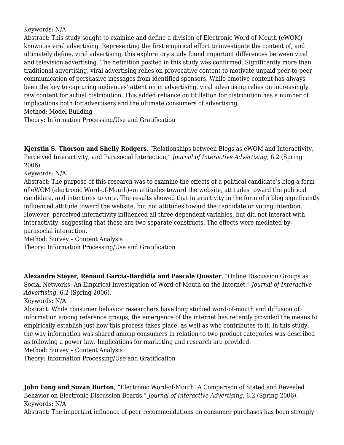## Keywords: N/A

Abstract: This study sought to examine and define a division of Electronic Word-of-Mouth (eWOM) known as viral advertising. Representing the first empirical effort to investigate the content of, and ultimately define, viral advertising, this exploratory study found important differences between viral and television advertising. The definition posited in this study was confirmed. Significantly more than traditional advertising, viral advertising relies on provocative content to motivate unpaid peer-to-peer communication of persuasive messages from identified sponsors. While emotive content has always been the key to capturing audiences' attention in advertising, viral advertising relies on increasingly raw content for actual distribution. This added reliance on titillation for distribution has a number of implications both for advertisers and the ultimate consumers of advertising.

Method: Model Building

Theory: Information Processing/Use and Gratification

**Kjerstin S. Thorson and Shelly Rodgers**, "Relationships between Blogs as eWOM and Interactivity, Perceived Interactivity, and Parasocial Interaction," *Journal of Interactive Advertising,* 6.2 (Spring 2006).

Keywords: N/A

Abstract: The purpose of this research was to examine the effects of a political candidate's blog-a form of eWOM (electronic Word-of-Mouth)-on attitudes toward the website, attitudes toward the political candidate, and intentions to vote. The results showed that interactivity in the form of a blog significantly influenced attitude toward the website, but not attitudes toward the candidate or voting intention. However, perceived interactivity influenced all three dependent variables, but did not interact with interactivity, suggesting that these are two separate constructs. The effects were mediated by parasocial interaction.

Method: Survey – Content Analysis

Theory: Information Processing/Use and Gratification

**Alexandre Steyer, Renaud Garcia-Bardidia and Pascale Quester**, "Online Discussion Groups as Social Networks: An Empirical Investigation of Word-of-Mouth on the Internet." *Journal of Interactive Advertising*, 6.2 (Spring 2006).

Keywords: N/A

Abstract: While consumer behavior researchers have long studied word-of-mouth and diffusion of information among reference groups, the emergence of the internet has recently provided the means to empirically establish just how this process takes place, as well as who contributes to it. In this study, the way information was shared among consumers in relation to two product categories was described as following a power law. Implications for marketing and research are provided.

Method: Survey – Content Analysis

Theory: Information Processing/Use and Gratification

**John Fong and Suzan Burton**, "Electronic Word-of-Mouth: A Comparison of Stated and Revealed Behavior on Electronic Discussion Boards," *Journal of Interactive Advertising,* 6.2 (Spring 2006). Keywords: N/A

Abstract: The important influence of peer recommendations on consumer purchases has been strongly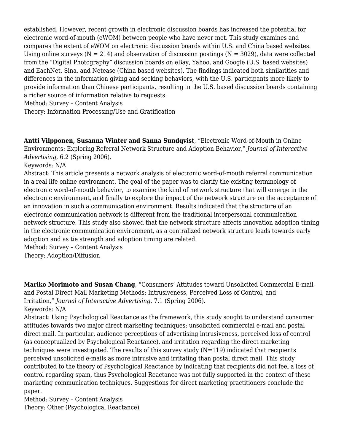established. However, recent growth in electronic discussion boards has increased the potential for electronic word-of-mouth (eWOM) between people who have never met. This study examines and compares the extent of eWOM on electronic discussion boards within U.S. and China based websites. Using online surveys ( $N = 214$ ) and observation of discussion postings ( $N = 3029$ ), data were collected from the "Digital Photography" discussion boards on eBay, Yahoo, and Google (U.S. based websites) and EachNet, Sina, and Netease (China based websites). The findings indicated both similarities and differences in the information giving and seeking behaviors, with the U.S. participants more likely to provide information than Chinese participants, resulting in the U.S. based discussion boards containing a richer source of information relative to requests.

Method: Survey – Content Analysis

Theory: Information Processing/Use and Gratification

**Antti Vilpponen, Susanna Winter and Sanna Sundqvist**, "Electronic Word-of-Mouth in Online Environments: Exploring Referral Network Structure and Adoption Behavior," *Journal of Interactive Advertising*, 6.2 (Spring 2006).

### Keywords: N/A

Abstract: This article presents a network analysis of electronic word-of-mouth referral communication in a real life online environment. The goal of the paper was to clarify the existing terminology of electronic word-of-mouth behavior, to examine the kind of network structure that will emerge in the electronic environment, and finally to explore the impact of the network structure on the acceptance of an innovation in such a communication environment. Results indicated that the structure of an electronic communication network is different from the traditional interpersonal communication network structure. This study also showed that the network structure affects innovation adoption timing in the electronic communication environment, as a centralized network structure leads towards early adoption and as tie strength and adoption timing are related.

Method: Survey – Content Analysis Theory: Adoption/Diffusion

**Mariko Morimoto and Susan Chang**, "Consumers' Attitudes toward Unsolicited Commercial E-mail and Postal Direct Mail Marketing Methods: Intrusiveness, Perceived Loss of Control, and Irritation," *Journal of Interactive Advertising*, 7.1 (Spring 2006).

Keywords: N/A Abstract: Using Psychological Reactance as the framework, this study sought to understand consumer attitudes towards two major direct marketing techniques: unsolicited commercial e-mail and postal direct mail. In particular, audience perceptions of advertising intrusiveness, perceived loss of control (as conceptualized by Psychological Reactance), and irritation regarding the direct marketing techniques were investigated. The results of this survey study  $(N=119)$  indicated that recipients perceived unsolicited e-mails as more intrusive and irritating than postal direct mail. This study contributed to the theory of Psychological Reactance by indicating that recipients did not feel a loss of control regarding spam, thus Psychological Reactance was not fully supported in the context of these marketing communication techniques. Suggestions for direct marketing practitioners conclude the paper.

Method: Survey – Content Analysis Theory: Other (Psychological Reactance)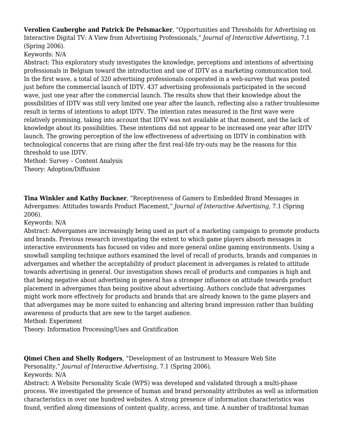**Verolien Cauberghe and Patrick De Pelsmacker**, "Opportunities and Thresholds for Advertising on Interactive Digital TV: A View from Advertising Professionals," *Journal of Interactive Advertising*, 7.1 (Spring 2006).

Keywords: N/A

Abstract: This exploratory study investigates the knowledge, perceptions and intentions of advertising professionals in Belgium toward the introduction and use of IDTV as a marketing communication tool. In the first wave, a total of 320 advertising professionals cooperated in a web-survey that was posted just before the commercial launch of IDTV. 437 advertising professionals participated in the second wave, just one year after the commercial launch. The results show that their knowledge about the possibilities of IDTV was still very limited one year after the launch, reflecting also a rather troublesome result in terms of intentions to adopt IDTV. The intention rates measured in the first wave were relatively promising, taking into account that IDTV was not available at that moment, and the lack of knowledge about its possibilities. These intentions did not appear to be increased one year after IDTV launch. The growing perception of the low effectiveness of advertising on IDTV in combination with technological concerns that are rising after the first real-life try-outs may be the reasons for this threshold to use IDTV.

Method: Survey – Content Analysis Theory: Adoption/Diffusion

**Tina Winkler and Kathy Buckner**, "Receptiveness of Gamers to Embedded Brand Messages in Advergames: Attitudes towards Product Placement," *Journal of Interactive Advertising,* 7.1 (Spring 2006).

Keywords: N/A

Abstract: Advergames are increasingly being used as part of a marketing campaign to promote products and brands. Previous research investigating the extent to which game players absorb messages in interactive environments has focused on video and more general online gaming environments. Using a snowball sampling technique authors examined the level of recall of products, brands and companies in advergames and whether the acceptability of product placement in advergames is related to attitude towards advertising in general. Our investigation shows recall of products and companies is high and that being negative about advertising in general has a stronger influence on attitude towards product placement in advergames than being positive about advertising. Authors conclude that advergames might work more effectively for products and brands that are already known to the game players and that advergames may be more suited to enhancing and altering brand impression rather than building awareness of products that are new to the target audience.

Method: Experiment

Theory: Information Processing/Uses and Gratification

**Qimei Chen and Shelly Rodgers**, "Development of an Instrument to Measure Web Site Personality," *Journal of Interactive Advertising*, 7.1 (Spring 2006).

Keywords: N/A

Abstract: A Website Personality Scale (WPS) was developed and validated through a multi-phase process. We investigated the presence of human and brand personality attributes as well as information characteristics in over one hundred websites. A strong presence of information characteristics was found, verified along dimensions of content quality, access, and time. A number of traditional human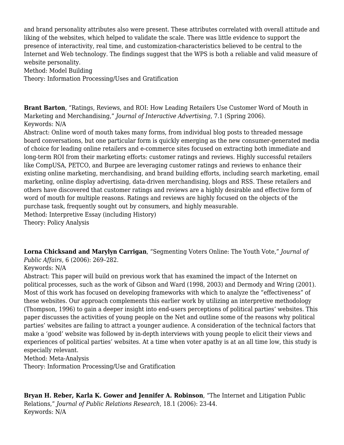and brand personality attributes also were present. These attributes correlated with overall attitude and liking of the websites, which helped to validate the scale. There was little evidence to support the presence of interactivity, real time, and customization-characteristics believed to be central to the Internet and Web technology. The findings suggest that the WPS is both a reliable and valid measure of website personality.

Method: Model Building

Theory: Information Processing/Uses and Gratification

**Brant Barton**, "Ratings, Reviews, and ROI: How Leading Retailers Use Customer Word of Mouth in Marketing and Merchandising," *Journal of Interactive Advertising*, 7.1 (Spring 2006). Keywords: N/A

Abstract: Online word of mouth takes many forms, from individual blog posts to threaded message board conversations, but one particular form is quickly emerging as the new consumer-generated media of choice for leading online retailers and e-commerce sites focused on extracting both immediate and long-term ROI from their marketing efforts: customer ratings and reviews. Highly successful retailers like CompUSA, PETCO, and Burpee are leveraging customer ratings and reviews to enhance their existing online marketing, merchandising, and brand building efforts, including search marketing, email marketing, online display advertising, data-driven merchandising, blogs and RSS. These retailers and others have discovered that customer ratings and reviews are a highly desirable and effective form of word of mouth for multiple reasons. Ratings and reviews are highly focused on the objects of the purchase task, frequently sought out by consumers, and highly measurable. Method: Interpretive Essay (including History)

Theory: Policy Analysis

**Lorna Chicksand and Marylyn Carrigan**, "Segmenting Voters Online: The Youth Vote," *Journal of Public Affairs*, 6 (2006): 269–282.

Keywords: N/A

Abstract: This paper will build on previous work that has examined the impact of the Internet on political processes, such as the work of Gibson and Ward (1998, 2003) and Dermody and Wring (2001). Most of this work has focused on developing frameworks with which to analyze the "effectiveness" of these websites. Our approach complements this earlier work by utilizing an interpretive methodology (Thompson, 1996) to gain a deeper insight into end-users perceptions of political parties' websites. This paper discusses the activities of young people on the Net and outline some of the reasons why political parties' websites are failing to attract a younger audience. A consideration of the technical factors that make a 'good' website was followed by in-depth interviews with young people to elicit their views and experiences of political parties' websites. At a time when voter apathy is at an all time low, this study is especially relevant.

Method: Meta-Analysis

Theory: Information Processing/Use and Gratification

**Bryan H. Reber, Karla K. Gower and Jennifer A. Robinson**, "The Internet and Litigation Public Relations," *Journal of Public Relations Research*, 18.1 (2006): 23-44. Keywords: N/A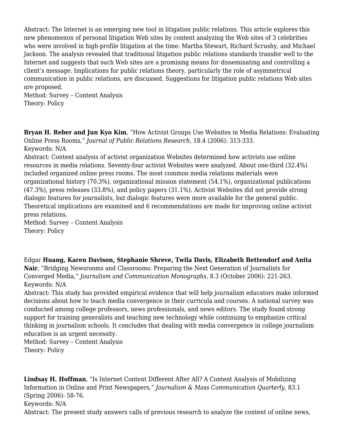Abstract: The Internet is an emerging new tool in litigation public relations. This article explores this new phenomenon of personal litigation Web sites by content analyzing the Web sites of 3 celebrities who were involved in high-profile litigation at the time: Martha Stewart, Richard Scrushy, and Michael Jackson. The analysis revealed that traditional litigation public relations standards transfer well to the Internet and suggests that such Web sites are a promising means for disseminating and controlling a client's message. Implications for public relations theory, particularly the role of asymmetrical communication in public relations, are discussed. Suggestions for litigation public relations Web sites are proposed.

Method: Survey – Content Analysis Theory: Policy

**Bryan H. Reber and Jun Kyo Kim**, "How Activist Groups Use Websites in Media Relations: Evaluating Online Press Rooms," *Journal of Public Relations Research,* 18.4 (2006): 313-333. Keywords: N/A

Abstract: Content analysis of activist organization Websites determined how activists use online resources in media relations. Seventy-four activist Websites were analyzed. About one-third (32.4%) included organized online press rooms. The most common media relations materials were organizational history (70.3%), organizational mission statement (54.1%), organizational publications (47.3%), press releases (33.8%), and policy papers (31.1%). Activist Websites did not provide strong dialogic features for journalists, but dialogic features were more available for the general public. Theoretical implications are examined and 6 recommendations are made for improving online activist press relations.

Method: Survey – Content Analysis Theory: Policy

Edgar **Huang, Karen Davison, Stephanie Shreve, Twila Davis, Elizabeth Bettendorf and Anita Nair**, "Bridging Newsrooms and Classrooms: Preparing the Next Generation of Journalists for Converged Media," *Journalism and Communication Monographs*, 8.3 (October 2006): 221-263. Keywords: N/A

Abstract: This study has provided empirical evidence that will help journalism educators make informed decisions about how to teach media convergence in their curricula and courses. A national survey was conducted among college professors, news professionals, and news editors. The study found strong support for training generalists and teaching new technology while continuing to emphasize critical thinking in journalism schools. It concludes that dealing with media convergence in college journalism education is an urgent necessity.

Method: Survey – Content Analysis Theory: Policy

**Lindsay H. Hoffman**, "Is Internet Content Different After All? A Content Analysis of Mobilizing Information in Online and Print Newspapers," *Journalism & Mass Communication Quarterly*, 83.1 (Spring 2006): 58-76. Keywords: N/A Abstract: The present study answers calls of previous research to analyze the content of online news,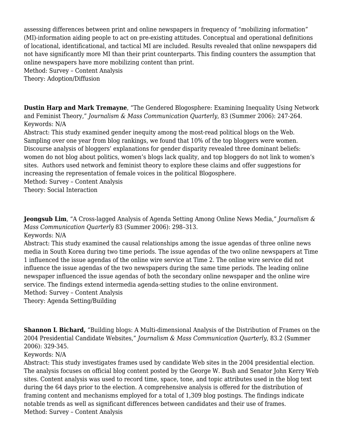assessing differences between print and online newspapers in frequency of "mobilizing information" (MI)-information aiding people to act on pre-existing attitudes. Conceptual and operational definitions of locational, identificational, and tactical MI are included. Results revealed that online newspapers did not have significantly more MI than their print counterparts. This finding counters the assumption that online newspapers have more mobilizing content than print.

Method: Survey – Content Analysis

Theory: Adoption/Diffusion

**Dustin Harp and Mark Tremayne**, "The Gendered Blogosphere: Examining Inequality Using Network and Feminist Theory," *Journalism & Mass Communication Quarterly*, 83 (Summer 2006): 247-264. Keywords: N/A

Abstract: This study examined gender inequity among the most-read political blogs on the Web. Sampling over one year from blog rankings, we found that 10% of the top bloggers were women. Discourse analysis of bloggers' explanations for gender disparity revealed three dominant beliefs: women do not blog about politics, women's blogs lack quality, and top bloggers do not link to women's sites. Authors used network and feminist theory to explore these claims and offer suggestions for increasing the representation of female voices in the political Blogosphere.

Method: Survey – Content Analysis

Theory: Social Interaction

**Jeongsub Lim**, "A Cross-lagged Analysis of Agenda Setting Among Online News Media," *Journalism & Mass Communication Quarterly* 83 (Summer 2006): 298–313.

Keywords: N/A

Abstract: This study examined the causal relationships among the issue agendas of three online news media in South Korea during two time periods. The issue agendas of the two online newspapers at Time 1 influenced the issue agendas of the online wire service at Time 2. The online wire service did not influence the issue agendas of the two newspapers during the same time periods. The leading online newspaper influenced the issue agendas of both the secondary online newspaper and the online wire service. The findings extend intermedia agenda-setting studies to the online environment. Method: Survey – Content Analysis

Theory: Agenda Setting/Building

**Shannon L Bichard,** "Building blogs: A Multi-dimensional Analysis of the Distribution of Frames on the 2004 Presidential Candidate Websites," *Journalism & Mass Communication Quarterly*, 83.2 (Summer 2006): 329-345.

### Keywords: N/A

Abstract: This study investigates frames used by candidate Web sites in the 2004 presidential election. The analysis focuses on official blog content posted by the George W. Bush and Senator John Kerry Web sites. Content analysis was used to record time, space, tone, and topic attributes used in the blog text during the 64 days prior to the election. A comprehensive analysis is offered for the distribution of framing content and mechanisms employed for a total of 1,309 blog postings. The findings indicate notable trends as well as significant differences between candidates and their use of frames. Method: Survey – Content Analysis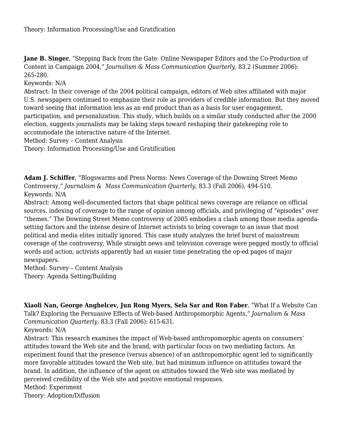**Jane B. Singer**, "Stepping Back from the Gate: Online Newspaper Editors and the Co-Production of Content in Campaign 2004," *Journalism & Mass Communication Quarterly*, 83.2 (Summer 2006): 265-280.

Keywords: N/A

Abstract: In their coverage of the 2004 political campaign, editors of Web sites affiliated with major U.S. newspapers continued to emphasize their role as providers of credible information. But they moved toward seeing that information less as an end product than as a basis for user engagement, participation, and personalization. This study, which builds on a similar study conducted after the 2000 election, suggests journalists may be taking steps toward reshaping their gatekeeping role to accommodate the interactive nature of the Internet.

Method: Survey – Content Analysis

Theory: Information Processing/Use and Gratification

**Adam J. Schiffer**, "Blogswarms and Press Norms: News Coverage of the Downing Street Memo Controversy," *Journalism & Mass Communication Quarterly*, 83.3 (Fall 2006), 494-510. Keywords: N/A

Abstract: Among well-documented factors that shape political news coverage are reliance on official sources, indexing of coverage to the range of opinion among officials, and privileging of "episodes" over "themes." The Downing Street Memo controversy of 2005 embodies a clash among those media agendasetting factors and the intense desire of Internet activists to bring coverage to an issue that most political and media elites initially ignored. This case study analyzes the brief burst of mainstream coverage of the controversy. While straight news and television coverage were pegged mostly to official words and action, activists apparently had an easier time penetrating the op-ed pages of major newspapers.

Method: Survey – Content Analysis Theory: Agenda Setting/Building

**Xiaoli Nan, George Anghelcev, Jun Rong Myers, Sela Sar and Ron Faber**, "What If a Website Can Talk? Exploring the Persuasive Effects of Web-based Anthropomorphic Agents," *Journalism* & *Mass Communication Quarterly*, 83.3 (Fall 2006): 615-631.

Keywords: N/A

Abstract: This research examines the impact of Web-based anthropomorphic agents on consumers' attitudes toward the Web site and the brand, with particular focus on two mediating factors. An experiment found that the presence (versus absence) of an anthropomorphic agent led to significantly more favorable attitudes toward the Web site, but had minimum influence on attitudes toward the brand. In addition, the influence of the agent on attitudes toward the Web site was mediated by perceived credibility of the Web site and positive emotional responses.

Method: Experiment

Theory: Adoption/Diffusion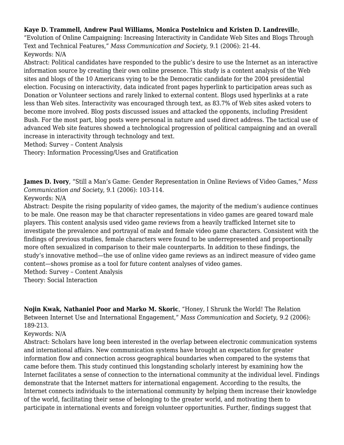# **Kaye D. Trammell, Andrew Paul Williams, Monica Postelnicu and Kristen D. Landrevill**e,

"Evolution of Online Campaigning: Increasing Interactivity in Candidate Web Sites and Blogs Through Text and Technical Features," *Mass Communication and Society*, 9.1 (2006): 21-44. Keywords: N/A

Abstract: Political candidates have responded to the public's desire to use the Internet as an interactive information source by creating their own online presence. This study is a content analysis of the Web sites and blogs of the 10 Americans vying to be the Democratic candidate for the 2004 presidential election. Focusing on interactivity, data indicated front pages hyperlink to participation areas such as Donation or Volunteer sections and rarely linked to external content. Blogs used hyperlinks at a rate less than Web sites. Interactivity was encouraged through text, as 83.7% of Web sites asked voters to become more involved. Blog posts discussed issues and attacked the opponents, including President Bush. For the most part, blog posts were personal in nature and used direct address. The tactical use of advanced Web site features showed a technological progression of political campaigning and an overall increase in interactivity through technology and text.

Method: Survey – Content Analysis

Theory: Information Processing/Uses and Gratification

**James D. Ivory**, "Still a Man's Game: Gender Representation in Online Reviews of Video Games," *Mass Communication and Society*, 9.1 (2006): 103-114.

Keywords: N/A

Abstract: Despite the rising popularity of video games, the majority of the medium's audience continues to be male. One reason may be that character representations in video games are geared toward male players. This content analysis used video game reviews from a heavily trafficked Internet site to investigate the prevalence and portrayal of male and female video game characters. Consistent with the findings of previous studies, female characters were found to be underrepresented and proportionally more often sexualized in comparison to their male counterparts. In addition to these findings, the study's innovative method—the use of online video game reviews as an indirect measure of video game content—shows promise as a tool for future content analyses of video games. Method: Survey – Content Analysis

Theory: Social Interaction

**Nojin Kwak, Nathaniel Poor and Marko M. Skoric**, "Honey, I Shrunk the World! The Relation Between Internet Use and International Engagement," *Mass Communication* and *Society*, 9.2 (2006): 189-213.

Keywords: N/A

Abstract: Scholars have long been interested in the overlap between electronic communication systems and international affairs. New communication systems have brought an expectation for greater information flow and connection across geographical boundaries when compared to the systems that came before them. This study continued this longstanding scholarly interest by examining how the Internet facilitates a sense of connection to the international community at the individual level. Findings demonstrate that the Internet matters for international engagement. According to the results, the Internet connects individuals to the international community by helping them increase their knowledge of the world, facilitating their sense of belonging to the greater world, and motivating them to participate in international events and foreign volunteer opportunities. Further, findings suggest that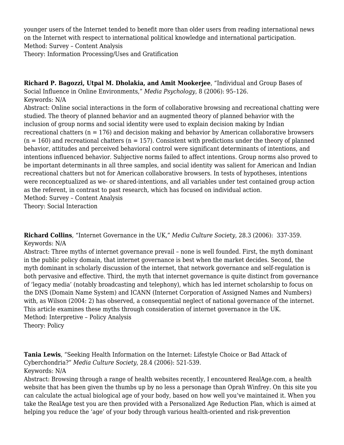younger users of the Internet tended to benefit more than older users from reading international news on the Internet with respect to international political knowledge and international participation. Method: Survey – Content Analysis

Theory: Information Processing/Uses and Gratification

**Richard P. Bagozzi, Utpal M. Dholakia, and Amit Mookerjee**, "Individual and Group Bases of Social Influence in Online Environments," *Media Psychology*, 8 (2006): 95–126. Keywords: N/A

Abstract: Online social interactions in the form of collaborative browsing and recreational chatting were studied. The theory of planned behavior and an augmented theory of planned behavior with the inclusion of group norms and social identity were used to explain decision making by Indian recreational chatters ( $n = 176$ ) and decision making and behavior by American collaborative browsers  $(n = 160)$  and recreational chatters  $(n = 157)$ . Consistent with predictions under the theory of planned behavior, attitudes and perceived behavioral control were significant determinants of intentions, and intentions influenced behavior. Subjective norms failed to affect intentions. Group norms also proved to be important determinants in all three samples, and social identity was salient for American and Indian recreational chatters but not for American collaborative browsers. In tests of hypotheses, intentions were reconceptualized as we- or shared-intentions, and all variables under test contained group action as the referent, in contrast to past research, which has focused on individual action. Method: Survey – Content Analysis

Theory: Social Interaction

**Richard Collins**, "Internet Governance in the UK," *Media Culture Society*, 28.3 (2006): 337-359. Keywords: N/A

Abstract: Three myths of internet governance prevail – none is well founded. First, the myth dominant in the public policy domain, that internet governance is best when the market decides. Second, the myth dominant in scholarly discussion of the internet, that network governance and self-regulation is both pervasive and effective. Third, the myth that internet governance is quite distinct from governance of 'legacy media' (notably broadcasting and telephony), which has led internet scholarship to focus on the DNS (Domain Name System) and ICANN (Internet Corporation of Assigned Names and Numbers) with, as Wilson (2004: 2) has observed, a consequential neglect of national governance of the internet. This article examines these myths through consideration of internet governance in the UK. Method: Interpretive – Policy Analysis Theory: Policy

**Tania Lewis**, "Seeking Health Information on the Internet: Lifestyle Choice or Bad Attack of Cyberchondria?" *Media Culture Society*, 28.4 (2006): 521-539. Keywords: N/A

Abstract: Browsing through a range of health websites recently, I encountered RealAge.com, a health website that has been given the thumbs up by no less a personage than Oprah Winfrey. On this site you can calculate the actual biological age of your body, based on how well you've maintained it. When you take the RealAge test you are then provided with a Personalized Age Reduction Plan, which is aimed at helping you reduce the 'age' of your body through various health-oriented and risk-prevention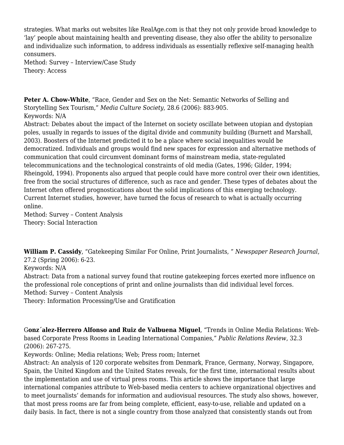strategies. What marks out websites like RealAge.com is that they not only provide broad knowledge to 'lay' people about maintaining health and preventing disease, they also offer the ability to personalize and individualize such information, to address individuals as essentially reflexive self-managing health consumers.

Method: Survey – Interview/Case Study Theory: Access

**Peter A. Chow-White**, "Race, Gender and Sex on the Net: Semantic Networks of Selling and Storytelling Sex Tourism," *Media Culture Society*, 28.6 (2006): 883-905. Keywords: N/A

Abstract: Debates about the impact of the Internet on society oscillate between utopian and dystopian poles, usually in regards to issues of the digital divide and community building (Burnett and Marshall, 2003). Boosters of the Internet predicted it to be a place where social inequalities would be democratized. Individuals and groups would find new spaces for expression and alternative methods of communication that could circumvent dominant forms of mainstream media, state-regulated telecommunications and the technological constraints of old media (Gates, 1996; Gilder, 1994; Rheingold, 1994). Proponents also argued that people could have more control over their own identities, free from the social structures of difference, such as race and gender. These types of debates about the Internet often offered prognostications about the solid implications of this emerging technology. Current Internet studies, however, have turned the focus of research to what is actually occurring online.

Method: Survey – Content Analysis Theory: Social Interaction

**William P. Cassidy**, "Gatekeeping Similar For Online, Print Journalists, " *Newspaper Research Journal*, 27.2 (Spring 2006): 6-23.

Keywords: N/A

Abstract: Data from a national survey found that routine gatekeeping forces exerted more influence on the professional role conceptions of print and online journalists than did individual level forces. Method: Survey – Content Analysis

Theory: Information Processing/Use and Gratification

G**onz´alez-Herrero Alfonso and Ruiz de Valbuena Miguel**, "Trends in Online Media Relations: Webbased Corporate Press Rooms in Leading International Companies," *Public Relations Review*, 32.3 (2006): 267-275.

Keywords: Online; Media relations; Web; Press room; Internet

Abstract: An analysis of 120 corporate websites from Denmark, France, Germany, Norway, Singapore, Spain, the United Kingdom and the United States reveals, for the first time, international results about the implementation and use of virtual press rooms. This article shows the importance that large international companies attribute to Web-based media centers to achieve organizational objectives and to meet journalists' demands for information and audiovisual resources. The study also shows, however, that most press rooms are far from being complete, efficient, easy-to-use, reliable and updated on a daily basis. In fact, there is not a single country from those analyzed that consistently stands out from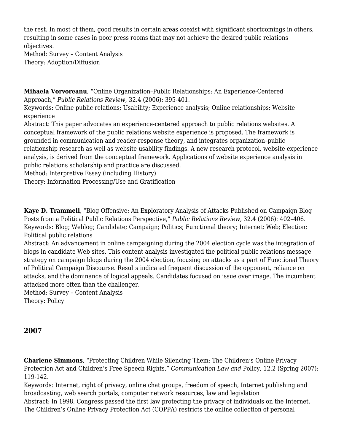the rest. In most of them, good results in certain areas coexist with significant shortcomings in others, resulting in some cases in poor press rooms that may not achieve the desired public relations objectives.

Method: Survey – Content Analysis Theory: Adoption/Diffusion

**Mihaela Vorvoreanu**, "Online Organization–Public Relationships: An Experience-Centered Approach," *Public Relations Review*, 32.4 (2006): 395-401.

Keywords: Online public relations; Usability; Experience analysis; Online relationships; Website experience

Abstract: This paper advocates an experience-centered approach to public relations websites. A conceptual framework of the public relations website experience is proposed. The framework is grounded in communication and reader-response theory, and integrates organization–public relationship research as well as website usability findings. A new research protocol, website experience analysis, is derived from the conceptual framework. Applications of website experience analysis in public relations scholarship and practice are discussed.

Method: Interpretive Essay (including History)

Theory: Information Processing/Use and Gratification

**Kaye D. Trammell**, "Blog Offensive: An Exploratory Analysis of Attacks Published on Campaign Blog Posts from a Political Public Relations Perspective," *Public Relations Review*, 32.4 (2006): 402–406. Keywords: Blog; Weblog; Candidate; Campaign; Politics; Functional theory; Internet; Web; Election; Political public relations

Abstract: An advancement in online campaigning during the 2004 election cycle was the integration of blogs in candidate Web sites. This content analysis investigated the political public relations message strategy on campaign blogs during the 2004 election, focusing on attacks as a part of Functional Theory of Political Campaign Discourse. Results indicated frequent discussion of the opponent, reliance on attacks, and the dominance of logical appeals. Candidates focused on issue over image. The incumbent attacked more often than the challenger.

Method: Survey – Content Analysis Theory: Policy

# **2007**

**Charlene Simmons**, "Protecting Children While Silencing Them: The Children's Online Privacy Protection Act and Children's Free Speech Rights," *Communication Law and* Policy, 12.2 (Spring 2007): 119-142.

Keywords: Internet, right of privacy, online chat groups, freedom of speech, Internet publishing and broadcasting, web search portals, computer network resources, law and legislation

Abstract: In 1998, Congress passed the first law protecting the privacy of individuals on the Internet. The Children's Online Privacy Protection Act (COPPA) restricts the online collection of personal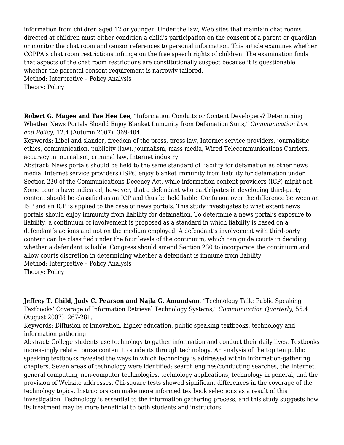information from children aged 12 or younger. Under the law, Web sites that maintain chat rooms directed at children must either condition a child's participation on the consent of a parent or guardian or monitor the chat room and censor references to personal information. This article examines whether COPPA's chat room restrictions infringe on the free speech rights of children. The examination finds that aspects of the chat room restrictions are constitutionally suspect because it is questionable whether the parental consent requirement is narrowly tailored.

Method: Interpretive – Policy Analysis Theory: Policy

**Robert G. Magee and Tae Hee Lee**, "Information Conduits or Content Developers? Determining Whether News Portals Should Enjoy Blanket Immunity from Defamation Suits," *Communication Law and Policy*, 12.4 (Autumn 2007): 369-404.

Keywords: Libel and slander, freedom of the press, press law, Internet service providers, journalistic ethics, communication, publicity (law), journalism, mass media, Wired Telecommunications Carriers, accuracy in journalism, criminal law, Internet industry

Abstract: News portals should be held to the same standard of liability for defamation as other news media. Internet service providers (ISPs) enjoy blanket immunity from liability for defamation under Section 230 of the Communications Decency Act, while information content providers (ICP) might not. Some courts have indicated, however, that a defendant who participates in developing third-party content should be classified as an ICP and thus be held liable. Confusion over the difference between an ISP and an ICP is applied to the case of news portals. This study investigates to what extent news portals should enjoy immunity from liability for defamation. To determine a news portal's exposure to liability, a continuum of involvement is proposed as a standard in which liability is based on a defendant's actions and not on the medium employed. A defendant's involvement with third-party content can be classified under the four levels of the continuum, which can guide courts in deciding whether a defendant is liable. Congress should amend Section 230 to incorporate the continuum and allow courts discretion in determining whether a defendant is immune from liability. Method: Interpretive – Policy Analysis Theory: Policy

**Jeffrey T. Child, Judy C. Pearson and Najla G. Amundson**, "Technology Talk: Public Speaking Textbooks' Coverage of Information Retrieval Technology Systems," *Communication Quarterly*, 55.4 (August 2007): 267-281.

Keywords: Diffusion of Innovation, higher education, public speaking textbooks, technology and information gathering

Abstract: College students use technology to gather information and conduct their daily lives. Textbooks increasingly relate course content to students through technology. An analysis of the top ten public speaking textbooks revealed the ways in which technology is addressed within information-gathering chapters. Seven areas of technology were identified: search engines/conducting searches, the Internet, general computing, non-computer technologies, technology applications, technology in general, and the provision of Website addresses. Chi-square tests showed significant differences in the coverage of the technology topics. Instructors can make more informed textbook selections as a result of this investigation. Technology is essential to the information gathering process, and this study suggests how its treatment may be more beneficial to both students and instructors.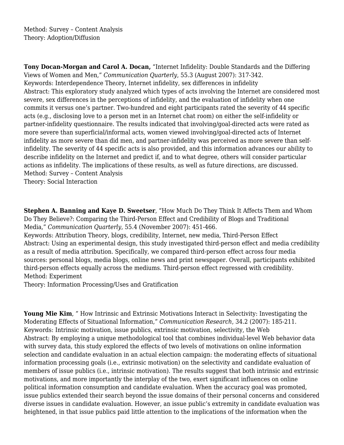Method: Survey – Content Analysis Theory: Adoption/Diffusion

**Tony Docan-Morgan and Carol A. Docan,** "Internet Infidelity: Double Standards and the Differing Views of Women and Men," *Communication Quarterly*, 55.3 (August 2007): 317-342. Keywords: Interdependence Theory, Internet infidelity, sex differences in infidelity Abstract: This exploratory study analyzed which types of acts involving the Internet are considered most severe, sex differences in the perceptions of infidelity, and the evaluation of infidelity when one commits it versus one's partner. Two-hundred and eight participants rated the severity of 44 specific acts (e.g., disclosing love to a person met in an Internet chat room) on either the self-infidelity or partner-infidelity questionnaire. The results indicated that involving/goal-directed acts were rated as more severe than superficial/informal acts, women viewed involving/goal-directed acts of Internet infidelity as more severe than did men, and partner-infidelity was perceived as more severe than selfinfidelity. The severity of 44 specific acts is also provided, and this information advances our ability to describe infidelity on the Internet and predict if, and to what degree, others will consider particular actions as infidelity. The implications of these results, as well as future directions, are discussed. Method: Survey – Content Analysis Theory: Social Interaction

**Stephen A. Banning and Kaye D. Sweetser**, "How Much Do They Think It Affects Them and Whom Do They Believe?: Comparing the Third-Person Effect and Credibility of Blogs and Traditional Media," *Communication Quarterly*, 55.4 (November 2007): 451-466.

Keywords: Attribution Theory, blogs, credibility, Internet, new media, Third-Person Effect Abstract: Using an experimental design, this study investigated third-person effect and media credibility as a result of media attribution. Specifically, we compared third-person effect across four media sources: personal blogs, media blogs, online news and print newspaper. Overall, participants exhibited third-person effects equally across the mediums. Third-person effect regressed with credibility. Method: Experiment

Theory: Information Processing/Uses and Gratification

**Young Mie Kim**, " How Intrinsic and Extrinsic Motivations Interact in Selectivity: Investigating the Moderating Effects of Situational Information," *Communication Research*, 34.2 (2007): 185-211. Keywords: Intrinsic motivation, issue publics, extrinsic motivation, selectivity, the Web Abstract: By employing a unique methodological tool that combines individual-level Web behavior data with survey data, this study explored the effects of two levels of motivations on online information selection and candidate evaluation in an actual election campaign: the moderating effects of situational information processing goals (i.e., extrinsic motivation) on the selectivity and candidate evaluation of members of issue publics (i.e., intrinsic motivation). The results suggest that both intrinsic and extrinsic motivations, and more importantly the interplay of the two, exert significant influences on online political information consumption and candidate evaluation. When the accuracy goal was promoted, issue publics extended their search beyond the issue domains of their personal concerns and considered diverse issues in candidate evaluation. However, an issue public's extremity in candidate evaluation was heightened, in that issue publics paid little attention to the implications of the information when the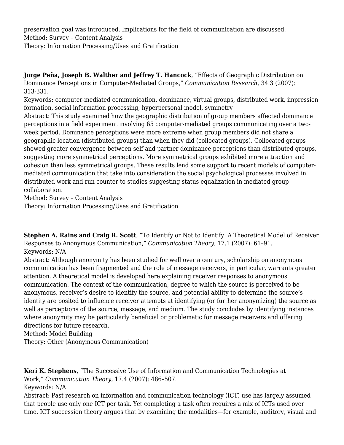preservation goal was introduced. Implications for the field of communication are discussed. Method: Survey – Content Analysis

Theory: Information Processing/Uses and Gratification

**Jorge Peña, Joseph B. Walther and Jeffrey T. Hancock**, "Effects of Geographic Distribution on Dominance Perceptions in Computer-Mediated Groups," *Communication Research*, 34.3 (2007): 313-331.

Keywords: computer-mediated communication, dominance, virtual groups, distributed work, impression formation, social information processing, hyperpersonal model, symmetry

Abstract: This study examined how the geographic distribution of group members affected dominance perceptions in a field experiment involving 65 computer-mediated groups communicating over a twoweek period. Dominance perceptions were more extreme when group members did not share a geographic location (distributed groups) than when they did (collocated groups). Collocated groups showed greater convergence between self and partner dominance perceptions than distributed groups, suggesting more symmetrical perceptions. More symmetrical groups exhibited more attraction and cohesion than less symmetrical groups. These results lend some support to recent models of computermediated communication that take into consideration the social psychological processes involved in distributed work and run counter to studies suggesting status equalization in mediated group collaboration.

Method: Survey – Content Analysis

Theory: Information Processing/Uses and Gratification

**Stephen A. Rains and Craig R. Scott**, "To Identify or Not to Identify: A Theoretical Model of Receiver Responses to Anonymous Communication," *Communication Theory*, 17.1 (2007): 61–91. Keywords: N/A

Abstract: Although anonymity has been studied for well over a century, scholarship on anonymous communication has been fragmented and the role of message receivers, in particular, warrants greater attention. A theoretical model is developed here explaining receiver responses to anonymous communication. The context of the communication, degree to which the source is perceived to be anonymous, receiver's desire to identify the source, and potential ability to determine the source's identity are posited to influence receiver attempts at identifying (or further anonymizing) the source as well as perceptions of the source, message, and medium. The study concludes by identifying instances where anonymity may be particularly beneficial or problematic for message receivers and offering directions for future research.

Method: Model Building

Theory: Other (Anonymous Communication)

**Keri K. Stephens**, "The Successive Use of Information and Communication Technologies at Work," *Communication Theory*, 17.4 (2007): 486–507.

Keywords: N/A

Abstract: Past research on information and communication technology (ICT) use has largely assumed that people use only one ICT per task. Yet completing a task often requires a mix of ICTs used over time. ICT succession theory argues that by examining the modalities—for example, auditory, visual and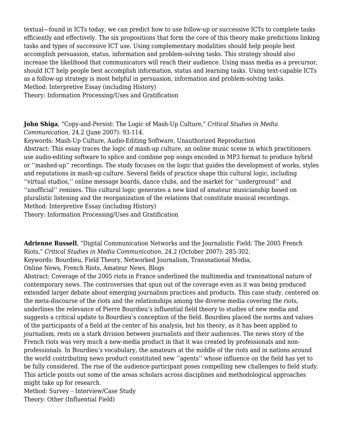textual—found in ICTs today, we can predict how to use follow-up or successive ICTs to complete tasks efficiently and effectively. The six propositions that form the core of this theory make predictions linking tasks and types of successive ICT use. Using complementary modalities should help people best accomplish persuasion, status, information and problem-solving tasks. This strategy should also increase the likelihood that communicators will reach their audience. Using mass media as a precursor, should ICT help people best accomplish information, status and learning tasks. Using text-capable ICTs as a follow-up strategy is most helpful in persuasion, information and problem-solving tasks. Method: Interpretive Essay (including History)

Theory: Information Processing/Uses and Gratification

**John Shiga**, "Copy-and-Persist: The Logic of Mash-Up Culture," *Critical Studies in Media Communication*, 24.2 (June 2007): 93-114.

Keywords: Mash-Up Culture, Audio-Editing Software, Unauthorized Reproduction Abstract: This essay traces the logic of mash-up culture, an online music scene in which practitioners use audio-editing software to splice and combine pop songs encoded in MP3 format to produce hybrid or ''mashed-up'' recordings. The study focuses on the logic that guides the development of works, styles and reputations in mash-up culture. Several fields of practice shape this cultural logic, including ''virtual studios,'' online message boards, dance clubs, and the market for ''underground'' and ''unofficial'' remixes. This cultural logic generates a new kind of amateur musicianship based on pluralistic listening and the reorganization of the relations that constitute musical recordings. Method: Interpretive Essay (including History)

Theory: Information Processing/Uses and Gratification

**Adrienne Russell**, "Digital Communication Networks and the Journalistic Field: The 2005 French Riots," *Critical Studies in Media Communication*, 24.2 (October 2007): 285-302. Keywords: Bourdieu, Field Theory, Networked Journalism, Transnational Media, Online News, French Riots, Amateur News, Blogs

Abstract: Coverage of the 2005 riots in France underlined the multimedia and transnational nature of contemporary news. The controversies that spun out of the coverage even as it was being produced extended larger debate about emerging journalism practices and products. This case study, centered on the meta-discourse of the riots and the relationships among the diverse media covering the riots, underlines the relevance of Pierre Bourdieu's influential field theory to studies of new media and suggests a critical update to Bourdieu's conception of the field. Bourdieu placed the norms and values of the participants of a field at the center of his analysis, but his theory, as it has been applied to journalism, rests on a stark division between journalists and their audiences. The news story of the French riots was very much a new-media product in that it was created by professionals and nonprofessionals. In Bourdieu's vocabulary, the amateurs at the middle of the riots and in nations around the world contributing news product constituted new ''agents'' whose influence on the field has yet to be fully considered. The rise of the audience-participant poses compelling new challenges to field study. This article points out some of the areas scholars across disciplines and methodological approaches might take up for research.

Method: Survey – Interview/Case Study Theory: Other (Influential Field)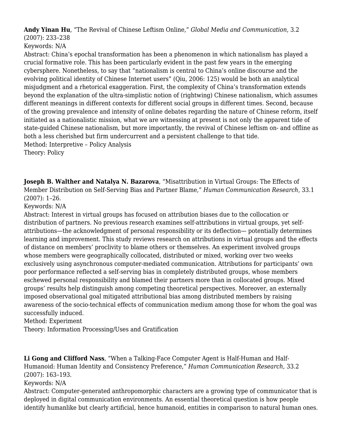# **Andy Yinan Hu**, "The Revival of Chinese Leftism Online," *Global Media and Communication*, 3.2 (2007): 233–238

Keywords: N/A

Abstract: China's epochal transformation has been a phenomenon in which nationalism has played a crucial formative role. This has been particularly evident in the past few years in the emerging cybersphere. Nonetheless, to say that "nationalism is central to China's online discourse and the evolving political identity of Chinese Internet users" (Qiu, 2006: 125) would be both an analytical misjudgment and a rhetorical exaggeration. First, the complexity of China's transformation extends beyond the explanation of the ultra-simplistic notion of (rightwing) Chinese nationalism, which assumes different meanings in different contexts for different social groups in different times. Second, because of the growing prevalence and intensity of online debates regarding the nature of Chinese reform, itself initiated as a nationalistic mission, what we are witnessing at present is not only the apparent tide of state-guided Chinese nationalism, but more importantly, the revival of Chinese leftism on- and offline as both a less cherished but firm undercurrent and a persistent challenge to that tide. Method: Interpretive – Policy Analysis

Theory: Policy

**Joseph B. Walther and Natalya N. Bazarova**, "Misattribution in Virtual Groups: The Effects of Member Distribution on Self-Serving Bias and Partner Blame," *Human Communication Research*, 33.1 (2007): 1–26.

Keywords: N/A

Abstract: Interest in virtual groups has focused on attribution biases due to the collocation or distribution of partners. No previous research examines self-attributions in virtual groups, yet selfattributions—the acknowledgment of personal responsibility or its deflection— potentially determines learning and improvement. This study reviews research on attributions in virtual groups and the effects of distance on members' proclivity to blame others or themselves. An experiment involved groups whose members were geographically collocated, distributed or mixed, working over two weeks exclusively using asynchronous computer-mediated communication. Attributions for participants' own poor performance reflected a self-serving bias in completely distributed groups, whose members eschewed personal responsibility and blamed their partners more than in collocated groups. Mixed groups' results help distinguish among competing theoretical perspectives. Moreover, an externally imposed observational goal mitigated attributional bias among distributed members by raising awareness of the socio-technical effects of communication medium among those for whom the goal was successfully induced.

Method: Experiment

Theory: Information Processing/Uses and Gratification

**Li Gong and Clifford Nass**, "When a Talking-Face Computer Agent is Half-Human and Half-Humanoid: Human Identity and Consistency Preference," *Human Communication Research*, 33.2 (2007): 163–193.

Keywords: N/A

Abstract: Computer-generated anthropomorphic characters are a growing type of communicator that is deployed in digital communication environments. An essential theoretical question is how people identify humanlike but clearly artificial, hence humanoid, entities in comparison to natural human ones.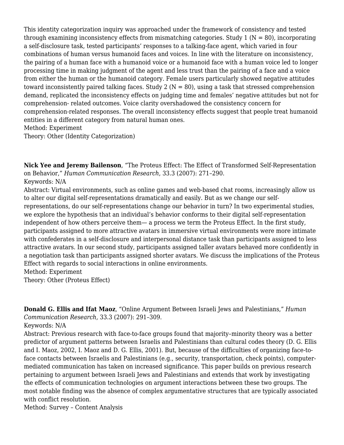This identity categorization inquiry was approached under the framework of consistency and tested through examining inconsistency effects from mismatching categories. Study 1 ( $N = 80$ ), incorporating a self-disclosure task, tested participants' responses to a talking-face agent, which varied in four combinations of human versus humanoid faces and voices. In line with the literature on inconsistency, the pairing of a human face with a humanoid voice or a humanoid face with a human voice led to longer processing time in making judgment of the agent and less trust than the pairing of a face and a voice from either the human or the humanoid category. Female users particularly showed negative attitudes toward inconsistently paired talking faces. Study 2 ( $N = 80$ ), using a task that stressed comprehension demand, replicated the inconsistency effects on judging time and females' negative attitudes but not for comprehension- related outcomes. Voice clarity overshadowed the consistency concern for comprehension-related responses. The overall inconsistency effects suggest that people treat humanoid entities in a different category from natural human ones. Method: Experiment

Theory: Other (Identity Categorization)

**Nick Yee and Jeremy Bailenson**, "The Proteus Effect: The Effect of Transformed Self-Representation on Behavior," *Human Communication Research*, 33.3 (2007): 271–290. Keywords: N/A

Abstract: Virtual environments, such as online games and web-based chat rooms, increasingly allow us to alter our digital self-representations dramatically and easily. But as we change our selfrepresentations, do our self-representations change our behavior in turn? In two experimental studies, we explore the hypothesis that an individual's behavior conforms to their digital self-representation independent of how others perceive them— a process we term the Proteus Effect. In the first study, participants assigned to more attractive avatars in immersive virtual environments were more intimate with confederates in a self-disclosure and interpersonal distance task than participants assigned to less attractive avatars. In our second study, participants assigned taller avatars behaved more confidently in a negotiation task than participants assigned shorter avatars. We discuss the implications of the Proteus Effect with regards to social interactions in online environments. Method: Experiment

Theory: Other (Proteus Effect)

**Donald G. Ellis and Ifat Maoz**, "Online Argument Between Israeli Jews and Palestinians," *Human Communication Research*, 33.3 (2007): 291–309.

Keywords: N/A

Abstract: Previous research with face-to-face groups found that majority–minority theory was a better predictor of argument patterns between Israelis and Palestinians than cultural codes theory (D. G. Ellis and I. Maoz, 2002, I. Maoz and D. G. Ellis, 2001). But, because of the difficulties of organizing face-toface contacts between Israelis and Palestinians (e.g., security, transportation, check points), computermediated communication has taken on increased significance. This paper builds on previous research pertaining to argument between Israeli Jews and Palestinians and extends that work by investigating the effects of communication technologies on argument interactions between these two groups. The most notable finding was the absence of complex argumentative structures that are typically associated with conflict resolution.

Method: Survey – Content Analysis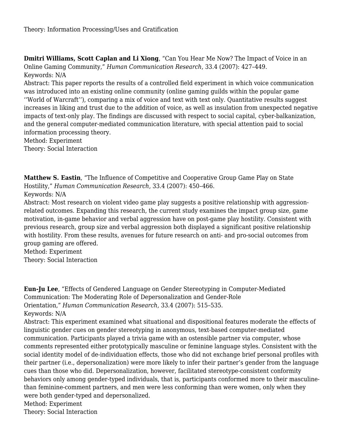**Dmitri Williams, Scott Caplan and Li Xiong**, "Can You Hear Me Now? The Impact of Voice in an Online Gaming Community," *Human Communication Research*, 33.4 (2007): 427–449. Keywords: N/A

Abstract: This paper reports the results of a controlled field experiment in which voice communication was introduced into an existing online community (online gaming guilds within the popular game ''World of Warcraft''), comparing a mix of voice and text with text only. Quantitative results suggest increases in liking and trust due to the addition of voice, as well as insulation from unexpected negative impacts of text-only play. The findings are discussed with respect to social capital, cyber-balkanization, and the general computer-mediated communication literature, with special attention paid to social information processing theory.

Method: Experiment Theory: Social Interaction

**Matthew S. Eastin**, "The Influence of Competitive and Cooperative Group Game Play on State Hostility," *Human Communication Research*, 33.4 (2007): 450–466. Keywords: N/A

Abstract: Most research on violent video game play suggests a positive relationship with aggressionrelated outcomes. Expanding this research, the current study examines the impact group size, game motivation, in-game behavior and verbal aggression have on post-game play hostility. Consistent with previous research, group size and verbal aggression both displayed a significant positive relationship with hostility. From these results, avenues for future research on anti- and pro-social outcomes from group gaming are offered.

Method: Experiment Theory: Social Interaction

**Eun-Ju Lee**, "Effects of Gendered Language on Gender Stereotyping in Computer-Mediated Communication: The Moderating Role of Depersonalization and Gender-Role Orientation," *Human Communication Research*, 33.4 (2007): 515–535. Keywords: N/A

Abstract: This experiment examined what situational and dispositional features moderate the effects of linguistic gender cues on gender stereotyping in anonymous, text-based computer-mediated communication. Participants played a trivia game with an ostensible partner via computer, whose comments represented either prototypically masculine or feminine language styles. Consistent with the social identity model of de-individuation effects, those who did not exchange brief personal profiles with their partner (i.e., depersonalization) were more likely to infer their partner's gender from the language cues than those who did. Depersonalization, however, facilitated stereotype-consistent conformity behaviors only among gender-typed individuals, that is, participants conformed more to their masculinethan feminine-comment partners, and men were less conforming than were women, only when they were both gender-typed and depersonalized. Method: Experiment

Theory: Social Interaction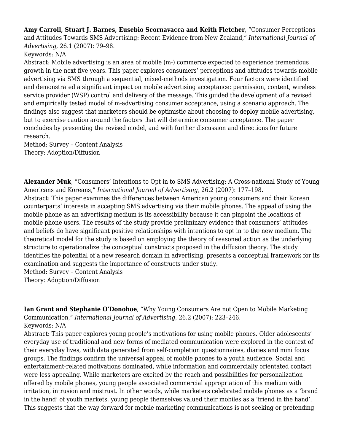**Amy Carroll, Stuart J. Barnes, Eusebio Scornavacca and Keith Fletcher**, "Consumer Perceptions and Attitudes Towards SMS Advertising: Recent Evidence from New Zealand," *International Journal of Advertising*, 26.1 (2007): 79–98.

Keywords: N/A

Abstract: Mobile advertising is an area of mobile (m-) commerce expected to experience tremendous growth in the next five years. This paper explores consumers' perceptions and attitudes towards mobile advertising via SMS through a sequential, mixed-methods investigation. Four factors were identified and demonstrated a significant impact on mobile advertising acceptance: permission, content, wireless service provider (WSP) control and delivery of the message. This guided the development of a revised and empirically tested model of m-advertising consumer acceptance, using a scenario approach. The findings also suggest that marketers should be optimistic about choosing to deploy mobile advertising, but to exercise caution around the factors that will determine consumer acceptance. The paper concludes by presenting the revised model, and with further discussion and directions for future research.

Method: Survey – Content Analysis Theory: Adoption/Diffusion

**Alexander Muk**, "Consumers' Intentions to Opt in to SMS Advertising: A Cross-national Study of Young Americans and Koreans," *International Journal of Advertising,* 26.2 (2007): 177–198. Abstract: This paper examines the differences between American young consumers and their Korean counterparts' interests in accepting SMS advertising via their mobile phones. The appeal of using the mobile phone as an advertising medium is its accessibility because it can pinpoint the locations of mobile phone users. The results of the study provide preliminary evidence that consumers' attitudes and beliefs do have significant positive relationships with intentions to opt in to the new medium. The theoretical model for the study is based on employing the theory of reasoned action as the underlying structure to operationalize the conceptual constructs proposed in the diffusion theory. The study identifies the potential of a new research domain in advertising, presents a conceptual framework for its examination and suggests the importance of constructs under study. Method: Survey – Content Analysis Theory: Adoption/Diffusion

**Ian Grant and Stephanie O'Donohoe**, "Why Young Consumers Are not Open to Mobile Marketing Communication," *International Journal of Advertising*, 26.2 (2007): 223–246. Keywords: N/A

Abstract: This paper explores young people's motivations for using mobile phones. Older adolescents' everyday use of traditional and new forms of mediated communication were explored in the context of their everyday lives, with data generated from self-completion questionnaires, diaries and mini focus groups. The findings confirm the universal appeal of mobile phones to a youth audience. Social and entertainment-related motivations dominated, while information and commercially orientated contact were less appealing. While marketers are excited by the reach and possibilities for personalization offered by mobile phones, young people associated commercial appropriation of this medium with irritation, intrusion and mistrust. In other words, while marketers celebrated mobile phones as a 'brand in the hand' of youth markets, young people themselves valued their mobiles as a 'friend in the hand'. This suggests that the way forward for mobile marketing communications is not seeking or pretending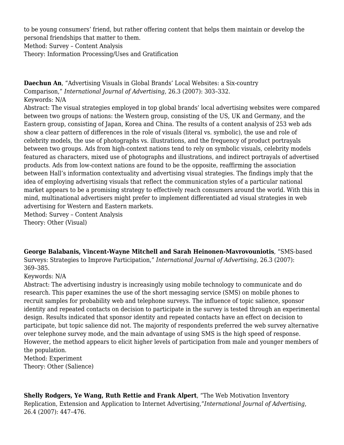to be young consumers' friend, but rather offering content that helps them maintain or develop the personal friendships that matter to them. Method: Survey – Content Analysis Theory: Information Processing/Uses and Gratification

**Daechun An**, "Advertising Visuals in Global Brands' Local Websites: a Six-country Comparison," *International Journal of Advertising,* 26.3 (2007): 303–332.

Keywords: N/A

Abstract: The visual strategies employed in top global brands' local advertising websites were compared between two groups of nations: the Western group, consisting of the US, UK and Germany, and the Eastern group, consisting of Japan, Korea and China. The results of a content analysis of 253 web ads show a clear pattern of differences in the role of visuals (literal vs. symbolic), the use and role of celebrity models, the use of photographs vs. illustrations, and the frequency of product portrayals between two groups. Ads from high-context nations tend to rely on symbolic visuals, celebrity models featured as characters, mixed use of photographs and illustrations, and indirect portrayals of advertised products. Ads from low-context nations are found to be the opposite, reaffirming the association between Hall's information contextuality and advertising visual strategies. The findings imply that the idea of employing advertising visuals that reflect the communication styles of a particular national market appears to be a promising strategy to effectively reach consumers around the world. With this in mind, multinational advertisers might prefer to implement differentiated ad visual strategies in web advertising for Western and Eastern markets.

Method: Survey – Content Analysis Theory: Other (Visual)

**George Balabanis, Vincent-Wayne Mitchell and Sarah Heinonen-Mavrovouniotis**, "SMS-based Surveys: Strategies to Improve Participation," *International Journal of Advertising,* 26.3 (2007): 369–385.

### Keywords: N/A

Abstract: The advertising industry is increasingly using mobile technology to communicate and do research. This paper examines the use of the short messaging service (SMS) on mobile phones to recruit samples for probability web and telephone surveys. The influence of topic salience, sponsor identity and repeated contacts on decision to participate in the survey is tested through an experimental design. Results indicated that sponsor identity and repeated contacts have an effect on decision to participate, but topic salience did not. The majority of respondents preferred the web survey alternative over telephone survey mode, and the main advantage of using SMS is the high speed of response. However, the method appears to elicit higher levels of participation from male and younger members of the population.

Method: Experiment Theory: Other (Salience)

**Shelly Rodgers, Ye Wang, Ruth Rettie and Frank Alpert**, "The Web Motivation Inventory Replication, Extension and Application to Internet Advertising,"*International Journal of Advertising*, 26.4 (2007): 447–476.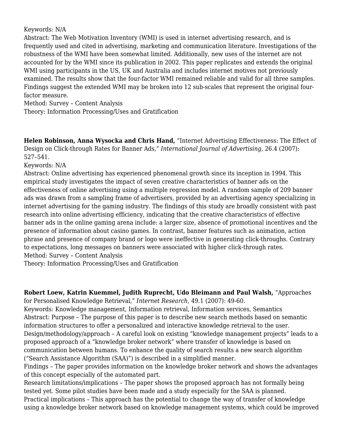### Keywords: N/A

Abstract: The Web Motivation Inventory (WMI) is used in internet advertising research, and is frequently used and cited in advertising, marketing and communication literature. Investigations of the robustness of the WMI have been somewhat limited. Additionally, new uses of the internet are not accounted for by the WMI since its publication in 2002. This paper replicates and extends the original WMI using participants in the US, UK and Australia and includes internet motives not previously examined. The results show that the four-factor WMI remained reliable and valid for all three samples. Findings suggest the extended WMI may be broken into 12 sub-scales that represent the original fourfactor measure.

Method: Survey – Content Analysis

Theory: Information Processing/Uses and Gratification

**Helen Robinson, Anna Wysocka and Chris Hand,** "Internet Advertising Effectiveness: The Effect of Design on Click-through Rates for Banner Ads," *International Journal of Advertising*, 26.4 (2007): 527–541.

### Keywords: N/A

Abstract: Online advertising has experienced phenomenal growth since its inception in 1994. This empirical study investigates the impact of seven creative characteristics of banner ads on the effectiveness of online advertising using a multiple regression model. A random sample of 209 banner ads was drawn from a sampling frame of advertisers, provided by an advertising agency specializing in internet advertising for the gaming industry. The findings of this study are broadly consistent with past research into online advertising efficiency, indicating that the creative characteristics of effective banner ads in the online gaming arena include: a larger size, absence of promotional incentives and the presence of information about casino games. In contrast, banner features such as animation, action phrase and presence of company brand or logo were ineffective in generating click-throughs. Contrary to expectations, long messages on banners were associated with higher click-through rates. Method: Survey – Content Analysis

Theory: Information Processing/Uses and Gratification

**Robert Loew, Katrin Kuemmel, Judith Ruprecht, Udo Bleimann and Paul Walsh,** "Approaches for Personalised Knowledge Retrieval," *Internet Research*, 49.1 (2007): 49-60.

Keywords: Knowledge management, Information retrieval, Information services, Semantics Abstract: Purpose – The purpose of this paper is to describe new search methods based on semantic information structures to offer a personalized and interactive knowledge retrieval to the user. Design/methodology/approach – A careful look on existing "knowledge management projects" leads to a proposed approach of a "knowledge broker network" where transfer of knowledge is based on communication between humans. To enhance the quality of search results a new search algorithm ("Search Assistance Algorithm (SAA)") is described in a simplified manner.

Findings – The paper provides information on the knowledge broker network and shows the advantages of this concept especially of the automated part.

Research limitations/implications – The paper shows the proposed approach has not formally being tested yet. Some pilot studies have been made and a study especially for the SAA is planned. Practical implications – This approach has the potential to change the way of transfer of knowledge using a knowledge broker network based on knowledge management systems, which could be improved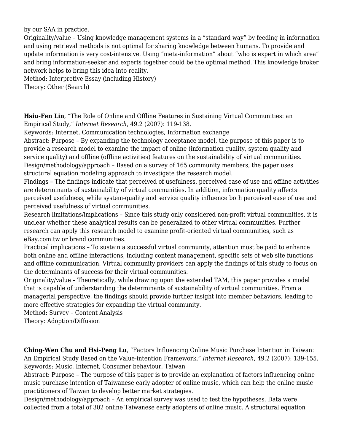by our SAA in practice.

Originality/value – Using knowledge management systems in a "standard way" by feeding in information and using retrieval methods is not optimal for sharing knowledge between humans. To provide and update information is very cost-intensive. Using "meta-information" about "who is expert in which area" and bring information-seeker and experts together could be the optimal method. This knowledge broker network helps to bring this idea into reality.

Method: Interpretive Essay (including History)

Theory: Other (Search)

**Hsiu-Fen Lin**, "The Role of Online and Offline Features in Sustaining Virtual Communities: an Empirical Study," *Internet Research*, 49.2 (2007): 119-138.

Keywords: Internet, Communication technologies, Information exchange

Abstract: Purpose – By expanding the technology acceptance model, the purpose of this paper is to provide a research model to examine the impact of online (information quality, system quality and service quality) and offline (offline activities) features on the sustainability of virtual communities. Design/methodology/approach – Based on a survey of 165 community members, the paper uses structural equation modeling approach to investigate the research model.

Findings – The findings indicate that perceived of usefulness, perceived ease of use and offline activities are determinants of sustainability of virtual communities. In addition, information quality affects perceived usefulness, while system-quality and service quality influence both perceived ease of use and perceived usefulness of virtual communities.

Research limitations/implications – Since this study only considered non-profit virtual communities, it is unclear whether these analytical results can be generalized to other virtual communities. Further research can apply this research model to examine profit-oriented virtual communities, such as eBay.com.tw or brand communities.

Practical implications – To sustain a successful virtual community, attention must be paid to enhance both online and offline interactions, including content management, specific sets of web site functions and offline communication. Virtual community providers can apply the findings of this study to focus on the determinants of success for their virtual communities.

Originality/value – Theoretically, while drawing upon the extended TAM, this paper provides a model that is capable of understanding the determinants of sustainability of virtual communities. From a managerial perspective, the findings should provide further insight into member behaviors, leading to more effective strategies for expanding the virtual community.

Method: Survey – Content Analysis

Theory: Adoption/Diffusion

**Ching-Wen Chu and Hsi-Peng Lu**, "Factors Influencing Online Music Purchase Intention in Taiwan: An Empirical Study Based on the Value-intention Framework," *Internet Research*, 49.2 (2007): 139-155. Keywords: Music, Internet, Consumer behaviour, Taiwan

Abstract: Purpose – The purpose of this paper is to provide an explanation of factors influencing online music purchase intention of Taiwanese early adopter of online music, which can help the online music practitioners of Taiwan to develop better market strategies.

Design/methodology/approach – An empirical survey was used to test the hypotheses. Data were collected from a total of 302 online Taiwanese early adopters of online music. A structural equation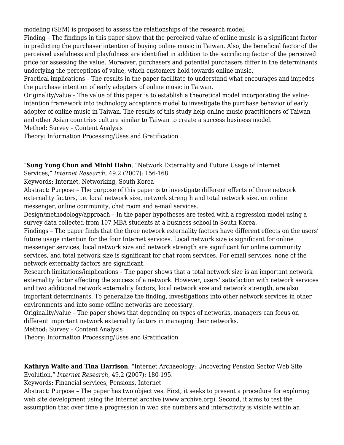modeling (SEM) is proposed to assess the relationships of the research model.

Finding – The findings in this paper show that the perceived value of online music is a significant factor in predicting the purchaser intention of buying online music in Taiwan. Also, the beneficial factor of the perceived usefulness and playfulness are identified in addition to the sacrificing factor of the perceived price for assessing the value. Moreover, purchasers and potential purchasers differ in the determinants underlying the perceptions of value, which customers hold towards online music.

Practical implications – The results in the paper facilitate to understand what encourages and impedes the purchase intention of early adopters of online music in Taiwan.

Originality/value – The value of this paper is to establish a theoretical model incorporating the valueintention framework into technology acceptance model to investigate the purchase behavior of early adopter of online music in Taiwan. The results of this study help online music practitioners of Taiwan and other Asian countries culture similar to Taiwan to create a success business model.

Method: Survey – Content Analysis

Theory: Information Processing/Uses and Gratification

"**Sung Yong Chun and Minhi Hahn**, "Network Externality and Future Usage of Internet

Services," *Internet Research*, 49.2 (2007): 156-168.

Keywords: Internet, Networking, South Korea

Abstract: Purpose – The purpose of this paper is to investigate different effects of three network externality factors, i.e. local network size, network strength and total network size, on online messenger, online community, chat room and e-mail services.

Design/methodology/approach – In the paper hypotheses are tested with a regression model using a survey data collected from 107 MBA students at a business school in South Korea.

Findings – The paper finds that the three network externality factors have different effects on the users' future usage intention for the four Internet services. Local network size is significant for online messenger services, local network size and network strength are significant for online community services, and total network size is significant for chat room services. For email services, none of the network externality factors are significant.

Research limitations/implications – The paper shows that a total network size is an important network externality factor affecting the success of a network. However, users' satisfaction with network services and two additional network externality factors, local network size and network strength, are also important determinants. To generalize the finding, investigations into other network services in other environments and into some offline networks are necessary.

Originality/value – The paper shows that depending on types of networks, managers can focus on different important network externality factors in managing their networks.

Method: Survey – Content Analysis

Theory: Information Processing/Uses and Gratification

**Kathryn Waite and Tina Harrison**, "Internet Archaeology: Uncovering Pension Sector Web Site Evolution," *Internet Research*, 49.2 (2007): 180-195.

Keywords: Financial services, Pensions, Internet

Abstract: Purpose – The paper has two objectives. First, it seeks to present a procedure for exploring web site development using the Internet archive (www.archive.org). Second, it aims to test the assumption that over time a progression in web site numbers and interactivity is visible within an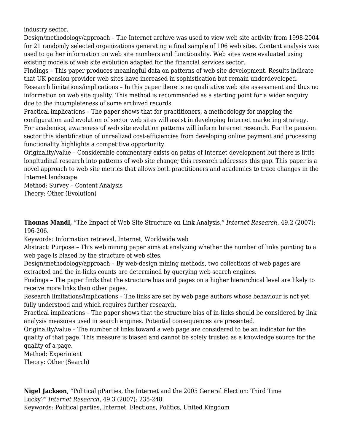industry sector.

Design/methodology/approach – The Internet archive was used to view web site activity from 1998-2004 for 21 randomly selected organizations generating a final sample of 106 web sites. Content analysis was used to gather information on web site numbers and functionality. Web sites were evaluated using existing models of web site evolution adapted for the financial services sector.

Findings – This paper produces meaningful data on patterns of web site development. Results indicate that UK pension provider web sites have increased in sophistication but remain underdeveloped. Research limitations/implications – In this paper there is no qualitative web site assessment and thus no information on web site quality. This method is recommended as a starting point for a wider enquiry due to the incompleteness of some archived records.

Practical implications – The paper shows that for practitioners, a methodology for mapping the configuration and evolution of sector web sites will assist in developing Internet marketing strategy. For academics, awareness of web site evolution patterns will inform Internet research. For the pension sector this identification of unrealized cost-efficiencies from developing online payment and processing functionality highlights a competitive opportunity.

Originality/value – Considerable commentary exists on paths of Internet development but there is little longitudinal research into patterns of web site change; this research addresses this gap. This paper is a novel approach to web site metrics that allows both practitioners and academics to trace changes in the Internet landscape.

Method: Survey – Content Analysis Theory: Other (Evolution)

**Thomas Mandl,** "The Impact of Web Site Structure on Link Analysis," *Internet Research*, 49.2 (2007): 196-206.

Keywords: Information retrieval, Internet, Worldwide web

Abstract: Purpose – This web mining paper aims at analyzing whether the number of links pointing to a web page is biased by the structure of web sites.

Design/methodology/approach – By web-design mining methods, two collections of web pages are extracted and the in-links counts are determined by querying web search engines.

Findings – The paper finds that the structure bias and pages on a higher hierarchical level are likely to receive more links than other pages.

Research limitations/implications – The links are set by web page authors whose behaviour is not yet fully understood and which requires further research.

Practical implications – The paper shows that the structure bias of in-links should be considered by link analysis measures used in search engines. Potential consequences are presented.

Originality/value – The number of links toward a web page are considered to be an indicator for the quality of that page. This measure is biased and cannot be solely trusted as a knowledge source for the quality of a page.

Method: Experiment Theory: Other (Search)

**Nigel Jackson**, "Political pParties, the Internet and the 2005 General Election: Third Time Lucky?" *Internet Research,* 49.3 (2007): 235-248. Keywords: Political parties, Internet, Elections, Politics, United Kingdom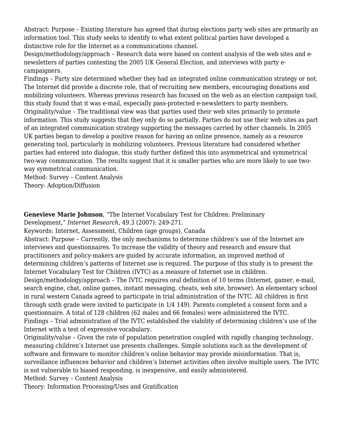Abstract: Purpose – Existing literature has agreed that during elections party web sites are primarily an information tool. This study seeks to identify to what extent political parties have developed a distinctive role for the Internet as a communications channel.

Design/methodology/approach – Research data were based on content analysis of the web sites and enewsletters of parties contesting the 2005 UK General Election, and interviews with party ecampaigners.

Findings – Party size determined whether they had an integrated online communication strategy or not. The Internet did provide a discrete role, that of recruiting new members, encouraging donations and mobilizing volunteers. Whereas previous research has focused on the web as an election campaign tool, this study found that it was e-mail, especially pass-protected e-newsletters to party members. Originality/value – The traditional view was that parties used their web sites primarily to promote information. This study suggests that they only do so partially. Parties do not use their web sites as part of an integrated communication strategy supporting the messages carried by other channels. In 2005 UK parties began to develop a positive reason for having an online presence, namely as a resource generating tool, particularly in mobilizing volunteers. Previous literature had considered whether parties had entered into dialogue, this study further defined this into asymmetrical and symmetrical two-way communication. The results suggest that it is smaller parties who are more likely to use twoway symmetrical communication.

Method: Survey – Content Analysis Theory: Adoption/Diffusion

**Genevieve Marie Johnson**, "The Internet Vocabulary Test for Children: Preliminary Development," *Internet Research*, 49.3 (2007): 249-271.

Keywords: Internet, Assessment, Children (age groups), Canada

Abstract: Purpose – Currently, the only mechanisms to determine children's use of the Internet are interviews and questionnaires. To increase the validity of theory and research and ensure that practitioners and policy-makers are guided by accurate information, an improved method of determining children's patterns of Internet use is required. The purpose of this study is to present the Internet Vocabulary Test for Children (IVTC) as a measure of Internet use in children.

Design/methodology/approach – The IVTC requires oral definition of 10 terms (Internet, gamer, e-mail, search engine, chat, online games, instant messaging, cheats, web site, browser). An elementary school in rural western Canada agreed to participate in trial administration of the IVTC. All children in first through sixth grade were invited to participate (n 1/4 149). Parents completed a consent form and a questionnaire. A total of 128 children (62 males and 66 females) were administered the IVTC. Findings – Trial administration of the IVTC established the viability of determining children's use of the Internet with a test of expressive vocabulary.

Originality/value – Given the rate of population penetration coupled with rapidly changing technology, measuring children's Internet use presents challenges. Simple solutions such as the development of software and firmware to monitor children's online behavior may provide misinformation. That is, surveillance influences behavior and children's Internet activities often involve multiple users. The IVTC is not vulnerable to biased responding, is inexpensive, and easily administered.

Method: Survey – Content Analysis

Theory: Information Processing/Uses and Gratification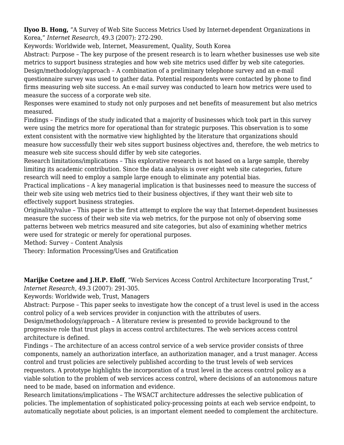**Ilyoo B. Hong,** "A Survey of Web Site Success Metrics Used by Internet-dependent Organizations in Korea," *Internet Research*, 49.3 (2007): 272-290.

Keywords: Worldwide web, Internet, Measurement, Quality, South Korea

Abstract: Purpose – The key purpose of the present research is to learn whether businesses use web site metrics to support business strategies and how web site metrics used differ by web site categories. Design/methodology/approach – A combination of a preliminary telephone survey and an e-mail questionnaire survey was used to gather data. Potential respondents were contacted by phone to find firms measuring web site success. An e-mail survey was conducted to learn how metrics were used to

measure the success of a corporate web site.

Responses were examined to study not only purposes and net benefits of measurement but also metrics measured.

Findings – Findings of the study indicated that a majority of businesses which took part in this survey were using the metrics more for operational than for strategic purposes. This observation is to some extent consistent with the normative view highlighted by the literature that organizations should measure how successfully their web sites support business objectives and, therefore, the web metrics to measure web site success should differ by web site categories.

Research limitations/implications – This explorative research is not based on a large sample, thereby limiting its academic contribution. Since the data analysis is over eight web site categories, future research will need to employ a sample large enough to eliminate any potential bias.

Practical implications – A key managerial implication is that businesses need to measure the success of their web site using web metrics tied to their business objectives, if they want their web site to effectively support business strategies.

Originality/value – This paper is the first attempt to explore the way that Internet-dependent businesses measure the success of their web site via web metrics, for the purpose not only of observing some patterns between web metrics measured and site categories, but also of examining whether metrics were used for strategic or merely for operational purposes.

Method: Survey – Content Analysis

Theory: Information Processing/Uses and Gratification

**Marijke Coetzee and J.H.P. Eloff**, "Web Services Access Control Architecture Incorporating Trust*," Internet Research*, 49.3 (2007): 291-305.

Keywords: Worldwide web, Trust, Managers

Abstract: Purpose – This paper seeks to investigate how the concept of a trust level is used in the access control policy of a web services provider in conjunction with the attributes of users.

Design/methodology/approach – A literature review is presented to provide background to the progressive role that trust plays in access control architectures. The web services access control architecture is defined.

Findings – The architecture of an access control service of a web service provider consists of three components, namely an authorization interface, an authorization manager, and a trust manager. Access control and trust policies are selectively published according to the trust levels of web services requestors. A prototype highlights the incorporation of a trust level in the access control policy as a viable solution to the problem of web services access control, where decisions of an autonomous nature need to be made, based on information and evidence.

Research limitations/implications – The WSACT architecture addresses the selective publication of policies. The implementation of sophisticated policy-processing points at each web service endpoint, to automatically negotiate about policies, is an important element needed to complement the architecture.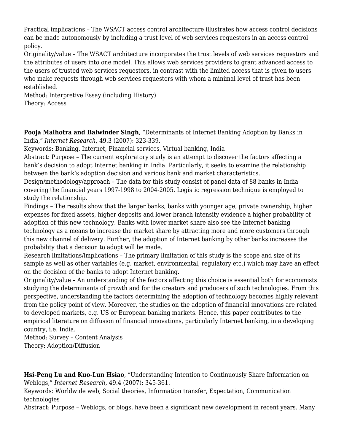Practical implications – The WSACT access control architecture illustrates how access control decisions can be made autonomously by including a trust level of web services requestors in an access control policy.

Originality/value – The WSACT architecture incorporates the trust levels of web services requestors and the attributes of users into one model. This allows web services providers to grant advanced access to the users of trusted web services requestors, in contrast with the limited access that is given to users who make requests through web services requestors with whom a minimal level of trust has been established.

Method: Interpretive Essay (including History) Theory: Access

**Pooja Malhotra and Balwinder Singh**, "Determinants of Internet Banking Adoption by Banks in India," *Internet Research*, 49.3 (2007): 323-339.

Keywords: Banking, Internet, Financial services, Virtual banking, India

Abstract: Purpose – The current exploratory study is an attempt to discover the factors affecting a bank's decision to adopt Internet banking in India. Particularly, it seeks to examine the relationship between the bank's adoption decision and various bank and market characteristics.

Design/methodology/approach – The data for this study consist of panel data of 88 banks in India covering the financial years 1997-1998 to 2004-2005. Logistic regression technique is employed to study the relationship.

Findings – The results show that the larger banks, banks with younger age, private ownership, higher expenses for fixed assets, higher deposits and lower branch intensity evidence a higher probability of adoption of this new technology. Banks with lower market share also see the Internet banking technology as a means to increase the market share by attracting more and more customers through this new channel of delivery. Further, the adoption of Internet banking by other banks increases the probability that a decision to adopt will be made.

Research limitations/implications – The primary limitation of this study is the scope and size of its sample as well as other variables (e.g. market, environmental, regulatory etc.) which may have an effect on the decision of the banks to adopt Internet banking.

Originality/value – An understanding of the factors affecting this choice is essential both for economists studying the determinants of growth and for the creators and producers of such technologies. From this perspective, understanding the factors determining the adoption of technology becomes highly relevant from the policy point of view. Moreover, the studies on the adoption of financial innovations are related to developed markets, e.g. US or European banking markets. Hence, this paper contributes to the empirical literature on diffusion of financial innovations, particularly Internet banking, in a developing country, i.e. India.

Method: Survey – Content Analysis Theory: Adoption/Diffusion

**Hsi-Peng Lu and Kuo-Lun Hsiao**, "Understanding Intention to Continuously Share Information on Weblogs," *Internet Research*, 49.4 (2007): 345-361.

Keywords: Worldwide web, Social theories, Information transfer, Expectation, Communication technologies

Abstract: Purpose – Weblogs, or blogs, have been a significant new development in recent years. Many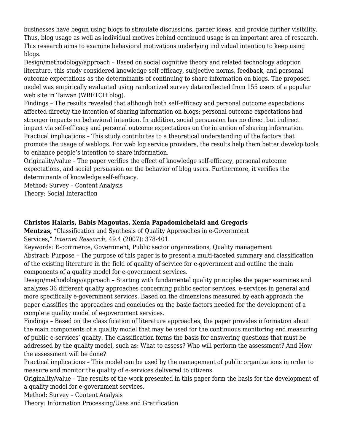businesses have begun using blogs to stimulate discussions, garner ideas, and provide further visibility. Thus, blog usage as well as individual motives behind continued usage is an important area of research. This research aims to examine behavioral motivations underlying individual intention to keep using blogs.

Design/methodology/approach – Based on social cognitive theory and related technology adoption literature, this study considered knowledge self-efficacy, subjective norms, feedback, and personal outcome expectations as the determinants of continuing to share information on blogs. The proposed model was empirically evaluated using randomized survey data collected from 155 users of a popular web site in Taiwan (WRETCH blog).

Findings – The results revealed that although both self-efficacy and personal outcome expectations affected directly the intention of sharing information on blogs; personal outcome expectations had stronger impacts on behavioral intention. In addition, social persuasion has no direct but indirect impact via self-efficacy and personal outcome expectations on the intention of sharing information. Practical implications – This study contributes to a theoretical understanding of the factors that promote the usage of weblogs. For web log service providers, the results help them better develop tools to enhance people's intention to share information.

Originality/value – The paper verifies the effect of knowledge self-efficacy, personal outcome expectations, and social persuasion on the behavior of blog users. Furthermore, it verifies the determinants of knowledge self-efficacy.

Method: Survey – Content Analysis

Theory: Social Interaction

## **Christos Halaris, Babis Magoutas, Xenia Papadomichelaki and Gregoris**

**Mentzas,** "Classification and Synthesis of Quality Approaches in e-Government Services," *Internet Research*, 49.4 (2007): 378-401.

Keywords: E-commerce, Government, Public sector organizations, Quality management Abstract: Purpose – The purpose of this paper is to present a multi-faceted summary and classification of the existing literature in the field of quality of service for e-government and outline the main components of a quality model for e-government services.

Design/methodology/approach – Starting with fundamental quality principles the paper examines and analyzes 36 different quality approaches concerning public sector services, e-services in general and more specifically e-government services. Based on the dimensions measured by each approach the paper classifies the approaches and concludes on the basic factors needed for the development of a complete quality model of e-government services.

Findings – Based on the classification of literature approaches, the paper provides information about the main components of a quality model that may be used for the continuous monitoring and measuring of public e-services' quality. The classification forms the basis for answering questions that must be addressed by the quality model, such as: What to assess? Who will perform the assessment? And How the assessment will be done?

Practical implications – This model can be used by the management of public organizations in order to measure and monitor the quality of e-services delivered to citizens.

Originality/value – The results of the work presented in this paper form the basis for the development of a quality model for e-government services.

Method: Survey – Content Analysis

Theory: Information Processing/Uses and Gratification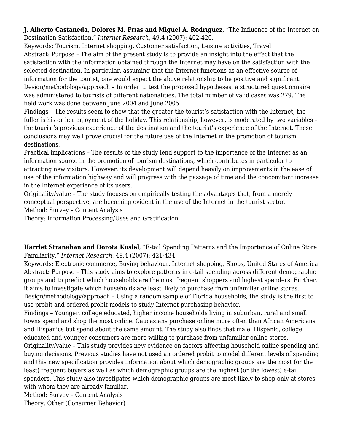**J. Alberto Castaneda, Dolores M. Frıas and Miguel A. Rodrıguez**, "The Influence of the Internet on Destination Satisfaction," *Internet Research*, 49.4 (2007): 402-420.

Keywords: Tourism, Internet shopping, Customer satisfaction, Leisure activities, Travel Abstract: Purpose – The aim of the present study is to provide an insight into the effect that the satisfaction with the information obtained through the Internet may have on the satisfaction with the selected destination. In particular, assuming that the Internet functions as an effective source of information for the tourist, one would expect the above relationship to be positive and significant. Design/methodology/approach – In order to test the proposed hypotheses, a structured questionnaire was administered to tourists of different nationalities. The total number of valid cases was 279. The field work was done between June 2004 and June 2005.

Findings – The results seem to show that the greater the tourist's satisfaction with the Internet, the fuller is his or her enjoyment of the holiday. This relationship, however, is moderated by two variables – the tourist's previous experience of the destination and the tourist's experience of the Internet. These conclusions may well prove crucial for the future use of the Internet in the promotion of tourism destinations.

Practical implications – The results of the study lend support to the importance of the Internet as an information source in the promotion of tourism destinations, which contributes in particular to attracting new visitors. However, its development will depend heavily on improvements in the ease of use of the information highway and will progress with the passage of time and the concomitant increase in the Internet experience of its users.

Originality/value – The study focuses on empirically testing the advantages that, from a merely conceptual perspective, are becoming evident in the use of the Internet in the tourist sector. Method: Survey – Content Analysis

Theory: Information Processing/Uses and Gratification

**Harriet Stranahan and Dorota Kosiel**, "E-tail Spending Patterns and the Importance of Online Store Familiarity," *Internet Research*, 49.4 (2007): 421-434.

Keywords: Electronic commerce, Buying behaviour, Internet shopping, Shops, United States of America Abstract: Purpose – This study aims to explore patterns in e-tail spending across different demographic groups and to predict which households are the most frequent shoppers and highest spenders. Further, it aims to investigate which households are least likely to purchase from unfamiliar online stores. Design/methodology/approach – Using a random sample of Florida households, the study is the first to use probit and ordered probit models to study Internet purchasing behavior.

Findings – Younger, college educated, higher income households living in suburban, rural and small towns spend and shop the most online. Caucasians purchase online more often than African Americans and Hispanics but spend about the same amount. The study also finds that male, Hispanic, college educated and younger consumers are more willing to purchase from unfamiliar online stores.

Originality/value – This study provides new evidence on factors affecting household online spending and buying decisions. Previous studies have not used an ordered probit to model different levels of spending and this new specification provides information about which demographic groups are the most (or the least) frequent buyers as well as which demographic groups are the highest (or the lowest) e-tail spenders. This study also investigates which demographic groups are most likely to shop only at stores with whom they are already familiar.

Method: Survey – Content Analysis

Theory: Other (Consumer Behavior)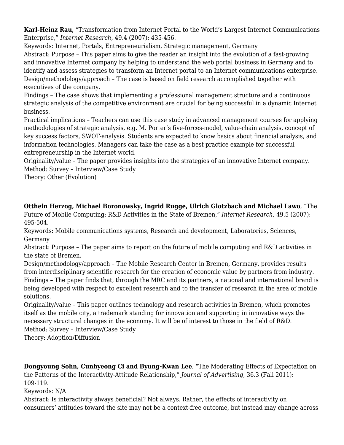**Karl-Heinz Rau,** "Transformation from Internet Portal to the World's Largest Internet Communications Enterprise," *Internet Research*, 49.4 (2007): 435-456.

Keywords: Internet, Portals, Entrepreneurialism, Strategic management, Germany Abstract: Purpose – This paper aims to give the reader an insight into the evolution of a fast-growing and innovative Internet company by helping to understand the web portal business in Germany and to identify and assess strategies to transform an Internet portal to an Internet communications enterprise. Design/methodology/approach – The case is based on field research accomplished together with executives of the company.

Findings – The case shows that implementing a professional management structure and a continuous strategic analysis of the competitive environment are crucial for being successful in a dynamic Internet business.

Practical implications – Teachers can use this case study in advanced management courses for applying methodologies of strategic analysis, e.g. M. Porter's five-forces-model, value-chain analysis, concept of key success factors, SWOT-analysis. Students are expected to know basics about financial analysis, and information technologies. Managers can take the case as a best practice example for successful entrepreneurship in the Internet world.

Originality/value – The paper provides insights into the strategies of an innovative Internet company. Method: Survey – Interview/Case Study

Theory: Other (Evolution)

**Otthein Herzog, Michael Boronowsky, Ingrid Rugge, Ulrich Glotzbach and Michael Lawo**, "The Future of Mobile Computing: R&D Activities in the State of Bremen," *Internet Research,* 49.5 (2007): 495-504.

Keywords: Mobile communications systems, Research and development, Laboratories, Sciences, Germany

Abstract: Purpose – The paper aims to report on the future of mobile computing and R&D activities in the state of Bremen.

Design/methodology/approach – The Mobile Research Center in Bremen, Germany, provides results from interdisciplinary scientific research for the creation of economic value by partners from industry. Findings – The paper finds that, through the MRC and its partners, a national and international brand is being developed with respect to excellent research and to the transfer of research in the area of mobile solutions.

Originality/value – This paper outlines technology and research activities in Bremen, which promotes itself as the mobile city, a trademark standing for innovation and supporting in innovative ways the necessary structural changes in the economy. It will be of interest to those in the field of R&D. Method: Survey – Interview/Case Study

Theory: Adoption/Diffusion

**Dongyoung Sohn, Cunhyeong Ci and Byung-Kwan Lee**, "The Moderating Effects of Expectation on the Patterns of the Interactivity-Attitude Relationship," *Journal of Advertising*, 36.3 (Fall 2011): 109-119.

Keywords: N/A

Abstract: Is interactivity always beneficial? Not always. Rather, the effects of interactivity on consumers' attitudes toward the site may not be a context-free outcome, but instead may change across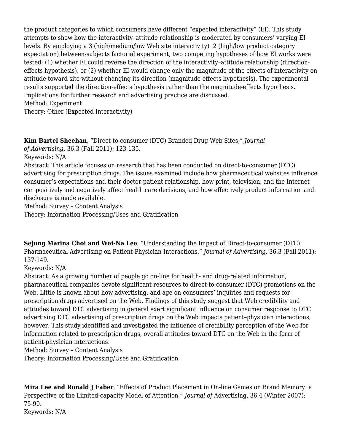the product categories to which consumers have different "expected interactivity" (EI). This study attempts to show how the interactivity–attitude relationship is moderated by consumers' varying EI levels. By employing a 3 (high/medium/low Web site interactivity) 2 (high/low product category expectation) between-subjects factorial experiment, two competing hypotheses of how EI works were tested: (1) whether EI could reverse the direction of the interactivity–attitude relationship (directioneffects hypothesis), or (2) whether EI would change only the magnitude of the effects of interactivity on attitude toward site without changing its direction (magnitude-effects hypothesis). The experimental results supported the direction-effects hypothesis rather than the magnitude-effects hypothesis. Implications for further research and advertising practice are discussed. Method: Experiment

Theory: Other (Expected Interactivity)

**Kim Bartel Sheehan**, "Direct-to-consumer (DTC) Branded Drug Web Sites," *Journal of Advertising,* 36.3 (Fall 2011): 123-135.

Keywords: N/A

Abstract: This article focuses on research that has been conducted on direct-to-consumer (DTC) advertising for prescription drugs. The issues examined include how pharmaceutical websites influence consumer's expectations and their doctor-patient relationship, how print, television, and the Internet can positively and negatively affect health care decisions, and how effectively product information and disclosure is made available.

Method: Survey – Content Analysis

Theory: Information Processing/Uses and Gratification

**Sejung Marina Choi and Wei-Na Lee**, "Understanding the Impact of Direct-to-consumer (DTC) Pharmaceutical Advertising on Patient-Physician Interactions," *Journal of Advertising*, 36.3 (Fall 2011): 137-149.

Keywords: N/A

Abstract: As a growing number of people go on-line for health- and drug-related information, pharmaceutical companies devote significant resources to direct-to-consumer (DTC) promotions on the Web. Little is known about how advertising, and age on consumers' inquiries and requests for prescription drugs advertised on the Web. Findings of this study suggest that Web credibility and attitudes toward DTC advertising in general exert significant influence on consumer response to DTC advertising DTC advertising of prescription drugs on the Web impacts patient–physician interactions, however. This study identified and investigated the influence of credibility perception of the Web for information related to prescription drugs, overall attitudes toward DTC on the Web in the form of patient-physician interactions.

Method: Survey – Content Analysis

Theory: Information Processing/Uses and Gratification

**Mira Lee and Ronald J Faber**, "Effects of Product Placement in On-line Games on Brand Memory: a Perspective of the Limited-capacity Model of Attention," *Journal of* Advertising, 36.4 (Winter 2007): 75-90.

Keywords: N/A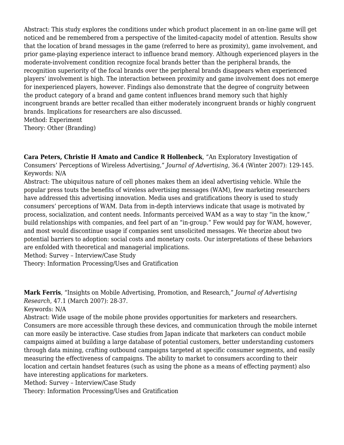Abstract: This study explores the conditions under which product placement in an on-line game will get noticed and be remembered from a perspective of the limited-capacity model of attention. Results show that the location of brand messages in the game (referred to here as proximity), game involvement, and prior game-playing experience interact to influence brand memory. Although experienced players in the moderate-involvement condition recognize focal brands better than the peripheral brands, the recognition superiority of the focal brands over the peripheral brands disappears when experienced players' involvement is high. The interaction between proximity and game involvement does not emerge for inexperienced players, however. Findings also demonstrate that the degree of congruity between the product category of a brand and game content influences brand memory such that highly incongruent brands are better recalled than either moderately incongruent brands or highly congruent brands. Implications for researchers are also discussed. Method: Experiment Theory: Other (Branding)

**Cara Peters, Christie H Amato and Candice R Hollenbeck**, "An Exploratory Investigation of Consumers' Perceptions of Wireless Advertising," *Journal of Advertising*, 36.4 (Winter 2007): 129-145. Keywords: N/A

Abstract: The ubiquitous nature of cell phones makes them an ideal advertising vehicle. While the popular press touts the benefits of wireless advertising messages (WAM), few marketing researchers have addressed this advertising innovation. Media uses and gratifications theory is used to study consumers' perceptions of WAM. Data from in-depth interviews indicate that usage is motivated by process, socialization, and content needs. Informants perceived WAM as a way to stay "in the know," build relationships with companies, and feel part of an "in-group." Few would pay for WAM, however, and most would discontinue usage if companies sent unsolicited messages. We theorize about two potential barriers to adoption: social costs and monetary costs. Our interpretations of these behaviors are enfolded with theoretical and managerial implications.

Method: Survey – Interview/Case Study

Theory: Information Processing/Uses and Gratification

**Mark Ferris**, "Insights on Mobile Advertising, Promotion, and Research," *Journal of Advertising Research*, 47.1 (March 2007): 28-37.

Keywords: N/A

Abstract: Wide usage of the mobile phone provides opportunities for marketers and researchers. Consumers are more accessible through these devices, and communication through the mobile internet can more easily be interactive. Case studies from Japan indicate that marketers can conduct mobile campaigns aimed at building a large database of potential customers, better understanding customers through data mining, crafting outbound campaigns targeted at specific consumer segments, and easily measuring the effectiveness of campaigns. The ability to market to consumers according to their location and certain handset features (such as using the phone as a means of effecting payment) also have interesting applications for marketers.

Method: Survey – Interview/Case Study

Theory: Information Processing/Uses and Gratification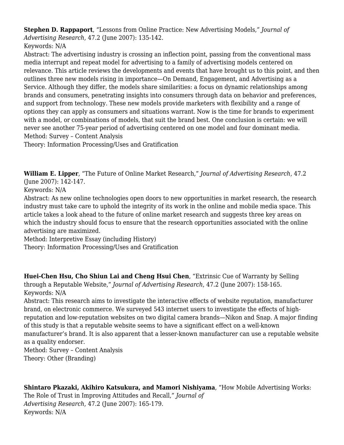**Stephen D. Rappaport**, "Lessons from Online Practice: New Advertising Models," *Journal of Advertising Research*, 47.2 (June 2007): 135-142.

Keywords: N/A

Abstract: The advertising industry is crossing an inflection point, passing from the conventional mass media interrupt and repeat model for advertising to a family of advertising models centered on relevance. This article reviews the developments and events that have brought us to this point, and then outlines three new models rising in importance—On Demand, Engagement, and Advertising as a Service. Although they differ, the models share similarities: a focus on dynamic relationships among brands and consumers, penetrating insights into consumers through data on behavior and preferences, and support from technology. These new models provide marketers with flexibility and a range of options they can apply as consumers and situations warrant. Now is the time for brands to experiment with a model, or combinations of models, that suit the brand best. One conclusion is certain: we will never see another 75-year period of advertising centered on one model and four dominant media. Method: Survey – Content Analysis

Theory: Information Processing/Uses and Gratification

**William E. Lipper**, "The Future of Online Market Research," *Journal of Advertising Research*, 47.2 (June 2007): 142-147.

Keywords: N/A

Abstract: As new online technologies open doors to new opportunities in market research, the research industry must take care to uphold the integrity of its work in the online and mobile media space. This article takes a look ahead to the future of online market research and suggests three key areas on which the industry should focus to ensure that the research opportunities associated with the online advertising are maximized.

Method: Interpretive Essay (including History)

Theory: Information Processing/Uses and Gratification

**Huei-Chen Hsu, Cho Shiun Lai and Cheng Hsui Chen**, "Extrinsic Cue of Warranty by Selling through a Reputable Website," *Journal of Advertising Research*, 47.2 (June 2007): 158-165. Keywords: N/A

Abstract: This research aims to investigate the interactive effects of website reputation, manufacturer brand, on electronic commerce. We surveyed 543 internet users to investigate the effects of highreputation and low-reputation websites on two digital camera brands—Nikon and Snap. A major finding of this study is that a reputable website seems to have a significant effect on a well-known manufacturer's brand. It is also apparent that a lesser-known manufacturer can use a reputable website as a quality endorser.

Method: Survey – Content Analysis Theory: Other (Branding)

**Shintaro Pkazaki, Akihiro Katsukura, and Mamori Nishiyama**, "How Mobile Advertising Works: The Role of Trust in Improving Attitudes and Recall," *Journal of Advertising Research*, 47.2 (June 2007): 165-179. Keywords: N/A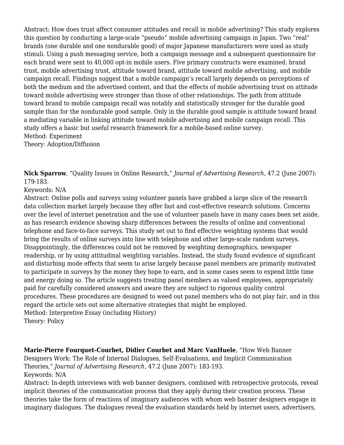Abstract: How does trust affect consumer attitudes and recall in mobile advertising? This study explores this question by conducting a large-scale "pseudo" mobile advertising campaign in Japan. Two "real" brands (one durable and one nondurable good) of major Japanese manufacturers were used as study stimuli. Using a push messaging service, both a campaign message and a subsequent questionnaire for each brand were sent to 40,000 opt-in mobile users. Five primary constructs were examined: brand trust, mobile advertising trust, attitude toward brand, attitude toward mobile advertising, and mobile campaign recall. Findings suggest that a mobile campaign's recall largely depends on perceptions of both the medium and the advertised content, and that the effects of mobile advertising trust on attitude toward mobile advertising were stronger than those of other relationships. The path from attitude toward brand to mobile campaign recall was notably and statistically stronger for the durable good sample than for the nondurable good sample. Only in the durable good sample is attitude toward brand a mediating variable in linking attitude toward mobile advertising and mobile campaign recall. This study offers a basic but useful research framework for a mobile-based online survey. Method: Experiment

Theory: Adoption/Diffusion

**Nick Sparrow**, "Quality Issues in Online Research," *Journal of Advertising Research,* 47.2 (June 2007): 179-183.

### Keywords: N/A

Abstract: Online polls and surveys using volunteer panels have grabbed a large slice of the research data collection market largely because they offer fast and cost-effective research solutions. Concerns over the level of internet penetration and the use of volunteer panels have in many cases been set aside, as has research evidence showing sharp differences between the results of online and conventional telephone and face-to-face surveys. This study set out to find effective weighting systems that would bring the results of online surveys into line with telephone and other large-scale random surveys. Disappointingly, the differences could not be removed by weighting demographics, newspaper readership, or by using attitudinal weighting variables. Instead, the study found evidence of significant and disturbing mode effects that seem to arise largely because panel members are primarily motivated to participate in surveys by the money they hope to earn, and in some cases seem to expend little time and energy doing so. The article suggests treating panel members as valued employees, appropriately paid for carefully considered answers and aware they are subject to rigorous quality control procedures. These procedures are designed to weed out panel members who do not play fair, and in this regard the article sets out some alternative strategies that might be employed. Method: Interpretive Essay (including History)

Theory: Policy

**Marie-Pierre Fourquet-Courbet, Didier Courbet and Marc VanHuele**, "How Web Banner Designers Work: The Role of Internal Dialogues, Self-Evaluations, and Implicit Communication Theories," *Journal of Advertising Research*, 47.2 (June 2007): 183-193. Keywords: N/A

Abstract: In-depth interviews with web banner designers, combined with retrospective protocols, reveal implicit theories of the communication process that they apply during their creation process. These theories take the form of reactions of imaginary audiences with whom web banner designers engage in imaginary dialogues. The dialogues reveal the evaluation standards held by internet users, advertisers,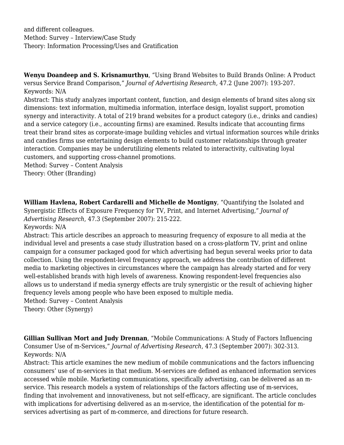and different colleagues. Method: Survey – Interview/Case Study Theory: Information Processing/Uses and Gratification

**Wenyu Doandeep and S. Krisnamurthyu**, "Using Brand Websites to Build Brands Online: A Product versus Service Brand Comparison," *Journal of Advertising Research,* 47.2 (June 2007): 193-207. Keywords: N/A

Abstract: This study analyzes important content, function, and design elements of brand sites along six dimensions: text information, multimedia information, interface design, loyalist support, promotion synergy and interactivity. A total of 219 brand websites for a product category (i.e., drinks and candies) and a service category (i.e., accounting firms) are examined. Results indicate that accounting firms treat their brand sites as corporate-image building vehicles and virtual information sources while drinks and candies firms use entertaining design elements to build customer relationships through greater interaction. Companies may be underutilizing elements related to interactivity, cultivating loyal customers, and supporting cross-channel promotions.

Method: Survey – Content Analysis Theory: Other (Branding)

**William Havlena, Robert Cardarelli and Michelle de Montigny**, "Quantifying the Isolated and Synergistic Effects of Exposure Frequency for TV, Print, and Internet Advertising," *Journal of Advertising Research*, 47.3 (September 2007): 215-222. Keywords: N/A

Abstract: This article describes an approach to measuring frequency of exposure to all media at the individual level and presents a case study illustration based on a cross-platform TV, print and online campaign for a consumer packaged good for which advertising had begun several weeks prior to data collection. Using the respondent-level frequency approach, we address the contribution of different media to marketing objectives in circumstances where the campaign has already started and for very well-established brands with high levels of awareness. Knowing respondent-level frequencies also allows us to understand if media synergy effects are truly synergistic or the result of achieving higher frequency levels among people who have been exposed to multiple media.

Method: Survey – Content Analysis

Theory: Other (Synergy)

**Gillian Sullivan Mort and Judy Drennan**, "Mobile Communications: A Study of Factors Influencing Consumer Use of m-Services," *Journal of Advertising Research*, 47.3 (September 2007): 302-313. Keywords: N/A

Abstract: This article examines the new medium of mobile communications and the factors influencing consumers' use of m-services in that medium. M-services are defined as enhanced information services accessed while mobile. Marketing communications, specifically advertising, can be delivered as an mservice. This research models a system of relationships of the factors affecting use of m-services, finding that involvement and innovativeness, but not self-efficacy, are significant. The article concludes with implications for advertising delivered as an m-service, the identification of the potential for mservices advertising as part of m-commerce, and directions for future research.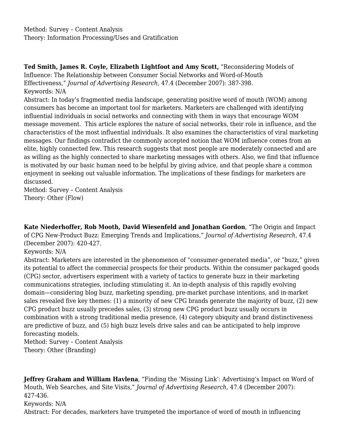Method: Survey – Content Analysis Theory: Information Processing/Uses and Gratification

**Ted Smith, James R. Coyle, Elizabeth Lightfoot and Amy Scott,** "Reconsidering Models of Influence: The Relationship between Consumer Social Networks and Word-of-Mouth Effectiveness," *Journal of Advertising Research*, 47.4 (December 2007): 387-398. Keywords: N/A

Abstract: In today's fragmented media landscape, generating positive word of mouth (WOM) among consumers has become an important tool for marketers. Marketers are challenged with identifying influential individuals in social networks and connecting with them in ways that encourage WOM message movement. This article explores the nature of social networks, their role in influence, and the characteristics of the most influential individuals. It also examines the characteristics of viral marketing messages. Our findings contradict the commonly accepted notion that WOM influence comes from an elite, highly connected few. This research suggests that most people are moderately connected and are as willing as the highly connected to share marketing messages with others. Also, we find that influence is motivated by our basic human need to be helpful by giving advice, and that people share a common enjoyment in seeking out valuable information. The implications of these findings for marketers are discussed.

Method: Survey – Content Analysis Theory: Other (Flow)

**Kate Niederhoffer, Rob Mooth, David Wiesenfeld and Jonathan Gordon**, "The Origin and Impact of CPG New-Product Buzz: Emerging Trends and Implications," *Journal of Advertising Research*, 47.4 (December 2007): 420-427.

Keywords: N/A

Abstract: Marketers are interested in the phenomenon of "consumer-generated media", or "buzz," given its potential to affect the commercial prospects for their products. Within the consumer packaged goods (CPG) sector, advertisers experiment with a variety of tactics to generate buzz in their marketing communications strategies, including stimulating it. An in-depth analysis of this rapidly evolving domain—considering blog buzz, marketing spending, pre-market purchase intentions, and in-market sales revealed five key themes: (1) a minority of new CPG brands generate the majority of buzz, (2) new CPG product buzz usually precedes sales, (3) strong new CPG product buzz usually occurs in combination with a strong traditional media presence, (4) category ubiquity and brand distinctiveness are predictive of buzz, and (5) high buzz levels drive sales and can be anticipated to help improve forecasting models.

Method: Survey – Content Analysis Theory: Other (Branding)

**Jeffrey Graham and William Havlena**, "Finding the 'Missing Link': Advertising's Impact on Word of Mouth, Web Searches, and Site Visits," *Journal of Advertising Research,* 47.4 (December 2007): 427-436. Keywords: N/A Abstract: For decades, marketers have trumpeted the importance of word of mouth in influencing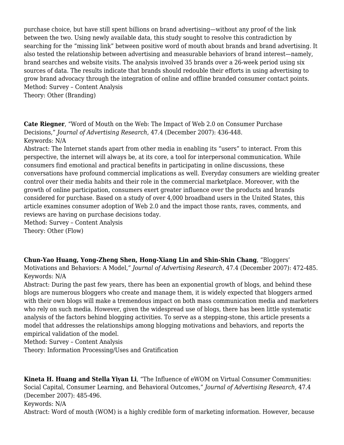purchase choice, but have still spent billions on brand advertising—without any proof of the link between the two. Using newly available data, this study sought to resolve this contradiction by searching for the "missing link" between positive word of mouth about brands and brand advertising. It also tested the relationship between advertising and measurable behaviors of brand interest—namely, brand searches and website visits. The analysis involved 35 brands over a 26-week period using six sources of data. The results indicate that brands should redouble their efforts in using advertising to grow brand advocacy through the integration of online and offline branded consumer contact points. Method: Survey – Content Analysis

Theory: Other (Branding)

**Cate Riegner**, "Word of Mouth on the Web: The Impact of Web 2.0 on Consumer Purchase Decisions," *Journal of Advertising Research*, 47.4 (December 2007): 436-448. Keywords: N/A

Abstract: The Internet stands apart from other media in enabling its "users" to interact. From this perspective, the internet will always be, at its core, a tool for interpersonal communication. While consumers find emotional and practical benefits in participating in online discussions, these conversations have profound commercial implications as well. Everyday consumers are wielding greater control over their media habits and their role in the commercial marketplace. Moreover, with the growth of online participation, consumers exert greater influence over the products and brands considered for purchase. Based on a study of over 4,000 broadband users in the United States, this article examines consumer adoption of Web 2.0 and the impact those rants, raves, comments, and reviews are having on purchase decisions today.

Method: Survey – Content Analysis Theory: Other (Flow)

**Chun-Yao Huang, Yong-Zheng Shen, Hong-Xiang Lin and Shin-Shin Chang**, "Bloggers' Motivations and Behaviors: A Model," *Journal of Advertising Research*, 47.4 (December 2007): 472-485. Keywords: N/A

Abstract: During the past few years, there has been an exponential growth of blogs, and behind these blogs are numerous bloggers who create and manage them, it is widely expected that bloggers armed with their own blogs will make a tremendous impact on both mass communication media and marketers who rely on such media. However, given the widespread use of blogs, there has been little systematic analysis of the factors behind blogging activities. To serve as a stepping-stone, this article presents a model that addresses the relationships among blogging motivations and behaviors, and reports the empirical validation of the model.

Method: Survey – Content Analysis

Theory: Information Processing/Uses and Gratification

**Kineta H. Huang and Stella Yiyan Li**, "The Influence of eWOM on Virtual Consumer Communities: Social Capital, Consumer Learning, and Behavioral Outcomes," *Journal of Advertising Research,* 47.4 (December 2007): 485-496.

Keywords: N/A

Abstract: Word of mouth (WOM) is a highly credible form of marketing information. However, because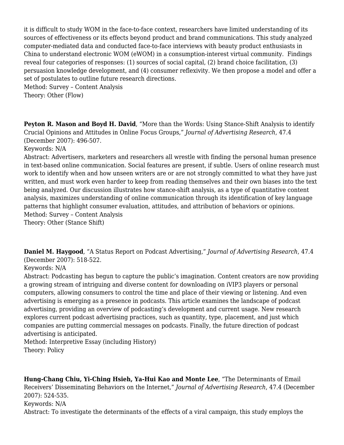it is difficult to study WOM in the face-to-face context, researchers have limited understanding of its sources of effectiveness or its effects beyond product and brand communications. This study analyzed computer-mediated data and conducted face-to-face interviews with beauty product enthusiasts in China to understand electronic WOM (eWOM) in a consumption-interest virtual community. Findings reveal four categories of responses: (1) sources of social capital, (2) brand choice facilitation, (3) persuasion knowledge development, and (4) consumer reflexivity. We then propose a model and offer a set of postulates to outline future research directions.

Method: Survey – Content Analysis Theory: Other (Flow)

**Peyton R. Mason and Boyd H. David, "More than the Words: Using Stance-Shift Analysis to identify** Crucial Opinions and Attitudes in Online Focus Groups," *Journal of Advertising Research*, 47.4 (December 2007): 496-507.

Keywords: N/A

Abstract: Advertisers, marketers and researchers all wrestle with finding the personal human presence in text-based online communication. Social features are present, if subtle. Users of online research must work to identify when and how unseen writers are or are not strongly committed to what they have just written, and must work even harder to keep from reading themselves and their own biases into the text being analyzed. Our discussion illustrates how stance-shift analysis, as a type of quantitative content analysis, maximizes understanding of online communication through its identification of key language patterns that highlight consumer evaluation, attitudes, and attribution of behaviors or opinions. Method: Survey – Content Analysis Theory: Other (Stance Shift)

**Daniel M. Haygood**, "A Status Report on Podcast Advertising," *Journal of Advertising Research*, 47.4 (December 2007): 518-522.

Keywords: N/A

Abstract: Podcasting has begun to capture the public's imagination. Content creators are now providing a growing stream of intriguing and diverse content for downloading on iVIP3 players or personal computers, allowing consumers to control the time and place of their viewing or listening. And even advertising is emerging as a presence in podcasts. This article examines the landscape of podcast advertising, providing an overview of podcasting's development and current usage. New research explores current podcast advertising practices, such as quantity, type, placement, and just which companies are putting commercial messages on podcasts. Finally, the future direction of podcast advertising is anticipated.

Method: Interpretive Essay (including History) Theory: Policy

**Hung-Chang Chiu, Yi-Ching Hsieh, Ya-Hui Kao and Monte Lee**, "The Determinants of Email Receivers' Disseminating Behaviors on the Internet," *Journal of Advertising Research*, 47.4 (December 2007): 524-535. Keywords: N/A Abstract: To investigate the determinants of the effects of a viral campaign, this study employs the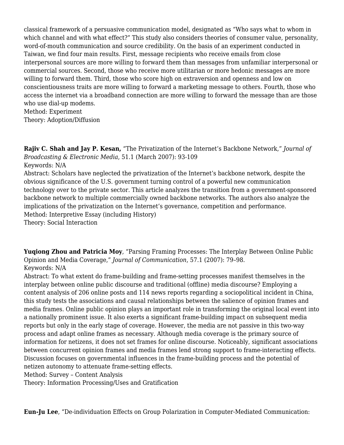classical framework of a persuasive communication model, designated as "Who says what to whom in which channel and with what effect?" This study also considers theories of consumer value, personality, word-of-mouth communication and source credibility. On the basis of an experiment conducted in Taiwan, we find four main results. First, message recipients who receive emails from close interpersonal sources are more willing to forward them than messages from unfamiliar interpersonal or commercial sources. Second, those who receive more utilitarian or more hedonic messages are more willing to forward them. Third, those who score high on extraversion and openness and low on conscientiousness traits are more willing to forward a marketing message to others. Fourth, those who access the internet via a broadband connection are more willing to forward the message than are those who use dial-up modems.

Method: Experiment

Theory: Adoption/Diffusion

**Rajiv C. Shah and Jay P. Kesan,** "The Privatization of the Internet's Backbone Network," *Journal of Broadcasting & Electronic Media*, 51.1 (March 2007): 93-109 Keywords: N/A

Abstract: Scholars have neglected the privatization of the Internet's backbone network, despite the obvious significance of the U.S. government turning control of a powerful new communication technology over to the private sector. This article analyzes the transition from a government-sponsored backbone network to multiple commercially owned backbone networks. The authors also analyze the implications of the privatization on the Internet's governance, competition and performance. Method: Interpretive Essay (including History) Theory: Social Interaction

**Yuqiong Zhou and Patricia Moy**, "Parsing Framing Processes: The Interplay Between Online Public Opinion and Media Coverage," *Journal of Communication*, 57.1 (2007): 79–98. Keywords: N/A

Abstract: To what extent do frame-building and frame-setting processes manifest themselves in the interplay between online public discourse and traditional (offline) media discourse? Employing a content analysis of 206 online posts and 114 news reports regarding a sociopolitical incident in China, this study tests the associations and causal relationships between the salience of opinion frames and media frames. Online public opinion plays an important role in transforming the original local event into a nationally prominent issue. It also exerts a significant frame-building impact on subsequent media reports but only in the early stage of coverage. However, the media are not passive in this two-way process and adapt online frames as necessary. Although media coverage is the primary source of information for netizens, it does not set frames for online discourse. Noticeably, significant associations between concurrent opinion frames and media frames lend strong support to frame-interacting effects. Discussion focuses on governmental influences in the frame-building process and the potential of netizen autonomy to attenuate frame-setting effects.

Method: Survey – Content Analysis

Theory: Information Processing/Uses and Gratification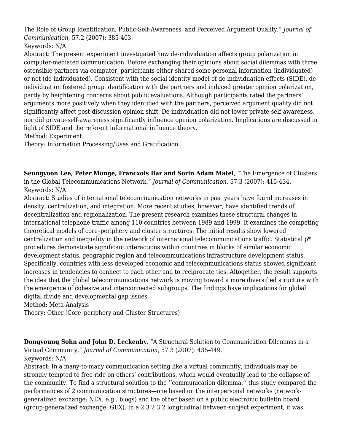The Role of Group Identification, Public-Self-Awareness, and Perceived Argument Quality," *Journal of Communication*, 57.2 (2007): 385-403.

Keywords: N/A

Abstract: The present experiment investigated how de-individuation affects group polarization in computer-mediated communication. Before exchanging their opinions about social dilemmas with three ostensible partners via computer, participants either shared some personal information (individuated) or not (de-individuated). Consistent with the social identity model of de-individuation effects (SIDE), deindividuation fostered group identification with the partners and induced greater opinion polarization, partly by heightening concerns about public evaluations. Although participants rated the partners' arguments more positively when they identified with the partners, perceived argument quality did not significantly affect post-discussion opinion shift. De-individuation did not lower private-self-awareness, nor did private-self-awareness significantly influence opinion polarization. Implications are discussed in light of SIDE and the referent informational influence theory.

Method: Experiment

Theory: Information Processing/Uses and Gratification

**Seungyoon Lee, Peter Monge, Francxois Bar and Sorin Adam Matei**, "The Emergence of Clusters in the Global Telecommunications Network," *Journal of Communication*, 57.3 (2007): 415-434. Keywords: N/A

Abstract: Studies of international telecommunication networks in past years have found increases in density, centralization, and integration. More recent studies, however, have identified trends of decentralization and regionalization. The present research examines these structural changes in international telephone traffic among 110 countries between 1989 and 1999. It examines the competing theoretical models of core–periphery and cluster structures. The initial results show lowered centralization and inequality in the network of international telecommunications traffic. Statistical p\* procedures demonstrate significant interactions within countries in blocks of similar economic development status, geographic region and telecommunications infrastructure development status. Specifically, countries with less developed economic and telecommunications status showed significant increases in tendencies to connect to each other and to reciprocate ties. Altogether, the result supports the idea that the global telecommunications network is moving toward a more diversified structure with the emergence of cohesive and interconnected subgroups. The findings have implications for global digital divide and developmental gap issues.

Method: Meta-Analysis

Theory: Other (Core–periphery and Cluster Structures)

**Dongyoung Sohn and John D. Leckenby**, "A Structural Solution to Communication Dilemmas in a Virtual Community*," Journal of Communication*, 57.3 (2007): 435-449. Keywords: N/A

Abstract: In a many-to-many communication setting like a virtual community, individuals may be strongly tempted to free-ride on others' contributions, which would eventually lead to the collapse of the community. To find a structural solution to the ''communication dilemma,'' this study compared the performances of 2 communication structures—one based on the interpersonal networks (networkgeneralized exchange: NEX, e.g., blogs) and the other based on a public electronic bulletin board (group-generalized exchange: GEX). In a 2 3 2 3 2 longitudinal between-subject experiment, it was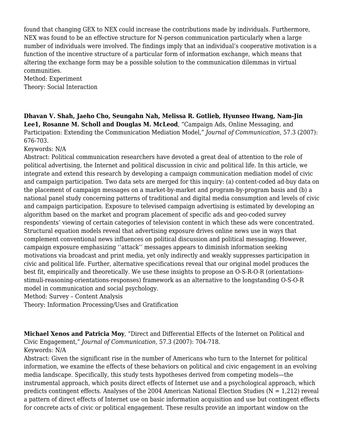found that changing GEX to NEX could increase the contributions made by individuals. Furthermore, NEX was found to be an effective structure for N-person communication particularly when a large number of individuals were involved. The findings imply that an individual's cooperative motivation is a function of the incentive structure of a particular form of information exchange, which means that altering the exchange form may be a possible solution to the communication dilemmas in virtual communities.

Method: Experiment Theory: Social Interaction

**Dhavan V. Shah, Jaeho Cho, Seungahn Nah, Melissa R. Gotlieb, Hyunseo Hwang, Nam-Jin Lee1, Rosanne M. Scholl and Douglas M. McLeod**, "Campaign Ads, Online Messaging, and Participation: Extending the Communication Mediation Model," *Journal of Communication*, 57.3 (2007): 676-703.

### Keywords: N/A

Abstract: Political communication researchers have devoted a great deal of attention to the role of political advertising, the Internet and political discussion in civic and political life. In this article, we integrate and extend this research by developing a campaign communication mediation model of civic and campaign participation. Two data sets are merged for this inquiry: (a) content-coded ad-buy data on the placement of campaign messages on a market-by-market and program-by-program basis and (b) a national panel study concerning patterns of traditional and digital media consumption and levels of civic and campaign participation. Exposure to televised campaign advertising is estimated by developing an algorithm based on the market and program placement of specific ads and geo-coded survey respondents' viewing of certain categories of television content in which these ads were concentrated. Structural equation models reveal that advertising exposure drives online news use in ways that complement conventional news influences on political discussion and political messaging. However, campaign exposure emphasizing ''attack'' messages appears to diminish information seeking motivations via broadcast and print media, yet only indirectly and weakly suppresses participation in civic and political life. Further, alternative specifications reveal that our original model produces the best fit, empirically and theoretically. We use these insights to propose an O-S-R-O-R (orientationsstimuli-reasoning-orientations-responses) framework as an alternative to the longstanding O-S-O-R model in communication and social psychology.

Method: Survey – Content Analysis

Theory: Information Processing/Uses and Gratification

**Michael Xenos and Patricia Moy**, "Direct and Differential Effects of the Internet on Political and Civic Engagement," *Journal of Communication*, 57.3 (2007): 704-718. Keywords: N/A

Abstract: Given the significant rise in the number of Americans who turn to the Internet for political information, we examine the effects of these behaviors on political and civic engagement in an evolving media landscape. Specifically, this study tests hypotheses derived from competing models—the instrumental approach, which posits direct effects of Internet use and a psychological approach, which predicts contingent effects. Analyses of the 2004 American National Election Studies ( $N = 1,212$ ) reveal a pattern of direct effects of Internet use on basic information acquisition and use but contingent effects for concrete acts of civic or political engagement. These results provide an important window on the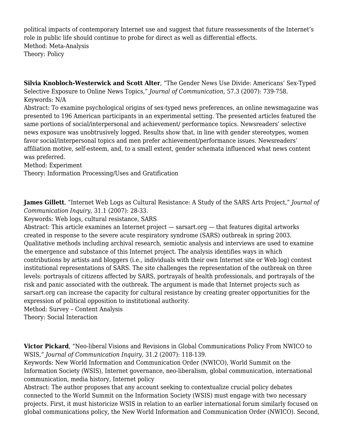political impacts of contemporary Internet use and suggest that future reassessments of the Internet's role in public life should continue to probe for direct as well as differential effects. Method: Meta-Analysis Theory: Policy

**Silvia Knobloch-Westerwick and Scott Alter**, "The Gender News Use Divide: Americans' Sex-Typed Selective Exposure to Online News Topics," *Journal of Communication*, 57.3 (2007): 739-758. Keywords: N/A

Abstract: To examine psychological origins of sex-typed news preferences, an online newsmagazine was presented to 196 American participants in an experimental setting. The presented articles featured the same portions of social/interpersonal and achievement/ performance topics. Newsreaders' selective news exposure was unobtrusively logged. Results show that, in line with gender stereotypes, women favor social/interpersonal topics and men prefer achievement/performance issues. Newsreaders' affiliation motive, self-esteem, and, to a small extent, gender schemata influenced what news content was preferred.

Method: Experiment

Theory: Information Processing/Uses and Gratification

**James Gillett**, "Internet Web Logs as Cultural Resistance: A Study of the SARS Arts Project," *Journal of Communication Inquiry*, 31.1 (2007): 28-33.

Keywords: Web logs, cultural resistance, SARS

Abstract: This article examines an Internet project — sarsart.org — that features digital artworks created in response to the severe acute respiratory syndrome (SARS) outbreak in spring 2003. Qualitative methods including archival research, semiotic analysis and interviews are used to examine the emergence and substance of this Internet project. The analysis identifies ways in which contributions by artists and bloggers (i.e., individuals with their own Internet site or Web log) contest institutional representations of SARS. The site challenges the representation of the outbreak on three levels: portrayals of citizens affected by SARS, portrayals of health professionals, and portrayals of the risk and panic associated with the outbreak. The argument is made that Internet projects such as sarsart.org can increase the capacity for cultural resistance by creating greater opportunities for the expression of political opposition to institutional authority.

Method: Survey – Content Analysis

Theory: Social Interaction

**Victor Pickard**, "Neo-liberal Visions and Revisions in Global Communications Policy From NWICO to WSIS," *Journal of Communication Inquiry*, 31.2 (2007): 118-139.

Keywords: New World Information and Communication Order (NWICO), World Summit on the Information Society (WSIS), Internet governance, neo-liberalism, global communication, international communication, media history, Internet policy

Abstract: The author proposes that any account seeking to contextualize crucial policy debates connected to the World Summit on the Information Society (WSIS) must engage with two necessary projects. First, it must historicize WSIS in relation to an earlier international forum similarly focused on global communications policy, the New World Information and Communication Order (NWICO). Second,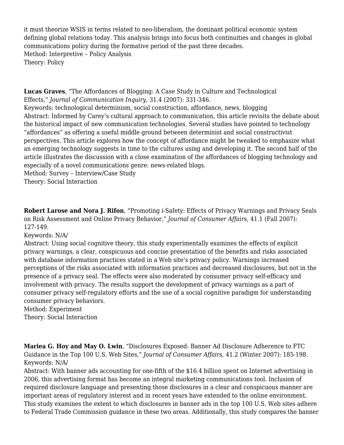it must theorize WSIS in terms related to neo-liberalism, the dominant political economic system defining global relations today. This analysis brings into focus both continuities and changes in global communications policy during the formative period of the past three decades. Method: Interpretive – Policy Analysis Theory: Policy

**Lucas Graves**, "The Affordances of Blogging: A Case Study in Culture and Technological Effects," *Journal of Communication Inquiry*, 31.4 (2007): 331-346. Keywords: technological determinism, social construction, affordance, news, blogging Abstract: Informed by Carey's cultural approach to communication, this article revisits the debate about the historical impact of new communication technologies. Several studies have pointed to technology "affordances" as offering a useful middle ground between determinist and social constructivist perspectives. This article explores how the concept of affordance might be tweaked to emphasize what an emerging technology suggests in time to the cultures using and developing it. The second half of the article illustrates the discussion with a close examination of the affordances of blogging technology and especially of a novel communications genre: news-related blogs.

Method: Survey – Interview/Case Study Theory: Social Interaction

**Robert Larose and Nora J. Rifon**, "Promoting i-Safety: Effects of Privacy Warnings and Privacy Seals on Risk Assessment and Online Privacy Behavior," *Journal of Consumer Affairs*, 41.1 (Fall 2007): 127-149.

Keywords: N/A/

Abstract: Using social cognitive theory, this study experimentally examines the effects of explicit privacy warnings, a clear, conspicuous and concise presentation of the benefits and risks associated with database information practices stated in a Web site's privacy policy. Warnings increased perceptions of the risks associated with information practices and decreased disclosures, but not in the presence of a privacy seal. The effects were also moderated by consumer privacy self-efficacy and involvement with privacy. The results support the development of privacy warnings as a part of consumer privacy self-regulatory efforts and the use of a social cognitive paradigm for understanding consumer privacy behaviors.

Method: Experiment Theory: Social Interaction

**Mariea G. Hoy and May O. Lwin**, "Disclosures Exposed: Banner Ad Disclosure Adherence to FTC Guidance in the Top 100 U.S. Web Sites," *Journal of Consumer Affairs,* 41.2 (Winter 2007): 185-198. Keywords: N/A/

Abstract: With banner ads accounting for one-fifth of the \$16.4 billion spent on Internet advertising in 2006, this advertising format has become an integral marketing communications tool. Inclusion of required disclosure language and presenting those disclosures in a clear and conspicuous manner are important areas of regulatory interest and in recent years have extended to the online environment. This study examines the extent to which disclosures in banner ads in the top 100 U.S. Web sites adhere to Federal Trade Commission guidance in these two areas. Additionally, this study compares the banner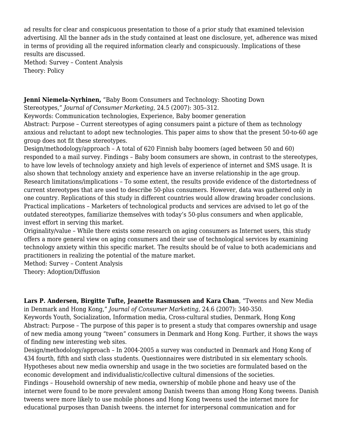ad results for clear and conspicuous presentation to those of a prior study that examined television advertising. All the banner ads in the study contained at least one disclosure, yet, adherence was mixed in terms of providing all the required information clearly and conspicuously. Implications of these results are discussed. Method: Survey – Content Analysis

Theory: Policy

**Jenni Niemela-Nyrhinen,** "Baby Boom Consumers and Technology: Shooting Down Stereotypes," *Journal of Consumer Marketing*, 24.5 (2007): 305–312.

Keywords: Communication technologies, Experience, Baby boomer generation Abstract: Purpose – Current stereotypes of aging consumers paint a picture of them as technology anxious and reluctant to adopt new technologies. This paper aims to show that the present 50-to-60 age group does not fit these stereotypes.

Design/methodology/approach – A total of 620 Finnish baby boomers (aged between 50 and 60) responded to a mail survey. Findings – Baby boom consumers are shown, in contrast to the stereotypes, to have low levels of technology anxiety and high levels of experience of internet and SMS usage. It is also shown that technology anxiety and experience have an inverse relationship in the age group. Research limitations/implications – To some extent, the results provide evidence of the distortedness of current stereotypes that are used to describe 50-plus consumers. However, data was gathered only in one country. Replications of this study in different countries would allow drawing broader conclusions. Practical implications – Marketers of technological products and services are advised to let go of the outdated stereotypes, familiarize themselves with today's 50-plus consumers and when applicable, invest effort in serving this market.

Originality/value – While there exists some research on aging consumers as Internet users, this study offers a more general view on aging consumers and their use of technological services by examining technology anxiety within this specific market. The results should be of value to both academicians and practitioners in realizing the potential of the mature market.

Method: Survey – Content Analysis Theory: Adoption/Diffusion

**Lars P. Andersen, Birgitte Tufte, Jeanette Rasmussen and Kara Chan**, "Tweens and New Media in Denmark and Hong Kong," *Journal of Consumer Marketing*, 24.6 (2007): 340-350.

Keywords Youth, Socialization, Information media, Cross-cultural studies, Denmark, Hong Kong Abstract: Purpose – The purpose of this paper is to present a study that compares ownership and usage of new media among young "tween" consumers in Denmark and Hong Kong. Further, it shows the ways of finding new interesting web sites.

Design/methodology/approach – In 2004-2005 a survey was conducted in Denmark and Hong Kong of 434 fourth, fifth and sixth class students. Questionnaires were distributed in six elementary schools. Hypotheses about new media ownership and usage in the two societies are formulated based on the economic development and individualistic/collective cultural dimensions of the societies. Findings – Household ownership of new media, ownership of mobile phone and heavy use of the internet were found to be more prevalent among Danish tweens than among Hong Kong tweens. Danish tweens were more likely to use mobile phones and Hong Kong tweens used the internet more for educational purposes than Danish tweens. the internet for interpersonal communication and for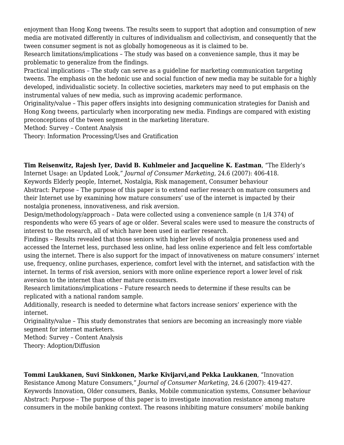enjoyment than Hong Kong tweens. The results seem to support that adoption and consumption of new media are motivated differently in cultures of individualism and collectivism, and consequently that the tween consumer segment is not as globally homogeneous as it is claimed to be.

Research limitations/implications – The study was based on a convenience sample, thus it may be problematic to generalize from the findings.

Practical implications – The study can serve as a guideline for marketing communication targeting tweens. The emphasis on the hedonic use and social function of new media may be suitable for a highly developed, individualistic society. In collective societies, marketers may need to put emphasis on the instrumental values of new media, such as improving academic performance.

Originality/value – This paper offers insights into designing communication strategies for Danish and Hong Kong tweens, particularly when incorporating new media. Findings are compared with existing preconceptions of the tween segment in the marketing literature.

Method: Survey – Content Analysis

Theory: Information Processing/Uses and Gratification

**Tim Reisenwitz, Rajesh Iyer, David B. Kuhlmeier and Jacqueline K. Eastman**, "The Elderly's Internet Usage: an Updated Look," *Journal of Consumer Marketing*, 24.6 (2007): 406-418. Keywords Elderly people, Internet, Nostalgia, Risk management, Consumer behaviour Abstract: Purpose – The purpose of this paper is to extend earlier research on mature consumers and their Internet use by examining how mature consumers' use of the internet is impacted by their nostalgia proneness, innovativeness, and risk aversion.

Design/methodology/approach – Data were collected using a convenience sample (n 1/4 374) of respondents who were 65 years of age or older. Several scales were used to measure the constructs of interest to the research, all of which have been used in earlier research.

Findings – Results revealed that those seniors with higher levels of nostalgia proneness used and accessed the Internet less, purchased less online, had less online experience and felt less comfortable using the internet. There is also support for the impact of innovativeness on mature consumers' internet use, frequency, online purchases, experience, comfort level with the internet, and satisfaction with the internet. In terms of risk aversion, seniors with more online experience report a lower level of risk aversion to the internet than other mature consumers.

Research limitations/implications – Future research needs to determine if these results can be replicated with a national random sample.

Additionally, research is needed to determine what factors increase seniors' experience with the internet.

Originality/value – This study demonstrates that seniors are becoming an increasingly more viable segment for internet marketers.

Method: Survey – Content Analysis Theory: Adoption/Diffusion

**Tommi Laukkanen, Suvi Sinkkonen, Marke Kivijarvi,and Pekka Laukkanen**, "Innovation Resistance Among Mature Consumers," *Journal of Consumer Marketing*, 24.6 (2007): 419-427. Keywords Innovation, Older consumers, Banks, Mobile communication systems, Consumer behaviour Abstract: Purpose – The purpose of this paper is to investigate innovation resistance among mature consumers in the mobile banking context. The reasons inhibiting mature consumers' mobile banking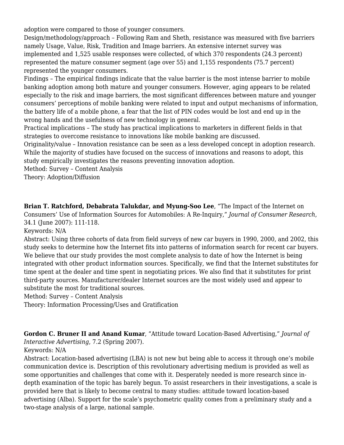adoption were compared to those of younger consumers.

Design/methodology/approach – Following Ram and Sheth, resistance was measured with five barriers namely Usage, Value, Risk, Tradition and Image barriers. An extensive internet survey was implemented and 1,525 usable responses were collected, of which 370 respondents (24.3 percent) represented the mature consumer segment (age over 55) and 1,155 respondents (75.7 percent) represented the younger consumers.

Findings – The empirical findings indicate that the value barrier is the most intense barrier to mobile banking adoption among both mature and younger consumers. However, aging appears to be related especially to the risk and image barriers, the most significant differences between mature and younger consumers' perceptions of mobile banking were related to input and output mechanisms of information, the battery life of a mobile phone, a fear that the list of PIN codes would be lost and end up in the wrong hands and the usefulness of new technology in general.

Practical implications – The study has practical implications to marketers in different fields in that strategies to overcome resistance to innovations like mobile banking are discussed.

Originality/value – Innovation resistance can be seen as a less developed concept in adoption research. While the majority of studies have focused on the success of innovations and reasons to adopt, this study empirically investigates the reasons preventing innovation adoption.

Method: Survey – Content Analysis

Theory: Adoption/Diffusion

**Brian T. Ratchford, Debabrata Talukdar, and Myung-Soo Lee**, "The Impact of the Internet on Consumers' Use of Information Sources for Automobiles: A Re-Inquiry," *Journal of Consumer Research*, 34.1 (June 2007): 111-118.

## Keywords: N/A

Abstract: Using three cohorts of data from field surveys of new car buyers in 1990, 2000, and 2002, this study seeks to determine how the Internet fits into patterns of information search for recent car buyers. We believe that our study provides the most complete analysis to date of how the Internet is being integrated with other product information sources. Specifically, we find that the Internet substitutes for time spent at the dealer and time spent in negotiating prices. We also find that it substitutes for print third-party sources. Manufacturer/dealer Internet sources are the most widely used and appear to substitute the most for traditional sources.

Method: Survey – Content Analysis

Theory: Information Processing/Uses and Gratification

**Gordon C. Bruner II and Anand Kumar**, "Attitude toward Location-Based Advertising," *Journal of Interactive Advertising*, 7.2 (Spring 2007).

## Keywords: N/A

Abstract: Location-based advertising (LBA) is not new but being able to access it through one's mobile communication device is. Description of this revolutionary advertising medium is provided as well as some opportunities and challenges that come with it. Desperately needed is more research since indepth examination of the topic has barely begun. To assist researchers in their investigations, a scale is provided here that is likely to become central to many studies: attitude toward location-based advertising (Alba). Support for the scale's psychometric quality comes from a preliminary study and a two-stage analysis of a large, national sample.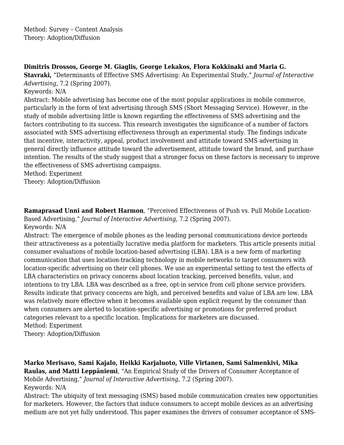## **Dimitris Drossos, George M. Giaglis, George Lekakos, Flora Kokkinaki and Maria G.**

**Stavraki,** "Determinants of Effective SMS Advertising: An Experimental Study," *Journal of Interactive Advertising*, 7.2 (Spring 2007).

### Keywords: N/A

Abstract: Mobile advertising has become one of the most popular applications in mobile commerce, particularly in the form of text advertising through SMS (Short Messaging Service). However, in the study of mobile advertising little is known regarding the effectiveness of SMS advertising and the factors contributing to its success. This research investigates the significance of a number of factors associated with SMS advertising effectiveness through an experimental study. The findings indicate that incentive, interactivity, appeal, product involvement and attitude toward SMS advertising in general directly influence attitude toward the advertisement, attitude toward the brand, and purchase intention. The results of the study suggest that a stronger focus on these factors is necessary to improve the effectiveness of SMS advertising campaigns.

Method: Experiment

Theory: Adoption/Diffusion

**Ramaprasad Unni and Robert Harmon**, "Perceived Effectiveness of Push vs. Pull Mobile Location-Based Advertising," *Journal of Interactive Advertising*, 7.2 (Spring 2007). Keywords: N/A

Abstract: The emergence of mobile phones as the leading personal communications device portends their attractiveness as a potentially lucrative media platform for marketers. This article presents initial consumer evaluations of mobile location-based advertising (LBA). LBA is a new form of marketing communication that uses location-tracking technology in mobile networks to target consumers with location-specific advertising on their cell phones. We use an experimental setting to test the effects of LBA characteristics on privacy concerns about location tracking, perceived benefits, value, and intentions to try LBA. LBA was described as a free, opt-in service from cell phone service providers. Results indicate that privacy concerns are high, and perceived benefits and value of LBA are low. LBA was relatively more effective when it becomes available upon explicit request by the consumer than when consumers are alerted to location-specific advertising or promotions for preferred product categories relevant to a specific location. Implications for marketers are discussed. Method: Experiment

Theory: Adoption/Diffusion

**Marko Merisavo, Sami Kajalo, Heikki Karjaluoto, Ville Virtanen, Sami Salmenkivi, Mika Raulas, and Matti Leppäniemi**, "An Empirical Study of the Drivers of Consumer Acceptance of Mobile Advertising," *Journal of Interactive Advertising*, 7.2 (Spring 2007). Keywords: N/A

Abstract: The ubiquity of text messaging (SMS) based mobile communication creates new opportunities for marketers. However, the factors that induce consumers to accept mobile devices as an advertising medium are not yet fully understood. This paper examines the drivers of consumer acceptance of SMS-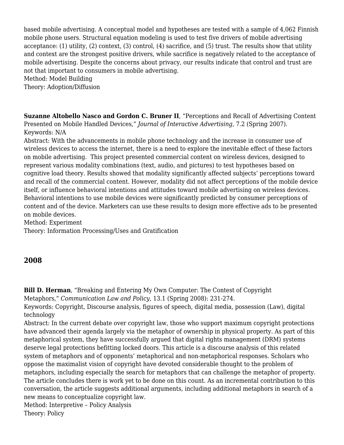based mobile advertising. A conceptual model and hypotheses are tested with a sample of 4,062 Finnish mobile phone users. Structural equation modeling is used to test five drivers of mobile advertising acceptance: (1) utility, (2) context, (3) control, (4) sacrifice, and (5) trust. The results show that utility and context are the strongest positive drivers, while sacrifice is negatively related to the acceptance of mobile advertising. Despite the concerns about privacy, our results indicate that control and trust are not that important to consumers in mobile advertising.

Method: Model Building Theory: Adoption/Diffusion

**Suzanne Altobello Nasco and Gordon C. Bruner II**, "Perceptions and Recall of Advertising Content Presented on Mobile Handled Devices," *Journal of Interactive Advertising,* 7.2 (Spring 2007). Keywords: N/A

Abstract: With the advancements in mobile phone technology and the increase in consumer use of wireless devices to access the internet, there is a need to explore the inevitable effect of these factors on mobile advertising. This project presented commercial content on wireless devices, designed to represent various modality combinations (text, audio, and pictures) to test hypotheses based on cognitive load theory. Results showed that modality significantly affected subjects' perceptions toward and recall of the commercial content. However, modality did not affect perceptions of the mobile device itself, or influence behavioral intentions and attitudes toward mobile advertising on wireless devices. Behavioral intentions to use mobile devices were significantly predicted by consumer perceptions of content and of the device. Marketers can use these results to design more effective ads to be presented on mobile devices.

Method: Experiment

Theory: Information Processing/Uses and Gratification

# **2008**

**Bill D. Herman**, "Breaking and Entering My Own Computer: The Contest of Copyright

Metaphors," *Communication Law and Policy*, 13.1 (Spring 2008): 231-274.

Keywords: Copyright, Discourse analysis, figures of speech, digital media, possession (Law), digital technology

Abstract: In the current debate over copyright law, those who support maximum copyright protections have advanced their agenda largely via the metaphor of ownership in physical property. As part of this metaphorical system, they have successfully argued that digital rights management (DRM) systems deserve legal protections befitting locked doors. This article is a discourse analysis of this related system of metaphors and of opponents' metaphorical and non-metaphorical responses. Scholars who oppose the maximalist vision of copyright have devoted considerable thought to the problem of metaphors, including especially the search for metaphors that can challenge the metaphor of property. The article concludes there is work yet to be done on this count. As an incremental contribution to this conversation, the article suggests additional arguments, including additional metaphors in search of a new means to conceptualize copyright law.

Method: Interpretive – Policy Analysis Theory: Policy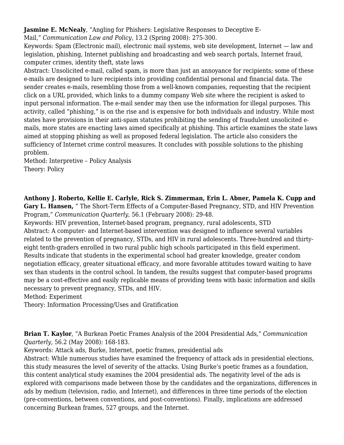**Jasmine E. McNealy**, "Angling for Phishers: Legislative Responses to Deceptive E-

Mail," *Communication Law and Policy*, 13.2 (Spring 2008): 275-300.

Keywords: Spam (Electronic mail), electronic mail systems, web site development, Internet — law and legislation, phishing, Internet publishing and broadcasting and web search portals, Internet fraud, computer crimes, identity theft, state laws

Abstract: Unsolicited e-mail, called spam, is more than just an annoyance for recipients; some of these e-mails are designed to lure recipients into providing confidential personal and financial data. The sender creates e-mails, resembling those from a well-known companies, requesting that the recipient click on a URL provided, which links to a dummy company Web site where the recipient is asked to input personal information. The e-mail sender may then use the information for illegal purposes. This activity, called "phishing," is on the rise and is expensive for both individuals and industry. While most states have provisions in their anti-spam statutes prohibiting the sending of fraudulent unsolicited emails, more states are enacting laws aimed specifically at phishing. This article examines the state laws aimed at stopping phishing as well as proposed federal legislation. The article also considers the sufficiency of Internet crime control measures. It concludes with possible solutions to the phishing problem.

Method: Interpretive – Policy Analysis Theory: Policy

**Anthony J. Roberto, Kellie E. Carlyle, Rick S. Zimmerman, Erin L. Abner, Pamela K. Cupp and Gary L. Hansen,** " The Short-Term Effects of a Computer-Based Pregnancy, STD, and HIV Prevention Program," *Communication Quarterly*, 56.1 (February 2008): 29-48.

Keywords: HIV prevention, Internet-based program, pregnancy, rural adolescents, STD Abstract: A computer- and Internet-based intervention was designed to influence several variables related to the prevention of pregnancy, STDs, and HIV in rural adolescents. Three-hundred and thirtyeight tenth-graders enrolled in two rural public high schools participated in this field experiment. Results indicate that students in the experimental school had greater knowledge, greater condom negotiation efficacy, greater situational efficacy, and more favorable attitudes toward waiting to have sex than students in the control school. In tandem, the results suggest that computer-based programs may be a cost-effective and easily replicable means of providing teens with basic information and skills necessary to prevent pregnancy, STDs, and HIV.

Method: Experiment

Theory: Information Processing/Uses and Gratification

**Brian T. Kaylor**, "A Burkean Poetic Frames Analysis of the 2004 Presidential Ads," *Communication Quarterly*, 56.2 (May 2008): 168-183.

Keywords: Attack ads, Burke, Internet, poetic frames, presidential ads

Abstract: While numerous studies have examined the frequency of attack ads in presidential elections, this study measures the level of severity of the attacks. Using Burke's poetic frames as a foundation, this content analytical study examines the 2004 presidential ads. The negativity level of the ads is explored with comparisons made between those by the candidates and the organizations, differences in ads by medium (television, radio, and Internet), and differences in three time periods of the election (pre-conventions, between conventions, and post-conventions). Finally, implications are addressed concerning Burkean frames, 527 groups, and the Internet.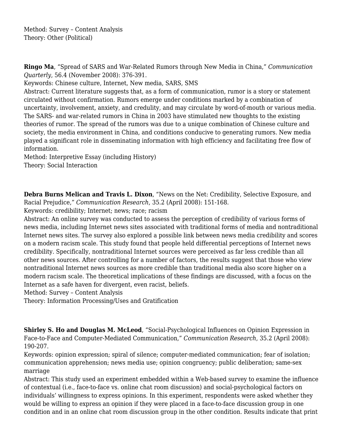Method: Survey – Content Analysis Theory: Other (Political)

**Ringo Ma**, "Spread of SARS and War-Related Rumors through New Media in China," *Communication Quarterly*, 56.4 (November 2008): 376-391.

Keywords: Chinese culture, Internet, New media, SARS, SMS

Abstract: Current literature suggests that, as a form of communication, rumor is a story or statement circulated without confirmation. Rumors emerge under conditions marked by a combination of uncertainty, involvement, anxiety, and credulity, and may circulate by word-of-mouth or various media. The SARS- and war-related rumors in China in 2003 have stimulated new thoughts to the existing theories of rumor. The spread of the rumors was due to a unique combination of Chinese culture and society, the media environment in China, and conditions conducive to generating rumors. New media played a significant role in disseminating information with high efficiency and facilitating free flow of information.

Method: Interpretive Essay (including History) Theory: Social Interaction

**Debra Burns Melican and Travis L. Dixon**, "News on the Net: Credibility, Selective Exposure, and Racial Prejudice," *Communication Research*, 35.2 (April 2008): 151-168.

Keywords: credibility; Internet; news; race; racism

Abstract: An online survey was conducted to assess the perception of credibility of various forms of news media, including Internet news sites associated with traditional forms of media and nontraditional Internet news sites. The survey also explored a possible link between news media credibility and scores on a modern racism scale. This study found that people held differential perceptions of Internet news credibility. Specifically, nontraditional Internet sources were perceived as far less credible than all other news sources. After controlling for a number of factors, the results suggest that those who view nontraditional Internet news sources as more credible than traditional media also score higher on a modern racism scale. The theoretical implications of these findings are discussed, with a focus on the Internet as a safe haven for divergent, even racist, beliefs.

Method: Survey – Content Analysis

Theory: Information Processing/Uses and Gratification

**Shirley S. Ho and Douglas M. McLeod**, "Social-Psychological Influences on Opinion Expression in Face-to-Face and Computer-Mediated Communication," *Communication Research*, 35.2 (April 2008): 190-207.

Keywords: opinion expression; spiral of silence; computer-mediated communication; fear of isolation; communication apprehension; news media use; opinion congruency; public deliberation; same-sex marriage

Abstract: This study used an experiment embedded within a Web-based survey to examine the influence of contextual (i.e., face-to-face vs. online chat room discussion) and social-psychological factors on individuals' willingness to express opinions. In this experiment, respondents were asked whether they would be willing to express an opinion if they were placed in a face-to-face discussion group in one condition and in an online chat room discussion group in the other condition. Results indicate that print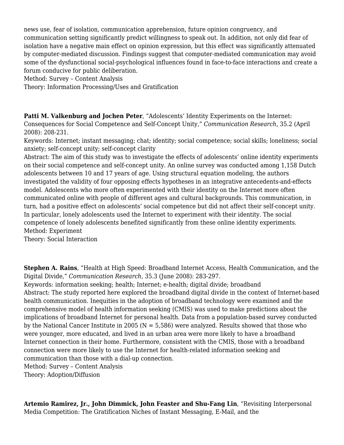news use, fear of isolation, communication apprehension, future opinion congruency, and communication setting significantly predict willingness to speak out. In addition, not only did fear of isolation have a negative main effect on opinion expression, but this effect was significantly attenuated by computer-mediated discussion. Findings suggest that computer-mediated communication may avoid some of the dysfunctional social-psychological influences found in face-to-face interactions and create a forum conducive for public deliberation.

Method: Survey – Content Analysis

Theory: Information Processing/Uses and Gratification

Patti M. Valkenburg and Jochen Peter, "Adolescents' Identity Experiments on the Internet: Consequences for Social Competence and Self-Concept Unity," *Communication Research*, 35.2 (April 2008): 208-231.

Keywords: Internet; instant messaging; chat; identity; social competence; social skills; loneliness; social anxiety; self-concept unity; self-concept clarity

Abstract: The aim of this study was to investigate the effects of adolescents' online identity experiments on their social competence and self-concept unity. An online survey was conducted among 1,158 Dutch adolescents between 10 and 17 years of age. Using structural equation modeling, the authors investigated the validity of four opposing effects hypotheses in an integrative antecedents-and-effects model. Adolescents who more often experimented with their identity on the Internet more often communicated online with people of different ages and cultural backgrounds. This communication, in turn, had a positive effect on adolescents' social competence but did not affect their self-concept unity. In particular, lonely adolescents used the Internet to experiment with their identity. The social competence of lonely adolescents benefited significantly from these online identity experiments. Method: Experiment

Theory: Social Interaction

**Stephen A. Rains**, "Health at High Speed: Broadband Internet Access, Health Communication, and the Digital Divide," *Communication Research*, 35.3 (June 2008): 283-297.

Keywords: information seeking; health; Internet; e-health; digital divide; broadband

Abstract: The study reported here explored the broadband digital divide in the context of Internet-based health communication. Inequities in the adoption of broadband technology were examined and the comprehensive model of health information seeking (CMIS) was used to make predictions about the implications of broadband Internet for personal health. Data from a population-based survey conducted by the National Cancer Institute in 2005 ( $N = 5,586$ ) were analyzed. Results showed that those who were younger, more educated, and lived in an urban area were more likely to have a broadband Internet connection in their home. Furthermore, consistent with the CMIS, those with a broadband connection were more likely to use the Internet for health-related information seeking and communication than those with a dial-up connection.

Method: Survey – Content Analysis

Theory: Adoption/Diffusion

**Artemio Ramirez, Jr., John Dimmick, John Feaster and Shu-Fang Lin**, "Revisiting Interpersonal Media Competition: The Gratification Niches of Instant Messaging, E-Mail, and the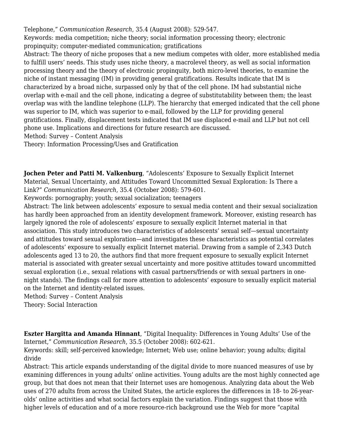Telephone," *Communication Research*, 35.4 (August 2008): 529-547.

Keywords: media competition; niche theory; social information processing theory; electronic propinquity; computer-mediated communication; gratifications

Abstract: The theory of niche proposes that a new medium competes with older, more established media to fulfill users' needs. This study uses niche theory, a macrolevel theory, as well as social information processing theory and the theory of electronic propinquity, both micro-level theories, to examine the niche of instant messaging (IM) in providing general gratifications. Results indicate that IM is characterized by a broad niche, surpassed only by that of the cell phone. IM had substantial niche overlap with e-mail and the cell phone, indicating a degree of substitutability between them; the least overlap was with the landline telephone (LLP). The hierarchy that emerged indicated that the cell phone was superior to IM, which was superior to e-mail, followed by the LLP for providing general gratifications. Finally, displacement tests indicated that IM use displaced e-mail and LLP but not cell phone use. Implications and directions for future research are discussed.

Method: Survey – Content Analysis

Theory: Information Processing/Uses and Gratification

**Jochen Peter and Patti M. Valkenburg**, "Adolescents' Exposure to Sexually Explicit Internet Material, Sexual Uncertainty, and Attitudes Toward Uncommitted Sexual Exploration: Is There a Link?" *Communication Research*, 35.4 (October 2008): 579-601.

Keywords: pornography; youth; sexual socialization; teenagers

Abstract: The link between adolescents' exposure to sexual media content and their sexual socialization has hardly been approached from an identity development framework. Moreover, existing research has largely ignored the role of adolescents' exposure to sexually explicit Internet material in that association. This study introduces two characteristics of adolescents' sexual self—sexual uncertainty and attitudes toward sexual exploration—and investigates these characteristics as potential correlates of adolescents' exposure to sexually explicit Internet material. Drawing from a sample of 2,343 Dutch adolescents aged 13 to 20, the authors find that more frequent exposure to sexually explicit Internet material is associated with greater sexual uncertainty and more positive attitudes toward uncommitted sexual exploration (i.e., sexual relations with casual partners/friends or with sexual partners in onenight stands). The findings call for more attention to adolescents' exposure to sexually explicit material on the Internet and identity-related issues.

Method: Survey – Content Analysis

Theory: Social Interaction

**Eszter Hargitta and Amanda Hinnant**, "Digital Inequality: Differences in Young Adults' Use of the Internet," *Communication Research*, 35.5 (October 2008): 602-621.

Keywords: skill; self-perceived knowledge; Internet; Web use; online behavior; young adults; digital divide

Abstract: This article expands understanding of the digital divide to more nuanced measures of use by examining differences in young adults' online activities. Young adults are the most highly connected age group, but that does not mean that their Internet uses are homogenous. Analyzing data about the Web uses of 270 adults from across the United States, the article explores the differences in 18- to 26-yearolds' online activities and what social factors explain the variation. Findings suggest that those with higher levels of education and of a more resource-rich background use the Web for more "capital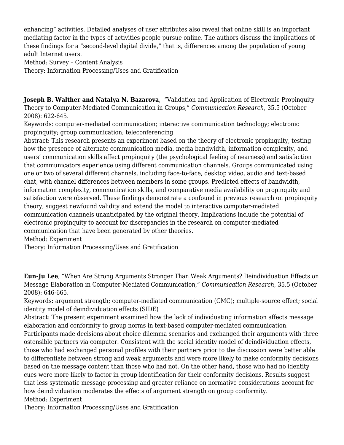enhancing" activities. Detailed analyses of user attributes also reveal that online skill is an important mediating factor in the types of activities people pursue online. The authors discuss the implications of these findings for a "second-level digital divide," that is, differences among the population of young adult Internet users.

Method: Survey – Content Analysis

Theory: Information Processing/Uses and Gratification

**Joseph B. Walther and Natalya N. Bazarova**, "Validation and Application of Electronic Propinquity Theory to Computer-Mediated Communication in Groups," *Communication Research*, 35.5 (October 2008): 622-645.

Keywords: computer-mediated communication; interactive communication technology; electronic propinquity; group communication; teleconferencing

Abstract: This research presents an experiment based on the theory of electronic propinquity, testing how the presence of alternate communication media, media bandwidth, information complexity, and users' communication skills affect propinquity (the psychological feeling of nearness) and satisfaction that communicators experience using different communication channels. Groups communicated using one or two of several different channels, including face-to-face, desktop video, audio and text-based chat, with channel differences between members in some groups. Predicted effects of bandwidth, information complexity, communication skills, and comparative media availability on propinquity and satisfaction were observed. These findings demonstrate a confound in previous research on propinquity theory, suggest newfound validity and extend the model to interactive computer-mediated communication channels unanticipated by the original theory. Implications include the potential of electronic propinquity to account for discrepancies in the research on computer-mediated communication that have been generated by other theories.

Method: Experiment

Theory: Information Processing/Uses and Gratification

**Eun-Ju Lee**, "When Are Strong Arguments Stronger Than Weak Arguments? Deindividuation Effects on Message Elaboration in Computer-Mediated Communication," *Communication Research*, 35.5 (October 2008): 646-665.

Keywords: argument strength; computer-mediated communication (CMC); multiple-source effect; social identity model of deindividuation effects (SIDE)

Abstract: The present experiment examined how the lack of individuating information affects message elaboration and conformity to group norms in text-based computer-mediated communication. Participants made decisions about choice dilemma scenarios and exchanged their arguments with three ostensible partners via computer. Consistent with the social identity model of deindividuation effects, those who had exchanged personal profiles with their partners prior to the discussion were better able to differentiate between strong and weak arguments and were more likely to make conformity decisions based on the message content than those who had not. On the other hand, those who had no identity cues were more likely to factor in group identification for their conformity decisions. Results suggest that less systematic message processing and greater reliance on normative considerations account for how deindividuation moderates the effects of argument strength on group conformity. Method: Experiment

Theory: Information Processing/Uses and Gratification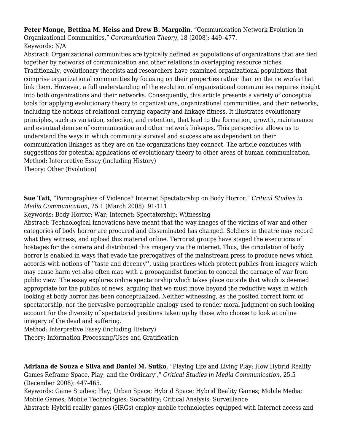**Peter Monge, Bettina M. Heiss and Drew B. Margolin**, "Communication Network Evolution in Organizational Communities," *Communication Theory*, 18 (2008): 449–477. Keywords: N/A

Abstract: Organizational communities are typically defined as populations of organizations that are tied together by networks of communication and other relations in overlapping resource niches. Traditionally, evolutionary theorists and researchers have examined organizational populations that comprise organizational communities by focusing on their properties rather than on the networks that link them. However, a full understanding of the evolution of organizational communities requires insight into both organizations and their networks. Consequently, this article presents a variety of conceptual tools for applying evolutionary theory to organizations, organizational communities, and their networks, including the notions of relational carrying capacity and linkage fitness. It illustrates evolutionary principles, such as variation, selection, and retention, that lead to the formation, growth, maintenance and eventual demise of communication and other network linkages. This perspective allows us to understand the ways in which community survival and success are as dependent on their communication linkages as they are on the organizations they connect. The article concludes with suggestions for potential applications of evolutionary theory to other areas of human communication. Method: Interpretive Essay (including History)

Theory: Other (Evolution)

**Sue Tait**, "Pornographies of Violence? Internet Spectatorship on Body Horror," *Critical Studies in Media Communication*, 25.1 (March 2008): 91-111.

Keywords: Body Horror; War; Internet; Spectatorship; Witnessing

Abstract: Technological innovations have meant that the way images of the victims of war and other categories of body horror are procured and disseminated has changed. Soldiers in theatre may record what they witness, and upload this material online. Terrorist groups have staged the executions of hostages for the camera and distributed this imagery via the internet. Thus, the circulation of body horror is enabled in ways that evade the prerogatives of the mainstream press to produce news which accords with notions of ''taste and decency'', using practices which protect publics from imagery which may cause harm yet also often map with a propagandist function to conceal the carnage of war from public view. The essay explores online spectatorship which takes place outside that which is deemed appropriate for the publics of news, arguing that we must move beyond the reductive ways in which looking at body horror has been conceptualized. Neither witnessing, as the posited correct form of spectatorship, nor the pervasive pornographic analogy used to render moral judgment on such looking account for the diversity of spectatorial positions taken up by those who choose to look at online imagery of the dead and suffering.

Method: Interpretive Essay (including History)

Theory: Information Processing/Uses and Gratification

**Adriana de Souza e Silva and Daniel M. Sutko**, "Playing Life and Living Play: How Hybrid Reality Games Reframe Space, Play, and the Ordinary'," *Critical Studies in Media Communication*, 25.5 (December 2008): 447-465.

Keywords: Game Studies; Play; Urban Space; Hybrid Space; Hybrid Reality Games; Mobile Media; Mobile Games; Mobile Technologies; Sociability; Critical Analysis; Surveillance

Abstract: Hybrid reality games (HRGs) employ mobile technologies equipped with Internet access and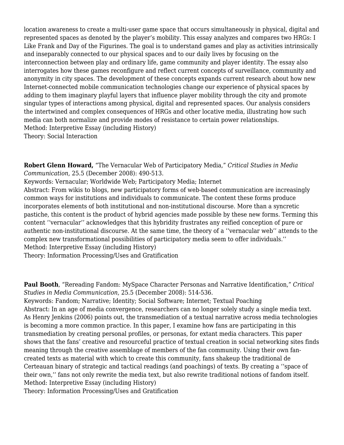location awareness to create a multi-user game space that occurs simultaneously in physical, digital and represented spaces as denoted by the player's mobility. This essay analyzes and compares two HRGs: I Like Frank and Day of the Figurines. The goal is to understand games and play as activities intrinsically and inseparably connected to our physical spaces and to our daily lives by focusing on the interconnection between play and ordinary life, game community and player identity. The essay also interrogates how these games reconfigure and reflect current concepts of surveillance, community and anonymity in city spaces. The development of these concepts expands current research about how new Internet-connected mobile communication technologies change our experience of physical spaces by adding to them imaginary playful layers that influence player mobility through the city and promote singular types of interactions among physical, digital and represented spaces. Our analysis considers the intertwined and complex consequences of HRGs and other locative media, illustrating how such media can both normalize and provide modes of resistance to certain power relationships. Method: Interpretive Essay (including History) Theory: Social Interaction

**Robert Glenn Howard,** "The Vernacular Web of Participatory Media," *Critical Studies in Media Communication*, 25.5 (December 2008): 490-513.

Keywords: Vernacular; Worldwide Web; Participatory Media; Internet

Abstract: From wikis to blogs, new participatory forms of web-based communication are increasingly common ways for institutions and individuals to communicate. The content these forms produce incorporates elements of both institutional and non-institutional discourse. More than a syncretic pastiche, this content is the product of hybrid agencies made possible by these new forms. Terming this content ''vernacular'' acknowledges that this hybridity frustrates any reified conception of pure or authentic non-institutional discourse. At the same time, the theory of a ''vernacular web'' attends to the complex new transformational possibilities of participatory media seem to offer individuals.'' Method: Interpretive Essay (including History)

Theory: Information Processing/Uses and Gratification

**Paul Booth**, "Rereading Fandom: MySpace Character Personas and Narrative Identification," *Critical Studies in Media Communication*, 25.5 (December 2008): 514-536.

Keywords: Fandom; Narrative; Identity; Social Software; Internet; Textual Poaching Abstract: In an age of media convergence, researchers can no longer solely study a single media text. As Henry Jenkins (2006) points out, the transmediation of a textual narrative across media technologies is becoming a more common practice. In this paper, I examine how fans are participating in this transmediation by creating personal profiles, or personas, for extant media characters. This paper shows that the fans' creative and resourceful practice of textual creation in social networking sites finds meaning through the creative assemblage of members of the fan community. Using their own fancreated texts as material with which to create this community, fans shakeup the traditional de Certeauan binary of strategic and tactical readings (and poachings) of texts. By creating a ''space of their own,'' fans not only rewrite the media text, but also rewrite traditional notions of fandom itself. Method: Interpretive Essay (including History)

Theory: Information Processing/Uses and Gratification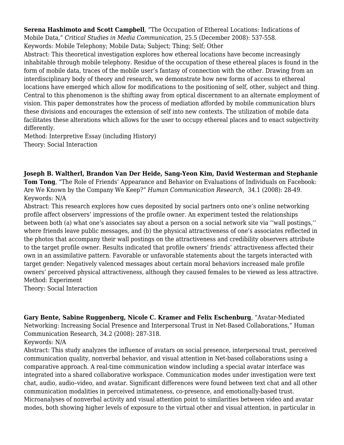**Serena Hashimoto and Scott Campbell**, "The Occupation of Ethereal Locations: Indications of Mobile Data," *Critical Studies in Media Communication*, 25.5 (December 2008): 537-558. Keywords: Mobile Telephony; Mobile Data; Subject; Thing; Self; Other

Abstract: This theoretical investigation explores how ethereal locations have become increasingly inhabitable through mobile telephony. Residue of the occupation of these ethereal places is found in the form of mobile data, traces of the mobile user's fantasy of connection with the other. Drawing from an interdisciplinary body of theory and research, we demonstrate how new forms of access to ethereal locations have emerged which allow for modifications to the positioning of self, other, subject and thing. Central to this phenomenon is the shifting away from optical discernment to an alternate employment of vision. This paper demonstrates how the process of mediation afforded by mobile communication blurs these divisions and encourages the extension of self into new contexts. The utilization of mobile data facilitates these alterations which allows for the user to occupy ethereal places and to enact subjectivity differently.

Method: Interpretive Essay (including History) Theory: Social Interaction

**Joseph B. Waltherl, Brandon Van Der Heide, Sang-Yeon Kim, David Westerman and Stephanie Tom Tong**, "The Role of Friends' Appearance and Behavior on Evaluations of Individuals on Facebook: Are We Known by the Company We Keep?" *Human Communication Research*, 34.1 (2008): 28-49. Keywords: N/A

Abstract: This research explores how cues deposited by social partners onto one's online networking profile affect observers' impressions of the profile owner. An experiment tested the relationships between both (a) what one's associates say about a person on a social network site via ''wall postings,'' where friends leave public messages, and (b) the physical attractiveness of one's associates reflected in the photos that accompany their wall postings on the attractiveness and credibility observers attribute to the target profile owner. Results indicated that profile owners' friends' attractiveness affected their own in an assimilative pattern. Favorable or unfavorable statements about the targets interacted with target gender: Negatively valenced messages about certain moral behaviors increased male profile owners' perceived physical attractiveness, although they caused females to be viewed as less attractive. Method: Experiment

Theory: Social Interaction

**Gary Bente, Sabine Ruggenberg, Nicole C. Kramer and Felix Eschenburg**, "Avatar-Mediated Networking: Increasing Social Presence and Interpersonal Trust in Net-Based Collaborations," Human Communication Research, 34.2 (2008): 287-318.

Keywords: N/A

Abstract: This study analyzes the influence of avatars on social presence, interpersonal trust, perceived communication quality, nonverbal behavior, and visual attention in Net-based collaborations using a comparative approach. A real-time communication window including a special avatar interface was integrated into a shared collaborative workspace. Communication modes under investigation were text chat, audio, audio–video, and avatar. Significant differences were found between text chat and all other communication modalities in perceived intimateness, co-presence, and emotionally-based trust. Microanalyses of nonverbal activity and visual attention point to similarities between video and avatar modes, both showing higher levels of exposure to the virtual other and visual attention, in particular in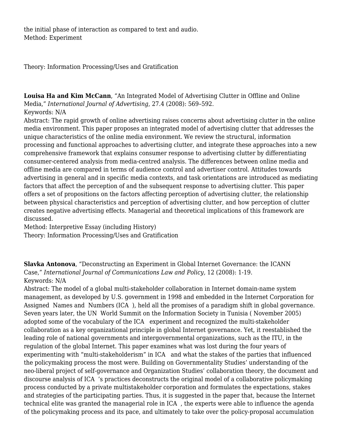the initial phase of interaction as compared to text and audio. Method: Experiment

Theory: Information Processing/Uses and Gratification

**Louisa Ha and Kim McCann**, "An Integrated Model of Advertising Clutter in Offline and Online Media," *International Journal of Advertising*, 27.4 (2008): 569–592. Keywords: N/A

Abstract: The rapid growth of online advertising raises concerns about advertising clutter in the online media environment. This paper proposes an integrated model of advertising clutter that addresses the unique characteristics of the online media environment. We review the structural, information processing and functional approaches to advertising clutter, and integrate these approaches into a new comprehensive framework that explains consumer response to advertising clutter by differentiating consumer-centered analysis from media-centred analysis. The differences between online media and offline media are compared in terms of audience control and advertiser control. Attitudes towards advertising in general and in specific media contexts, and task orientations are introduced as mediating factors that affect the perception of and the subsequent response to advertising clutter. This paper offers a set of propositions on the factors affecting perception of advertising clutter, the relationship between physical characteristics and perception of advertising clutter, and how perception of clutter creates negative advertising effects. Managerial and theoretical implications of this framework are discussed.

Method: Interpretive Essay (including History) Theory: Information Processing/Uses and Gratification

**Slavka Antonova**, "Deconstructing an Experiment in Global Internet Governance: the ICANN Case," *International Journal of Communications Law and Policy,* 12 (2008): 1-19. Keywords: N/A

Abstract: The model of a global multi-stakeholder collaboration in Internet domain-name system management, as developed by U.S. government in 1998 and embedded in the Internet Corporation for Assigned Names and Numbers (ICA ), held all the promises of a paradigm shift in global governance. Seven years later, the UN World Summit on the Information Society in Tunisia ( November 2005) adopted some of the vocabulary of the ICA experiment and recognized the multi-stakeholder collaboration as a key organizational principle in global Internet governance. Yet, it reestablished the leading role of national governments and intergovernmental organizations, such as the ITU, in the regulation of the global Internet. This paper examines what was lost during the four years of experimenting with "multi-stakeholderism" in ICA and what the stakes of the parties that influenced the policymaking process the most were. Building on Governmentality Studies' understanding of the neo-liberal project of self-governance and Organization Studies' collaboration theory, the document and discourse analysis of ICA 's practices deconstructs the original model of a collaborative policymaking process conducted by a private multistakeholder corporation and formulates the expectations, stakes and strategies of the participating parties. Thus, it is suggested in the paper that, because the Internet technical elite was granted the managerial role in ICA , the experts were able to influence the agenda of the policymaking process and its pace, and ultimately to take over the policy-proposal accumulation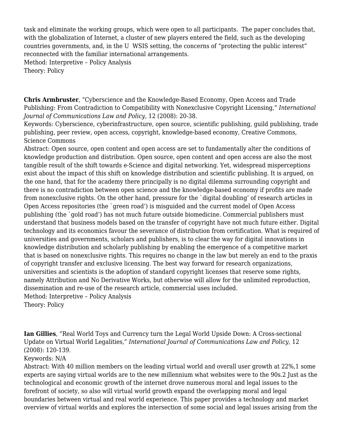task and eliminate the working groups, which were open to all participants. The paper concludes that, with the globalization of Internet, a cluster of new players entered the field, such as the developing countries governments, and, in the U WSIS setting, the concerns of "protecting the public interest" reconnected with the familiar international arrangements.

Method: Interpretive – Policy Analysis

Theory: Policy

**Chris Armbruster**, "Cyberscience and the Knowledge-Based Economy, Open Access and Trade Publishing: From Contradiction to Compatibility with Nonexclusive Copyright Licensing," *International Journal of Communications Law and Policy*, 12 (2008): 20-38.

Keywords: Cyberscience, cyberinfrastructure, open source, scientific publishing, guild publishing, trade publishing, peer review, open access, copyright, knowledge-based economy, Creative Commons, Science Commons

Abstract: Open source, open content and open access are set to fundamentally alter the conditions of knowledge production and distribution. Open source, open content and open access are also the most tangible result of the shift towards e-Science and digital networking. Yet, widespread misperceptions exist about the impact of this shift on knowledge distribution and scientific publishing. It is argued, on the one hand, that for the academy there principally is no digital dilemma surrounding copyright and there is no contradiction between open science and the knowledge-based economy if profits are made from nonexclusive rights. On the other hand, pressure for the `digital doubling' of research articles in Open Access repositories (the `green road') is misguided and the current model of Open Access publishing (the `gold road') has not much future outside biomedicine. Commercial publishers must understand that business models based on the transfer of copyright have not much future either. Digital technology and its economics favour the severance of distribution from certification. What is required of universities and governments, scholars and publishers, is to clear the way for digital innovations in knowledge distribution and scholarly publishing by enabling the emergence of a competitive market that is based on nonexclusive rights. This requires no change in the law but merely an end to the praxis of copyright transfer and exclusive licensing. The best way forward for research organizations, universities and scientists is the adoption of standard copyright licenses that reserve some rights, namely Attribution and No Derivative Works, but otherwise will allow for the unlimited reproduction, dissemination and re-use of the research article, commercial uses included. Method: Interpretive – Policy Analysis

Theory: Policy

**Ian Gillies**, "Real World Toys and Currency turn the Legal World Upside Down: A Cross-sectional Update on Virtual World Legalities," *International Journal of Communications Law and Policy*, 12 (2008): 120-139.

### Keywords: N/A

Abstract: With 40 million members on the leading virtual world and overall user growth at 22%,1 some experts are saying virtual worlds are to the new millennium what websites were to the 90s.2 Just as the technological and economic growth of the internet drove numerous moral and legal issues to the forefront of society, so also will virtual world growth expand the overlapping moral and legal boundaries between virtual and real world experience. This paper provides a technology and market overview of virtual worlds and explores the intersection of some social and legal issues arising from the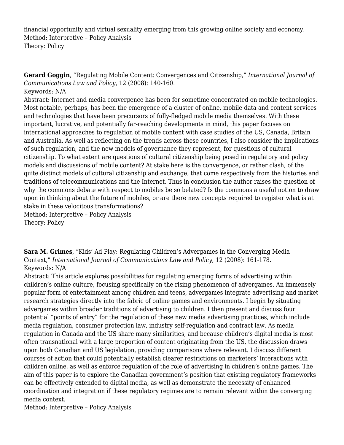financial opportunity and virtual sexuality emerging from this growing online society and economy. Method: Interpretive – Policy Analysis Theory: Policy

**Gerard Goggin**, "Regulating Mobile Content: Convergences and Citizenship," *International Journal of Communications Law and Policy*, 12 (2008): 140-160.

### Keywords: N/A

Abstract: Internet and media convergence has been for sometime concentrated on mobile technologies. Most notable, perhaps, has been the emergence of a cluster of online, mobile data and content services and technologies that have been precursors of fully-fledged mobile media themselves. With these important, lucrative, and potentially far-reaching developments in mind, this paper focuses on international approaches to regulation of mobile content with case studies of the US, Canada, Britain and Australia. As well as reflecting on the trends across these countries, I also consider the implications of such regulation, and the new models of governance they represent, for questions of cultural citizenship. To what extent are questions of cultural citizenship being posed in regulatory and policy models and discussions of mobile content? At stake here is the convergence, or rather clash, of the quite distinct models of cultural citizenship and exchange, that come respectively from the histories and traditions of telecommunications and the Internet. Thus in conclusion the author raises the question of why the commons debate with respect to mobiles be so belated? Is the commons a useful notion to draw upon in thinking about the future of mobiles, or are there new concepts required to register what is at stake in these velocitous transformations? Method: Interpretive – Policy Analysis

Theory: Policy

**Sara M. Grimes**, "Kids' Ad Play: Regulating Children's Advergames in the Converging Media Context," *International Journal of Communications Law and Policy*, 12 (2008): 161-178. Keywords: N/A

Abstract: This article explores possibilities for regulating emerging forms of advertising within children's online culture, focusing specifically on the rising phenomenon of advergames. An immensely popular form of entertainment among children and teens, advergames integrate advertising and market research strategies directly into the fabric of online games and environments. I begin by situating advergames within broader traditions of advertising to children. I then present and discuss four potential "points of entry" for the regulation of these new media advertising practices, which include media regulation, consumer protection law, industry self-regulation and contract law. As media regulation in Canada and the US share many similarities, and because children's digital media is most often transnational with a large proportion of content originating from the US, the discussion draws upon both Canadian and US legislation, providing comparisons where relevant. I discuss different courses of action that could potentially establish clearer restrictions on marketers' interactions with children online, as well as enforce regulation of the role of advertising in children's online games. The aim of this paper is to explore the Canadian government's position that existing regulatory frameworks can be effectively extended to digital media, as well as demonstrate the necessity of enhanced coordination and integration if these regulatory regimes are to remain relevant within the converging media context.

Method: Interpretive – Policy Analysis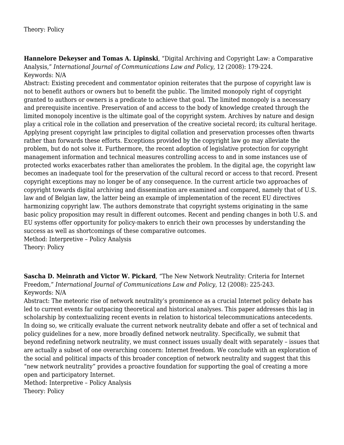**Hannelore Dekeyser and Tomas A. Lipinski**, "Digital Archiving and Copyright Law: a Comparative Analysis," *International Journal of Communications Law and Policy*, 12 (2008): 179-224. Keywords: N/A

Abstract: Existing precedent and commentator opinion reiterates that the purpose of copyright law is not to benefit authors or owners but to benefit the public. The limited monopoly right of copyright granted to authors or owners is a predicate to achieve that goal. The limited monopoly is a necessary and prerequisite incentive. Preservation of and access to the body of knowledge created through the limited monopoly incentive is the ultimate goal of the copyright system. Archives by nature and design play a critical role in the collation and preservation of the creative societal record; its cultural heritage. Applying present copyright law principles to digital collation and preservation processes often thwarts rather than forwards these efforts. Exceptions provided by the copyright law go may alleviate the problem, but do not solve it. Furthermore, the recent adoption of legislative protection for copyright management information and technical measures controlling access to and in some instances use of protected works exacerbates rather than ameliorates the problem. In the digital age, the copyright law becomes an inadequate tool for the preservation of the cultural record or access to that record. Present copyright exceptions may no longer be of any consequence. In the current article two approaches of copyright towards digital archiving and dissemination are examined and compared, namely that of U.S. law and of Belgian law, the latter being an example of implementation of the recent EU directives harmonizing copyright law. The authors demonstrate that copyright systems originating in the same basic policy proposition may result in different outcomes. Recent and pending changes in both U.S. and EU systems offer opportunity for policy-makers to enrich their own processes by understanding the success as well as shortcomings of these comparative outcomes.

Method: Interpretive – Policy Analysis

Theory: Policy

**Sascha D. Meinrath and Victor W. Pickard**, "The New Network Neutrality: Criteria for Internet Freedom," *International Journal of Communications Law and Policy*, 12 (2008): 225-243. Keywords: N/A

Abstract: The meteoric rise of network neutrality's prominence as a crucial Internet policy debate has led to current events far outpacing theoretical and historical analyses. This paper addresses this lag in scholarship by contextualizing recent events in relation to historical telecommunications antecedents. In doing so, we critically evaluate the current network neutrality debate and offer a set of technical and policy guidelines for a new, more broadly defined network neutrality. Specifically, we submit that beyond redefining network neutrality, we must connect issues usually dealt with separately – issues that are actually a subset of one overarching concern: Internet freedom. We conclude with an exploration of the social and political impacts of this broader conception of network neutrality and suggest that this "new network neutrality" provides a proactive foundation for supporting the goal of creating a more open and participatory Internet.

Method: Interpretive – Policy Analysis Theory: Policy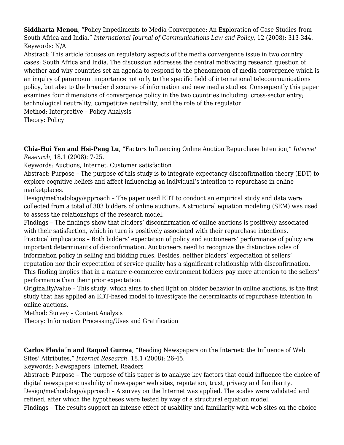**Siddharta Menon**, "Policy Impediments to Media Convergence: An Exploration of Case Studies from South Africa and India," *International Journal of Communications Law and Policy*, 12 (2008): 313-344. Keywords: N/A

Abstract: This article focuses on regulatory aspects of the media convergence issue in two country cases: South Africa and India. The discussion addresses the central motivating research question of whether and why countries set an agenda to respond to the phenomenon of media convergence which is an inquiry of paramount importance not only to the specific field of international telecommunications policy, but also to the broader discourse of information and new media studies. Consequently this paper examines four dimensions of convergence policy in the two countries including: cross-sector entry; technological neutrality; competitive neutrality; and the role of the regulator.

Method: Interpretive – Policy Analysis

Theory: Policy

**Chia-Hui Yen and Hsi-Peng Lu**, "Factors Influencing Online Auction Repurchase Intention," *Internet Research*, 18.1 (2008): 7-25.

Keywords: Auctions, Internet, Customer satisfaction

Abstract: Purpose – The purpose of this study is to integrate expectancy disconfirmation theory (EDT) to explore cognitive beliefs and affect influencing an individual's intention to repurchase in online marketplaces.

Design/methodology/approach – The paper used EDT to conduct an empirical study and data were collected from a total of 303 bidders of online auctions. A structural equation modeling (SEM) was used to assess the relationships of the research model.

Findings – The findings show that bidders' disconfirmation of online auctions is positively associated with their satisfaction, which in turn is positively associated with their repurchase intentions. Practical implications – Both bidders' expectation of policy and auctioneers' performance of policy are important determinants of disconfirmation. Auctioneers need to recognize the distinctive roles of information policy in selling and bidding rules. Besides, neither bidders' expectation of sellers' reputation nor their expectation of service quality has a significant relationship with disconfirmation. This finding implies that in a mature e-commerce environment bidders pay more attention to the sellers' performance than their prior expectation.

Originality/value – This study, which aims to shed light on bidder behavior in online auctions, is the first study that has applied an EDT-based model to investigate the determinants of repurchase intention in online auctions.

Method: Survey – Content Analysis

Theory: Information Processing/Uses and Gratification

**Carlos Flavia´n and Raquel Gurrea**, "Reading Newspapers on the Internet: the Influence of Web Sites' Attributes," *Internet Research*, 18.1 (2008): 26-45.

Keywords: Newspapers, Internet, Readers

Abstract: Purpose – The purpose of this paper is to analyze key factors that could influence the choice of digital newspapers: usability of newspaper web sites, reputation, trust, privacy and familiarity.

Design/methodology/approach – A survey on the Internet was applied. The scales were validated and refined, after which the hypotheses were tested by way of a structural equation model.

Findings – The results support an intense effect of usability and familiarity with web sites on the choice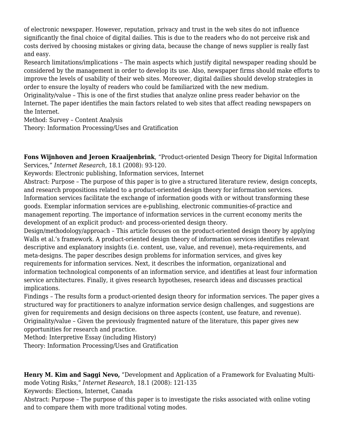of electronic newspaper. However, reputation, privacy and trust in the web sites do not influence significantly the final choice of digital dailies. This is due to the readers who do not perceive risk and costs derived by choosing mistakes or giving data, because the change of news supplier is really fast and easy.

Research limitations/implications – The main aspects which justify digital newspaper reading should be considered by the management in order to develop its use. Also, newspaper firms should make efforts to improve the levels of usability of their web sites. Moreover, digital dailies should develop strategies in order to ensure the loyalty of readers who could be familiarized with the new medium.

Originality/value – This is one of the first studies that analyze online press reader behavior on the Internet. The paper identifies the main factors related to web sites that affect reading newspapers on the Internet.

Method: Survey – Content Analysis

Theory: Information Processing/Uses and Gratification

**Fons Wijnhoven and Jeroen Kraaijenbrink**, "Product-oriented Design Theory for Digital Information Services," *Internet Research*, 18.1 (2008): 93-120.

Keywords: Electronic publishing, Information services, Internet

Abstract: Purpose – The purpose of this paper is to give a structured literature review, design concepts, and research propositions related to a product-oriented design theory for information services. Information services facilitate the exchange of information goods with or without transforming these goods. Exemplar information services are e-publishing, electronic communities-of-practice and management reporting. The importance of information services in the current economy merits the development of an explicit product- and process-oriented design theory.

Design/methodology/approach – This article focuses on the product-oriented design theory by applying Walls et al.'s framework. A product-oriented design theory of information services identifies relevant descriptive and explanatory insights (i.e. content, use, value, and revenue), meta-requirements, and meta-designs. The paper describes design problems for information services, and gives key requirements for information services. Next, it describes the information, organizational and information technological components of an information service, and identifies at least four information service architectures. Finally, it gives research hypotheses, research ideas and discusses practical implications.

Findings – The results form a product-oriented design theory for information services. The paper gives a structured way for practitioners to analyze information service design challenges, and suggestions are given for requirements and design decisions on three aspects (content, use feature, and revenue). Originality/value – Given the previously fragmented nature of the literature, this paper gives new opportunities for research and practice.

Method: Interpretive Essay (including History)

Theory: Information Processing/Uses and Gratification

**Henry M. Kim and Saggi Nevo,** "Development and Application of a Framework for Evaluating Multimode Voting Risks," *Internet Research*, 18.1 (2008): 121-135

Keywords: Elections, Internet, Canada

Abstract: Purpose – The purpose of this paper is to investigate the risks associated with online voting and to compare them with more traditional voting modes.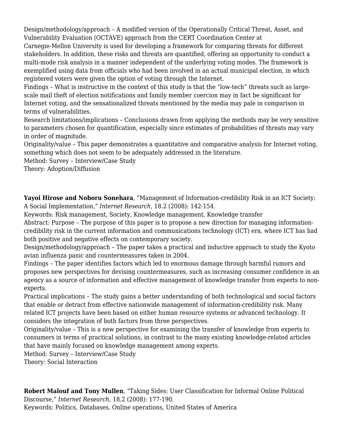Design/methodology/approach – A modified version of the Operationally Critical Threat, Asset, and Vulnerability Evaluation (OCTAVE) approach from the CERT Coordination Center at

Carnegie-Mellon University is used for developing a framework for comparing threats for different stakeholders. In addition, these risks and threats are quantified, offering an opportunity to conduct a multi-mode risk analysis in a manner independent of the underlying voting modes. The framework is exemplified using data from officials who had been involved in an actual municipal election, in which registered voters were given the option of voting through the Internet.

Findings – What is instructive in the context of this study is that the "low-tech" threats such as largescale mail theft of election notifications and family member coercion may in fact be significant for Internet voting, and the sensationalized threats mentioned by the media may pale in comparison in terms of vulnerabilities.

Research limitations/implications – Conclusions drawn from applying the methods may be very sensitive to parameters chosen for quantification, especially since estimates of probabilities of threats may vary in order of magnitude.

Originality/value – This paper demonstrates a quantitative and comparative analysis for Internet voting, something which does not seem to be adequately addressed in the literature.

Method: Survey – Interview/Case Study

Theory: Adoption/Diffusion

**Yayoi Hirose and Noboru Sonehara**, "Management of Information-credibility Risk in an ICT Society: A Social Implementation*," Internet Research*, 18.2 (2008): 142-154.

Keywords: Risk management, Society, Knowledge management, Knowledge transfer

Abstract: Purpose – The purpose of this paper is to propose a new direction for managing informationcredibility risk in the current information and communications technology (ICT) era, where ICT has had both positive and negative effects on contemporary society.

Design/methodology/approach – The paper takes a practical and inductive approach to study the Kyoto avian influenza panic and countermeasures taken in 2004.

Findings – The paper identifies factors which led to enormous damage through harmful rumors and proposes new perspectives for devising countermeasures, such as increasing consumer confidence in an agency as a source of information and effective management of knowledge transfer from experts to nonexperts.

Practical implications – The study gains a better understanding of both technological and social factors that enable or detract from effective nationwide management of information-credibility risk. Many related ICT projects have been based on either human resource systems or advanced technology. It considers the integration of both factors from three perspectives.

Originality/value – This is a new perspective for examining the transfer of knowledge from experts to consumers in terms of practical solutions, in contrast to the many existing knowledge-related articles that have mainly focused on knowledge management among experts.

Method: Survey – Interview/Case Study

Theory: Social Interaction

**Robert Malouf and Tony Mullen**, "Taking Sides: User Classification for Informal Online Political Discourse," *Internet Research*, 18.2 (2008): 177-190.

Keywords: Politics, Databases, Online operations, United States of America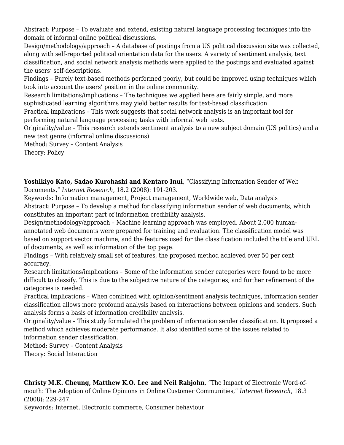Abstract: Purpose – To evaluate and extend, existing natural language processing techniques into the domain of informal online political discussions.

Design/methodology/approach – A database of postings from a US political discussion site was collected, along with self-reported political orientation data for the users. A variety of sentiment analysis, text classification, and social network analysis methods were applied to the postings and evaluated against the users' self-descriptions.

Findings – Purely text-based methods performed poorly, but could be improved using techniques which took into account the users' position in the online community.

Research limitations/implications – The techniques we applied here are fairly simple, and more sophisticated learning algorithms may yield better results for text-based classification.

Practical implications – This work suggests that social network analysis is an important tool for performing natural language processing tasks with informal web texts.

Originality/value – This research extends sentiment analysis to a new subject domain (US politics) and a new text genre (informal online discussions).

Method: Survey – Content Analysis

Theory: Policy

**Yoshikiyo Kato, Sadao Kurohashi and Kentaro Inui**, "Classifying Information Sender of Web Documents," *Internet Research*, 18.2 (2008): 191-203.

Keywords: Information management, Project management, Worldwide web, Data analysis Abstract: Purpose – To develop a method for classifying information sender of web documents, which constitutes an important part of information credibility analysis.

Design/methodology/approach – Machine learning approach was employed. About 2,000 humanannotated web documents were prepared for training and evaluation. The classification model was based on support vector machine, and the features used for the classification included the title and URL of documents, as well as information of the top page.

Findings – With relatively small set of features, the proposed method achieved over 50 per cent accuracy.

Research limitations/implications – Some of the information sender categories were found to be more difficult to classify. This is due to the subjective nature of the categories, and further refinement of the categories is needed.

Practical implications – When combined with opinion/sentiment analysis techniques, information sender classification allows more profound analysis based on interactions between opinions and senders. Such analysis forms a basis of information credibility analysis.

Originality/value – This study formulated the problem of information sender classification. It proposed a method which achieves moderate performance. It also identified some of the issues related to information sender classification.

Method: Survey – Content Analysis

Theory: Social Interaction

**Christy M.K. Cheung, Matthew K.O. Lee and Neil Rabjohn**, "The Impact of Electronic Word-ofmouth: The Adoption of Online Opinions in Online Customer Communities," *Internet Research*, 18.3 (2008): 229-247.

Keywords: Internet, Electronic commerce, Consumer behaviour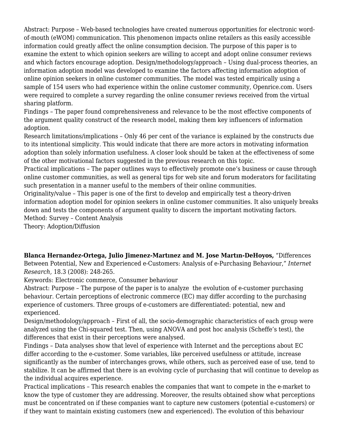Abstract: Purpose – Web-based technologies have created numerous opportunities for electronic wordof-mouth (eWOM) communication. This phenomenon impacts online retailers as this easily accessible information could greatly affect the online consumption decision. The purpose of this paper is to examine the extent to which opinion seekers are willing to accept and adopt online consumer reviews and which factors encourage adoption. Design/methodology/approach – Using dual-process theories, an information adoption model was developed to examine the factors affecting information adoption of online opinion seekers in online customer communities. The model was tested empirically using a sample of 154 users who had experience within the online customer community, Openrice.com. Users were required to complete a survey regarding the online consumer reviews received from the virtual sharing platform.

Findings – The paper found comprehensiveness and relevance to be the most effective components of the argument quality construct of the research model, making them key influencers of information adoption.

Research limitations/implications – Only 46 per cent of the variance is explained by the constructs due to its intentional simplicity. This would indicate that there are more actors in motivating information adoption than solely information usefulness. A closer look should be taken at the effectiveness of some of the other motivational factors suggested in the previous research on this topic.

Practical implications – The paper outlines ways to effectively promote one's business or cause through online customer communities, as well as general tips for web site and forum moderators for facilitating such presentation in a manner useful to the members of their online communities.

Originality/value – This paper is one of the first to develop and empirically test a theory-driven information adoption model for opinion seekers in online customer communities. It also uniquely breaks down and tests the components of argument quality to discern the important motivating factors. Method: Survey – Content Analysis

Theory: Adoption/Diffusion

**Blanca Hernandez-Ortega, Julio Jimenez-Martınez and M. Jose Martın-DeHoyos,** "Differences Between Potential, New and Experienced e-Customers: Analysis of e-Purchasing Behaviour," *Internet Research,* 18.3 (2008): 248-265.

Keywords: Electronic commerce, Consumer behaviour

Abstract: Purpose – The purpose of the paper is to analyze the evolution of e-customer purchasing behaviour. Certain perceptions of electronic commerce (EC) may differ according to the purchasing experience of customers. Three groups of e-customers are differentiated: potential, new and experienced.

Design/methodology/approach – First of all, the socio-demographic characteristics of each group were analyzed using the Chi-squared test. Then, using ANOVA and post hoc analysis (Scheffe's test), the differences that exist in their perceptions were analysed.

Findings – Data analyses show that level of experience with Internet and the perceptions about EC differ according to the e-customer. Some variables, like perceived usefulness or attitude, increase significantly as the number of interchanges grows, while others, such as perceived ease of use, tend to stabilize. It can be affirmed that there is an evolving cycle of purchasing that will continue to develop as the individual acquires experience.

Practical implications – This research enables the companies that want to compete in the e-market to know the type of customer they are addressing. Moreover, the results obtained show what perceptions must be concentrated on if these companies want to capture new customers (potential e-customers) or if they want to maintain existing customers (new and experienced). The evolution of this behaviour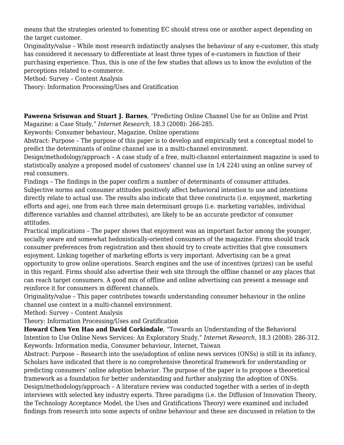means that the strategies oriented to fomenting EC should stress one or another aspect depending on the target customer.

Originality/value – While most research indistinctly analyses the behaviour of any e-customer, this study has considered it necessary to differentiate at least three types of e-customers in function of their purchasing experience. Thus, this is one of the few studies that allows us to know the evolution of the perceptions related to e-commerce.

Method: Survey – Content Analysis

Theory: Information Processing/Uses and Gratification

**Paweena Srisuwan and Stuart J. Barnes**, "Predicting Online Channel Use for an Online and Print Magazine: a Case Study," *Internet Research*, 18.3 (2008): 266-285.

Keywords: Consumer behaviour, Magazine, Online operations

Abstract: Purpose – The purpose of this paper is to develop and empirically test a conceptual model to predict the determinants of online channel use in a multi-channel environment.

Design/methodology/approach – A case study of a free, multi-channel entertainment magazine is used to statistically analyze a proposed model of customers' channel use (n 1/4 224) using an online survey of real consumers.

Findings – The findings in the paper confirm a number of determinants of consumer attitudes. Subjective norms and consumer attitudes positively affect behavioral intention to use and intentions directly relate to actual use. The results also indicate that three constructs (i.e. enjoyment, marketing efforts and age), one from each three main determinant groups (i.e. marketing variables, individual difference variables and channel attributes), are likely to be an accurate predictor of consumer attitudes.

Practical implications – The paper shows that enjoyment was an important factor among the younger, socially aware and somewhat hedonistically-oriented consumers of the magazine. Firms should track consumer preferences from registration and then should try to create activities that give consumers enjoyment. Linking together of marketing efforts is very important. Advertising can be a great opportunity to grow online operations. Search engines and the use of incentives (prizes) can be useful in this regard. Firms should also advertise their web site through the offline channel or any places that can reach target consumers. A good mix of offline and online advertising can present a message and reinforce it for consumers in different channels.

Originality/value – This paper contributes towards understanding consumer behaviour in the online channel use context in a multi-channel environment.

Method: Survey – Content Analysis

Theory: Information Processing/Uses and Gratification

**Howard Chen Yen Hao and David Corkindale**, "Towards an Understanding of the Behavioral Intention to Use Online News Services: An Exploratory Study," *Interne*t *Research*, 18.3 (2008): 286-312. Keywords: Information media, Consumer behaviour, Internet, Taiwan

Abstract: Purpose – Research into the use/adoption of online news services (ONSs) is still in its infancy, Scholars have indicated that there is no comprehensive theoretical framework for understanding or predicting consumers' online adoption behavior. The purpose of the paper is to propose a theoretical framework as a foundation for better understanding and further analyzing the adoption of ONSs. Design/methodology/approach – A literature review was conducted together with a series of in-depth interviews with selected key industry experts. Three paradigms (i.e. the Diffusion of Innovation Theory, the Technology Acceptance Model, the Uses and Gratifications Theory) were examined and included findings from research into some aspects of online behaviour and these are discussed in relation to the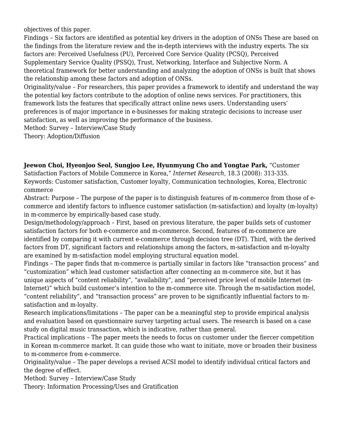objectives of this paper.

Findings – Six factors are identified as potential key drivers in the adoption of ONSs These are based on the findings from the literature review and the in-depth interviews with the industry experts. The six factors are: Perceived Usefulness (PU), Perceived Core Service Quality (PCSQ), Perceived Supplementary Service Quality (PSSQ), Trust, Networking, Interface and Subjective Norm. A theoretical framework for better understanding and analyzing the adoption of ONSs is built that shows the relationship among these factors and adoption of ONSs.

Originality/value – For researchers, this paper provides a framework to identify and understand the way the potential key factors contribute to the adoption of online news services. For practitioners, this framework lists the features that specifically attract online news users. Understanding users' preferences is of major importance in e-businesses for making strategic decisions to increase user satisfaction, as well as improving the performance of the business.

Method: Survey – Interview/Case Study

Theory: Adoption/Diffusion

**Jeewon Choi, Hyeonjoo Seol, Sungjoo Lee, Hyunmyung Cho and Yongtae Park,** "Customer Satisfaction Factors of Mobile Commerce in Korea," *Internet Research*, 18.3 (2008): 313-335. Keywords: Customer satisfaction, Customer loyalty, Communication technologies, Korea, Electronic commerce

Abstract: Purpose – The purpose of the paper is to distinguish features of m-commerce from those of ecommerce and identify factors to influence customer satisfaction (m-satisfaction) and loyalty (m-loyalty) in m-commerce by empirically-based case study.

Design/methodology/approach – First, based on previous literature, the paper builds sets of customer satisfaction factors for both e-commerce and m-commerce. Second, features of m-commerce are identified by comparing it with current e-commerce through decision tree (DT). Third, with the derived factors from DT, significant factors and relationships among the factors, m-satisfaction and m-loyalty are examined by m-satisfaction model employing structural equation model.

Findings – The paper finds that m-commerce is partially similar in factors like "transaction process" and "customization" which lead customer satisfaction after connecting an m-commerce site, but it has unique aspects of "content reliability", "availability", and "perceived price level of mobile Internet (m-Internet)" which build customer's intention to the m-commerce site. Through the m-satisfaction model, "content reliability", and "transaction process" are proven to be significantly influential factors to msatisfaction and m-loyalty.

Research implications/limitations – The paper can be a meaningful step to provide empirical analysis and evaluation based on questionnaire survey targeting actual users. The research is based on a case study on digital music transaction, which is indicative, rather than general.

Practical implications – The paper meets the needs to focus on customer under the fiercer competition in Korean m-commerce market. It can guide those who want to initiate, move or broaden their business to m-commerce from e-commerce.

Originality/value – The paper develops a revised ACSI model to identify individual critical factors and the degree of effect.

Method: Survey – Interview/Case Study

Theory: Information Processing/Uses and Gratification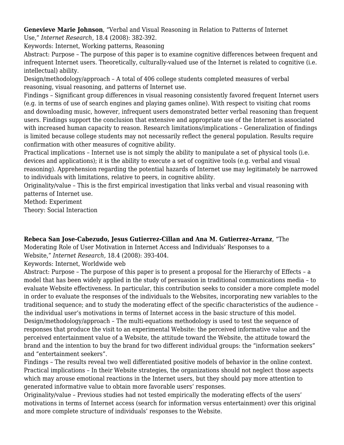**Genevieve Marie Johnson**, "Verbal and Visual Reasoning in Relation to Patterns of Internet Use," *Internet Research*, 18.4 (2008): 382-392.

Keywords: Internet, Working patterns, Reasoning

Abstract: Purpose – The purpose of this paper is to examine cognitive differences between frequent and infrequent Internet users. Theoretically, culturally-valued use of the Internet is related to cognitive (i.e. intellectual) ability.

Design/methodology/approach – A total of 406 college students completed measures of verbal reasoning, visual reasoning, and patterns of Internet use.

Findings – Significant group differences in visual reasoning consistently favored frequent Internet users (e.g. in terms of use of search engines and playing games online). With respect to visiting chat rooms and downloading music, however, infrequent users demonstrated better verbal reasoning than frequent users. Findings support the conclusion that extensive and appropriate use of the Internet is associated with increased human capacity to reason. Research limitations/implications – Generalization of findings is limited because college students may not necessarily reflect the general population. Results require confirmation with other measures of cognitive ability.

Practical implications – Internet use is not simply the ability to manipulate a set of physical tools (i.e. devices and applications); it is the ability to execute a set of cognitive tools (e.g. verbal and visual reasoning). Apprehension regarding the potential hazards of Internet use may legitimately be narrowed to individuals with limitations, relative to peers, in cognitive ability.

Originality/value – This is the first empirical investigation that links verbal and visual reasoning with patterns of Internet use.

Method: Experiment

Theory: Social Interaction

## **Rebeca San Jose-Cabezudo, Jesus Gutierrez-Cillan and Ana M. Gutierrez-Arranz**, "The

Moderating Role of User Motivation in Internet Access and Individuals' Responses to a Website," *Internet Research,* 18.4 (2008): 393-404.

Keywords: Internet, Worldwide web

Abstract: Purpose – The purpose of this paper is to present a proposal for the Hierarchy of Effects – a model that has been widely applied in the study of persuasion in traditional communications media – to evaluate Website effectiveness. In particular, this contribution seeks to consider a more complete model in order to evaluate the responses of the individuals to the Websites, incorporating new variables to the traditional sequence; and to study the moderating effect of the specific characteristics of the audience – the individual user's motivations in terms of Internet access in the basic structure of this model. Design/methodology/approach – The multi-equations methodology is used to test the sequence of responses that produce the visit to an experimental Website: the perceived informative value and the perceived entertainment value of a Website, the attitude toward the Website, the attitude toward the brand and the intention to buy the brand for two different individual groups: the "information seekers" and "entertainment seekers".

Findings – The results reveal two well differentiated positive models of behavior in the online context. Practical implications – In their Website strategies, the organizations should not neglect those aspects which may arouse emotional reactions in the Internet users, but they should pay more attention to generated informative value to obtain more favorable users' responses.

Originality/value – Previous studies had not tested empirically the moderating effects of the users' motivations in terms of Internet access (search for information versus entertainment) over this original and more complete structure of individuals' responses to the Website.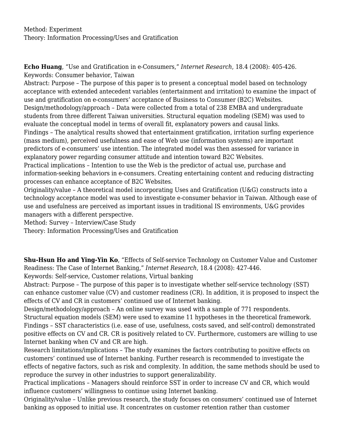## Method: Experiment Theory: Information Processing/Uses and Gratification

**Echo Huang**, "Use and Gratification in e-Consumers," *Internet Research*, 18.4 (2008): 405-426. Keywords: Consumer behavior, Taiwan

Abstract: Purpose – The purpose of this paper is to present a conceptual model based on technology acceptance with extended antecedent variables (entertainment and irritation) to examine the impact of use and gratification on e-consumers' acceptance of Business to Consumer (B2C) Websites. Design/methodology/approach – Data were collected from a total of 238 EMBA and undergraduate students from three different Taiwan universities. Structural equation modeling (SEM) was used to evaluate the conceptual model in terms of overall fit, explanatory powers and causal links. Findings – The analytical results showed that entertainment gratification, irritation surfing experience (mass medium), perceived usefulness and ease of Web use (information systems) are important predictors of e-consumers' use intention. The integrated model was then assessed for variance in explanatory power regarding consumer attitude and intention toward B2C Websites. Practical implications – Intention to use the Web is the predictor of actual use, purchase and

information-seeking behaviors in e-consumers. Creating entertaining content and reducing distracting processes can enhance acceptance of B2C Websites.

Originality/value – A theoretical model incorporating Uses and Gratification (U&G) constructs into a technology acceptance model was used to investigate e-consumer behavior in Taiwan. Although ease of use and usefulness are perceived as important issues in traditional IS environments, U&G provides managers with a different perspective.

Method: Survey – Interview/Case Study

Theory: Information Processing/Uses and Gratification

**Shu-Hsun Ho and Ying-Yin Ko**, "Effects of Self-service Technology on Customer Value and Customer Readiness: The Case of Internet Banking," *Internet Research*, 18.4 (2008): 427-446.

Keywords: Self-service, Customer relations, Virtual banking

Abstract: Purpose – The purpose of this paper is to investigate whether self-service technology (SST) can enhance customer value (CV) and customer readiness (CR). In addition, it is proposed to inspect the effects of CV and CR in customers' continued use of Internet banking.

Design/methodology/approach – An online survey was used with a sample of 771 respondents. Structural equation models (SEM) were used to examine 11 hypotheses in the theoretical framework. Findings – SST characteristics (i.e. ease of use, usefulness, costs saved, and self-control) demonstrated positive effects on CV and CR. CR is positively related to CV. Furthermore, customers are willing to use Internet banking when CV and CR are high.

Research limitations/implications – The study examines the factors contributing to positive effects on customers' continued use of Internet banking. Further research is recommended to investigate the effects of negative factors, such as risk and complexity. In addition, the same methods should be used to reproduce the survey in other industries to support generalizability.

Practical implications – Managers should reinforce SST in order to increase CV and CR, which would influence customers' willingness to continue using Internet banking.

Originality/value – Unlike previous research, the study focuses on consumers' continued use of Internet banking as opposed to initial use. It concentrates on customer retention rather than customer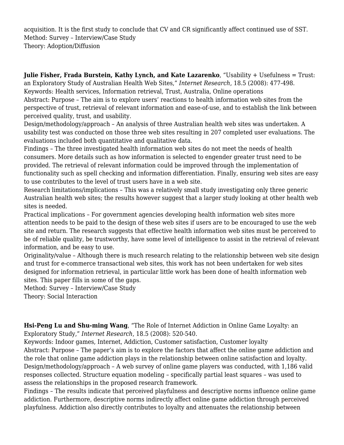acquisition. It is the first study to conclude that CV and CR significantly affect continued use of SST. Method: Survey – Interview/Case Study Theory: Adoption/Diffusion

**Julie Fisher, Frada Burstein, Kathy Lynch, and Kate Lazarenko**, "Usability + Usefulness = Trust: an Exploratory Study of Australian Health Web Sites," *Internet Research*, 18.5 (2008): 477-498. Keywords: Health services, Information retrieval, Trust, Australia, Online operations

Abstract: Purpose – The aim is to explore users' reactions to health information web sites from the perspective of trust, retrieval of relevant information and ease-of-use, and to establish the link between perceived quality, trust, and usability.

Design/methodology/approach – An analysis of three Australian health web sites was undertaken. A usability test was conducted on those three web sites resulting in 207 completed user evaluations. The evaluations included both quantitative and qualitative data.

Findings – The three investigated health information web sites do not meet the needs of health consumers. More details such as how information is selected to engender greater trust need to be provided. The retrieval of relevant information could be improved through the implementation of functionality such as spell checking and information differentiation. Finally, ensuring web sites are easy to use contributes to the level of trust users have in a web site.

Research limitations/implications – This was a relatively small study investigating only three generic Australian health web sites; the results however suggest that a larger study looking at other health web sites is needed.

Practical implications – For government agencies developing health information web sites more attention needs to be paid to the design of these web sites if users are to be encouraged to use the web site and return. The research suggests that effective health information web sites must be perceived to be of reliable quality, be trustworthy, have some level of intelligence to assist in the retrieval of relevant information, and be easy to use.

Originality/value – Although there is much research relating to the relationship between web site design and trust for e-commerce transactional web sites, this work has not been undertaken for web sites designed for information retrieval, in particular little work has been done of health information web sites. This paper fills in some of the gaps.

Method: Survey – Interview/Case Study

Theory: Social Interaction

**Hsi-Peng Lu and Shu-ming Wang**, "The Role of Internet Addiction in Online Game Loyalty: an Exploratory Study," *Internet Research*, 18.5 (2008): 520-540.

Keywords: Indoor games, Internet, Addiction, Customer satisfaction, Customer loyalty Abstract: Purpose – The paper's aim is to explore the factors that affect the online game addiction and the role that online game addiction plays in the relationship between online satisfaction and loyalty. Design/methodology/approach – A web survey of online game players was conducted, with 1,186 valid responses collected. Structure equation modeling – specifically partial least squares – was used to assess the relationships in the proposed research framework.

Findings – The results indicate that perceived playfulness and descriptive norms influence online game addiction. Furthermore, descriptive norms indirectly affect online game addiction through perceived playfulness. Addiction also directly contributes to loyalty and attenuates the relationship between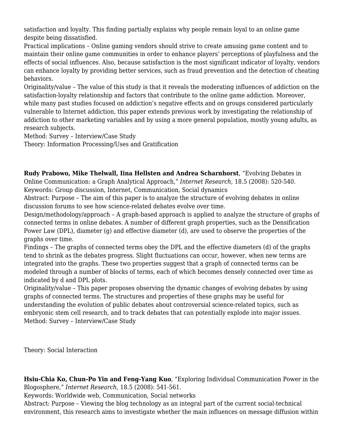satisfaction and loyalty. This finding partially explains why people remain loyal to an online game despite being dissatisfied.

Practical implications – Online gaming vendors should strive to create amusing game content and to maintain their online game communities in order to enhance players' perceptions of playfulness and the effects of social influences. Also, because satisfaction is the most significant indicator of loyalty, vendors can enhance loyalty by providing better services, such as fraud prevention and the detection of cheating behaviors.

Originality/value – The value of this study is that it reveals the moderating influences of addiction on the satisfaction-loyalty relationship and factors that contribute to the online game addiction. Moreover, while many past studies focused on addiction's negative effects and on groups considered particularly vulnerable to Internet addiction, this paper extends previous work by investigating the relationship of addiction to other marketing variables and by using a more general population, mostly young adults, as research subjects.

Method: Survey – Interview/Case Study

Theory: Information Processing/Uses and Gratification

**Rudy Prabowo, Mike Thelwall, Iina Hellsten and Andrea Scharnhorst**, "Evolving Debates in Online Communication: a Graph Analytical Approach," *Internet Research*, 18.5 (2008): 520-540. Keywords: Group discussion, Internet, Communication, Social dynamics

Abstract: Purpose – The aim of this paper is to analyze the structure of evolving debates in online discussion forums to see how science-related debates evolve over time.

Design/methodology/approach – A graph-based approach is applied to analyze the structure of graphs of connected terms in online debates. A number of different graph properties, such as the Densification Power Law (DPL), diameter (g) and effective diameter (d), are used to observe the properties of the graphs over time.

Findings – The graphs of connected terms obey the DPL and the effective diameters (d) of the graphs tend to shrink as the debates progress. Slight fluctuations can occur, however, when new terms are integrated into the graphs. These two properties suggest that a graph of connected terms can be modeled through a number of blocks of terms, each of which becomes densely connected over time as indicated by d and DPL plots.

Originality/value – This paper proposes observing the dynamic changes of evolving debates by using graphs of connected terms. The structures and properties of these graphs may be useful for understanding the evolution of public debates about controversial science-related topics, such as embryonic stem cell research, and to track debates that can potentially explode into major issues. Method: Survey – Interview/Case Study

Theory: Social Interaction

**Hsiu-Chia Ko, Chun-Po Yin and Feng-Yang Kuo**, "Exploring Individual Communication Power in the Blogosphere," *Internet Research*, 18.5 (2008): 541-561.

Keywords: Worldwide web, Communication, Social networks

Abstract: Purpose – Viewing the blog technology as an integral part of the current social-technical environment, this research aims to investigate whether the main influences on message diffusion within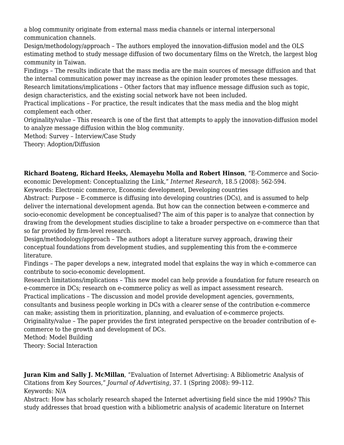a blog community originate from external mass media channels or internal interpersonal communication channels.

Design/methodology/approach – The authors employed the innovation-diffusion model and the OLS estimating method to study message diffusion of two documentary films on the Wretch, the largest blog community in Taiwan.

Findings – The results indicate that the mass media are the main sources of message diffusion and that the internal communication power may increase as the opinion leader promotes these messages.

Research limitations/implications – Other factors that may influence message diffusion such as topic, design characteristics, and the existing social network have not been included.

Practical implications – For practice, the result indicates that the mass media and the blog might complement each other.

Originality/value – This research is one of the first that attempts to apply the innovation-diffusion model to analyze message diffusion within the blog community.

Method: Survey – Interview/Case Study

Theory: Adoption/Diffusion

**Richard Boateng, Richard Heeks, Alemayehu Molla and Robert Hinson**, "E-Commerce and Socioeconomic Development: Conceptualizing the Link," *Internet Research*, 18.5 (2008): 562-594.

Keywords: Electronic commerce, Economic development, Developing countries

Abstract: Purpose – E-commerce is diffusing into developing countries (DCs), and is assumed to help deliver the international development agenda. But how can the connection between e-commerce and socio-economic development be conceptualised? The aim of this paper is to analyze that connection by drawing from the development studies discipline to take a broader perspective on e-commerce than that so far provided by firm-level research.

Design/methodology/approach – The authors adopt a literature survey approach, drawing their conceptual foundations from development studies, and supplementing this from the e-commerce literature.

Findings – The paper develops a new, integrated model that explains the way in which e-commerce can contribute to socio-economic development.

Research limitations/implications – This new model can help provide a foundation for future research on e-commerce in DCs; research on e-commerce policy as well as impact assessment research.

Practical implications – The discussion and model provide development agencies, governments, consultants and business people working in DCs with a clearer sense of the contribution e-commerce

can make; assisting them in prioritization, planning, and evaluation of e-commerce projects.

Originality/value – The paper provides the first integrated perspective on the broader contribution of ecommerce to the growth and development of DCs.

Method: Model Building

Theory: Social Interaction

**Juran Kim and Sally J. McMillan**, "Evaluation of Internet Advertising: A Bibliometric Analysis of Citations from Key Sources," *Journal of Advertising*, 37. 1 (Spring 2008): 99–112. Keywords: N/A

Abstract: How has scholarly research shaped the Internet advertising field since the mid 1990s? This study addresses that broad question with a bibliometric analysis of academic literature on Internet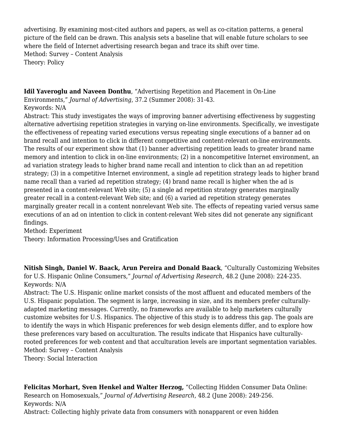advertising. By examining most-cited authors and papers, as well as co-citation patterns, a general picture of the field can be drawn. This analysis sets a baseline that will enable future scholars to see where the field of Internet advertising research began and trace its shift over time. Method: Survey – Content Analysis Theory: Policy

**Idil Yaveroglu and Naveen Donthu**, "Advertising Repetition and Placement in On-Line Environments," *Journal of Advertising*, 37.2 (Summer 2008): 31-43.

Keywords: N/A

Abstract: This study investigates the ways of improving banner advertising effectiveness by suggesting alternative advertising repetition strategies in varying on-line environments. Specifically, we investigate the effectiveness of repeating varied executions versus repeating single executions of a banner ad on brand recall and intention to click in different competitive and content-relevant on-line environments. The results of our experiment show that (1) banner advertising repetition leads to greater brand name memory and intention to click in on-line environments; (2) in a noncompetitive Internet environment, an ad variation strategy leads to higher brand name recall and intention to click than an ad repetition strategy; (3) in a competitive Internet environment, a single ad repetition strategy leads to higher brand name recall than a varied ad repetition strategy; (4) brand name recall is higher when the ad is presented in a content-relevant Web site; (5) a single ad repetition strategy generates marginally greater recall in a content-relevant Web site; and (6) a varied ad repetition strategy generates marginally greater recall in a content nonrelevant Web site. The effects of repeating varied versus same executions of an ad on intention to click in content-relevant Web sites did not generate any significant findings.

Method: Experiment

Theory: Information Processing/Uses and Gratification

**Nitish Singh, Daniel W. Baack, Arun Pereira and Donald Baack**, "Culturally Customizing Websites for U.S. Hispanic Online Consumers," *Journal of Advertising Research,* 48.2 (June 2008): 224-235. Keywords: N/A

Abstract: The U.S. Hispanic online market consists of the most affluent and educated members of the U.S. Hispanic population. The segment is large, increasing in size, and its members prefer culturallyadapted marketing messages. Currently, no frameworks are available to help marketers culturally customize websites for U.S. Hispanics. The objective of this study is to address this gap. The goals are to identify the ways in which Hispanic preferences for web design elements differ, and to explore how these preferences vary based on acculturation. The results indicate that Hispanics have culturallyrooted preferences for web content and that acculturation levels are important segmentation variables. Method: Survey – Content Analysis Theory: Social Interaction

**Felicitas Morhart, Sven Henkel and Walter Herzog,** "Collecting Hidden Consumer Data Online: Research on Homosexuals," *Journal of Advertising Research*, 48.2 (June 2008): 249-256. Keywords: N/A Abstract: Collecting highly private data from consumers with nonapparent or even hidden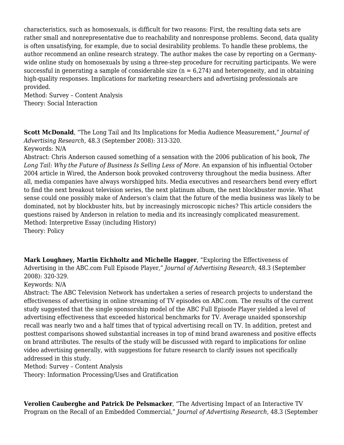characteristics, such as homosexuals, is difficult for two reasons: First, the resulting data sets are rather small and nonrepresentative due to reachability and nonresponse problems. Second, data quality is often unsatisfying, for example, due to social desirability problems. To handle these problems, the author recommend an online research strategy. The author makes the case by reporting on a Germanywide online study on homosexuals by using a three-step procedure for recruiting participants. We were successful in generating a sample of considerable size  $(n = 6.274)$  and heterogeneity, and in obtaining high-quality responses. Implications for marketing researchers and advertising professionals are provided.

Method: Survey – Content Analysis Theory: Social Interaction

**Scott McDonald**, "The Long Tail and Its Implications for Media Audience Measurement," *Journal of Advertising Research*, 48.3 (September 2008): 313-320.

Keywords: N/A

Abstract: Chris Anderson caused something of a sensation with the 2006 publication of his book, *The Long Tail: Why the Future of Business Is Selling Less of More*. An expansion of his influential October 2004 article in Wired, the Anderson book provoked controversy throughout the media business. After all, media companies have always worshipped hits. Media executives and researchers bend every effort to find the next breakout television series, the next platinum album, the next blockbuster movie. What sense could one possibly make of Anderson's claim that the future of the media business was likely to be dominated, not by blockbuster hits, but by increasingly microscopic niches? This article considers the questions raised by Anderson in relation to media and its increasingly complicated measurement. Method: Interpretive Essay (including History) Theory: Policy

**Mark Loughney, Martin Eichholtz and Michelle Hagger**, "Exploring the Effectiveness of Advertising in the ABC.com Full Episode Player," *Journal of Advertising Research,* 48.3 (September 2008): 320-329.

Keywords: N/A

Abstract: The ABC Television Network has undertaken a series of research projects to understand the effectiveness of advertising in online streaming of TV episodes on ABC.com. The results of the current study suggested that the single sponsorship model of the ABC Full Episode Player yielded a level of advertising effectiveness that exceeded historical benchmarks for TV. Average unaided sponsorship recall was nearly two and a half times that of typical advertising recall on TV. In addition, pretest and posttest comparisons showed substantial increases in top of mind brand awareness and positive effects on brand attributes. The results of the study will be discussed with regard to implications for online video advertising generally, with suggestions for future research to clarify issues not specifically addressed in this study.

Method: Survey – Content Analysis

Theory: Information Processing/Uses and Gratification

**Verolien Cauberghe and Patrick De Pelsmacker**, "The Advertising Impact of an Interactive TV Program on the Recall of an Embedded Commercial," *Journal of Advertising Research*, 48.3 (September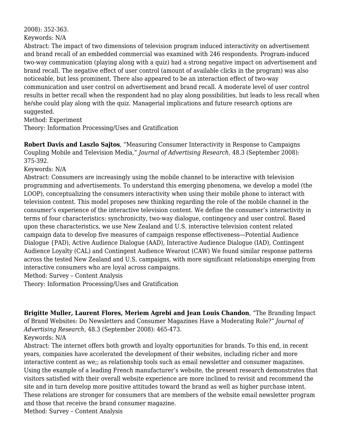2008): 352-363.

Keywords: N/A

Abstract: The impact of two dimensions of television program induced interactivity on advertisement and brand recall of an embedded commercial was examined with 246 respondents. Program-induced two-way communication (playing along with a quiz) had a strong negative impact on advertisement and brand recall. The negative effect of user control (amount of available clicks in the program) was also noticeable, but less prominent. There also appeared to be an interaction effect of two-way communication and user control on advertisement and brand recall. A moderate level of user control results in better recall when the respondent had no play along possibilities, but leads to less recall when he/she could play along with the quiz. Managerial implications and future research options are suggested.

Method: Experiment

Theory: Information Processing/Uses and Gratification

**Robert Davis and Laszlo Sajtos**, "Measuring Consumer Interactivity in Response to Campaigns Coupling Mobile and Television Media," *Journal of Advertising Research*, 48.3 (September 2008): 375-392.

Keywords: N/A

Abstract: Consumers are increasingly using the mobile channel to be interactive with television programming and advertisements. To understand this emerging phenomena, we develop a model (the LOOP), conceptualizing the consumers interactivity when using their mobile phone to interact with television content. This model proposes new thinking regarding the role of the mobile channel in the consumer's experience of the interactive television content. We define the consumer's interactivity in terms of four characteristics: synchronicity, two-way dialogue, contingency and user control. Based upon these characteristics, we use New Zealand and U.S. interactive television content related campaign data to develop five measures of campaign response effectiveness—Potential Audience Dialogue {PAD), Active Audience Dialogue (AAD), Interactive Audience Dialogue (IAD), Contingent Audience Loyalty (CAL) and Contingent Audience Wearout (CAW) We found similar response patterns across the tested New Zealand and U.S, campaigns, with more significant relationships emerging from interactive consumers who are loyal across campaigns.

Method: Survey – Content Analysis

Theory: Information Processing/Uses and Gratification

**Brigitte Muller, Laurent Flores, Meriem Agrebi and Jean Louis Chandon**, "The Branding Impact of Brand Websites: Do Newsletters and Consumer Magazines Have a Moderating Role?" *Journal of Advertising Research*, 48.3 (September 2008): 465-473. Keywords: N/A

Abstract: The internet offers both growth and loyalty opportunities for brands. To this end, in recent years, companies have accelerated the development of their websites, including richer and more interactive content as we;; as relationship tools such as email newsletter and consumer magazines. Using the example of a leading French manufacturer's website, the present research demonstrates that visitors satisfied with their overall website experience are more inclined to revisit and recommend the site and in turn develop more positive attitudes toward the brand as well as higher purchase intent. These relations are stronger for consumers that are members of the website email newsletter program and those that receive the brand consumer magazine.

Method: Survey – Content Analysis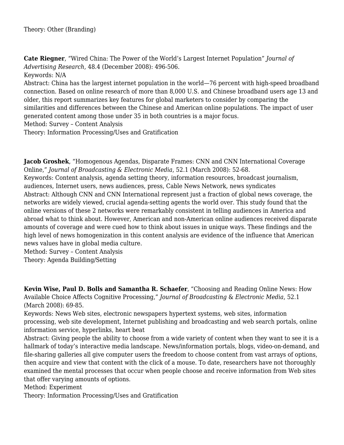**Cate Riegner**, "Wired China: The Power of the World's Largest Internet Population" *Journal of Advertising Research*, 48.4 (December 2008): 496-506.

Keywords: N/A

Abstract: China has the largest internet population in the world—76 percent with high-speed broadband connection. Based on online research of more than 8,000 U.S. and Chinese broadband users age 13 and older, this report summarizes key features for global marketers to consider by comparing the similarities and differences between the Chinese and American online populations. The impact of user generated content among those under 35 in both countries is a major focus.

Method: Survey – Content Analysis

Theory: Information Processing/Uses and Gratification

**Jacob Groshek**, "Homogenous Agendas, Disparate Frames: CNN and CNN International Coverage Online," *Journal of Broadcasting & Electronic Media*, 52.1 (March 2008): 52-68. Keywords: Content analysis, agenda setting theory, information resources, broadcast journalism, audiences, Internet users, news audiences, press, Cable News Network, news syndicates Abstract: Although CNN and CNN International represent just a fraction of global news coverage, the networks are widely viewed, crucial agenda-setting agents the world over. This study found that the online versions of these 2 networks were remarkably consistent in telling audiences in America and abroad what to think about. However, American and non-American online audiences received disparate amounts of coverage and were cued how to think about issues in unique ways. These findings and the high level of news homogenization in this content analysis are evidence of the influence that American news values have in global media culture.

Method: Survey – Content Analysis Theory: Agenda Building/Setting

**Kevin Wise, Paul D. Bolls and Samantha R. Schaefer**, "Choosing and Reading Online News: How Available Choice Affects Cognitive Processing," *Journal of Broadcasting* & *Electronic Media*, 52.1 (March 2008): 69-85.

Keywords: News Web sites, electronic newspapers hypertext systems, web sites, information processing, web site development, Internet publishing and broadcasting and web search portals, online information service, hyperlinks, heart beat

Abstract: Giving people the ability to choose from a wide variety of content when they want to see it is a hallmark of today's interactive media landscape. News/information portals, blogs, video-on-demand, and file-sharing galleries all give computer users the freedom to choose content from vast arrays of options, then acquire and view that content with the click of a mouse. To date, researchers have not thoroughly examined the mental processes that occur when people choose and receive information from Web sites that offer varying amounts of options.

Method: Experiment

Theory: Information Processing/Uses and Gratification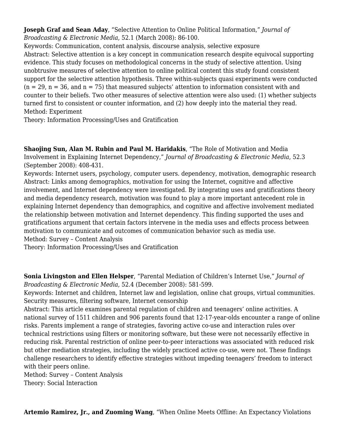**Joseph Graf and Sean Aday**, "Selective Attention to Online Political Information," *Journal of Broadcasting & Electronic Media*, 52.1 (March 2008): 86-100.

Keywords: Communication, content analysis, discourse analysis, selective exposure Abstract: Selective attention is a key concept in communication research despite equivocal supporting evidence. This study focuses on methodological concerns in the study of selective attention. Using unobtrusive measures of selective attention to online political content this study found consistent support for the selective attention hypothesis. Three within-subjects quasi experiments were conducted  $(n = 29, n = 36, and n = 75)$  that measured subjects' attention to information consistent with and counter to their beliefs. Two other measures of selective attention were also used: (1) whether subjects turned first to consistent or counter information, and (2) how deeply into the material they read. Method: Experiment

Theory: Information Processing/Uses and Gratification

**Shaojing Sun, Alan M. Rubin and Paul M. Haridakis**, "The Role of Motivation and Media Involvement in Explaining Internet Dependency," *Journal of Broadcasting & Electronic Media*, 52.3 (September 2008): 408-431.

Keywords: Internet users, psychology, computer users. dependency, motivation, demographic research Abstract: Links among demographics, motivation for using the Internet, cognitive and affective involvement, and Internet dependency were investigated. By integrating uses and gratifications theory and media dependency research, motivation was found to play a more important antecedent role in explaining Internet dependency than demographics, and cognitive and affective involvement mediated the relationship between motivation and Internet dependency. This finding supported the uses and gratifications argument that certain factors intervene in the media uses and effects process between motivation to communicate and outcomes of communication behavior such as media use.

Method: Survey – Content Analysis

Theory: Information Processing/Uses and Gratification

**Sonia Livingston and Ellen Helsper**, "Parental Mediation of Children's Internet Use," *Journal of Broadcasting & Electronic Media*, 52.4 (December 2008): 581-599.

Keywords: Internet and children, Internet law and legislation, online chat groups, virtual communities. Security measures, filtering software, Internet censorship

Abstract: This article examines parental regulation of children and teenagers' online activities. A national survey of 1511 children and 906 parents found that 12-17-year-olds encounter a range of online risks. Parents implement a range of strategies, favoring active co-use and interaction rules over technical restrictions using filters or monitoring software, but these were not necessarily effective in reducing risk. Parental restriction of online peer-to-peer interactions was associated with reduced risk but other mediation strategies, including the widely practiced active co-use, were not. These findings challenge researchers to identify effective strategies without impeding teenagers' freedom to interact with their peers online.

Method: Survey – Content Analysis Theory: Social Interaction

**Artemio Ramirez, Jr., and Zuoming Wang**, "When Online Meets Offline: An Expectancy Violations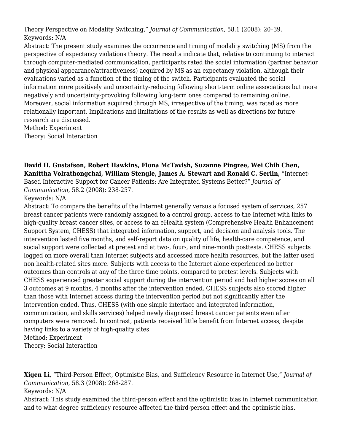Theory Perspective on Modality Switching," *Journal of Communication,* 58.1 (2008): 20–39. Keywords: N/A

Abstract: The present study examines the occurrence and timing of modality switching (MS) from the perspective of expectancy violations theory. The results indicate that, relative to continuing to interact through computer-mediated communication, participants rated the social information (partner behavior and physical appearance/attractiveness) acquired by MS as an expectancy violation, although their evaluations varied as a function of the timing of the switch. Participants evaluated the social information more positively and uncertainty-reducing following short-term online associations but more negatively and uncertainty-provoking following long-term ones compared to remaining online. Moreover, social information acquired through MS, irrespective of the timing, was rated as more relationally important. Implications and limitations of the results as well as directions for future research are discussed.

Method: Experiment

Theory: Social Interaction

### **David H. Gustafson, Robert Hawkins, Fiona McTavish, Suzanne Pingree, Wei Chih Chen, Kanittha Volrathongchai, William Stengle, James A. Stewart and Ronald C. Serlin,** "Internet-Based Interactive Support for Cancer Patients: Are Integrated Systems Better?" *Journal of*

*Communication*, 58.2 (2008): 238-257.

Keywords: N/A

Abstract: To compare the benefits of the Internet generally versus a focused system of services, 257 breast cancer patients were randomly assigned to a control group, access to the Internet with links to high-quality breast cancer sites, or access to an eHealth system (Comprehensive Health Enhancement Support System, CHESS) that integrated information, support, and decision and analysis tools. The intervention lasted five months, and self-report data on quality of life, health-care competence, and social support were collected at pretest and at two-, four-, and nine-month posttests. CHESS subjects logged on more overall than Internet subjects and accessed more health resources, but the latter used non health-related sites more. Subjects with access to the Internet alone experienced no better outcomes than controls at any of the three time points, compared to pretest levels. Subjects with CHESS experienced greater social support during the intervention period and had higher scores on all 3 outcomes at 9 months, 4 months after the intervention ended. CHESS subjects also scored higher than those with Internet access during the intervention period but not significantly after the intervention ended. Thus, CHESS (with one simple interface and integrated information, communication, and skills services) helped newly diagnosed breast cancer patients even after computers were removed. In contrast, patients received little benefit from Internet access, despite having links to a variety of high-quality sites.

Method: Experiment

Theory: Social Interaction

**Xigen Li**, "Third-Person Effect, Optimistic Bias, and Sufficiency Resource in Internet Use," *Journal of Communication*, 58.3 (2008): 268-287.

Keywords: N/A

Abstract: This study examined the third-person effect and the optimistic bias in Internet communication and to what degree sufficiency resource affected the third-person effect and the optimistic bias.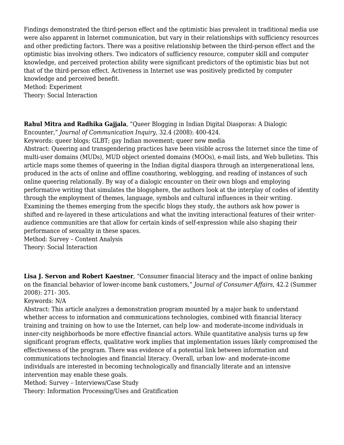Findings demonstrated the third-person effect and the optimistic bias prevalent in traditional media use were also apparent in Internet communication, but vary in their relationships with sufficiency resources and other predicting factors. There was a positive relationship between the third-person effect and the optimistic bias involving others. Two indicators of sufficiency resource, computer skill and computer knowledge, and perceived protection ability were significant predictors of the optimistic bias but not that of the third-person effect. Activeness in Internet use was positively predicted by computer knowledge and perceived benefit.

Method: Experiment Theory: Social Interaction

**Rahul Mitra and Radhika Gajjala**, "Queer Blogging in Indian Digital Diasporas: A Dialogic Encounter," *Journal of Communication Inquiry*, 32.4 (2008): 400-424.

Keywords: queer blogs; GLBT; gay Indian movement; queer new media

Abstract: Queering and transgendering practices have been visible across the Internet since the time of multi-user domains (MUDs), MUD object oriented domains (MOOs), e-mail lists, and Web bulletins. This article maps some themes of queering in the Indian digital diaspora through an intergenerational lens, produced in the acts of online and offline coauthoring, weblogging, and reading of instances of such online queering relationally. By way of a dialogic encounter on their own blogs and employing performative writing that simulates the blogsphere, the authors look at the interplay of codes of identity through the employment of themes, language, symbols and cultural influences in their writing. Examining the themes emerging from the specific blogs they study, the authors ask how power is shifted and re-layered in these articulations and what the inviting interactional features of their writeraudience communities are that allow for certain kinds of self-expression while also shaping their performance of sexuality in these spaces.

Method: Survey – Content Analysis Theory: Social Interaction

**Lisa J. Servon and Robert Kaestner**, "Consumer financial literacy and the impact of online banking on the financial behavior of lower-income bank customers," *Journal of Consumer Affairs*, 42.2 (Summer 2008): 271- 305.

Keywords: N/A

Abstract: This article analyzes a demonstration program mounted by a major bank to understand whether access to information and communications technologies, combined with financial literacy training and training on how to use the Internet, can help low- and moderate-income individuals in inner-city neighborhoods be more effective financial actors. While quantitative analysis turns up few significant program effects, qualitative work implies that implementation issues likely compromised the effectiveness of the program. There was evidence of a potential link between information and communications technologies and financial literacy. Overall, urban low- and moderate-income individuals are interested in becoming technologically and financially literate and an intensive intervention may enable these goals.

Method: Survey – Interviews/Case Study

Theory: Information Processing/Uses and Gratification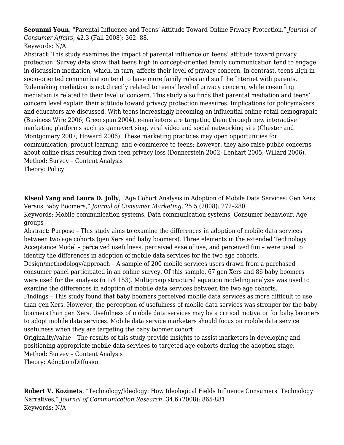**Seounmi Youn**, "Parental Influence and Teens' Attitude Toward Online Privacy Protection," *Journal of Consumer Affairs*, 42.3 (Fall 2008): 362- 88.

# Keywords: N/A

Abstract: This study examines the impact of parental influence on teens' attitude toward privacy protection. Survey data show that teens high in concept-oriented family communication tend to engage in discussion mediation, which, in turn, affects their level of privacy concern. In contrast, teens high in socio-oriented communication tend to have more family rules and surf the Internet with parents. Rulemaking mediation is not directly related to teens' level of privacy concern, while co-surfing mediation is related to their level of concern. This study also finds that parental mediation and teens' concern level explain their attitude toward privacy protection measures. Implications for policymakers and educators are discussed. With teens increasingly becoming an influential online retail demographic (Business Wire 2006; Greenspan 2004), e-marketers are targeting them through new interactive marketing platforms such as gamevertising, viral video and social networking site (Chester and Montgomery 2007; Howard 2006). These marketing practices may open opportunities for communication, product learning, and e-commerce to teens; however, they also raise public concerns about online risks resulting from teen privacy loss (Donnerstein 2002; Lenhart 2005; Willard 2006). Method: Survey – Content Analysis

Theory: Policy

**Kiseol Yang and Laura D. Jolly**, "Age Cohort Analysis in Adoption of Mobile Data Services: Gen Xers Versus Baby Boomers," *Journal of Consumer Marketing*, 25.5 (2008): 272–280.

Keywords: Mobile communication systems, Data communication systems, Consumer behaviour, Age groups

Abstract: Purpose – This study aims to examine the differences in adoption of mobile data services between two age cohorts (gen Xers and baby boomers). Three elements in the extended Technology Acceptance Model – perceived usefulness, perceived ease of use, and perceived fun – were used to identify the differences in adoption of mobile data services for the two age cohorts.

Design/methodology/approach – A sample of 200 mobile services users drawn from a purchased consumer panel participated in an online survey. Of this sample, 67 gen Xers and 86 baby boomers were used for the analysis (n 1/4 153). Multigroup structural equation modeling analysis was used to examine the differences in adoption of mobile data services between the two age cohorts.

Findings – This study found that baby boomers perceived mobile data services as more difficult to use than gen Xers. However, the perception of usefulness of mobile data services was stronger for the baby boomers than gen Xers. Usefulness of mobile data services may be a critical motivator for baby boomers to adopt mobile data services. Mobile data service marketers should focus on mobile data service usefulness when they are targeting the baby boomer cohort.

Originality/value – The results of this study provide insights to assist marketers in developing and positioning appropriate mobile data services to targeted age cohorts during the adoption stage. Method: Survey – Content Analysis

Theory: Adoption/Diffusion

**Robert V. Kozinets**, "Technology/Ideology: How Ideological Fields Influence Consumers' Technology Narratives," *Journal of Communication Research*, 34.6 (2008): 865-881. Keywords: N/A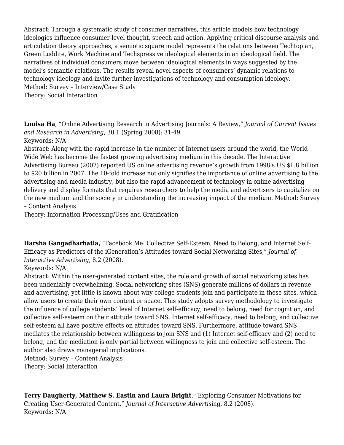Abstract: Through a systematic study of consumer narratives, this article models how technology ideologies influence consumer-level thought, speech and action. Applying critical discourse analysis and articulation theory approaches, a semiotic square model represents the relations between Techtopian, Green Luddite, Work Machine and Techspressive ideological elements in an ideological field. The narratives of individual consumers move between ideological elements in ways suggested by the model's semantic relations. The results reveal novel aspects of consumers' dynamic relations to technology ideology and invite further investigations of technology and consumption ideology. Method: Survey – Interview/Case Study Theory: Social Interaction

**Louisa Ha**, "Online Advertising Research in Advertising Journals: A Review," *Journal of Current Issues and Research in Advertising*, 30.1 (Spring 2008): 31-49.

Keywords: N/A

Abstract: Along with the rapid increase in the number of Internet users around the world, the World Wide Web has become the fastest growing advertising medium in this decade. The Interactive Advertising Bureau (2007) reported US online advertising revenue's growth from 1998's US \$l .8 billion to \$20 billion in 2007. The 10-fold increase not only signifies the importance of online advertising to the advertising and media industry, but also the rapid advancement of technology in online advertising delivery and display formats that requires researchers to help the media and advertisers to capitalize on the new medium and the society in understanding the increasing impact of the medium. Method: Survey – Content Analysis

Theory: Information Processing/Uses and Gratification

**Harsha Gangadharbatla,** "Facebook Me: Collective Self-Esteem, Need to Belong, and Internet Self-Efficacy as Predictors of the iGeneration's Attitudes toward Social Networking Sites," *Journal of Interactive Advertising*, 8.2 (2008).

### Keywords: N/A

Abstract: Within the user-generated content sites, the role and growth of social networking sites has been undeniably overwhelming. Social networking sites (SNS) generate millions of dollars in revenue and advertising, yet little is known about why college students join and participate in these sites, which allow users to create their own content or space. This study adopts survey methodology to investigate the influence of college students' level of Internet self-efficacy, need to belong, need for cognition, and collective self-esteem on their attitude toward SNS. Internet self-efficacy, need to belong, and collective self-esteem all have positive effects on attitudes toward SNS. Furthermore, attitude toward SNS mediates the relationship between willingness to join SNS and (1) Internet self-efficacy and (2) need to belong, and the mediation is only partial between willingness to join and collective self-esteem. The author also draws managerial implications.

Method: Survey – Content Analysis

Theory: Social Interaction

**Terry Daugherty, Matthew S. Eastin and Laura Bright**, "Exploring Consumer Motivations for Creating User-Generated Content," *Journal of Interactive Advertis*ing, 8.2 (2008). Keywords: N/A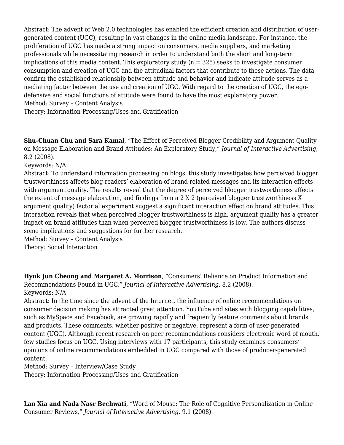Abstract: The advent of Web 2.0 technologies has enabled the efficient creation and distribution of usergenerated content (UGC), resulting in vast changes in the online media landscape. For instance, the proliferation of UGC has made a strong impact on consumers, media suppliers, and marketing professionals while necessitating research in order to understand both the short and long-term implications of this media content. This exploratory study  $(n = 325)$  seeks to investigate consumer consumption and creation of UGC and the attitudinal factors that contribute to these actions. The data confirm the established relationship between attitude and behavior and indicate attitude serves as a mediating factor between the use and creation of UGC. With regard to the creation of UGC, the egodefensive and social functions of attitude were found to have the most explanatory power. Method: Survey – Content Analysis

Theory: Information Processing/Uses and Gratification

**Shu-Chuan Chu and Sara Kamal**, "The Effect of Perceived Blogger Credibility and Argument Quality on Message Elaboration and Brand Attitudes: An Exploratory Study," *Journal of Interactive Advertising*, 8.2 (2008).

Keywords: N/A

Abstract: To understand information processing on blogs, this study investigates how perceived blogger trustworthiness affects blog readers' elaboration of brand-related messages and its interaction effects with argument quality. The results reveal that the degree of perceived blogger trustworthiness affects the extent of message elaboration, and findings from a 2 X 2 (perceived blogger trustworthiness X argument quality) factorial experiment suggest a significant interaction effect on brand attitudes. This interaction reveals that when perceived blogger trustworthiness is high, argument quality has a greater impact on brand attitudes than when perceived blogger trustworthiness is low. The authors discuss some implications and suggestions for further research.

Method: Survey – Content Analysis

Theory: Social Interaction

**Hyuk Jun Cheong and Margaret A. Morrison**, "Consumers' Reliance on Product Information and Recommendations Found in UGC," *Journal of Interactive Advertising*, 8.2 (2008). Keywords: N/A

Abstract: In the time since the advent of the Internet, the influence of online recommendations on consumer decision making has attracted great attention. YouTube and sites with blogging capabilities, such as MySpace and Facebook, are growing rapidly and frequently feature comments about brands and products. These comments, whether positive or negative, represent a form of user-generated content (UGC). Although recent research on peer recommendations considers electronic word of mouth, few studies focus on UGC. Using interviews with 17 participants, this study examines consumers' opinions of online recommendations embedded in UGC compared with those of producer-generated content.

Method: Survey – Interview/Case Study

Theory: Information Processing/Uses and Gratification

**Lan Xia and Nada Nasr Bechwati**, "Word of Mouse: The Role of Cognitive Personalization in Online Consumer Reviews," *Journal of Interactive Advertising*, 9.1 (2008).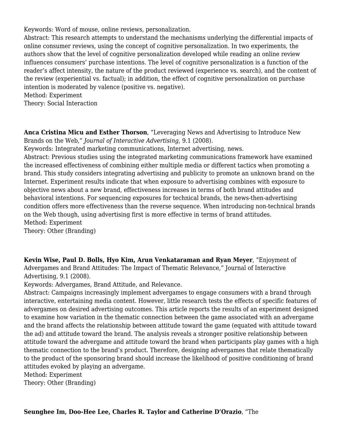Keywords: Word of mouse, online reviews, personalization.

Abstract: This research attempts to understand the mechanisms underlying the differential impacts of online consumer reviews, using the concept of cognitive personalization. In two experiments, the authors show that the level of cognitive personalization developed while reading an online review influences consumers' purchase intentions. The level of cognitive personalization is a function of the reader's affect intensity, the nature of the product reviewed (experience vs. search), and the content of the review (experiential vs. factual); in addition, the effect of cognitive personalization on purchase intention is moderated by valence (positive vs. negative).

Method: Experiment

Theory: Social Interaction

**Anca Cristina Micu and Esther Thorson**, "Leveraging News and Advertising to Introduce New Brands on the Web," *Journal of Interactive Advertising*, 9.1 (2008).

Keywords: Integrated marketing communications, Internet advertising, news.

Abstract: Previous studies using the integrated marketing communications framework have examined the increased effectiveness of combining either multiple media or different tactics when promoting a brand. This study considers integrating advertising and publicity to promote an unknown brand on the Internet. Experiment results indicate that when exposure to advertising combines with exposure to objective news about a new brand, effectiveness increases in terms of both brand attitudes and behavioral intentions. For sequencing exposures for technical brands, the news-then-advertising condition offers more effectiveness than the reverse sequence. When introducing non-technical brands on the Web though, using advertising first is more effective in terms of brand attitudes. Method: Experiment

Theory: Other (Branding)

**Kevin Wise, Paul D. Bolls, Hyo Kim, Arun Venkataraman and Ryan Meyer**, "Enjoyment of Advergames and Brand Attitudes: The Impact of Thematic Relevance," Journal of Interactive Advertising, 9.1 (2008).

Keywords: Advergames, Brand Attitude, and Relevance.

Abstract: Campaigns increasingly implement advergames to engage consumers with a brand through interactive, entertaining media content. However, little research tests the effects of specific features of advergames on desired advertising outcomes. This article reports the results of an experiment designed to examine how variation in the thematic connection between the game associated with an advergame and the brand affects the relationship between attitude toward the game (equated with attitude toward the ad) and attitude toward the brand. The analysis reveals a stronger positive relationship between attitude toward the advergame and attitude toward the brand when participants play games with a high thematic connection to the brand's product. Therefore, designing advergames that relate thematically to the product of the sponsoring brand should increase the likelihood of positive conditioning of brand attitudes evoked by playing an advergame.

Method: Experiment

Theory: Other (Branding)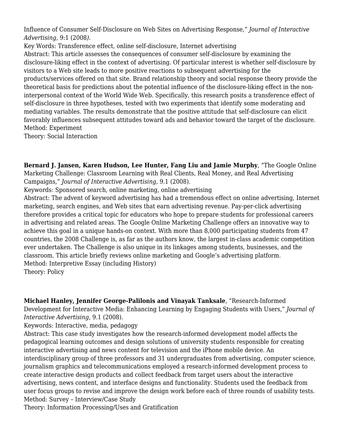Influence of Consumer Self-Disclosure on Web Sites on Advertising Response," *Journal of Interactive Advertising*, 9:1 (2008*).*

Key Words: Transference effect, online self-disclosure, Internet advertising

Abstract: This article assesses the consequences of consumer self-disclosure by examining the disclosure-liking effect in the context of advertising. Of particular interest is whether self-disclosure by visitors to a Web site leads to more positive reactions to subsequent advertising for the products/services offered on that site. Brand relationship theory and social response theory provide the theoretical basis for predictions about the potential influence of the disclosure-liking effect in the noninterpersonal context of the World Wide Web. Specifically, this research posits a transference effect of self-disclosure in three hypotheses, tested with two experiments that identify some moderating and mediating variables. The results demonstrate that the positive attitude that self-disclosure can elicit favorably influences subsequent attitudes toward ads and behavior toward the target of the disclosure. Method: Experiment

Theory: Social Interaction

**Bernard J. Jansen, Karen Hudson, Lee Hunter, Fang Liu and Jamie Murphy**, "The Google Online Marketing Challenge: Classroom Learning with Real Clients, Real Money, and Real Advertising Campaigns," *Journal of Interactive Advertising*, 9.1 (2008).

Keywords: Sponsored search, online marketing, online advertising

Abstract: The advent of keyword advertising has had a tremendous effect on online advertising, Internet marketing, search engines, and Web sites that earn advertising revenue. Pay-per-click advertising therefore provides a critical topic for educators who hope to prepare students for professional careers in advertising and related areas. The Google Online Marketing Challenge offers an innovative way to achieve this goal in a unique hands-on context. With more than 8,000 participating students from 47 countries, the 2008 Challenge is, as far as the authors know, the largest in-class academic competition ever undertaken. The Challenge is also unique in its linkages among students, businesses, and the classroom. This article briefly reviews online marketing and Google's advertising platform. Method: Interpretive Essay (including History) Theory: Policy

**Michael Hanley, Jennifer George-Palilonis and Vinayak Tanksale**, "Research-Informed Development for Interactive Media: Enhancing Learning by Engaging Students with Users," *Journal of Interactive Advertising*, 9.1 (2008).

Keywords: Interactive, media, pedagogy

Abstract: This case study investigates how the research-informed development model affects the pedagogical learning outcomes and design solutions of university students responsible for creating interactive advertising and news content for television and the iPhone mobile device. An interdisciplinary group of three professors and 31 undergraduates from advertising, computer science, journalism graphics and telecommunications employed a research-informed development process to create interactive design products and collect feedback from target users about the interactive advertising, news content, and interface designs and functionality. Students used the feedback from user focus groups to revise and improve the design work before each of three rounds of usability tests. Method: Survey – Interview/Case Study

Theory: Information Processing/Uses and Gratification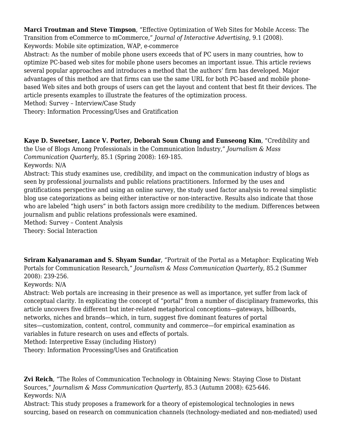**Marci Troutman and Steve Timpson**, "Effective Optimization of Web Sites for Mobile Access: The Transition from eCommerce to mCommerce," *Journal of Interactive Advertising*, 9.1 (2008). Keywords: Mobile site optimization, WAP, e-commerce

Abstract: As the number of mobile phone users exceeds that of PC users in many countries, how to optimize PC-based web sites for mobile phone users becomes an important issue. This article reviews several popular approaches and introduces a method that the authors' firm has developed. Major advantages of this method are that firms can use the same URL for both PC-based and mobile phonebased Web sites and both groups of users can get the layout and content that best fit their devices. The article presents examples to illustrate the features of the optimization process.

Method: Survey – Interview/Case Study

Theory: Information Processing/Uses and Gratification

**Kaye D. Sweetser, Lance V. Porter, Deborah Soun Chung and Eunseong Kim**, "Credibility and the Use of Blogs Among Professionals in the Communication Industry," *Journalism & Mass Communication Quarterly*, 85.1 (Spring 2008): 169-185. Keywords: N/A

Abstract: This study examines use, credibility, and impact on the communication industry of blogs as seen by professional journalists and public relations practitioners. Informed by the uses and gratifications perspective and using an online survey, the study used factor analysis to reveal simplistic blog use categorizations as being either interactive or non-interactive. Results also indicate that those who are labeled "high users" in both factors assign more credibility to the medium. Differences between journalism and public relations professionals were examined.

Method: Survey – Content Analysis

Theory: Social Interaction

**Sriram Kalyanaraman and S. Shyam Sundar**, "Portrait of the Portal as a Metaphor: Explicating Web Portals for Communication Research," *Journalism & Mass Communication Quarterly*, 85.2 (Summer 2008): 239-256.

Keywords: N/A

Abstract: Web portals are increasing in their presence as well as importance, yet suffer from lack of conceptual clarity. In explicating the concept of "portal" from a number of disciplinary frameworks, this article uncovers five different but inter-related metaphorical conceptions—gateways, billboards, networks, niches and brands—which, in turn, suggest five dominant features of portal sites—customization, content, control, community and commerce—for empirical examination as variables in future research on uses and effects of portals.

Method: Interpretive Essay (including History)

Theory: Information Processing/Uses and Gratification

**Zvi Reich**, "The Roles of Communication Technology in Obtaining News: Staying Close to Distant Sources," *Journalism & Mass Communication Quarterly*, 85.3 (Autumn 2008): 625-646. Keywords: N/A

Abstract: This study proposes a framework for a theory of epistemological technologies in news sourcing, based on research on communication channels (technology-mediated and non-mediated) used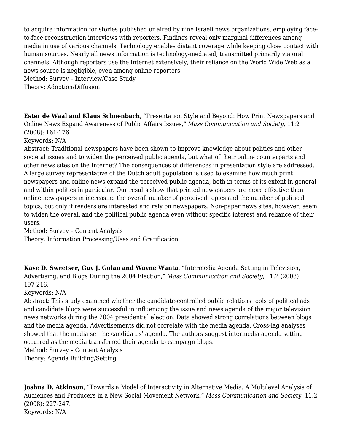to acquire information for stories published or aired by nine Israeli news organizations, employing faceto-face reconstruction interviews with reporters. Findings reveal only marginal differences among media in use of various channels. Technology enables distant coverage while keeping close contact with human sources. Nearly all news information is technology-mediated, transmitted primarily via oral channels. Although reporters use the Internet extensively, their reliance on the World Wide Web as a news source is negligible, even among online reporters.

Method: Survey – Interview/Case Study Theory: Adoption/Diffusion

**Ester de Waal and Klaus Schoenbach**, "Presentation Style and Beyond: How Print Newspapers and Online News Expand Awareness of Public Affairs Issues," *Mass Communication and Society*, 11:2 (2008): 161-176.

Keywords: N/A

Abstract: Traditional newspapers have been shown to improve knowledge about politics and other societal issues and to widen the perceived public agenda, but what of their online counterparts and other news sites on the Internet? The consequences of differences in presentation style are addressed. A large survey representative of the Dutch adult population is used to examine how much print newspapers and online news expand the perceived public agenda, both in terms of its extent in general and within politics in particular. Our results show that printed newspapers are more effective than online newspapers in increasing the overall number of perceived topics and the number of political topics, but only if readers are interested and rely on newspapers. Non-paper news sites, however, seem to widen the overall and the political public agenda even without specific interest and reliance of their users.

Method: Survey – Content Analysis Theory: Information Processing/Uses and Gratification

**Kaye D. Sweetser, Guy J. Golan and Wayne Wanta**, "Intermedia Agenda Setting in Television, Advertising, and Blogs During the 2004 Election," *Mass Communication and Society*, 11.2 (2008): 197-216.

Keywords: N/A

Abstract: This study examined whether the candidate-controlled public relations tools of political ads and candidate blogs were successful in influencing the issue and news agenda of the major television news networks during the 2004 presidential election. Data showed strong correlations between blogs and the media agenda. Advertisements did not correlate with the media agenda. Cross-lag analyses showed that the media set the candidates' agenda. The authors suggest intermedia agenda setting occurred as the media transferred their agenda to campaign blogs.

Method: Survey – Content Analysis

Theory: Agenda Building/Setting

**Joshua D. Atkinson**, "Towards a Model of Interactivity in Alternative Media: A Multilevel Analysis of Audiences and Producers in a New Social Movement Network," *Mass Communication and Society*, 11.2 (2008): 227-247. Keywords: N/A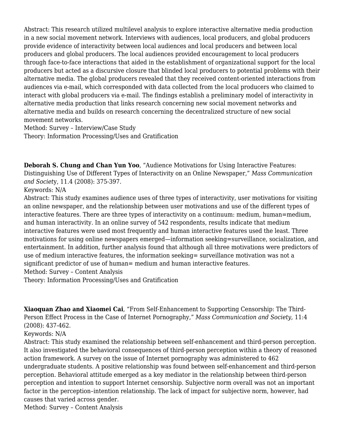Abstract: This research utilized multilevel analysis to explore interactive alternative media production in a new social movement network. Interviews with audiences, local producers, and global producers provide evidence of interactivity between local audiences and local producers and between local producers and global producers. The local audiences provided encouragement to local producers through face-to-face interactions that aided in the establishment of organizational support for the local producers but acted as a discursive closure that blinded local producers to potential problems with their alternative media. The global producers revealed that they received content-oriented interactions from audiences via e-mail, which corresponded with data collected from the local producers who claimed to interact with global producers via e-mail. The findings establish a preliminary model of interactivity in alternative media production that links research concerning new social movement networks and alternative media and builds on research concerning the decentralized structure of new social movement networks.

Method: Survey – Interview/Case Study Theory: Information Processing/Uses and Gratification

**Deborah S. Chung and Chan Yun Yoo**, "Audience Motivations for Using Interactive Features: Distinguishing Use of Different Types of Interactivity on an Online Newspaper," *Mass Communication and Societ*y, 11.4 (2008): 375-397.

Keywords: N/A

Abstract: This study examines audience uses of three types of interactivity, user motivations for visiting an online newspaper, and the relationship between user motivations and use of the different types of interactive features. There are three types of interactivity on a continuum: medium, human=medium, and human interactivity. In an online survey of 542 respondents, results indicate that medium interactive features were used most frequently and human interactive features used the least. Three motivations for using online newspapers emerged—information seeking=surveillance, socialization, and entertainment. In addition, further analysis found that although all three motivations were predictors of use of medium interactive features, the information seeking= surveillance motivation was not a significant predictor of use of human= medium and human interactive features. Method: Survey – Content Analysis

Theory: Information Processing/Uses and Gratification

**Xiaoquan Zhao and Xiaomei Cai**, "From Self-Enhancement to Supporting Censorship: The Third-Person Effect Process in the Case of Internet Pornography," *Mass Communication and Society*, 11:4 (2008): 437-462.

Keywords: N/A

Abstract: This study examined the relationship between self-enhancement and third-person perception. It also investigated the behavioral consequences of third-person perception within a theory of reasoned action framework. A survey on the issue of Internet pornography was administered to 462 undergraduate students. A positive relationship was found between self-enhancement and third-person perception. Behavioral attitude emerged as a key mediator in the relationship between third-person perception and intention to support Internet censorship. Subjective norm overall was not an important factor in the perception–intention relationship. The lack of impact for subjective norm, however, had causes that varied across gender.

Method: Survey – Content Analysis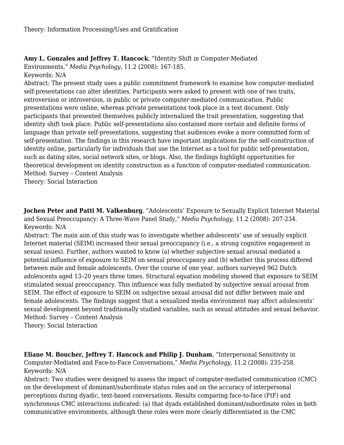# **Amy L. Gonzales and Jeffrey T. Hancock**, "Identity Shift in Computer-Mediated

Environments," *Media Psychology*, 11.2 (2008): 167-185.

Keywords: N/A

Abstract: The present study uses a public commitment framework to examine how computer-mediated self-presentations can alter identities. Participants were asked to present with one of two traits, extroversion or introversion, in public or private computer-mediated communication. Public presentations were online, whereas private presentations took place in a text document. Only participants that presented themselves publicly internalized the trait presentation, suggesting that identity shift took place. Public self-presentations also contained more certain and definite forms of language than private self-presentations, suggesting that audiences evoke a more committed form of self-presentation. The findings in this research have important implications for the self-construction of identity online, particularly for individuals that use the Internet as a tool for public self-presentation, such as dating sites, social network sites, or blogs. Also, the findings highlight opportunities for theoretical development on identity construction as a function of computer-mediated communication. Method: Survey – Content Analysis Theory: Social Interaction

**Jochen Peter and Patti M. Valkenburg**, "Adolescents' Exposure to Sexually Explicit Internet Material and Sexual Preoccupancy: A Three-Wave Panel Study," *Media Psychology*, 11.2 (2008): 207-234. Keywords: N/A

Abstract: The main aim of this study was to investigate whether adolescents' use of sexually explicit Internet material (SEIM) increased their sexual preoccupancy (i.e., a strong cognitive engagement in sexual issues). Further, authors wanted to know (a) whether subjective sexual arousal mediated a potential influence of exposure to SEIM on sexual preoccupancy and (b) whether this process differed between male and female adolescents. Over the course of one year, authors surveyed 962 Dutch adolescents aged 13–20 years three times. Structural equation modeling showed that exposure to SEIM stimulated sexual preoccupancy. This influence was fully mediated by subjective sexual arousal from SEIM. The effect of exposure to SEIM on subjective sexual arousal did not differ between male and female adolescents. The findings suggest that a sexualized media environment may affect adolescents' sexual development beyond traditionally studied variables, such as sexual attitudes and sexual behavior. Method: Survey – Content Analysis

Theory: Social Interaction

**Eliane M. Boucher, Jeffrey T. Hancock and Philip J. Dunham**, "Interpersonal Sensitivity in Computer-Mediated and Face-to-Face Conversations," *Media Psychology,* 11.2 (2008): 235-258. Keywords: N/A

Abstract: Two studies were designed to assess the impact of computer-mediated communication (CMC) on the development of dominant/subordinate status roles and on the accuracy of interpersonal perceptions during dyadic, text-based conversations. Results comparing face-to-face (FtF) and synchronous CMC interactions indicated: (a) that dyads established dominant/subordinate roles in both communicative environments, although these roles were more clearly differentiated in the CMC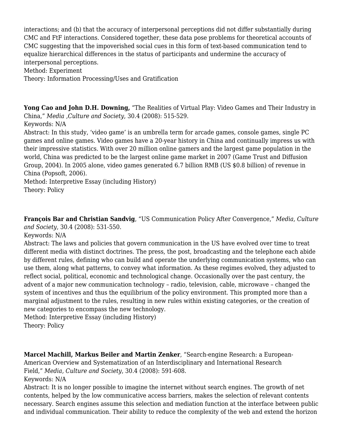interactions; and (b) that the accuracy of interpersonal perceptions did not differ substantially during CMC and FtF interactions. Considered together, these data pose problems for theoretical accounts of CMC suggesting that the impoverished social cues in this form of text-based communication tend to equalize hierarchical differences in the status of participants and undermine the accuracy of interpersonal perceptions.

Method: Experiment

Theory: Information Processing/Uses and Gratification

**Yong Cao and John D.H. Downing,** "The Realities of Virtual Play: Video Games and Their Industry in China," *Media ,Culture and Society*, 30.4 (2008): 515-529.

Keywords: N/A

Abstract: In this study, 'video game' is an umbrella term for arcade games, console games, single PC games and online games. Video games have a 20-year history in China and continually impress us with their impressive statistics. With over 20 million online gamers and the largest game population in the world, China was predicted to be the largest online game market in 2007 (Game Trust and Diffusion Group, 2004). In 2005 alone, video games generated 6.7 billion RMB (US \$0.8 billion) of revenue in China (Popsoft, 2006).

Method: Interpretive Essay (including History) Theory: Policy

**François Bar and Christian Sandvig**, "US Communication Policy After Convergence," *Media, Culture and Society*, 30.4 (2008): 531-550.

Keywords: N/A

Abstract: The laws and policies that govern communication in the US have evolved over time to treat different media with distinct doctrines. The press, the post, broadcasting and the telephone each abide by different rules, defining who can build and operate the underlying communication systems, who can use them, along what patterns, to convey what information. As these regimes evolved, they adjusted to reflect social, political, economic and technological change. Occasionally over the past century, the advent of a major new communication technology – radio, television, cable, microwave – changed the system of incentives and thus the equilibrium of the policy environment. This prompted more than a marginal adjustment to the rules, resulting in new rules within existing categories, or the creation of new categories to encompass the new technology.

Method: Interpretive Essay (including History) Theory: Policy

**Marcel Machill, Markus Beiler and Martin Zenker**, "Search-engine Research: a European-American Overview and Systematization of an Interdisciplinary and International Research Field," *Media, Culture and Society*, 30.4 (2008): 591-608.

Keywords: N/A

Abstract: It is no longer possible to imagine the internet without search engines. The growth of net contents, helped by the low communicative access barriers, makes the selection of relevant contents necessary. Search engines assume this selection and mediation function at the interface between public and individual communication. Their ability to reduce the complexity of the web and extend the horizon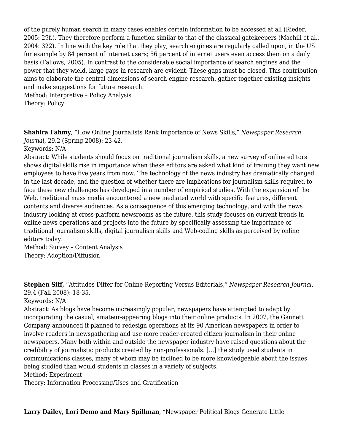of the purely human search in many cases enables certain information to be accessed at all (Rieder, 2005: 29f.). They therefore perform a function similar to that of the classical gatekeepers (Machill et al., 2004: 322). In line with the key role that they play, search engines are regularly called upon, in the US for example by 84 percent of internet users; 56 percent of internet users even access them on a daily basis (Fallows, 2005). In contrast to the considerable social importance of search engines and the power that they wield, large gaps in research are evident. These gaps must be closed. This contribution aims to elaborate the central dimensions of search-engine research, gather together existing insights and make suggestions for future research.

Method: Interpretive – Policy Analysis Theory: Policy

**Shahira Fahmy**, "How Online Journalists Rank Importance of News Skills," *Newspaper Research Journal*, 29.2 (Spring 2008): 23-42.

Keywords: N/A

Abstract: While students should focus on traditional journalism skills, a new survey of online editors shows digital skills rise in importance when these editors are asked what kind of training they want new employees to have five years from now. The technology of the news industry has dramatically changed in the last decade, and the question of whether there are implications for journalism skills required to face these new challenges has developed in a number of empirical studies. With the expansion of the Web, traditional mass media encountered a new mediated world with specific features, different contents and diverse audiences. As a consequence of this emerging technology, and with the news industry looking at cross-platform newsrooms as the future, this study focuses on current trends in online news operations and projects into the future by specifically assessing the importance of traditional journalism skills, digital journalism skills and Web-coding skills as perceived by online editors today.

Method: Survey – Content Analysis Theory: Adoption/Diffusion

**Stephen Siff,** "Attitudes Differ for Online Reporting Versus Editorials," *Newspaper Research Journal*, 29.4 (Fall 2008): 18-35.

Keywords: N/A

Abstract: As blogs have become increasingly popular, newspapers have attempted to adapt by incorporating the casual, amateur-appearing blogs into their online products. In 2007, the Gannett Company announced it planned to redesign operations at its 90 American newspapers in order to involve readers in newsgathering and use more reader-created citizen journalism in their online newspapers. Many both within and outside the newspaper industry have raised questions about the credibility of journalistic products created by non-professionals. […] the study used students in communications classes, many of whom may be inclined to be more knowledgeable about the issues being studied than would students in classes in a variety of subjects.

Method: Experiment

Theory: Information Processing/Uses and Gratification

**Larry Dailey, Lori Demo and Mary Spillman**, "Newspaper Political Blogs Generate Little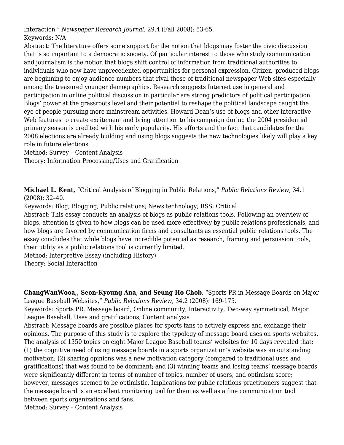Interaction," *Newspaper Research Journal*, 29.4 (Fall 2008): 53-65. Keywords: N/A

Abstract: The literature offers some support for the notion that blogs may foster the civic discussion that is so important to a democratic society. Of particular interest to those who study communication and journalism is the notion that blogs shift control of information from traditional authorities to individuals who now have unprecedented opportunities for personal expression. Citizen- produced blogs are beginning to enjoy audience numbers that rival those of traditional newspaper Web sites-especially among the treasured younger demographics. Research suggests Internet use in general and participation in online political discussion in particular are strong predictors of political participation. Blogs' power at the grassroots level and their potential to reshape the political landscape caught the eye of people pursuing more mainstream activities. Howard Dean's use of blogs and other interactive Web features to create excitement and bring attention to his campaign during the 2004 presidential primary season is credited with his early popularity. His efforts and the fact that candidates for the 2008 elections are already building and using blogs suggests the new technologies likely will play a key role in future elections.

Method: Survey – Content Analysis

Theory: Information Processing/Uses and Gratification

**Michael L. Kent,** "Critical Analysis of Blogging in Public Relations," *Public Relations Review*, 34.1 (2008): 32–40.

Keywords: Blog; Blogging; Public relations; News technology; RSS; Critical

Abstract: This essay conducts an analysis of blogs as public relations tools. Following an overview of blogs, attention is given to how blogs can be used more effectively by public relations professionals, and how blogs are favored by communication firms and consultants as essential public relations tools. The essay concludes that while blogs have incredible potential as research, framing and persuasion tools, their utility as a public relations tool is currently limited.

Method: Interpretive Essay (including History)

Theory: Social Interaction

**ChangWanWooa,, Seon-Kyoung Ana, and Seung Ho Chob**, "Sports PR in Message Boards on Major League Baseball Websites," *Public Relations Review*, 34.2 (2008): 169-175.

Keywords: Sports PR, Message board, Online community, Interactivity, Two-way symmetrical, Major League Baseball, Uses and gratifications, Content analysis

Abstract: Message boards are possible places for sports fans to actively express and exchange their opinions. The purpose of this study is to explore the typology of message board uses on sports websites. The analysis of 1350 topics on eight Major League Baseball teams' websites for 10 days revealed that: (1) the cognitive need of using message boards in a sports organization's website was an outstanding motivation; (2) sharing opinions was a new motivation category (compared to traditional uses and gratifications) that was found to be dominant; and (3) winning teams and losing teams' message boards were significantly different in terms of number of topics, number of users, and optimism score; however, messages seemed to be optimistic. Implications for public relations practitioners suggest that the message board is an excellent monitoring tool for them as well as a fine communication tool between sports organizations and fans.

Method: Survey – Content Analysis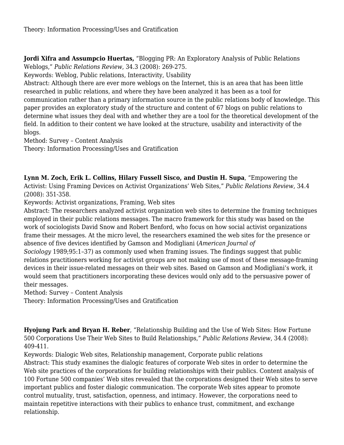**Jordi Xifra and Assumpcio Huertas,** "Blogging PR: An Exploratory Analysis of Public Relations Weblogs," *Public Relations Review*, 34.3 (2008): 269-275.

Keywords: Weblog, Public relations, Interactivity, Usability

Abstract: Although there are ever more weblogs on the Internet, this is an area that has been little researched in public relations, and where they have been analyzed it has been as a tool for communication rather than a primary information source in the public relations body of knowledge. This paper provides an exploratory study of the structure and content of 67 blogs on public relations to determine what issues they deal with and whether they are a tool for the theoretical development of the field. In addition to their content we have looked at the structure, usability and interactivity of the blogs.

Method: Survey – Content Analysis

Theory: Information Processing/Uses and Gratification

**Lynn M. Zoch, Erik L. Collins, Hilary Fussell Sisco, and Dustin H. Supa**, "Empowering the Activist: Using Framing Devices on Activist Organizations' Web Sites," *Public Relations Review*, 34.4 (2008): 351-358.

Keywords: Activist organizations, Framing, Web sites

Abstract: The researchers analyzed activist organization web sites to determine the framing techniques employed in their public relations messages. The macro framework for this study was based on the work of sociologists David Snow and Robert Benford, who focus on how social activist organizations frame their messages. At the micro level, the researchers examined the web sites for the presence or absence of five devices identified by Gamson and Modigliani (*American Journal of Sociology* 1989;95:1–37) as commonly used when framing issues. The findings suggest that public relations practitioners working for activist groups are not making use of most of these message-framing devices in their issue-related messages on their web sites. Based on Gamson and Modigliani's work, it would seem that practitioners incorporating these devices would only add to the persuasive power of their messages.

Method: Survey – Content Analysis

Theory: Information Processing/Uses and Gratification

**Hyojung Park and Bryan H. Reber**, "Relationship Building and the Use of Web Sites: How Fortune 500 Corporations Use Their Web Sites to Build Relationships," *Public Relations Review*, 34.4 (2008): 409-411.

Keywords: Dialogic Web sites, Relationship management, Corporate public relations

Abstract: This study examines the dialogic features of corporate Web sites in order to determine the Web site practices of the corporations for building relationships with their publics. Content analysis of 100 Fortune 500 companies' Web sites revealed that the corporations designed their Web sites to serve important publics and foster dialogic communication. The corporate Web sites appear to promote control mutuality, trust, satisfaction, openness, and intimacy. However, the corporations need to maintain repetitive interactions with their publics to enhance trust, commitment, and exchange relationship.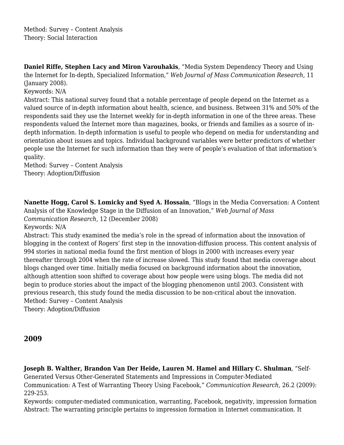**Daniel Riffe, Stephen Lacy and Miron Varouhakis**, "Media System Dependency Theory and Using the Internet for In-depth, Specialized Information," *Web Journal of Mass Communication Research*, 11 (January 2008).

Keywords: N/A

Abstract: This national survey found that a notable percentage of people depend on the Internet as a valued source of in-depth information about health, science, and business. Between 31% and 50% of the respondents said they use the Internet weekly for in-depth information in one of the three areas. These respondents valued the Internet more than magazines, books, or friends and families as a source of indepth information. In-depth information is useful to people who depend on media for understanding and orientation about issues and topics. Individual background variables were better predictors of whether people use the Internet for such information than they were of people's evaluation of that information's quality.

Method: Survey – Content Analysis Theory: Adoption/Diffusion

**Nanette Hogg, Carol S. Lomicky and Syed A. Hossain**, "Blogs in the Media Conversation: A Content Analysis of the Knowledge Stage in the Diffusion of an Innovation," *Web Journal of Mass Communication Research*, 12 (December 2008)

Keywords: N/A

Abstract: This study examined the media's role in the spread of information about the innovation of blogging in the context of Rogers' first step in the innovation-diffusion process. This content analysis of 994 stories in national media found the first mention of blogs in 2000 with increases every year thereafter through 2004 when the rate of increase slowed. This study found that media coverage about blogs changed over time. Initially media focused on background information about the innovation, although attention soon shifted to coverage about how people were using blogs. The media did not begin to produce stories about the impact of the blogging phenomenon until 2003. Consistent with previous research, this study found the media discussion to be non-critical about the innovation. Method: Survey – Content Analysis

Theory: Adoption/Diffusion

# **2009**

**Joseph B. Walther, Brandon Van Der Heide, Lauren M. Hamel and Hillary C. Shulman**, "Self-Generated Versus Other-Generated Statements and Impressions in Computer-Mediated Communication: A Test of Warranting Theory Using Facebook," *Communication Research*, 26.2 (2009): 229-253.

Keywords: computer-mediated communication, warranting, Facebook, negativity, impression formation Abstract: The warranting principle pertains to impression formation in Internet communication. It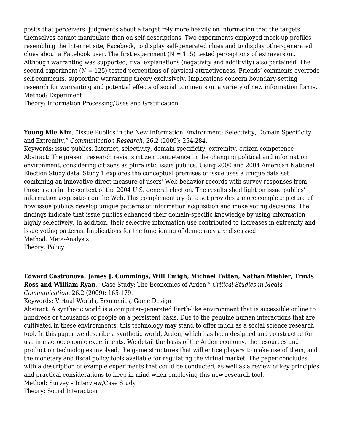posits that perceivers' judgments about a target rely more heavily on information that the targets themselves cannot manipulate than on self-descriptions. Two experiments employed mock-up profiles resembling the Internet site, Facebook, to display self-generated clues and to display other-generated clues about a Facebook user. The first experiment  $(N = 115)$  tested perceptions of extraversion. Although warranting was supported, rival explanations (negativity and additivity) also pertained. The second experiment  $(N = 125)$  tested perceptions of physical attractiveness. Friends' comments overrode self-comments, supporting warranting theory exclusively. Implications concern boundary-setting research for warranting and potential effects of social comments on a variety of new information forms. Method: Experiment

Theory: Information Processing/Uses and Gratification

**Young Mie Kim**, "Issue Publics in the New Information Environment: Selectivity, Domain Specificity, and Extremity," *Communication Research*, 26.2 (2009): 254-284.

Keywords: issue publics, Internet, selectivity, domain specificity, extremity, citizen competence Abstract: The present research revisits citizen competence in the changing political and information environment, considering citizens as pluralistic issue publics. Using 2000 and 2004 American National Election Study data, Study 1 explores the conceptual premises of issue uses a unique data set combining an innovative direct measure of users' Web behavior records with survey responses from those users in the context of the 2004 U.S. general election. The results shed light on issue publics' information acquisition on the Web. This complementary data set provides a more complete picture of how issue publics develop unique patterns of information acquisition and make voting decisions. The findings indicate that issue publics enhanced their domain-specific knowledge by using information highly selectively. In addition, their selective information use contributed to increases in extremity and issue voting patterns. Implications for the functioning of democracy are discussed. Method: Meta-Analysis

Theory: Policy

**Edward Castronova, James J. Cummings, Will Emigh, Michael Fatten, Nathan Mishler, Travis Ross and William Ryan**, "Case Study: The Economics of Arden," *Critical Studies in Media Communication*, 26.2 (2009): 165-179.

Keywords: Virtual Worlds, Economics, Game Design

Abstract: A synthetic world is a computer-generated Earth-like environment that is accessible online to hundreds or thousands of people on a persistent basis. Due to the genuine human interactions that are cultivated in these environments, this technology may stand to offer much as a social science research tool. In this paper we describe a synthetic world, Arden, which has been designed and constructed for use in macroeconomic experiments. We detail the basis of the Arden economy, the resources and production technologies involved, the game structures that will entice players to make use of them, and the monetary and fiscal policy tools available for regulating the virtual market. The paper concludes with a description of example experiments that could be conducted, as well as a review of key principles and practical considerations to keep in mind when employing this new research tool.

Method: Survey – Interview/Case Study

Theory: Social Interaction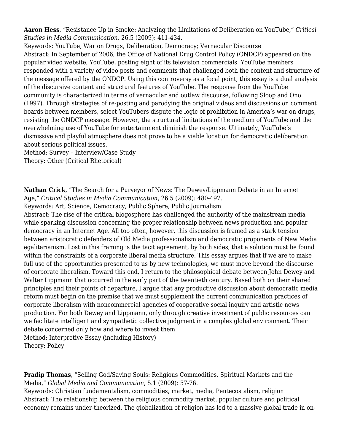**Aaron Hess**, "Resistance Up in Smoke: Analyzing the Limitations of Deliberation on YouTube," *Critical Studies in Media Communication,* 26.5 (2009): 411-434.

Keywords: YouTube, War on Drugs, Deliberation, Democracy; Vernacular Discourse Abstract: In September of 2006, the Office of National Drug Control Policy (ONDCP) appeared on the popular video website, YouTube, posting eight of its television commercials. YouTube members responded with a variety of video posts and comments that challenged both the content and structure of the message offered by the ONDCP. Using this controversy as a focal point, this essay is a dual analysis of the discursive content and structural features of YouTube. The response from the YouTube community is characterized in terms of vernacular and outlaw discourse, following Sloop and Ono (1997). Through strategies of re-posting and parodying the original videos and discussions on comment boards between members, select YouTubers dispute the logic of prohibition in America's war on drugs, resisting the ONDCP message. However, the structural limitations of the medium of YouTube and the overwhelming use of YouTube for entertainment diminish the response. Ultimately, YouTube's dismissive and playful atmosphere does not prove to be a viable location for democratic deliberation about serious political issues.

Method: Survey – Interview/Case Study Theory: Other (Critical Rhetorical)

**Nathan Crick**, "The Search for a Purveyor of News: The Dewey/Lippmann Debate in an Internet Age," *Critical Studies in Media Communication*, 26.5 (2009): 480-497.

Keywords: Art, Science, Democracy, Public Sphere, Public Journalism

Abstract: The rise of the critical blogosphere has challenged the authority of the mainstream media while sparking discussion concerning the proper relationship between news production and popular democracy in an Internet Age. All too often, however, this discussion is framed as a stark tension between aristocratic defenders of Old Media professionalism and democratic proponents of New Media egalitarianism. Lost in this framing is the tacit agreement, by both sides, that a solution must be found within the constraints of a corporate liberal media structure. This essay argues that if we are to make full use of the opportunities presented to us by new technologies, we must move beyond the discourse of corporate liberalism. Toward this end, I return to the philosophical debate between John Dewey and Walter Lippmann that occurred in the early part of the twentieth century. Based both on their shared principles and their points of departure, I argue that any productive discussion about democratic media reform must begin on the premise that we must supplement the current communication practices of corporate liberalism with noncommercial agencies of cooperative social inquiry and artistic news production. For both Dewey and Lippmann, only through creative investment of public resources can we facilitate intelligent and sympathetic collective judgment in a complex global environment. Their debate concerned only how and where to invest them.

Method: Interpretive Essay (including History) Theory: Policy

**Pradip Thomas**, "Selling God/Saving Souls: Religious Commodities, Spiritual Markets and the Media," *Global Media and Communication*, 5.1 (2009): 57-76.

Keywords: Christian fundamentalism, commodities, market, media, Pentecostalism, religion Abstract: The relationship between the religious commodity market, popular culture and political economy remains under-theorized. The globalization of religion has led to a massive global trade in on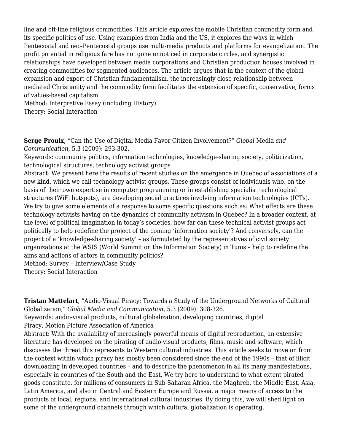line and off-line religious commodities. This article explores the mobile Christian commodity form and its specific politics of use. Using examples from India and the US, it explores the ways in which Pentecostal and neo-Pentecostal groups use multi-media products and platforms for evangelization. The profit potential in religious fare has not gone unnoticed in corporate circles, and synergistic relationships have developed between media corporations and Christian production houses involved in creating commodities for segmented audiences. The article argues that in the context of the global expansion and export of Christian fundamentalism, the increasingly close relationship between mediated Christianity and the commodity form facilitates the extension of specific, conservative, forms of values-based capitalism.

Method: Interpretive Essay (including History) Theory: Social Interaction

**Serge Proulx,** "Can the Use of Digital Media Favor Citizen Involvement?" *Global* Media *and Communication,* 5.3 (2009): 293-302.

Keywords: community politics, information technologies, knowledge-sharing society, politicization, technological structures, technology activist groups

Abstract: We present here the results of recent studies on the emergence in Quebec of associations of a new kind, which we call technology activist groups. These groups consist of individuals who, on the basis of their own expertise in computer programming or in establishing specialist technological structures (WiFi hotspots), are developing social practices involving information technologies (ICTs). We try to give some elements of a response to some specific questions such as: What effects are these technology activists having on the dynamics of community activism in Quebec? In a broader context, at the level of political imagination in today's societies, how far can these technical activist groups act politically to help redefine the project of the coming 'information society'? And conversely, can the project of a 'knowledge-sharing society' – as formulated by the representatives of civil society organizations at the WSIS (World Summit on the Information Society) in Tunis – help to redefine the aims and actions of actors in community politics?

Method: Survey – Interview/Case Study Theory: Social Interaction

**Tristan Mattelart**, "Audio-Visual Piracy: Towards a Study of the Underground Networks of Cultural Globalization," *Global Media and Communication,* 5.3 (2009): 308-326.

Keywords: audio-visual products, cultural globalization, developing countries, digital

Piracy, Motion Picture Association of America

Abstract: With the availability of increasingly powerful means of digital reproduction, an extensive literature has developed on the pirating of audio-visual products, films, music and software, which discusses the threat this represents to Western cultural industries. This article seeks to move on from the context within which piracy has mostly been considered since the end of the 1990s – that of illicit downloading in developed countries – and to describe the phenomenon in all its many manifestations, especially in countries of the South and the East. We try here to understand to what extent pirated goods constitute, for millions of consumers in Sub-Saharan Africa, the Maghreb, the Middle East, Asia, Latin America, and also in Central and Eastern Europe and Russia, a major means of access to the products of local, regional and international cultural industries. By doing this, we will shed light on some of the underground channels through which cultural globalization is operating.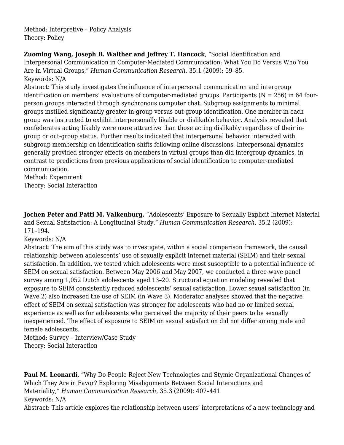Method: Interpretive – Policy Analysis Theory: Policy

**Zuoming Wang, Joseph B. Walther and Jeffrey T. Hancock**, "Social Identification and Interpersonal Communication in Computer-Mediated Communication: What You Do Versus Who You Are in Virtual Groups," *Human Communication Research*, 35.1 (2009): 59–85. Keywords: N/A

Abstract: This study investigates the influence of interpersonal communication and intergroup identification on members' evaluations of computer-mediated groups. Participants ( $N = 256$ ) in 64 fourperson groups interacted through synchronous computer chat. Subgroup assignments to minimal groups instilled significantly greater in-group versus out-group identification. One member in each group was instructed to exhibit interpersonally likable or dislikable behavior. Analysis revealed that confederates acting likably were more attractive than those acting dislikably regardless of their ingroup or out-group status. Further results indicated that interpersonal behavior interacted with subgroup membership on identification shifts following online discussions. Interpersonal dynamics generally provided stronger effects on members in virtual groups than did intergroup dynamics, in contrast to predictions from previous applications of social identification to computer-mediated communication.

Method: Experiment Theory: Social Interaction

**Jochen Peter and Patti M. Valkenburg,** "Adolescents' Exposure to Sexually Explicit Internet Material and Sexual Satisfaction: A Longitudinal Study," *Human Communication Research*, 35.2 (2009): 171–194.

Keywords: N/A

Abstract: The aim of this study was to investigate, within a social comparison framework, the causal relationship between adolescents' use of sexually explicit Internet material (SEIM) and their sexual satisfaction. In addition, we tested which adolescents were most susceptible to a potential influence of SEIM on sexual satisfaction. Between May 2006 and May 2007, we conducted a three-wave panel survey among 1,052 Dutch adolescents aged 13–20. Structural equation modeling revealed that exposure to SEIM consistently reduced adolescents' sexual satisfaction. Lower sexual satisfaction (in Wave 2) also increased the use of SEIM (in Wave 3). Moderator analyses showed that the negative effect of SEIM on sexual satisfaction was stronger for adolescents who had no or limited sexual experience as well as for adolescents who perceived the majority of their peers to be sexually inexperienced. The effect of exposure to SEIM on sexual satisfaction did not differ among male and female adolescents.

Method: Survey – Interview/Case Study Theory: Social Interaction

**Paul M. Leonardi**, "Why Do People Reject New Technologies and Stymie Organizational Changes of Which They Are in Favor? Exploring Misalignments Between Social Interactions and Materiality," *Human Communication Research*, 35.3 (2009): 407–441 Keywords: N/A Abstract: This article explores the relationship between users' interpretations of a new technology and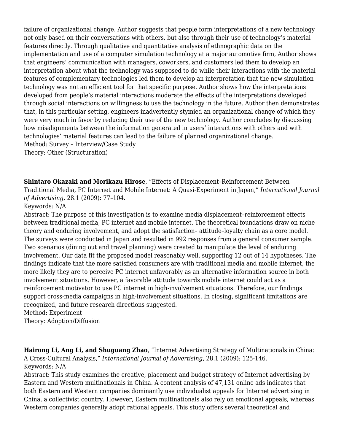failure of organizational change. Author suggests that people form interpretations of a new technology not only based on their conversations with others, but also through their use of technology's material features directly. Through qualitative and quantitative analysis of ethnographic data on the implementation and use of a computer simulation technology at a major automotive firm, Author shows that engineers' communication with managers, coworkers, and customers led them to develop an interpretation about what the technology was supposed to do while their interactions with the material features of complementary technologies led them to develop an interpretation that the new simulation technology was not an efficient tool for that specific purpose. Author shows how the interpretations developed from people's material interactions moderate the effects of the interpretations developed through social interactions on willingness to use the technology in the future. Author then demonstrates that, in this particular setting, engineers inadvertently stymied an organizational change of which they were very much in favor by reducing their use of the new technology. Author concludes by discussing how misalignments between the information generated in users' interactions with others and with technologies' material features can lead to the failure of planned organizational change. Method: Survey – Interview/Case Study Theory: Other (Structuration)

**Shintaro Okazaki and Morikazu Hirose**, "Effects of Displacement–Reinforcement Between Traditional Media, PC Internet and Mobile Internet: A Quasi-Experiment in Japan," *International Journal of Advertising*, 28.1 (2009): 77–104.

### Keywords: N/A

Abstract: The purpose of this investigation is to examine media displacement–reinforcement effects between traditional media, PC internet and mobile internet. The theoretical foundations draw on niche theory and enduring involvement, and adopt the satisfaction– attitude–loyalty chain as a core model. The surveys were conducted in Japan and resulted in 992 responses from a general consumer sample. Two scenarios (dining out and travel planning) were created to manipulate the level of enduring involvement. Our data fit the proposed model reasonably well, supporting 12 out of 14 hypotheses. The findings indicate that the more satisfied consumers are with traditional media and mobile internet, the more likely they are to perceive PC internet unfavorably as an alternative information source in both involvement situations. However, a favorable attitude towards mobile internet could act as a reinforcement motivator to use PC internet in high-involvement situations. Therefore, our findings support cross-media campaigns in high-involvement situations. In closing, significant limitations are recognized, and future research directions suggested.

# Method: Experiment

Theory: Adoption/Diffusion

**Hairong Li, Ang Li, and Shuguang Zhao**, "Internet Advertising Strategy of Multinationals in China: A Cross-Cultural Analysis," *International Journal of Advertising*, 28.1 (2009): 125-146. Keywords: N/A

Abstract: This study examines the creative, placement and budget strategy of Internet advertising by Eastern and Western multinationals in China. A content analysis of 47,131 online ads indicates that both Eastern and Western companies dominantly use individualist appeals for Internet advertising in China, a collectivist country. However, Eastern multinationals also rely on emotional appeals, whereas Western companies generally adopt rational appeals. This study offers several theoretical and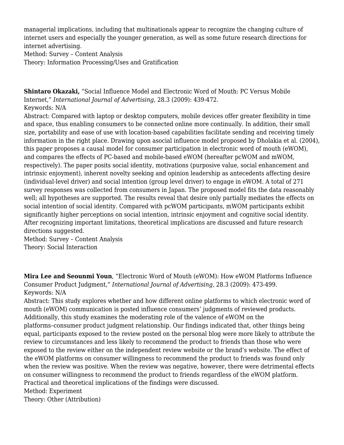managerial implications, including that multinationals appear to recognize the changing culture of internet users and especially the younger generation, as well as some future research directions for internet advertising.

Method: Survey – Content Analysis

Theory: Information Processing/Uses and Gratification

**Shintaro Okazaki,** "Social Influence Model and Electronic Word of Mouth: PC Versus Mobile Internet," *International Journal of Advertising*, 28.3 (2009): 439-472.

Keywords: N/A

Abstract: Compared with laptop or desktop computers, mobile devices offer greater flexibility in time and space, thus enabling consumers to be connected online more continually. In addition, their small size, portability and ease of use with location-based capabilities facilitate sending and receiving timely information in the right place. Drawing upon asocial influence model proposed by Dholakia et al. (2004), this paper proposes a causal model for consumer participation in electronic word of mouth (eWOM), and compares the effects of PC-based and mobile-based eWOM (hereafter pcWOM and mWOM, respectively). The paper posits social identity, motivations (purposive value, social enhancement and intrinsic enjoyment), inherent novelty seeking and opinion leadership as antecedents affecting desire (individual-level driver) and social intention (group level driver) to engage in eWOM. A total of 271 survey responses was collected from consumers in Japan. The proposed model fits the data reasonably well; all hypotheses are supported. The results reveal that desire only partially mediates the effects on social intention of social identity. Compared with pcWOM participants, mWOM participants exhibit significantly higher perceptions on social intention, intrinsic enjoyment and cognitive social identity. After recognizing important limitations, theoretical implications are discussed and future research directions suggested.

Method: Survey – Content Analysis Theory: Social Interaction

**Mira Lee and Seounmi Youn**, "Electronic Word of Mouth (eWOM): How eWOM Platforms Influence Consumer Product Judgment," *International Journal of Advertising,* 28.3 (2009): 473-499. Keywords: N/A

Abstract: This study explores whether and how different online platforms to which electronic word of mouth (eWOM) communication is posted influence consumers' judgments of reviewed products. Additionally, this study examines the moderating role of the valence of eWOM on the platforms–consumer product judgment relationship. Our findings indicated that, other things being equal, participants exposed to the review posted on the personal blog were more likely to attribute the review to circumstances and less likely to recommend the product to friends than those who were exposed to the review either on the independent review website or the brand's website. The effect of the eWOM platforms on consumer willingness to recommend the product to friends was found only when the review was positive. When the review was negative, however, there were detrimental effects on consumer willingness to recommend the product to friends regardless of the eWOM platform. Practical and theoretical implications of the findings were discussed. Method: Experiment

Theory: Other (Attribution)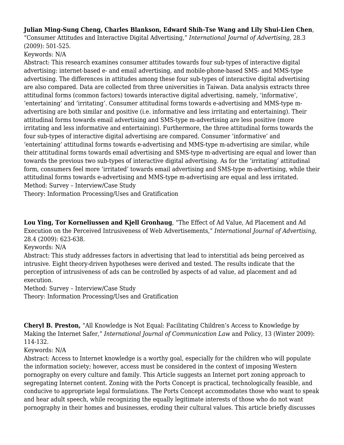## **Julian Ming-Sung Cheng, Charles Blankson, Edward Shih-Tse Wang and Lily Shui-Lien Chen**,

"Consumer Attitudes and Interactive Digital Advertising," *International Journal of Advertising,* 28.3 (2009): 501-525.

### Keywords: N/A

Abstract: This research examines consumer attitudes towards four sub-types of interactive digital advertising: internet-based e- and email advertising, and mobile-phone-based SMS- and MMS-type advertising. The differences in attitudes among these four sub-types of interactive digital advertising are also compared. Data are collected from three universities in Taiwan. Data analysis extracts three attitudinal forms (common factors) towards interactive digital advertising, namely, 'informative', 'entertaining' and 'irritating'. Consumer attitudinal forms towards e-advertising and MMS-type madvertising are both similar and positive (i.e. informative and less irritating and entertaining). Their attitudinal forms towards email advertising and SMS-type m-advertising are less positive (more irritating and less informative and entertaining). Furthermore, the three attitudinal forms towards the four sub-types of interactive digital advertising are compared. Consumer 'informative' and 'entertaining' attitudinal forms towards e-advertising and MMS-type m-advertising are similar, while their attitudinal forms towards email advertising and SMS-type m-advertising are equal and lower than towards the previous two sub-types of interactive digital advertising. As for the 'irritating' attitudinal form, consumers feel more 'irritated' towards email advertising and SMS-type m-advertising, while their attitudinal forms towards e-advertising and MMS-type m-advertising are equal and less irritated. Method: Survey – Interview/Case Study

Theory: Information Processing/Uses and Gratification

**Lou Ying, Tor Korneliussen and Kjell Gronhaug**, "The Effect of Ad Value, Ad Placement and Ad Execution on the Perceived Intrusiveness of Web Advertisements," *International Journal of Advertising*, 28.4 (2009): 623-638.

Keywords: N/A

Abstract: This study addresses factors in advertising that lead to interstitial ads being perceived as intrusive. Eight theory-driven hypotheses were derived and tested. The results indicate that the perception of intrusiveness of ads can be controlled by aspects of ad value, ad placement and ad execution.

Method: Survey – Interview/Case Study

Theory: Information Processing/Uses and Gratification

**Cheryl B. Preston,** "All Knowledge is Not Equal: Facilitating Children's Access to Knowledge by Making the Internet Safer," *International Journal of Communication Law* and Policy, 13 (Winter 2009): 114-132.

### Keywords: N/A

Abstract: Access to Internet knowledge is a worthy goal, especially for the children who will populate the information society; however, access must be considered in the context of imposing Western pornography on every culture and family. This Article suggests an Internet port zoning approach to segregating Internet content. Zoning with the Ports Concept is practical, technologically feasible, and conducive to appropriate legal formulations. The Ports Concept accommodates those who want to speak and hear adult speech, while recognizing the equally legitimate interests of those who do not want pornography in their homes and businesses, eroding their cultural values. This article briefly discusses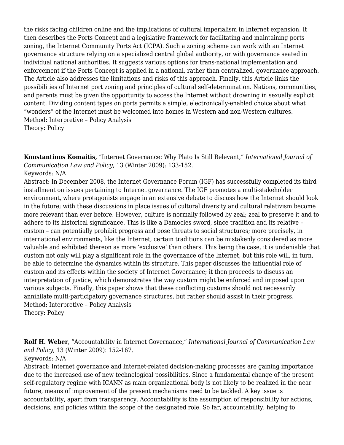the risks facing children online and the implications of cultural imperialism in Internet expansion. It then describes the Ports Concept and a legislative framework for facilitating and maintaining ports zoning, the Internet Community Ports Act (ICPA). Such a zoning scheme can work with an Internet governance structure relying on a specialized central global authority, or with governance seated in individual national authorities. It suggests various options for trans-national implementation and enforcement if the Ports Concept is applied in a national, rather than centralized, governance approach. The Article also addresses the limitations and risks of this approach. Finally, this Article links the possibilities of Internet port zoning and principles of cultural self-determination. Nations, communities, and parents must be given the opportunity to access the Internet without drowning in sexually explicit content. Dividing content types on ports permits a simple, electronically-enabled choice about what "wonders" of the Internet must be welcomed into homes in Western and non-Western cultures. Method: Interpretive – Policy Analysis Theory: Policy

**Konstantinos Komaitis,** "Internet Governance: Why Plato Is Still Relevant," *International Journal of Communication Law and Policy*, 13 (Winter 2009): 133-152.

Keywords: N/A

Abstract: In December 2008, the Internet Governance Forum (IGF) has successfully completed its third installment on issues pertaining to Internet governance. The IGF promotes a multi-stakeholder environment, where protagonists engage in an extensive debate to discuss how the Internet should look in the future; with these discussions in place issues of cultural diversity and cultural relativism become more relevant than ever before. However, culture is normally followed by zeal; zeal to preserve it and to adhere to its historical significance. This is like a Damocles sword, since tradition and its relative – custom – can potentially prohibit progress and pose threats to social structures; more precisely, in international environments, like the Internet, certain traditions can be mistakenly considered as more valuable and exhibited thereon as more 'exclusive' than others. This being the case, it is undeniable that custom not only will play a significant role in the governance of the Internet, but this role will, in turn, be able to determine the dynamics within its structure. This paper discusses the influential role of custom and its effects within the society of Internet Governance; it then proceeds to discuss an interpretation of justice, which demonstrates the way custom might be enforced and imposed upon various subjects. Finally, this paper shows that these conflicting customs should not necessarily annihilate multi-participatory governance structures, but rather should assist in their progress. Method: Interpretive – Policy Analysis Theory: Policy

**Rolf H. Weber**, "Accountability in Internet Governance," *International Journal of Communication Law and Policy*, 13 (Winter 2009): 152-167.

Keywords: N/A

Abstract: Internet governance and Internet-related decision-making processes are gaining importance due to the increased use of new technological possibilities. Since a fundamental change of the present self-regulatory regime with ICANN as main organizational body is not likely to be realized in the near future, means of improvement of the present mechanisms need to be tackled. A key issue is accountability, apart from transparency. Accountability is the assumption of responsibility for actions, decisions, and policies within the scope of the designated role. So far, accountability, helping to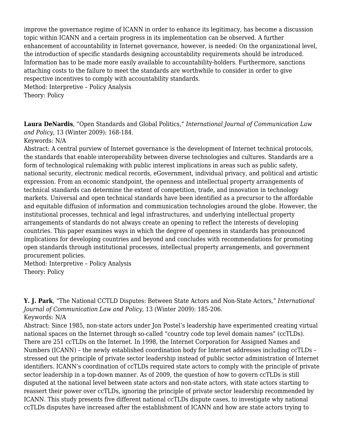improve the governance regime of ICANN in order to enhance its legitimacy, has become a discussion topic within ICANN and a certain progress in its implementation can be observed. A further enhancement of accountability in Internet governance, however, is needed: On the organizational level, the introduction of specific standards designing accountability requirements should be introduced. Information has to be made more easily available to accountability-holders. Furthermore, sanctions attaching costs to the failure to meet the standards are worthwhile to consider in order to give respective incentives to comply with accountability standards.

Method: Interpretive – Policy Analysis Theory: Policy

**Laura DeNardis**, "Open Standards and Global Politics," *International Journal of Communication Law and Policy*, 13 (Winter 2009): 168-184.

#### Keywords: N/A

Abstract: A central purview of Internet governance is the development of Internet technical protocols, the standards that enable interoperability between diverse technologies and cultures. Standards are a form of technological rulemaking with public interest implications in areas such as public safety, national security, electronic medical records, eGovernment, individual privacy, and political and artistic expression. From an economic standpoint, the openness and intellectual property arrangements of technical standards can determine the extent of competition, trade, and innovation in technology markets. Universal and open technical standards have been identified as a precursor to the affordable and equitable diffusion of information and communication technologies around the globe. However, the institutional processes, technical and legal infrastructures, and underlying intellectual property arrangements of standards do not always create an opening to reflect the interests of developing countries. This paper examines ways in which the degree of openness in standards has pronounced implications for developing countries and beyond and concludes with recommendations for promoting open standards through institutional processes, intellectual property arrangements, and government procurement policies.

Method: Interpretive – Policy Analysis Theory: Policy

**Y. J. Park**, "The National CCTLD Disputes: Between State Actors and Non-State Actors," *International Journal of Communication Law and Policy*, 13 (Winter 2009): 185-206. Keywords: N/A

Abstract: Since 1985, non-state actors under Jon Postel's leadership have experimented creating virtual national spaces on the Internet through so-called "country code top level domain names" (ccTLDs). There are 251 ccTLDs on the Internet. In 1998, the Internet Corporation for Assigned Names and Numbers (ICANN) – the newly established coordination body for Internet addresses including ccTLDs – stressed out the principle of private sector leadership instead of public sector administration of Internet identifiers. ICANN's coordination of ccTLDs required state actors to comply with the principle of private sector leadership in a top-down manner. As of 2009, the question of how to govern ccTLDs is still disputed at the national level between state actors and non-state actors, with state actors starting to reassert their power over ccTLDs, ignoring the principle of private sector leadership recommended by ICANN. This study presents five different national ccTLDs dispute cases, to investigate why national ccTLDs disputes have increased after the establishment of ICANN and how are state actors trying to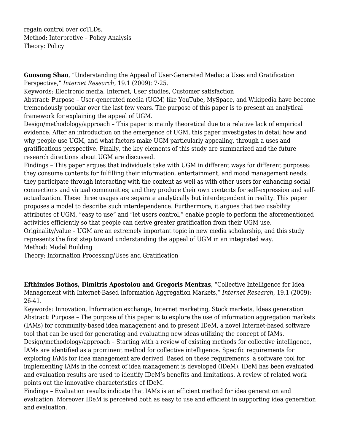regain control over ccTLDs. Method: Interpretive – Policy Analysis Theory: Policy

**Guosong Shao**, "Understanding the Appeal of User-Generated Media: a Uses and Gratification Perspective," *Internet Research*, 19.1 (2009): 7-25.

Keywords: Electronic media, Internet, User studies, Customer satisfaction

Abstract: Purpose – User-generated media (UGM) like YouTube, MySpace, and Wikipedia have become tremendously popular over the last few years. The purpose of this paper is to present an analytical framework for explaining the appeal of UGM.

Design/methodology/approach – This paper is mainly theoretical due to a relative lack of empirical evidence. After an introduction on the emergence of UGM, this paper investigates in detail how and why people use UGM, and what factors make UGM particularly appealing, through a uses and gratifications perspective. Finally, the key elements of this study are summarized and the future research directions about UGM are discussed.

Findings – This paper argues that individuals take with UGM in different ways for different purposes: they consume contents for fulfilling their information, entertainment, and mood management needs; they participate through interacting with the content as well as with other users for enhancing social connections and virtual communities; and they produce their own contents for self-expression and selfactualization. These three usages are separate analytically but interdependent in reality. This paper proposes a model to describe such interdependence. Furthermore, it argues that two usability attributes of UGM, "easy to use" and "let users control," enable people to perform the aforementioned activities efficiently so that people can derive greater gratification from their UGM use. Originality/value – UGM are an extremely important topic in new media scholarship, and this study

represents the first step toward understanding the appeal of UGM in an integrated way. Method: Model Building

Theory: Information Processing/Uses and Gratification

**Efthimios Bothos, Dimitris Apostolou and Gregoris Mentzas**, "Collective Intelligence for Idea Management with Internet-Based Information Aggregation Markets," *Internet Research*, 19.1 (2009): 26-41.

Keywords: Innovation, Information exchange, Internet marketing, Stock markets, Ideas generation Abstract: Purpose – The purpose of this paper is to explore the use of information aggregation markets (IAMs) for community-based idea management and to present IDeM, a novel Internet-based software tool that can be used for generating and evaluating new ideas utilizing the concept of IAMs. Design/methodology/approach – Starting with a review of existing methods for collective intelligence, IAMs are identified as a prominent method for collective intelligence. Specific requirements for exploring IAMs for idea management are derived. Based on these requirements, a software tool for implementing IAMs in the context of idea management is developed (IDeM). IDeM has been evaluated and evaluation results are used to identify IDeM's benefits and limitations. A review of related work points out the innovative characteristics of IDeM.

Findings – Evaluation results indicate that IAMs is an efficient method for idea generation and evaluation. Moreover IDeM is perceived both as easy to use and efficient in supporting idea generation and evaluation.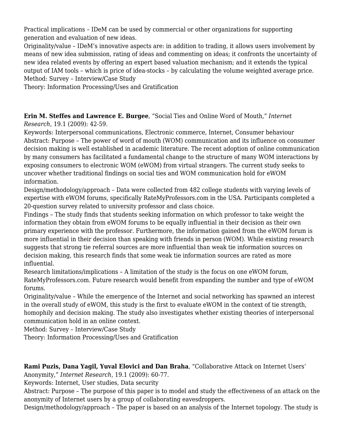Practical implications – IDeM can be used by commercial or other organizations for supporting generation and evaluation of new ideas.

Originality/value – IDeM's innovative aspects are: in addition to trading, it allows users involvement by means of new idea submission, rating of ideas and commenting on ideas; it confronts the uncertainty of new idea related events by offering an expert based valuation mechanism; and it extends the typical output of IAM tools – which is price of idea-stocks – by calculating the volume weighted average price. Method: Survey – Interview/Case Study

Theory: Information Processing/Uses and Gratification

**Erin M. Steffes and Lawrence E. Burgee**, "Social Ties and Online Word of Mouth," *Internet Research*, 19.1 (2009): 42-59.

Keywords: Interpersonal communications, Electronic commerce, Internet, Consumer behaviour Abstract: Purpose – The power of word of mouth (WOM) communication and its influence on consumer decision making is well established in academic literature. The recent adoption of online communication by many consumers has facilitated a fundamental change to the structure of many WOM interactions by exposing consumers to electronic WOM (eWOM) from virtual strangers. The current study seeks to uncover whether traditional findings on social ties and WOM communication hold for eWOM information.

Design/methodology/approach – Data were collected from 482 college students with varying levels of expertise with eWOM forums, specifically RateMyProfessors.com in the USA. Participants completed a 20-question survey related to university professor and class choice.

Findings – The study finds that students seeking information on which professor to take weight the information they obtain from eWOM forums to be equally influential in their decision as their own primary experience with the professor. Furthermore, the information gained from the eWOM forum is more influential in their decision than speaking with friends in person (WOM). While existing research suggests that strong tie referral sources are more influential than weak tie information sources on decision making, this research finds that some weak tie information sources are rated as more influential.

Research limitations/implications – A limitation of the study is the focus on one eWOM forum, RateMyProfessors.com. Future research would benefit from expanding the number and type of eWOM forums.

Originality/value – While the emergence of the Internet and social networking has spawned an interest in the overall study of eWOM, this study is the first to evaluate eWOM in the context of tie strength, homophily and decision making. The study also investigates whether existing theories of interpersonal communication hold in an online context.

Method: Survey – Interview/Case Study

Theory: Information Processing/Uses and Gratification

**Rami Puzis, Dana Yagil, Yuval Elovici and Dan Braha**, "Collaborative Attack on Internet Users' Anonymity," *Internet Research*, 19.1 (2009): 60-77.

Keywords: Internet, User studies, Data security

Abstract: Purpose – The purpose of this paper is to model and study the effectiveness of an attack on the anonymity of Internet users by a group of collaborating eavesdroppers.

Design/methodology/approach – The paper is based on an analysis of the Internet topology. The study is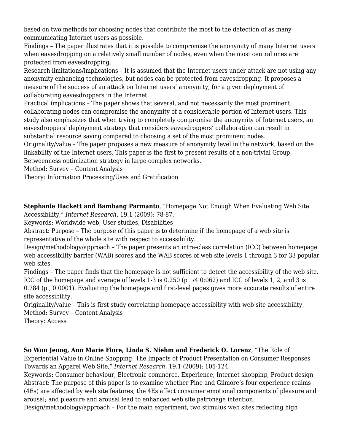based on two methods for choosing nodes that contribute the most to the detection of as many communicating Internet users as possible.

Findings – The paper illustrates that it is possible to compromise the anonymity of many Internet users when eavesdropping on a relatively small number of nodes, even when the most central ones are protected from eavesdropping.

Research limitations/implications – It is assumed that the Internet users under attack are not using any anonymity enhancing technologies, but nodes can be protected from eavesdropping. It proposes a measure of the success of an attack on Internet users' anonymity, for a given deployment of collaborating eavesdroppers in the Internet.

Practical implications – The paper shows that several, and not necessarily the most prominent, collaborating nodes can compromise the anonymity of a considerable portion of Internet users. This study also emphasizes that when trying to completely compromise the anonymity of Internet users, an eavesdroppers' deployment strategy that considers eavesdroppers' collaboration can result in substantial resource saving compared to choosing a set of the most prominent nodes.

Originality/value – The paper proposes a new measure of anonymity level in the network, based on the linkability of the Internet users. This paper is the first to present results of a non-trivial Group Betweenness optimization strategy in large complex networks.

Method: Survey – Content Analysis

Theory: Information Processing/Uses and Gratification

**Stephanie Hackett and Bambang Parmanto**, "Homepage Not Enough When Evaluating Web Site Accessibility," *Internet Research*, 19.1 (2009): 78-87.

Keywords: Worldwide web, User studies, Disabilities

Abstract: Purpose – The purpose of this paper is to determine if the homepage of a web site is representative of the whole site with respect to accessibility.

Design/methodology/approach – The paper presents an intra-class correlation (ICC) between homepage web accessibility barrier (WAB) scores and the WAB scores of web site levels 1 through 3 for 33 popular web sites.

Findings – The paper finds that the homepage is not sufficient to detect the accessibility of the web site. ICC of the homepage and average of levels 1-3 is 0.250 (p 1/4 0:062) and ICC of levels 1, 2, and 3 is 0.784 (p , 0:0001). Evaluating the homepage and first-level pages gives more accurate results of entire site accessibility.

Originality/value – This is first study correlating homepage accessibility with web site accessibility. Method: Survey – Content Analysis

Theory: Access

**So Won Jeong, Ann Marie Fiore, Linda S. Niehm and Frederick O. Lorenz**, "The Role of Experiential Value in Online Shopping: The Impacts of Product Presentation on Consumer Responses Towards an Apparel Web Site," *Internet Research*, 19.1 (2009): 105-124.

Keywords: Consumer behaviour, Electronic commerce, Experience, Internet shopping, Product design Abstract: The purpose of this paper is to examine whether Pine and Gilmore's four experience realms (4Es) are affected by web site features; the 4Es affect consumer emotional components of pleasure and arousal; and pleasure and arousal lead to enhanced web site patronage intention.

Design/methodology/approach – For the main experiment, two stimulus web sites reflecting high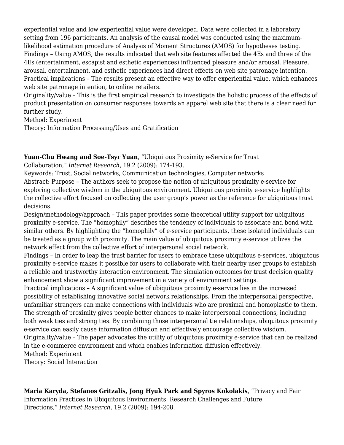experiential value and low experiential value were developed. Data were collected in a laboratory setting from 196 participants. An analysis of the causal model was conducted using the maximumlikelihood estimation procedure of Analysis of Moment Structures (AMOS) for hypotheses testing. Findings – Using AMOS, the results indicated that web site features affected the 4Es and three of the 4Es (entertainment, escapist and esthetic experiences) influenced pleasure and/or arousal. Pleasure, arousal, entertainment, and esthetic experiences had direct effects on web site patronage intention. Practical implications – The results present an effective way to offer experiential value, which enhances web site patronage intention, to online retailers.

Originality/value – This is the first empirical research to investigate the holistic process of the effects of product presentation on consumer responses towards an apparel web site that there is a clear need for further study.

Method: Experiment

Theory: Information Processing/Uses and Gratification

**Yuan-Chu Hwang and Soe-Tsyr Yuan**, "Ubiquitous Proximity e-Service for Trust

Collaboration," *Internet Research*, 19.2 (2009): 174-193.

Keywords: Trust, Social networks, Communication technologies, Computer networks Abstract: Purpose – The authors seek to propose the notion of ubiquitous proximity e-service for exploring collective wisdom in the ubiquitous environment. Ubiquitous proximity e-service highlights the collective effort focused on collecting the user group's power as the reference for ubiquitous trust decisions.

Design/methodology/approach – This paper provides some theoretical utility support for ubiquitous proximity e-service. The "homophily" describes the tendency of individuals to associate and bond with similar others. By highlighting the "homophily" of e-service participants, these isolated individuals can be treated as a group with proximity. The main value of ubiquitous proximity e-service utilizes the network effect from the collective effort of interpersonal social network.

Findings – In order to leap the trust barrier for users to embrace these ubiquitous e-services, ubiquitous proximity e-service makes it possible for users to collaborate with their nearby user groups to establish a reliable and trustworthy interaction environment. The simulation outcomes for trust decision quality enhancement show a significant improvement in a variety of environment settings.

Practical implications – A significant value of ubiquitous proximity e-service lies in the increased possibility of establishing innovative social network relationships. From the interpersonal perspective, unfamiliar strangers can make connections with individuals who are proximal and homoplastic to them. The strength of proximity gives people better chances to make interpersonal connections, including both weak ties and strong ties. By combining those interpersonal tie relationships, ubiquitous proximity e-service can easily cause information diffusion and effectively encourage collective wisdom. Originality/value – The paper advocates the utility of ubiquitous proximity e-service that can be realized in the e-commerce environment and which enables information diffusion effectively.

Method: Experiment

Theory: Social Interaction

**Maria Karyda, Stefanos Gritzalis, Jong Hyuk Park and Spyros Kokolakis**, "Privacy and Fair Information Practices in Ubiquitous Environments: Research Challenges and Future Directions," *Internet Research*, 19.2 (2009): 194-208.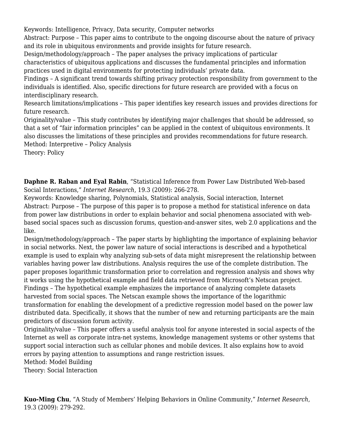Keywords: Intelligence, Privacy, Data security, Computer networks

Abstract: Purpose – This paper aims to contribute to the ongoing discourse about the nature of privacy and its role in ubiquitous environments and provide insights for future research.

Design/methodology/approach – The paper analyses the privacy implications of particular characteristics of ubiquitous applications and discusses the fundamental principles and information practices used in digital environments for protecting individuals' private data.

Findings – A significant trend towards shifting privacy protection responsibility from government to the individuals is identified. Also, specific directions for future research are provided with a focus on interdisciplinary research.

Research limitations/implications – This paper identifies key research issues and provides directions for future research.

Originality/value – This study contributes by identifying major challenges that should be addressed, so that a set of "fair information principles" can be applied in the context of ubiquitous environments. It also discusses the limitations of these principles and provides recommendations for future research. Method: Interpretive – Policy Analysis

Theory: Policy

**Daphne R. Raban and Eyal Rabin**, "Statistical Inference from Power Law Distributed Web-based Social Interactions," *Internet Research*, 19.3 (2009): 266-278.

Keywords: Knowledge sharing, Polynomials, Statistical analysis, Social interaction, Internet Abstract: Purpose – The purpose of this paper is to propose a method for statistical inference on data from power law distributions in order to explain behavior and social phenomena associated with webbased social spaces such as discussion forums, question-and-answer sites, web 2.0 applications and the like.

Design/methodology/approach – The paper starts by highlighting the importance of explaining behavior in social networks. Next, the power law nature of social interactions is described and a hypothetical example is used to explain why analyzing sub-sets of data might misrepresent the relationship between variables having power law distributions. Analysis requires the use of the complete distribution. The paper proposes logarithmic transformation prior to correlation and regression analysis and shows why it works using the hypothetical example and field data retrieved from Microsoft's Netscan project. Findings – The hypothetical example emphasizes the importance of analyzing complete datasets harvested from social spaces. The Netscan example shows the importance of the logarithmic transformation for enabling the development of a predictive regression model based on the power law distributed data. Specifically, it shows that the number of new and returning participants are the main predictors of discussion forum activity.

Originality/value – This paper offers a useful analysis tool for anyone interested in social aspects of the Internet as well as corporate intra-net systems, knowledge management systems or other systems that support social interaction such as cellular phones and mobile devices. It also explains how to avoid errors by paying attention to assumptions and range restriction issues.

Method: Model Building

Theory: Social Interaction

**Kuo-Ming Chu**, "A Study of Members' Helping Behaviors in Online Community," *Internet Research*, 19.3 (2009): 279-292.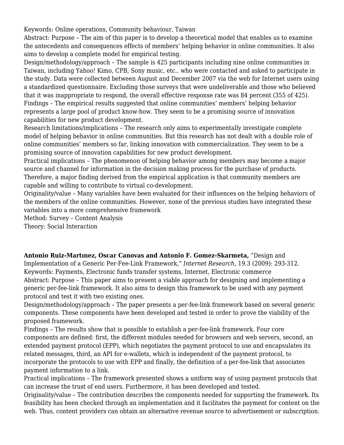Keywords: Online operations, Community behaviour, Taiwan

Abstract: Purpose – The aim of this paper is to develop a theoretical model that enables us to examine the antecedents and consequences effects of members' helping behavior in online communities. It also aims to develop a complete model for empirical testing.

Design/methodology/approach – The sample is 425 participants including nine online communities in Taiwan, including Yahoo! Kimo, CPB, Sony music, etc.. who were contacted and asked to participate in the study. Data were collected between August and December 2007 via the web for Internet users using a standardized questionnaire. Excluding those surveys that were undeliverable and those who believed that it was inappropriate to respond, the overall effective response rate was 84 percent (355 of 425). Findings – The empirical results suggested that online communities' members' helping behavior represents a large pool of product know-how. They seem to be a promising source of innovation capabilities for new product development.

Research limitations/implications – The research only aims to experimentally investigate complete model of helping behavior in online communities. But this research has not dealt with a double role of online communities' members so far, linking innovation with commercialization. They seem to be a promising source of innovation capabilities for new product development.

Practical implications – The phenomenon of helping behavior among members may become a major source and channel for information in the decision making process for the purchase of products. Therefore, a major finding derived from the empirical application is that community members are capable and willing to contribute to virtual co-development.

Originality/value – Many variables have been evaluated for their influences on the helping behaviors of the members of the online communities. However, none of the previous studies have integrated these variables into a more comprehensive framework

Method: Survey – Content Analysis

Theory: Social Interaction

**Antonio Ruiz-Martınez, Oscar Canovas and Antonio F. Gomez-Skarmeta,** "Design and Implementation of a Generic Per-Fee-Link Framework," *Internet Research*, 19.3 (2009): 293-312. Keywords: Payments, Electronic funds transfer systems, Internet, Electronic commerce Abstract: Purpose – This paper aims to present a viable approach for designing and implementing a generic per-fee-link framework. It also aims to design this framework to be used with any payment protocol and test it with two existing ones.

Design/methodology/approach – The paper presents a per-fee-link framework based on several generic components. These components have been developed and tested in order to prove the viability of the proposed framework.

Findings – The results show that is possible to establish a per-fee-link framework. Four core components are defined: first, the different modules needed for browsers and web servers, second, an extended payment protocol (EPP), which negotiates the payment protocol to use and encapsulates its related messages, third, an API for e-wallets, which is independent of the payment protocol, to incorporate the protocols to use with EPP and finally, the definition of a per-fee-link that associates payment information to a link.

Practical implications – The framework presented shows a uniform way of using payment protocols that can increase the trust of end users. Furthermore, it has been developed and tested.

Originality/value – The contribution describes the components needed for supporting the framework. Its feasibility has been checked through an implementation and it facilitates the payment for content on the web. Thus, content providers can obtain an alternative revenue source to advertisement or subscription.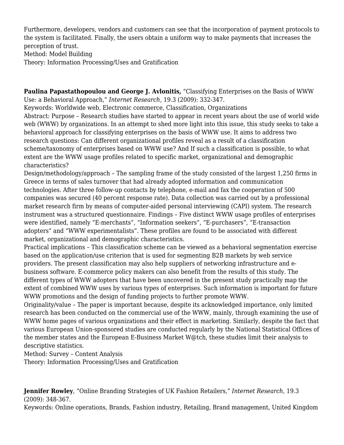Furthermore, developers, vendors and customers can see that the incorporation of payment protocols to the system is facilitated. Finally, the users obtain a uniform way to make payments that increases the perception of trust.

Method: Model Building

Theory: Information Processing/Uses and Gratification

**Paulina Papastathopoulou and George J. Avlonitis,** "Classifying Enterprises on the Basis of WWW Use: a Behavioral Approach," *Internet Research,* 19.3 (2009): 332-347.

Keywords: Worldwide web, Electronic commerce, Classification, Organizations

Abstract: Purpose – Research studies have started to appear in recent years about the use of world wide web (WWW) by organizations. In an attempt to shed more light into this issue, this study seeks to take a behavioral approach for classifying enterprises on the basis of WWW use. It aims to address two research questions: Can different organizational profiles reveal as a result of a classification scheme/taxonomy of enterprises based on WWW use? And If such a classification is possible, to what extent are the WWW usage profiles related to specific market, organizational and demographic characteristics?

Design/methodology/approach – The sampling frame of the study consisted of the largest 1,250 firms in Greece in terms of sales turnover that had already adopted information and communication technologies. After three follow-up contacts by telephone, e-mail and fax the cooperation of 500 companies was secured (40 percent response rate). Data collection was carried out by a professional market research firm by means of computer-aided personal interviewing (CAPI) system. The research instrument was a structured questionnaire. Findings – Five distinct WWW usage profiles of enterprises were identified, namely "E-merchants", "Information seekers", "E-purchasers", "E-transaction adopters" and "WWW experimentalists". These profiles are found to be associated with different market, organizational and demographic characteristics.

Practical implications – This classification scheme can be viewed as a behavioral segmentation exercise based on the application/use criterion that is used for segmenting B2B markets by web service providers. The present classification may also help suppliers of networking infrastructure and ebusiness software. E-commerce policy makers can also benefit from the results of this study. The different types of WWW adopters that have been uncovered in the present study practically map the extent of combined WWW uses by various types of enterprises. Such information is important for future WWW promotions and the design of funding projects to further promote WWW.

Originality/value – The paper is important because, despite its acknowledged importance, only limited research has been conducted on the commercial use of the WWW, mainly, through examining the use of WWW home pages of various organizations and their effect in marketing. Similarly, despite the fact that various European Union-sponsored studies are conducted regularly by the National Statistical Offices of the member states and the European E-Business Market W@tch, these studies limit their analysis to descriptive statistics.

Method: Survey – Content Analysis

Theory: Information Processing/Uses and Gratification

**Jennifer Rowley**, "Online Branding Strategies of UK Fashion Retailers," *Internet Research,* 19.3 (2009): 348-367.

Keywords: Online operations, Brands, Fashion industry, Retailing, Brand management, United Kingdom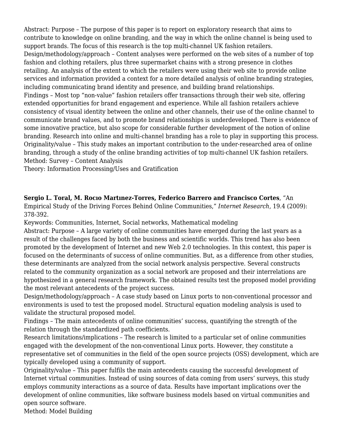Abstract: Purpose – The purpose of this paper is to report on exploratory research that aims to contribute to knowledge on online branding, and the way in which the online channel is being used to support brands. The focus of this research is the top multi-channel UK fashion retailers. Design/methodology/approach – Content analyses were performed on the web sites of a number of top fashion and clothing retailers, plus three supermarket chains with a strong presence in clothes retailing. An analysis of the extent to which the retailers were using their web site to provide online services and information provided a context for a more detailed analysis of online branding strategies, including communicating brand identity and presence, and building brand relationships. Findings – Most top "non-value" fashion retailers offer transactions through their web site, offering extended opportunities for brand engagement and experience. While all fashion retailers achieve consistency of visual identity between the online and other channels, their use of the online channel to communicate brand values, and to promote brand relationships is underdeveloped. There is evidence of some innovative practice, but also scope for considerable further development of the notion of online branding. Research into online and multi-channel branding has a role to play in supporting this process. Originality/value – This study makes an important contribution to the under-researched area of online branding, through a study of the online branding activities of top multi-channel UK fashion retailers. Method: Survey – Content Analysis

Theory: Information Processing/Uses and Gratification

**Sergio L. Toral, M. Rocıo Martınez-Torres, Federico Barrero and Francisco Cortes**, "An Empirical Study of the Driving Forces Behind Online Communities," *Internet Research*, 19.4 (2009): 378-392.

Keywords: Communities, Internet, Social networks, Mathematical modeling

Abstract: Purpose – A large variety of online communities have emerged during the last years as a result of the challenges faced by both the business and scientific worlds. This trend has also been promoted by the development of Internet and new Web 2.0 technologies. In this context, this paper is focused on the determinants of success of online communities. But, as a difference from other studies, these determinants are analyzed from the social network analysis perspective. Several constructs related to the community organization as a social network are proposed and their interrelations are hypothesized in a general research framework. The obtained results test the proposed model providing the most relevant antecedents of the project success.

Design/methodology/approach – A case study based on Linux ports to non-conventional processor and environments is used to test the proposed model. Structural equation modeling analysis is used to validate the structural proposed model.

Findings – The main antecedents of online communities' success, quantifying the strength of the relation through the standardized path coefficients.

Research limitations/implications – The research is limited to a particular set of online communities engaged with the development of the non-conventional Linux ports. However, they constitute a representative set of communities in the field of the open source projects (OSS) development, which are typically developed using a community of support.

Originality/value – This paper fulfils the main antecedents causing the successful development of Internet virtual communities. Instead of using sources of data coming from users' surveys, this study employs community interactions as a source of data. Results have important implications over the development of online communities, like software business models based on virtual communities and open source software.

Method: Model Building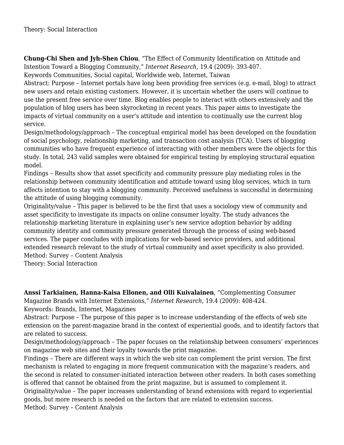**Chung-Chi Shen and Jyh-Shen Chiou**, "The Effect of Community Identification on Attitude and Intention Toward a Blogging Community," *Internet Research*, 19.4 (2009): 393-407.

Keywords Communities, Social capital, Worldwide web, Internet, Taiwan

Abstract: Purpose – Internet portals have long been providing free services (e.g. e-mail, blog) to attract new users and retain existing customers. However, it is uncertain whether the users will continue to use the present free service over time. Blog enables people to interact with others extensively and the population of blog users has been skyrocketing in recent years. This paper aims to investigate the impacts of virtual community on a user's attitude and intention to continually use the current blog service.

Design/methodology/approach – The conceptual empirical model has been developed on the foundation of social psychology, relationship marketing, and transaction cost analysis (TCA). Users of blogging communities who have frequent experience of interacting with other members were the objects for this study. In total, 243 valid samples were obtained for empirical testing by employing structural equation model.

Findings – Results show that asset specificity and community pressure play mediating roles in the relationship between community identification and attitude toward using blog services, which in turn affects intention to stay with a blogging community. Perceived usefulness is successful in determining the attitude of using blogging community.

Originality/value – This paper is believed to be the first that uses a sociology view of community and asset specificity to investigate its impacts on online consumer loyalty. The study advances the relationship marketing literature in explaining user's new service adoption behavior by adding community identity and community pressure generated through the process of using web-based services. The paper concludes with implications for web-based service providers, and additional extended research relevant to the study of virtual community and asset specificity is also provided. Method: Survey – Content Analysis

Theory: Social Interaction

**Anssi Tarkiainen, Hanna-Kaisa Ellonen, and Olli Kuivalainen**, "Complementing Consumer Magazine Brands with Internet Extensions," *Internet Research*, 19.4 (2009): 408-424.

Keywords: Brands, Internet, Magazines

Abstract: Purpose – The purpose of this paper is to increase understanding of the effects of web site extension on the parent-magazine brand in the context of experiential goods, and to identify factors that are related to success.

Design/methodology/approach – The paper focuses on the relationship between consumers' experiences on magazine web sites and their loyalty towards the print magazine.

Findings – There are different ways in which the web site can complement the print version. The first mechanism is related to engaging in more frequent communication with the magazine's readers, and the second is related to consumer-initiated interaction between other readers. In both cases something is offered that cannot be obtained from the print magazine, but is assumed to complement it. Originality/value – The paper increases understanding of brand extensions with regard to experiential goods, but more research is needed on the factors that are related to extension success.

Method: Survey – Content Analysis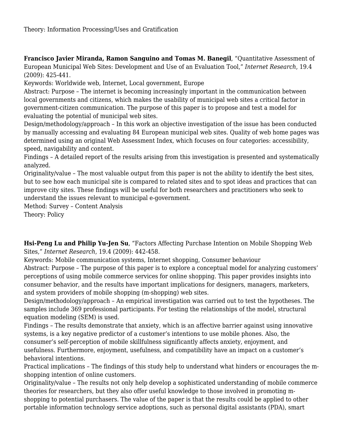**Francisco Javier Miranda, Ramon Sanguino and Tomas M. Banegil**, "Quantitative Assessment of European Municipal Web Sites: Development and Use of an Evaluation Tool," *Internet Research*, 19.4 (2009): 425-441.

Keywords: Worldwide web, Internet, Local government, Europe

Abstract: Purpose – The internet is becoming increasingly important in the communication between local governments and citizens, which makes the usability of municipal web sites a critical factor in government-citizen communication. The purpose of this paper is to propose and test a model for evaluating the potential of municipal web sites.

Design/methodology/approach – In this work an objective investigation of the issue has been conducted by manually accessing and evaluating 84 European municipal web sites. Quality of web home pages was determined using an original Web Assessment Index, which focuses on four categories: accessibility, speed, navigability and content.

Findings – A detailed report of the results arising from this investigation is presented and systematically analyzed.

Originality/value – The most valuable output from this paper is not the ability to identify the best sites, but to see how each municipal site is compared to related sites and to spot ideas and practices that can improve city sites. These findings will be useful for both researchers and practitioners who seek to understand the issues relevant to municipal e-government.

Method: Survey – Content Analysis Theory: Policy

**Hsi-Peng Lu and Philip Yu-Jen Su**, "Factors Affecting Purchase Intention on Mobile Shopping Web Sites," *Internet Research*, 19.4 (2009): 442-458.

Keywords: Mobile communication systems, Internet shopping, Consumer behaviour Abstract: Purpose – The purpose of this paper is to explore a conceptual model for analyzing customers' perceptions of using mobile commerce services for online shopping. This paper provides insights into consumer behavior, and the results have important implications for designers, managers, marketers, and system providers of mobile shopping (m-shopping) web sites.

Design/methodology/approach – An empirical investigation was carried out to test the hypotheses. The samples include 369 professional participants. For testing the relationships of the model, structural equation modeling (SEM) is used.

Findings – The results demonstrate that anxiety, which is an affective barrier against using innovative systems, is a key negative predictor of a customer's intentions to use mobile phones. Also, the consumer's self-perception of mobile skillfulness significantly affects anxiety, enjoyment, and usefulness. Furthermore, enjoyment, usefulness, and compatibility have an impact on a customer's behavioral intentions.

Practical implications – The findings of this study help to understand what hinders or encourages the mshopping intention of online customers.

Originality/value – The results not only help develop a sophisticated understanding of mobile commerce theories for researchers, but they also offer useful knowledge to those involved in promoting mshopping to potential purchasers. The value of the paper is that the results could be applied to other portable information technology service adoptions, such as personal digital assistants (PDA), smart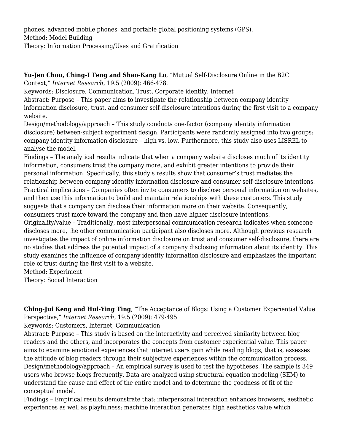phones, advanced mobile phones, and portable global positioning systems (GPS). Method: Model Building

Theory: Information Processing/Uses and Gratification

**Yu-Jen Chou, Ching-I Teng and Shao-Kang Lo**, "Mutual Self-Disclosure Online in the B2C Context," *Internet Research*, 19.5 (2009): 466-478.

Keywords: Disclosure, Communication, Trust, Corporate identity, Internet

Abstract: Purpose – This paper aims to investigate the relationship between company identity information disclosure, trust, and consumer self-disclosure intentions during the first visit to a company website.

Design/methodology/approach – This study conducts one-factor (company identity information disclosure) between-subject experiment design. Participants were randomly assigned into two groups: company identity information disclosure – high vs. low. Furthermore, this study also uses LISREL to analyse the model.

Findings – The analytical results indicate that when a company website discloses much of its identity information, consumers trust the company more, and exhibit greater intentions to provide their personal information. Specifically, this study's results show that consumer's trust mediates the relationship between company identity information disclosure and consumer self-disclosure intentions. Practical implications – Companies often invite consumers to disclose personal information on websites, and then use this information to build and maintain relationships with these customers. This study suggests that a company can disclose their information more on their website. Consequently, consumers trust more toward the company and then have higher disclosure intentions.

Originality/value – Traditionally, most interpersonal communication research indicates when someone discloses more, the other communication participant also discloses more. Although previous research investigates the impact of online information disclosure on trust and consumer self-disclosure, there are no studies that address the potential impact of a company disclosing information about its identity. This study examines the influence of company identity information disclosure and emphasizes the important role of trust during the first visit to a website.

Method: Experiment

Theory: Social Interaction

**Ching-Jui Keng and Hui-Ying Ting**, "The Acceptance of Blogs: Using a Customer Experiential Value Perspective," *Internet Research*, 19.5 (2009): 479-495.

Keywords: Customers, Internet, Communication

Abstract: Purpose – This study is based on the interactivity and perceived similarity between blog readers and the others, and incorporates the concepts from customer experiential value. This paper aims to examine emotional experiences that internet users gain while reading blogs, that is, assesses the attitude of blog readers through their subjective experiences within the communication process. Design/methodology/approach – An empirical survey is used to test the hypotheses. The sample is 349 users who browse blogs frequently. Data are analyzed using structural equation modeling (SEM) to understand the cause and effect of the entire model and to determine the goodness of fit of the conceptual model.

Findings – Empirical results demonstrate that: interpersonal interaction enhances browsers, aesthetic experiences as well as playfulness; machine interaction generates high aesthetics value which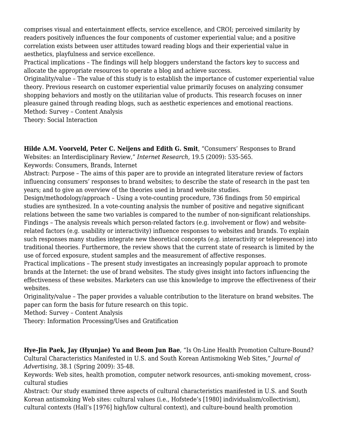comprises visual and entertainment effects, service excellence, and CROI; perceived similarity by readers positively influences the four components of customer experiential value; and a positive correlation exists between user attitudes toward reading blogs and their experiential value in aesthetics, playfulness and service excellence.

Practical implications – The findings will help bloggers understand the factors key to success and allocate the appropriate resources to operate a blog and achieve success.

Originality/value – The value of this study is to establish the importance of customer experiential value theory. Previous research on customer experiential value primarily focuses on analyzing consumer shopping behaviors and mostly on the utilitarian value of products. This research focuses on inner pleasure gained through reading blogs, such as aesthetic experiences and emotional reactions. Method: Survey – Content Analysis

Theory: Social Interaction

**Hilde A.M. Voorveld, Peter C. Neijens and Edith G. Smit**, "Consumers' Responses to Brand Websites: an Interdisciplinary Review," *Internet Research*, 19.5 (2009): 535-565. Keywords: Consumers, Brands, Internet

Abstract: Purpose – The aims of this paper are to provide an integrated literature review of factors influencing consumers' responses to brand websites; to describe the state of research in the past ten years; and to give an overview of the theories used in brand website studies.

Design/methodology/approach – Using a vote-counting procedure, 736 findings from 50 empirical studies are synthesized. In a vote-counting analysis the number of positive and negative significant relations between the same two variables is compared to the number of non-significant relationships. Findings – The analysis reveals which person-related factors (e.g. involvement or flow) and websiterelated factors (e.g. usability or interactivity) influence responses to websites and brands. To explain such responses many studies integrate new theoretical concepts (e.g. interactivity or telepresence) into traditional theories. Furthermore, the review shows that the current state of research is limited by the use of forced exposure, student samples and the measurement of affective responses.

Practical implications – The present study investigates an increasingly popular approach to promote brands at the Internet: the use of brand websites. The study gives insight into factors influencing the effectiveness of these websites. Marketers can use this knowledge to improve the effectiveness of their websites.

Originality/value – The paper provides a valuable contribution to the literature on brand websites. The paper can form the basis for future research on this topic.

Method: Survey – Content Analysis

Theory: Information Processing/Uses and Gratification

**Hye-Jin Paek, Jay (Hyunjae) Yu and Beom Jun Bae**, "Is On-Line Health Promotion Culture-Bound? Cultural Characteristics Manifested in U.S. and South Korean Antismoking Web Sites," *Journal of Advertising*, 38.1 (Spring 2009): 35-48.

Keywords: Web sites, health promotion, computer network resources, anti-smoking movement, crosscultural studies

Abstract: Our study examined three aspects of cultural characteristics manifested in U.S. and South Korean antismoking Web sites: cultural values (i.e., Hofstede's [1980] individualism/collectivism), cultural contexts (Hall's [1976] high/low cultural context), and culture-bound health promotion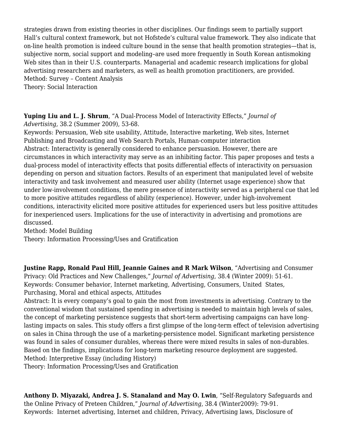strategies drawn from existing theories in other disciplines. Our findings seem to partially support Hall's cultural context framework, but not Hofstede's cultural value framework. They also indicate that on-line health promotion is indeed culture bound in the sense that health promotion strategies—that is, subjective norm, social support and modeling–are used more frequently in South Korean antismoking Web sites than in their U.S. counterparts. Managerial and academic research implications for global advertising researchers and marketers, as well as health promotion practitioners, are provided. Method: Survey – Content Analysis Theory: Social Interaction

**Yuping Liu and L. J. Shrum**, "A Dual-Process Model of Interactivity Effects," *Journal of Advertising,* 38.2 (Summer 2009), 53-68.

Keywords: Persuasion, Web site usability, Attitude, Interactive marketing, Web sites, Internet Publishing and Broadcasting and Web Search Portals, Human-computer interaction Abstract: Interactivity is generally considered to enhance persuasion. However, there are circumstances in which interactivity may serve as an inhibiting factor. This paper proposes and tests a dual-process model of interactivity effects that posits differential effects of interactivity on persuasion depending on person and situation factors. Results of an experiment that manipulated level of website interactivity and task involvement and measured user ability (Internet usage experience) show that under low-involvement conditions, the mere presence of interactivity served as a peripheral cue that led to more positive attitudes regardless of ability (experience). However, under high-involvement conditions, interactivity elicited more positive attitudes for experienced users but less positive attitudes for inexperienced users. Implications for the use of interactivity in advertising and promotions are discussed.

Method: Model Building

Theory: Information Processing/Uses and Gratification

**Justine Rapp, Ronald Paul Hill, Jeannie Gaines and R Mark Wilson**, "Advertising and Consumer Privacy: Old Practices and New Challenges," *Journal of Advertising*, 38.4 (Winter 2009): 51-61. Keywords: Consumer behavior, Internet marketing, Advertising, Consumers, United States, Purchasing, Moral and ethical aspects, Attitudes

Abstract: It is every company's goal to gain the most from investments in advertising. Contrary to the conventional wisdom that sustained spending in advertising is needed to maintain high levels of sales, the concept of marketing persistence suggests that short-term advertising campaigns can have longlasting impacts on sales. This study offers a first glimpse of the long-term effect of television advertising on sales in China through the use of a marketing-persistence model. Significant marketing persistence was found in sales of consumer durables, whereas there were mixed results in sales of non-durables. Based on the findings, implications for long-term marketing resource deployment are suggested. Method: Interpretive Essay (including History)

Theory: Information Processing/Uses and Gratification

**Anthony D. Miyazaki, Andrea J. S. Stanaland and May O. Lwin**, "Self-Regulatory Safeguards and the Online Privacy of Preteen Children," *Journal of Advertising*, 38.4 (Winter2009): 79-91. Keywords: Internet advertising, Internet and children, Privacy, Advertising laws, Disclosure of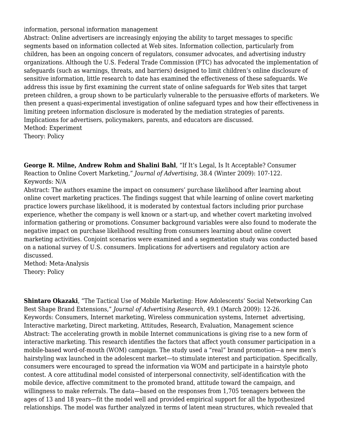information, personal information management

Abstract: Online advertisers are increasingly enjoying the ability to target messages to specific segments based on information collected at Web sites. Information collection, particularly from children, has been an ongoing concern of regulators, consumer advocates, and advertising industry organizations. Although the U.S. Federal Trade Commission (FTC) has advocated the implementation of safeguards (such as warnings, threats, and barriers) designed to limit children's online disclosure of sensitive information, little research to date has examined the effectiveness of these safeguards. We address this issue by first examining the current state of online safeguards for Web sites that target preteen children, a group shown to be particularly vulnerable to the persuasive efforts of marketers. We then present a quasi-experimental investigation of online safeguard types and how their effectiveness in limiting preteen information disclosure is moderated by the mediation strategies of parents. Implications for advertisers, policymakers, parents, and educators are discussed. Method: Experiment Theory: Policy

**George R. Milne, Andrew Rohm and Shalini Bahl**, "If It's Legal, Is It Acceptable? Consumer Reaction to Online Covert Marketing," *Journal of Advertising*, 38.4 (Winter 2009): 107-122. Keywords: N/A

Abstract: The authors examine the impact on consumers' purchase likelihood after learning about online covert marketing practices. The findings suggest that while learning of online covert marketing practice lowers purchase likelihood, it is moderated by contextual factors including prior purchase experience, whether the company is well known or a start-up, and whether covert marketing involved information gathering or promotions. Consumer background variables were also found to moderate the negative impact on purchase likelihood resulting from consumers learning about online covert marketing activities. Conjoint scenarios were examined and a segmentation study was conducted based on a national survey of U.S. consumers. Implications for advertisers and regulatory action are discussed.

Method: Meta-Analysis Theory: Policy

**Shintaro Okazaki**, "The Tactical Use of Mobile Marketing: How Adolescents' Social Networking Can Best Shape Brand Extensions," *Journal of Advertising Research*, 49.1 (March 2009): 12-26. Keywords: Consumers, Internet marketing, Wireless communication systems, Internet advertising, Interactive marketing, Direct marketing, Attitudes, Research, Evaluation, Management science Abstract: The accelerating growth in mobile Internet communications is giving rise to a new form of interactive marketing. This research identifies the factors that affect youth consumer participation in a mobile-based word-of-mouth (WOM) campaign. The study used a "real" brand promotion—a new men's hairstyling wax launched in the adolescent market—to stimulate interest and participation. Specifically, consumers were encouraged to spread the information via WOM and participate in a hairstyle photo contest. A core attitudinal model consisted of interpersonal connectivity, self-identification with the mobile device, affective commitment to the promoted brand, attitude toward the campaign, and willingness to make referrals. The data—based on the responses from 1,705 teenagers between the ages of 13 and 18 years—fit the model well and provided empirical support for all the hypothesized relationships. The model was further analyzed in terms of latent mean structures, which revealed that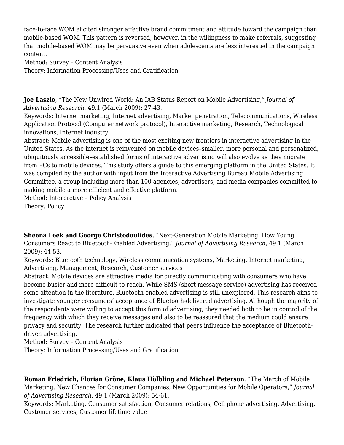face-to-face WOM elicited stronger affective brand commitment and attitude toward the campaign than mobile-based WOM. This pattern is reversed, however, in the willingness to make referrals, suggesting that mobile-based WOM may be persuasive even when adolescents are less interested in the campaign content.

Method: Survey – Content Analysis

Theory: Information Processing/Uses and Gratification

**Joe Laszlo**, "The New Unwired World: An IAB Status Report on Mobile Advertising," *Journal of Advertising Research*, 49.1 (March 2009): 27-43.

Keywords: Internet marketing, Internet advertising, Market penetration, Telecommunications, Wireless Application Protocol (Computer network protocol), Interactive marketing, Research, Technological innovations, Internet industry

Abstract: Mobile advertising is one of the most exciting new frontiers in interactive advertising in the United States. As the internet is reinvented on mobile devices–smaller, more personal and personalized, ubiquitously accessible–established forms of interactive advertising will also evolve as they migrate from PCs to mobile devices. This study offers a guide to this emerging platform in the United States. It was compiled by the author with input from the Interactive Advertising Bureau Mobile Advertising Committee, a group including more than 100 agencies, advertisers, and media companies committed to making mobile a more efficient and effective platform.

Method: Interpretive – Policy Analysis Theory: Policy

**Sheena Leek and George Christodoulides**, "Next-Generation Mobile Marketing: How Young Consumers React to Bluetooth-Enabled Advertising," *Journal of Advertising Research*, 49.1 (March 2009): 44-53.

Keywords: Bluetooth technology, Wireless communication systems, Marketing, Internet marketing, Advertising, Management, Research, Customer services

Abstract: Mobile devices are attractive media for directly communicating with consumers who have become busier and more difficult to reach. While SMS (short message service) advertising has received some attention in the literature, Bluetooth-enabled advertising is still unexplored. This research aims to investigate younger consumers' acceptance of Bluetooth-delivered advertising. Although the majority of the respondents were willing to accept this form of advertising, they needed both to be in control of the frequency with which they receive messages and also to be reassured that the medium could ensure privacy and security. The research further indicated that peers influence the acceptance of Bluetoothdriven advertising.

Method: Survey – Content Analysis

Theory: Information Processing/Uses and Gratification

**Roman Friedrich, Florian Gröne, Klaus Hölbling and Michael Peterson**, "The March of Mobile Marketing: New Chances for Consumer Companies, New Opportunities for Mobile Operators," *Journal of Advertising Research*, 49.1 (March 2009): 54-61.

Keywords: Marketing, Consumer satisfaction, Consumer relations, Cell phone advertising, Advertising, Customer services, Customer lifetime value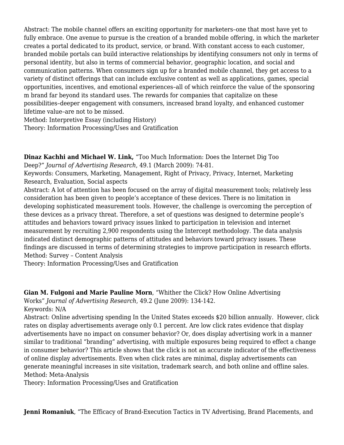Abstract: The mobile channel offers an exciting opportunity for marketers–one that most have yet to fully embrace. One avenue to pursue is the creation of a branded mobile offering, in which the marketer creates a portal dedicated to its product, service, or brand. With constant access to each customer, branded mobile portals can build interactive relationships by identifying consumers not only in terms of personal identity, but also in terms of commercial behavior, geographic location, and social and communication patterns. When consumers sign up for a branded mobile channel, they get access to a variety of distinct offerings that can include exclusive content as well as applications, games, special opportunities, incentives, and emotional experiences–all of which reinforce the value of the sponsoring m brand far beyond its standard uses. The rewards for companies that capitalize on these possibilities–deeper engagement with consumers, increased brand loyalty, and enhanced customer lifetime value–are not to be missed.

Method: Interpretive Essay (including History)

Theory: Information Processing/Uses and Gratification

**Dinaz Kachhi and Michael W. Link,** "Too Much Information: Does the Internet Dig Too Deep?" *Journal of Advertising Research*, 49.1 (March 2009): 74-81.

Keywords: Consumers, Marketing, Management, Right of Privacy, Privacy, Internet, Marketing Research, Evaluation, Social aspects

Abstract: A lot of attention has been focused on the array of digital measurement tools; relatively less consideration has been given to people's acceptance of these devices. There is no limitation in developing sophisticated measurement tools. However, the challenge is overcoming the perception of these devices as a privacy threat. Therefore, a set of questions was designed to determine people's attitudes and behaviors toward privacy issues linked to participation in television and internet measurement by recruiting 2,900 respondents using the Intercept methodology. The data analysis indicated distinct demographic patterns of attitudes and behaviors toward privacy issues. These findings are discussed in terms of determining strategies to improve participation in research efforts. Method: Survey – Content Analysis

Theory: Information Processing/Uses and Gratification

**Gian M. Fulgoni and Marie Pauline Morn**, "Whither the Click? How Online Advertising Works" *Journal of Advertising Research*, 49.2 (June 2009): 134-142.

Keywords: N/A

Abstract: Online advertising spending In the United States exceeds \$20 billion annually. However, click rates on display advertisements average only 0.1 percent. Are low click rates evidence that display advertisements have no impact on consumer behavior? Or, does display advertising work in a manner similar to traditional "branding" advertising, with multiple exposures being required to effect a change in consumer behavior? This article shows that the click is not an accurate indicator of the effectiveness of online display advertisements. Even when click rates are minimal, display advertisements can generate meaningful increases in site visitation, trademark search, and both online and offline sales. Method: Meta-Analysis

Theory: Information Processing/Uses and Gratification

**Jenni Romaniuk**, "The Efficacy of Brand-Execution Tactics in TV Advertising, Brand Placements, and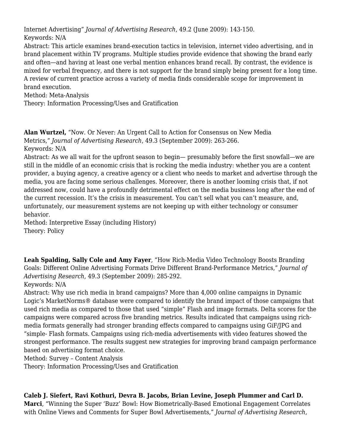Internet Advertising" *Journal of Advertising Research*, 49.2 (June 2009): 143-150. Keywords: N/A

Abstract: This article examines brand-execution tactics in television, internet video advertising, and in brand placement within TV programs. Multiple studies provide evidence that showing the brand early and often—and having at least one verbal mention enhances brand recall. By contrast, the evidence is mixed for verbal frequency, and there is not support for the brand simply being present for a long time. A review of current practice across a variety of media finds considerable scope for improvement in brand execution.

Method: Meta-Analysis

Theory: Information Processing/Uses and Gratification

**Alan Wurtzel,** "Now. Or Never: An Urgent Call to Action for Consensus on New Media Metrics," *Journal of Advertising Research*, 49.3 (September 2009): 263-266. Keywords: N/A

Abstract: As we all wait for the upfront season to begin— presumably before the first snowfall—we are still in the middle of an economic crisis that is rocking the media industry: whether you are a content provider, a buying agency, a creative agency or a client who needs to market and advertise through the media, you are facing some serious challenges. Moreover, there is another looming crisis that, if not addressed now, could have a profoundly detrimental effect on the media business long after the end of the current recession. It's the crisis in measurement. You can't sell what you can't measure, and, unfortunately, our measurement systems are not keeping up with either technology or consumer behavior.

Method: Interpretive Essay (including History) Theory: Policy

**Leah Spalding, Sally Cole and Amy Fayer**, "How Rich-Media Video Technology Boosts Branding Goals: Different Online Advertising Formats Drive Different Brand-Performance Metrics," *Journal of Advertising Research*, 49.3 (September 2009): 285-292.

Keywords: N/A

Abstract: Why use rich media in brand campaigns? More than 4,000 online campaigns in Dynamic Logic's MarketNorms® database were compared to identify the brand impact of those campaigns that used rich media as compared to those that used "simple" Flash and image formats. Delta scores for the campaigns were compared across five branding metrics. Results indicated that campaigns using richmedia formats generally had stronger branding effects compared to campaigns using GiF/JPG and "simple- Flash formats. Campaigns using rich-media advertisements with video features showed the strongest performance. The results suggest new strategies for improving brand campaign performance based on advertising format choice.

Method: Survey – Content Analysis

Theory: Information Processing/Uses and Gratification

**Caleb J. Siefert, Ravi Kothuri, Devra B. Jacobs, Brian Levine, Joseph Plummer and Carl D. Marci**, "Winning the Super 'Buzz' Bowl: How Biometrically-Based Emotional Engagement Correlates with Online Views and Comments for Super Bowl Advertisements," *Journal of Advertising Research*,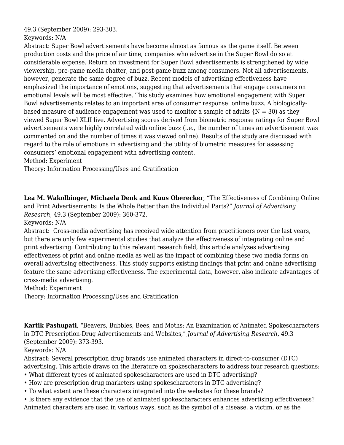49.3 (September 2009): 293-303.

Keywords: N/A

Abstract: Super Bowl advertisements have become almost as famous as the game itself. Between production costs and the price of air time, companies who advertise in the Super Bowl do so at considerable expense. Return on investment for Super Bowl advertisements is strengthened by wide viewership, pre-game media chatter, and post-game buzz among consumers. Not all advertisements, however, generate the same degree of buzz. Recent models of advertising effectiveness have emphasized the importance of emotions, suggesting that advertisements that engage consumers on emotional levels will be most effective. This study examines how emotional engagement with Super Bowl advertisements relates to an important area of consumer response: online buzz. A biologicallybased measure of audience engagement was used to monitor a sample of adults  ${N = 30}$  as they viewed Super Bowl XLII live. Advertising scores derived from biometric response ratings for Super Bowl advertisements were highly correlated with online buzz (i.e., the number of times an advertisement was commented on and the number of times it was viewed online). Results of the study are discussed with regard to the role of emotions in advertising and the utility of biometric measures for assessing consumers' emotional engagement with advertising content.

Method: Experiment

Theory: Information Processing/Uses and Gratification

**Lea M. Wakolbinger, Michaela Denk and Kuus Oberecker**, "The Effectiveness of Combining Online and Print Advertisements: Is the Whole Better than the Individual Parts?" *Journal of Advertising Research*, 49.3 (September 2009): 360-372.

Keywords: N/A

Abstract: Cross-media advertising has received wide attention from practitioners over the last years, but there are only few experimental studies that analyze the effectiveness of integrating online and print advertising. Contributing to this relevant research field, this article analyzes advertising effectiveness of print and online media as well as the impact of combining these two media forms on overall advertising effectiveness. This study supports existing findings that print and online advertising feature the same advertising effectiveness. The experimental data, however, also indicate advantages of cross-media advertising.

Method: Experiment

Theory: Information Processing/Uses and Gratification

**Kartik Pashupati**, "Beavers, Bubbles, Bees, and Moths: An Examination of Animated Spokescharacters in DTC Prescription-Drug Advertisements and Websites," *Journal of Advertising Research*, 49.3 (September 2009): 373-393.

Keywords: N/A

Abstract: Several prescription drug brands use animated characters in direct-to-consumer (DTC) advertising. This article draws on the literature on spokescharacters to address four research questions:

- What different types of animated spokescharacters are used in DTC advertising?
- How are prescription drug marketers using spokescharacters in DTC advertising?
- To what extent are these characters integrated into the websites for these brands?

• Is there any evidence that the use of animated spokescharacters enhances advertising effectiveness? Animated characters are used in various ways, such as the symbol of a disease, a victim, or as the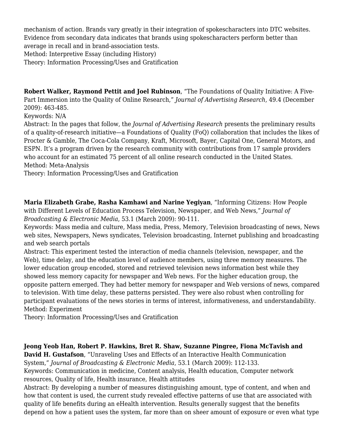mechanism of action. Brands vary greatly in their integration of spokescharacters into DTC websites. Evidence from secondary data indicates that brands using spokescharacters perform better than average in recall and in brand-association tests.

Method: Interpretive Essay (including History)

Theory: Information Processing/Uses and Gratification

**Robert Walker, Raymond Pettit and Joel Rubinson**, "The Foundations of Quality Initiative: A Five-Part Immersion into the Quality of Online Research," *Journal of Advertising Research*, 49.4 (December 2009): 463-485.

Keywords: N/A

Abstract: In the pages that follow, the *Journal of Advertising Research* presents the preliminary results of a quality-of-research initiative—a Foundations of Quality (FoQ) collaboration that includes the likes of Procter & Gamble, The Coca-Cola Company, Kraft, Microsoft, Bayer, Capital One, General Motors, and ESPN. It's a program driven by the research community with contributions from 17 sample providers who account for an estimated 75 percent of all online research conducted in the United States. Method: Meta-Analysis

Theory: Information Processing/Uses and Gratification

**Maria Elizabeth Grabe, Rasha Kamhawi and Narine Yegiyan**, "Informing Citizens: How People with Different Levels of Education Process Television, Newspaper, and Web News," *Journal of Broadcasting & Electronic Media*, 53.1 (March 2009): 90-111.

Keywords: Mass media and culture, Mass media, Press, Memory, Television broadcasting of news, News web sites, Newspapers, News syndicates, Television broadcasting, Internet publishing and broadcasting and web search portals

Abstract: This experiment tested the interaction of media channels (television, newspaper, and the Web), time delay, and the education level of audience members, using three memory measures. The lower education group encoded, stored and retrieved television news information best while they showed less memory capacity for newspaper and Web news. For the higher education group, the opposite pattern emerged. They had better memory for newspaper and Web versions of news, compared to television. With time delay, these patterns persisted. They were also robust when controlling for participant evaluations of the news stories in terms of interest, informativeness, and understandability. Method: Experiment

Theory: Information Processing/Uses and Gratification

**Jeong Yeob Han, Robert P. Hawkins, Bret R. Shaw, Suzanne Pingree, Fiona McTavish and**

**David H. Gustafson**, "Unraveling Uses and Effects of an Interactive Health Communication System," *Journal of Broadcasting & Electronic Media*, 53.1 (March 2009): 112-133. Keywords: Communication in medicine, Content analysis, Health education, Computer network

resources, Quality of life, Health insurance, Health attitudes

Abstract: By developing a number of measures distinguishing amount, type of content, and when and how that content is used, the current study revealed effective patterns of use that are associated with quality of life benefits during an eHealth intervention. Results generally suggest that the benefits depend on how a patient uses the system, far more than on sheer amount of exposure or even what type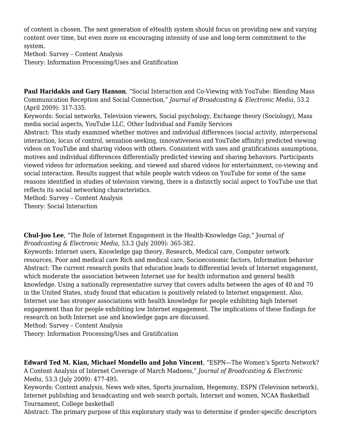of content is chosen. The next generation of eHealth system should focus on providing new and varying content over time, but even more on encouraging intensity of use and long-term commitment to the system.

Method: Survey – Content Analysis Theory: Information Processing/Uses and Gratification

**Paul Haridakis and Gary Hanson**, "Social Interaction and Co-Viewing with YouTube: Blending Mass Communication Reception and Social Connection," *Journal of Broadcasting & Electronic Media*, 53.2 (April 2009): 317-335.

Keywords: Social networks, Television viewers, Social psychology, Exchange theory (Sociology), Mass media social aspects, YouTube LLC, Other Individual and Family Services

Abstract: This study examined whether motives and individual differences (social activity, interpersonal interaction, locus of control, sensation-seeking, innovativeness and YouTube affinity) predicted viewing videos on YouTube and sharing videos with others. Consistent with uses and gratifications assumptions, motives and individual differences differentially predicted viewing and sharing behaviors. Participants viewed videos for information seeking, and viewed and shared videos for entertainment, co-viewing and social interaction. Results suggest that while people watch videos on YouTube for some of the same reasons identified in studies of television viewing, there is a distinctly social aspect to YouTube use that reflects its social networking characteristics.

Method: Survey – Content Analysis Theory: Social Interaction

**Chul-Joo Lee**, "The Role of Internet Engagement in the Health-Knowledge Gap," Journal *of Broadcasting & Electronic Media*, 53.3 (July 2009): 365-382.

Keywords: Internet users, Knowledge gap theory, Research, Medical care, Computer network resources, Poor and medical care Rich and medical care, Socioeconomic factors, Information behavior Abstract: The current research posits that education leads to differential levels of Internet engagement, which moderate the association between Internet use for health information and general health knowledge. Using a nationally representative survey that covers adults between the ages of 40 and 70 in the United States, study found that education is positively related to Internet engagement. Also, Internet use has stronger associations with health knowledge for people exhibiting high Internet engagement than for people exhibiting low Internet engagement. The implications of these findings for research on both Internet use and knowledge gaps are discussed.

Method: Survey – Content Analysis

Theory: Information Processing/Uses and Gratification

**Edward Ted M. Kian, Michael Mondello and John Vincent**, "ESPN—The Women's Sports Network? A Content Analysis of Internet Coverage of March Madness," *Journal of Broadcasting & Electronic Media*, 53.3 (July 2009): 477-495.

Keywords: Content analysis, News web sites, Sports journalism, Hegemony, ESPN (Television network), Internet publishing and broadcasting and web search portals, Internet and women, NCAA Basketball Tournament, College basketball

Abstract: The primary purpose of this exploratory study was to determine if gender-specific descriptors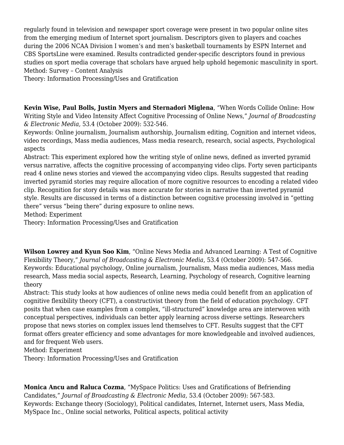regularly found in television and newspaper sport coverage were present in two popular online sites from the emerging medium of Internet sport journalism. Descriptors given to players and coaches during the 2006 NCAA Division I women's and men's basketball tournaments by ESPN Internet and CBS SportsLine were examined. Results contradicted gender-specific descriptors found in previous studies on sport media coverage that scholars have argued help uphold hegemonic masculinity in sport. Method: Survey – Content Analysis

Theory: Information Processing/Uses and Gratification

**Kevin Wise, Paul Bolls, Justin Myers and Sternadori Miglena**, "When Words Collide Online: How Writing Style and Video Intensity Affect Cognitive Processing of Online News," *Journal of Broadcasting & Electronic Media,* 53.4 (October 2009): 532-546.

Keywords: Online journalism, Journalism authorship, Journalism editing, Cognition and internet videos, video recordings, Mass media audiences, Mass media research, research, social aspects, Psychological aspects

Abstract: This experiment explored how the writing style of online news, defined as inverted pyramid versus narrative, affects the cognitive processing of accompanying video clips. Forty seven participants read 4 online news stories and viewed the accompanying video clips. Results suggested that reading inverted pyramid stories may require allocation of more cognitive resources to encoding a related video clip. Recognition for story details was more accurate for stories in narrative than inverted pyramid style. Results are discussed in terms of a distinction between cognitive processing involved in "getting there" versus "being there" during exposure to online news.

Method: Experiment

Theory: Information Processing/Uses and Gratification

**Wilson Lowrey and Kyun Soo Kim**, "Online News Media and Advanced Learning: A Test of Cognitive Flexibility Theory," *Journal of Broadcasting & Electronic Media*, 53.4 (October 2009): 547-566. Keywords: Educational psychology, Online journalism, Journalism, Mass media audiences, Mass media research, Mass media social aspects, Research, Learning, Psychology of research, Cognitive learning theory

Abstract: This study looks at how audiences of online news media could benefit from an application of cognitive flexibility theory (CFT), a constructivist theory from the field of education psychology. CFT posits that when case examples from a complex, "ill-structured" knowledge area are interwoven with conceptual perspectives, individuals can better apply learning across diverse settings. Researchers propose that news stories on complex issues lend themselves to CFT. Results suggest that the CFT format offers greater efficiency and some advantages for more knowledgeable and involved audiences, and for frequent Web users.

Method: Experiment

Theory: Information Processing/Uses and Gratification

**Monica Ancu and Raluca Cozma**, "MySpace Politics: Uses and Gratifications of Befriending Candidates," *Journal of Broadcasting & Electronic Media,* 53.4 (October 2009): 567-583. Keywords: Exchange theory (Sociology), Political candidates, Internet, Internet users, Mass Media, MySpace Inc., Online social networks, Political aspects, political activity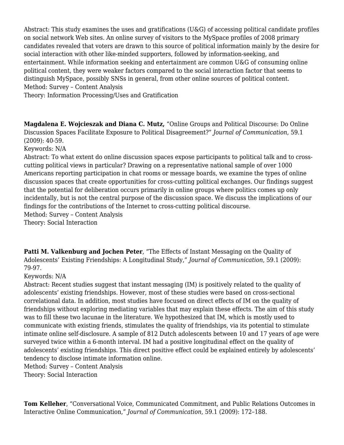Abstract: This study examines the uses and gratifications (U&G) of accessing political candidate profiles on social network Web sites. An online survey of visitors to the MySpace profiles of 2008 primary candidates revealed that voters are drawn to this source of political information mainly by the desire for social interaction with other like-minded supporters, followed by information-seeking, and entertainment. While information seeking and entertainment are common U&G of consuming online political content, they were weaker factors compared to the social interaction factor that seems to distinguish MySpace, possibly SNSs in general, from other online sources of political content. Method: Survey – Content Analysis

Theory: Information Processing/Uses and Gratification

**Magdalena E. Wojcieszak and Diana C. Mutz,** "Online Groups and Political Discourse: Do Online Discussion Spaces Facilitate Exposure to Political Disagreement?" *Journal of Communication*, 59.1 (2009): 40-59.

Keywords: N/A

Abstract: To what extent do online discussion spaces expose participants to political talk and to crosscutting political views in particular? Drawing on a representative national sample of over 1000 Americans reporting participation in chat rooms or message boards, we examine the types of online discussion spaces that create opportunities for cross-cutting political exchanges. Our findings suggest that the potential for deliberation occurs primarily in online groups where politics comes up only incidentally, but is not the central purpose of the discussion space. We discuss the implications of our findings for the contributions of the Internet to cross-cutting political discourse. Method: Survey – Content Analysis Theory: Social Interaction

**Patti M. Valkenburg and Jochen Peter**, "The Effects of Instant Messaging on the Quality of Adolescents' Existing Friendships: A Longitudinal Study," *Journal of Communication*, 59.1 (2009): 79-97.

Keywords: N/A

Abstract: Recent studies suggest that instant messaging (IM) is positively related to the quality of adolescents' existing friendships. However, most of these studies were based on cross-sectional correlational data. In addition, most studies have focused on direct effects of IM on the quality of friendships without exploring mediating variables that may explain these effects. The aim of this study was to fill these two lacunae in the literature. We hypothesized that IM, which is mostly used to communicate with existing friends, stimulates the quality of friendships, via its potential to stimulate intimate online self-disclosure. A sample of 812 Dutch adolescents between 10 and 17 years of age were surveyed twice within a 6-month interval. IM had a positive longitudinal effect on the quality of adolescents' existing friendships. This direct positive effect could be explained entirely by adolescents' tendency to disclose intimate information online.

Method: Survey – Content Analysis

Theory: Social Interaction

**Tom Kelleher**, "Conversational Voice, Communicated Commitment, and Public Relations Outcomes in Interactive Online Communication," *Journal of Communication*, 59.1 (2009): 172–188.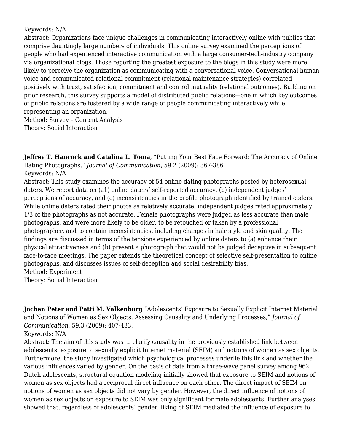#### Keywords: N/A

Abstract: Organizations face unique challenges in communicating interactively online with publics that comprise dauntingly large numbers of individuals. This online survey examined the perceptions of people who had experienced interactive communication with a large consumer-tech-industry company via organizational blogs. Those reporting the greatest exposure to the blogs in this study were more likely to perceive the organization as communicating with a conversational voice. Conversational human voice and communicated relational commitment (relational maintenance strategies) correlated positively with trust, satisfaction, commitment and control mutuality (relational outcomes). Building on prior research, this survey supports a model of distributed public relations—one in which key outcomes of public relations are fostered by a wide range of people communicating interactively while representing an organization.

Method: Survey – Content Analysis Theory: Social Interaction

**Jeffrey T. Hancock and Catalina L. Toma**, "Putting Your Best Face Forward: The Accuracy of Online Dating Photographs," *Journal of Communication*, 59.2 (2009): 367-386.

Keywords: N/A

Abstract: This study examines the accuracy of 54 online dating photographs posted by heterosexual daters. We report data on (a1) online daters' self-reported accuracy, (b) independent judges' perceptions of accuracy, and (c) inconsistencies in the profile photograph identified by trained coders. While online daters rated their photos as relatively accurate, independent judges rated approximately 1/3 of the photographs as not accurate. Female photographs were judged as less accurate than male photographs, and were more likely to be older, to be retouched or taken by a professional photographer, and to contain inconsistencies, including changes in hair style and skin quality. The findings are discussed in terms of the tensions experienced by online daters to (a) enhance their physical attractiveness and (b) present a photograph that would not be judged deceptive in subsequent face-to-face meetings. The paper extends the theoretical concept of selective self-presentation to online photographs, and discusses issues of self-deception and social desirability bias. Method: Experiment Theory: Social Interaction

**Jochen Peter and Patti M. Valkenburg** "Adolescents' Exposure to Sexually Explicit Internet Material and Notions of Women as Sex Objects: Assessing Causality and Underlying Processes," *Journal of Communication*, 59.3 (2009): 407-433.

Keywords: N/A

Abstract: The aim of this study was to clarify causality in the previously established link between adolescents' exposure to sexually explicit Internet material (SEIM) and notions of women as sex objects. Furthermore, the study investigated which psychological processes underlie this link and whether the various influences varied by gender. On the basis of data from a three-wave panel survey among 962 Dutch adolescents, structural equation modeling initially showed that exposure to SEIM and notions of women as sex objects had a reciprocal direct influence on each other. The direct impact of SEIM on notions of women as sex objects did not vary by gender. However, the direct influence of notions of women as sex objects on exposure to SEIM was only significant for male adolescents. Further analyses showed that, regardless of adolescents' gender, liking of SEIM mediated the influence of exposure to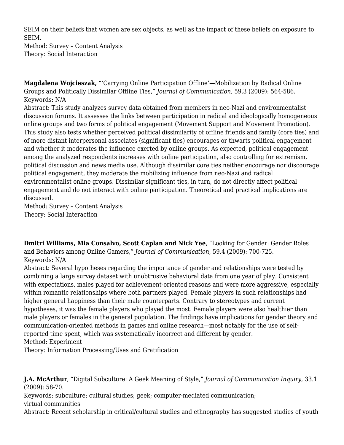SEIM on their beliefs that women are sex objects, as well as the impact of these beliefs on exposure to SEIM.

Method: Survey – Content Analysis Theory: Social Interaction

**Magdalena Wojcieszak,** "'Carrying Online Participation Offline'—Mobilization by Radical Online Groups and Politically Dissimilar Offline Ties," *Journal of Communication,* 59.3 (2009): 564-586. Keywords: N/A

Abstract: This study analyzes survey data obtained from members in neo-Nazi and environmentalist discussion forums. It assesses the links between participation in radical and ideologically homogeneous online groups and two forms of political engagement (Movement Support and Movement Promotion). This study also tests whether perceived political dissimilarity of offline friends and family (core ties) and of more distant interpersonal associates (significant ties) encourages or thwarts political engagement and whether it moderates the influence exerted by online groups. As expected, political engagement among the analyzed respondents increases with online participation, also controlling for extremism, political discussion and news media use. Although dissimilar core ties neither encourage nor discourage political engagement, they moderate the mobilizing influence from neo-Nazi and radical environmentalist online groups. Dissimilar significant ties, in turn, do not directly affect political engagement and do not interact with online participation. Theoretical and practical implications are discussed.

Method: Survey – Content Analysis Theory: Social Interaction

**Dmitri Williams, Mia Consalvo, Scott Caplan and Nick Yee**, "Looking for Gender: Gender Roles and Behaviors among Online Gamers," *Journal of Communication*, 59.4 (2009): 700-725. Keywords: N/A

Abstract: Several hypotheses regarding the importance of gender and relationships were tested by combining a large survey dataset with unobtrusive behavioral data from one year of play. Consistent with expectations, males played for achievement-oriented reasons and were more aggressive, especially within romantic relationships where both partners played. Female players in such relationships had higher general happiness than their male counterparts. Contrary to stereotypes and current hypotheses, it was the female players who played the most. Female players were also healthier than male players or females in the general population. The findings have implications for gender theory and communication-oriented methods in games and online research—most notably for the use of selfreported time spent, which was systematically incorrect and different by gender. Method: Experiment

Theory: Information Processing/Uses and Gratification

**J.A. McArthur**, "Digital Subculture: A Geek Meaning of Style," *Journal of Communication Inquiry*, 33.1 (2009): 58-70.

Keywords: subculture; cultural studies; geek; computer-mediated communication; virtual communities

Abstract: Recent scholarship in critical/cultural studies and ethnography has suggested studies of youth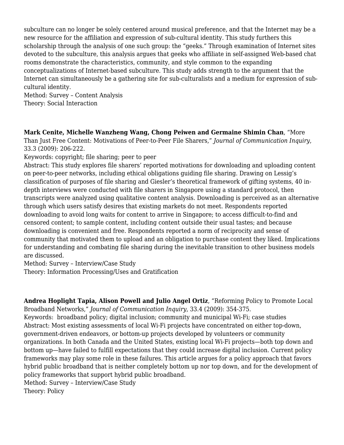subculture can no longer be solely centered around musical preference, and that the Internet may be a new resource for the affiliation and expression of sub-cultural identity. This study furthers this scholarship through the analysis of one such group: the "geeks." Through examination of Internet sites devoted to the subculture, this analysis argues that geeks who affiliate in self-assigned Web-based chat rooms demonstrate the characteristics, community, and style common to the expanding conceptualizations of Internet-based subculture. This study adds strength to the argument that the Internet can simultaneously be a gathering site for sub-culturalists and a medium for expression of subcultural identity.

Method: Survey – Content Analysis Theory: Social Interaction

**Mark Cenite, Michelle Wanzheng Wang, Chong Peiwen and Germaine Shimin Chan**, "More

Than Just Free Content: Motivations of Peer-to-Peer File Sharers," *Journal of Communication Inquiry*, 33.3 (2009): 206-222.

Keywords: copyright; file sharing; peer to peer

Abstract: This study explores file sharers' reported motivations for downloading and uploading content on peer-to-peer networks, including ethical obligations guiding file sharing. Drawing on Lessig's classification of purposes of file sharing and Giesler's theoretical framework of gifting systems, 40 indepth interviews were conducted with file sharers in Singapore using a standard protocol, then transcripts were analyzed using qualitative content analysis. Downloading is perceived as an alternative through which users satisfy desires that existing markets do not meet. Respondents reported downloading to avoid long waits for content to arrive in Singapore; to access difficult-to-find and censored content; to sample content, including content outside their usual tastes; and because downloading is convenient and free. Respondents reported a norm of reciprocity and sense of community that motivated them to upload and an obligation to purchase content they liked. Implications for understanding and combating file sharing during the inevitable transition to other business models are discussed.

Method: Survey – Interview/Case Study Theory: Information Processing/Uses and Gratification

**Andrea Hoplight Tapia, Alison Powell and Julio Angel Ortiz**, "Reforming Policy to Promote Local Broadband Networks," *Journal of Communication Inquiry*, 33.4 (2009): 354-375. Keywords: broadband policy; digital inclusion; community and municipal Wi-Fi; case studies Abstract: Most existing assessments of local Wi-Fi projects have concentrated on either top-down, government-driven endeavors, or bottom-up projects developed by volunteers or community organizations. In both Canada and the United States, existing local Wi-Fi projects—both top down and bottom up—have failed to fulfill expectations that they could increase digital inclusion. Current policy frameworks may play some role in these failures. This article argues for a policy approach that favors hybrid public broadband that is neither completely bottom up nor top down, and for the development of policy frameworks that support hybrid public broadband.

Method: Survey – Interview/Case Study Theory: Policy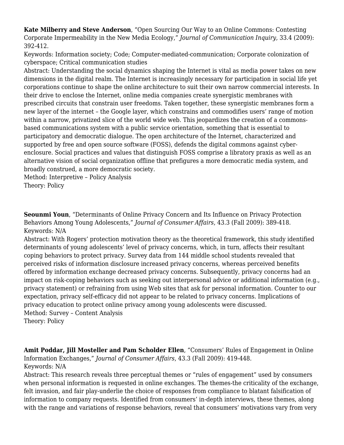**Kate Milberry and Steve Anderson**, "Open Sourcing Our Way to an Online Commons: Contesting Corporate Impermeability in the New Media Ecology," *Journal of Communication Inquiry,* 33.4 (2009): 392-412.

Keywords: Information society; Code; Computer-mediated-communication; Corporate colonization of cyberspace; Critical communication studies

Abstract: Understanding the social dynamics shaping the Internet is vital as media power takes on new dimensions in the digital realm. The Internet is increasingly necessary for participation in social life yet corporations continue to shape the online architecture to suit their own narrow commercial interests. In their drive to enclose the Internet, online media companies create synergistic membranes with prescribed circuits that constrain user freedoms. Taken together, these synergistic membranes form a new layer of the internet – the Google layer, which constrains and commodifies users' range of motion within a narrow, privatized slice of the world wide web. This jeopardizes the creation of a commonsbased communications system with a public service orientation, something that is essential to participatory and democratic dialogue. The open architecture of the Internet, characterized and supported by free and open source software (FOSS), defends the digital commons against cyberenclosure. Social practices and values that distinguish FOSS comprise a libratory praxis as well as an alternative vision of social organization offline that prefigures a more democratic media system, and broadly construed, a more democratic society.

Method: Interpretive – Policy Analysis Theory: Policy

**Seounmi Youn**, "Determinants of Online Privacy Concern and Its Influence on Privacy Protection Behaviors Among Young Adolescents," *Journal of Consumer Affairs*, 43.3 (Fall 2009): 389-418. Keywords: N/A

Abstract: With Rogers' protection motivation theory as the theoretical framework, this study identified determinants of young adolescents' level of privacy concerns, which, in turn, affects their resultant coping behaviors to protect privacy. Survey data from 144 middle school students revealed that perceived risks of information disclosure increased privacy concerns, whereas perceived benefits offered by information exchange decreased privacy concerns. Subsequently, privacy concerns had an impact on risk-coping behaviors such as seeking out interpersonal advice or additional information (e.g., privacy statement) or refraining from using Web sites that ask for personal information. Counter to our expectation, privacy self-efficacy did not appear to be related to privacy concerns. Implications of privacy education to protect online privacy among young adolescents were discussed. Method: Survey – Content Analysis

Theory: Policy

**Amit Poddar, Jill Mosteller and Pam Scholder Ellen**, "Consumers' Rules of Engagement in Online Information Exchanges," *Journal of Consumer Affairs*, 43.3 (Fall 2009): 419-448. Keywords: N/A

Abstract: This research reveals three perceptual themes or "rules of engagement" used by consumers when personal information is requested in online exchanges. The themes-the criticality of the exchange, felt invasion, and fair play-underlie the choice of responses from compliance to blatant falsification of information to company requests. Identified from consumers' in-depth interviews, these themes, along with the range and variations of response behaviors, reveal that consumers' motivations vary from very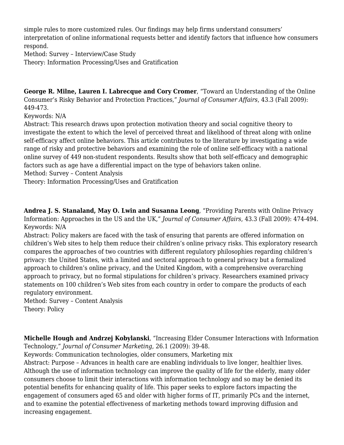simple rules to more customized rules. Our findings may help firms understand consumers' interpretation of online informational requests better and identify factors that influence how consumers respond.

Method: Survey – Interview/Case Study Theory: Information Processing/Uses and Gratification

**George R. Milne, Lauren I. Labrecque and Cory Cromer**, "Toward an Understanding of the Online Consumer's Risky Behavior and Protection Practices," *Journal of Consumer Affairs*, 43.3 (Fall 2009): 449-473.

Keywords: N/A

Abstract: This research draws upon protection motivation theory and social cognitive theory to investigate the extent to which the level of perceived threat and likelihood of threat along with online self-efficacy affect online behaviors. This article contributes to the literature by investigating a wide range of risky and protective behaviors and examining the role of online self-efficacy with a national online survey of 449 non-student respondents. Results show that both self-efficacy and demographic factors such as age have a differential impact on the type of behaviors taken online.

Method: Survey – Content Analysis

Theory: Information Processing/Uses and Gratification

**Andrea J. S. Stanaland, May O. Lwin and Susanna Leong**, "Providing Parents with Online Privacy Information: Approaches in the US and the UK," *Journal of Consumer Affairs*, 43.3 (Fall 2009): 474-494. Keywords: N/A

Abstract: Policy makers are faced with the task of ensuring that parents are offered information on children's Web sites to help them reduce their children's online privacy risks. This exploratory research compares the approaches of two countries with different regulatory philosophies regarding children's privacy: the United States, with a limited and sectoral approach to general privacy but a formalized approach to children's online privacy, and the United Kingdom, with a comprehensive overarching approach to privacy, but no formal stipulations for children's privacy. Researchers examined privacy statements on 100 children's Web sites from each country in order to compare the products of each regulatory environment.

Method: Survey – Content Analysis Theory: Policy

**Michelle Hough and Andrzej Kobylanski**, "Increasing Elder Consumer Interactions with Information Technology," *Journal of Consumer Marketing*, 26.1 (2009): 39-48.

Keywords: Communication technologies, older consumers, Marketing mix

Abstract: Purpose – Advances in health care are enabling individuals to live longer, healthier lives. Although the use of information technology can improve the quality of life for the elderly, many older consumers choose to limit their interactions with information technology and so may be denied its potential benefits for enhancing quality of life. This paper seeks to explore factors impacting the engagement of consumers aged 65 and older with higher forms of IT, primarily PCs and the internet, and to examine the potential effectiveness of marketing methods toward improving diffusion and increasing engagement.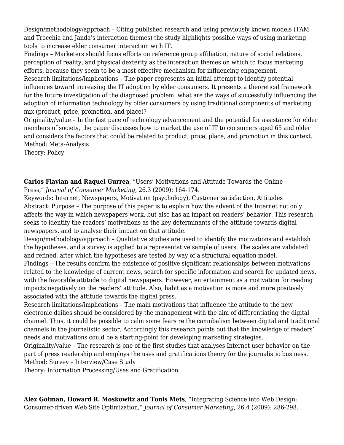Design/methodology/approach – Citing published research and using previously known models (TAM and Trocchia and Janda's interaction themes) the study highlights possible ways of using marketing tools to increase elder consumer interaction with IT.

Findings – Marketers should focus efforts on reference group affiliation, nature of social relations, perception of reality, and physical dexterity as the interaction themes on which to focus marketing efforts, because they seem to be a most effective mechanism for influencing engagement.

Research limitations/implications – The paper represents an initial attempt to identify potential influences toward increasing the IT adoption by elder consumers. It presents a theoretical framework for the future investigation of the diagnosed problem: what are the ways of successfully influencing the adoption of information technology by older consumers by using traditional components of marketing mix (product, price, promotion, and place)?

Originality/value – In the fast pace of technology advancement and the potential for assistance for elder members of society, the paper discusses how to market the use of IT to consumers aged 65 and older and considers the factors that could be related to product, price, place, and promotion in this context. Method: Meta-Analysis

Theory: Policy

**Carlos Flavian and Raquel Gurrea**, "Users' Motivations and Attitude Towards the Online Press," *Journal of Consumer Marketing*, 26.3 (2009): 164-174.

Keywords: Internet, Newspapers, Motivation (psychology), Customer satisfaction, Attitudes Abstract: Purpose – The purpose of this paper is to explain how the advent of the Internet not only affects the way in which newspapers work, but also has an impact on readers' behavior. This research seeks to identify the readers' motivations as the key determinants of the attitude towards digital newspapers, and to analyse their impact on that attitude.

Design/methodology/approach – Qualitative studies are used to identify the motivations and establish the hypotheses, and a survey is applied to a representative sample of users. The scales are validated and refined, after which the hypotheses are tested by way of a structural equation model.

Findings – The results confirm the existence of positive significant relationships between motivations related to the knowledge of current news, search for specific information and search for updated news, with the favorable attitude to digital newspapers. However, entertainment as a motivation for reading impacts negatively on the readers' attitude. Also, habit as a motivation is more and more positively associated with the attitude towards the digital press.

Research limitations/implications – The main motivations that influence the attitude to the new electronic dailies should be considered by the management with the aim of differentiating the digital channel. Thus, it could be possible to calm some fears re the cannibalism between digital and traditional channels in the journalistic sector. Accordingly this research points out that the knowledge of readers' needs and motivations could be a starting-point for developing marketing strategies.

Originality/value – The research is one of the first studies that analyses Internet user behavior on the part of press readership and employs the uses and gratifications theory for the journalistic business. Method: Survey – Interview/Case Study

Theory: Information Processing/Uses and Gratification

**Alex Gofman, Howard R. Moskowitz and Tonis Mets**, "Integrating Science into Web Design: Consumer-driven Web Site Optimization," *Journal of Consumer Marketing*, 26.4 (2009): 286-298.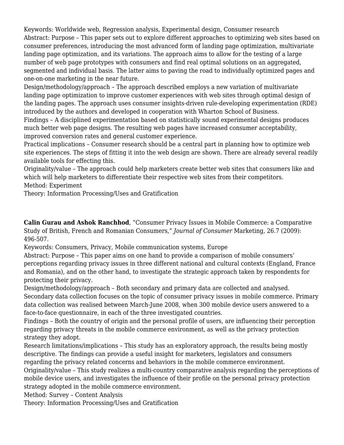Keywords: Worldwide web, Regression analysis, Experimental design, Consumer research Abstract: Purpose – This paper sets out to explore different approaches to optimizing web sites based on consumer preferences, introducing the most advanced form of landing page optimization, multivariate landing page optimization, and its variations. The approach aims to allow for the testing of a large number of web page prototypes with consumers and find real optimal solutions on an aggregated, segmented and individual basis. The latter aims to paving the road to individually optimized pages and one-on-one marketing in the near future.

Design/methodology/approach – The approach described employs a new variation of multivariate landing page optimization to improve customer experiences with web sites through optimal design of the landing pages. The approach uses consumer insights-driven rule-developing experimentation (RDE) introduced by the authors and developed in cooperation with Wharton School of Business.

Findings – A disciplined experimentation based on statistically sound experimental designs produces much better web page designs. The resulting web pages have increased consumer acceptability, improved conversion rates and general customer experience.

Practical implications – Consumer research should be a central part in planning how to optimize web site experiences. The steps of fitting it into the web design are shown. There are already several readily available tools for effecting this.

Originality/value – The approach could help marketers create better web sites that consumers like and which will help marketers to differentiate their respective web sites from their competitors. Method: Experiment

Theory: Information Processing/Uses and Gratification

**Calin Gurau and Ashok Ranchhod**, "Consumer Privacy Issues in Mobile Commerce: a Comparative Study of British, French and Romanian Consumers," *Journal of Consumer* Marketing, 26.7 (2009): 496-507.

Keywords: Consumers, Privacy, Mobile communication systems, Europe

Abstract: Purpose – This paper aims on one hand to provide a comparison of mobile consumers' perceptions regarding privacy issues in three different national and cultural contexts (England, France and Romania), and on the other hand, to investigate the strategic approach taken by respondents for protecting their privacy.

Design/methodology/approach – Both secondary and primary data are collected and analysed. Secondary data collection focuses on the topic of consumer privacy issues in mobile commerce. Primary data collection was realised between March-June 2008, when 300 mobile device users answered to a face-to-face questionnaire, in each of the three investigated countries.

Findings – Both the country of origin and the personal profile of users, are influencing their perception regarding privacy threats in the mobile commerce environment, as well as the privacy protection strategy they adopt.

Research limitations/implications – This study has an exploratory approach, the results being mostly descriptive. The findings can provide a useful insight for marketers, legislators and consumers regarding the privacy related concerns and behaviors in the mobile commerce environment.

Originality/value – This study realizes a multi-country comparative analysis regarding the perceptions of mobile device users, and investigates the influence of their profile on the personal privacy protection strategy adopted in the mobile commerce environment.

Method: Survey – Content Analysis

Theory: Information Processing/Uses and Gratification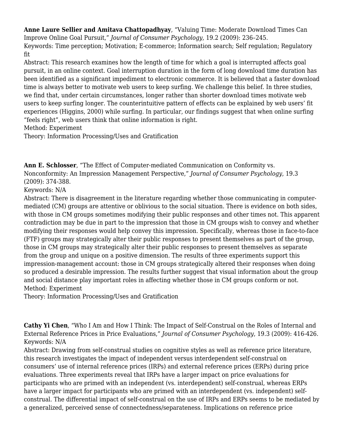**Anne Laure Sellier and Amitava Chattopadhyay**, "Valuing Time: Moderate Download Times Can Improve Online Goal Pursuit," *Journal of Consumer Psychology,* 19.2 (2009): 236–245. Keywords: Time perception; Motivation; E-commerce; Information search; Self regulation; Regulatory fit

Abstract: This research examines how the length of time for which a goal is interrupted affects goal pursuit, in an online context. Goal interruption duration in the form of long download time duration has been identified as a significant impediment to electronic commerce. It is believed that a faster download time is always better to motivate web users to keep surfing. We challenge this belief. In three studies, we find that, under certain circumstances, longer rather than shorter download times motivate web users to keep surfing longer. The counterintuitive pattern of effects can be explained by web users' fit experiences (Higgins, 2000) while surfing. In particular, our findings suggest that when online surfing "feels right", web users think that online information is right.

Method: Experiment

Theory: Information Processing/Uses and Gratification

**Ann E. Schlosser**, "The Effect of Computer-mediated Communication on Conformity vs. Nonconformity: An Impression Management Perspective," *Journal of Consumer Psychology*, 19.3 (2009): 374-388.

Keywords: N/A

Abstract: There is disagreement in the literature regarding whether those communicating in computermediated (CM) groups are attentive or oblivious to the social situation. There is evidence on both sides, with those in CM groups sometimes modifying their public responses and other times not. This apparent contradiction may be due in part to the impression that those in CM groups wish to convey and whether modifying their responses would help convey this impression. Specifically, whereas those in face-to-face (FTF) groups may strategically alter their public responses to present themselves as part of the group, those in CM groups may strategically alter their public responses to present themselves as separate from the group and unique on a positive dimension. The results of three experiments support this impression-management account: those in CM groups strategically altered their responses when doing so produced a desirable impression. The results further suggest that visual information about the group and social distance play important roles in affecting whether those in CM groups conform or not. Method: Experiment

Theory: Information Processing/Uses and Gratification

**Cathy Yi Chen**, "Who I Am and How I Think: The Impact of Self-Construal on the Roles of Internal and External Reference Prices in Price Evaluations," *Journal of Consumer Psychology*, 19.3 (2009): 416-426. Keywords: N/A

Abstract: Drawing from self-construal studies on cognitive styles as well as reference price literature, this research investigates the impact of independent versus interdependent self-construal on consumers' use of internal reference prices (IRPs) and external reference prices (ERPs) during price evaluations. Three experiments reveal that IRPs have a larger impact on price evaluations for participants who are primed with an independent (vs. interdependent) self-construal, whereas ERPs have a larger impact for participants who are primed with an interdependent (vs. independent) selfconstrual. The differential impact of self-construal on the use of IRPs and ERPs seems to be mediated by a generalized, perceived sense of connectedness/separateness. Implications on reference price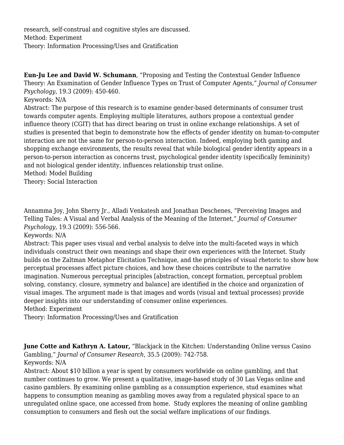research, self-construal and cognitive styles are discussed. Method: Experiment Theory: Information Processing/Uses and Gratification

**Eun-Ju Lee and David W. Schumann**, "Proposing and Testing the Contextual Gender Influence Theory: An Examination of Gender Influence Types on Trust of Computer Agents," *Journal of Consumer Psychology*, 19.3 (2009): 450-460.

### Keywords: N/A

Abstract: The purpose of this research is to examine gender-based determinants of consumer trust towards computer agents. Employing multiple literatures, authors propose a contextual gender influence theory (CGIT) that has direct bearing on trust in online exchange relationships. A set of studies is presented that begin to demonstrate how the effects of gender identity on human-to-computer interaction are not the same for person-to-person interaction. Indeed, employing both gaming and shopping exchange environments, the results reveal that while biological gender identity appears in a person-to-person interaction as concerns trust, psychological gender identity (specifically femininity) and not biological gender identity, influences relationship trust online.

Method: Model Building

Theory: Social Interaction

Annamma Joy, John Sherry Jr., Alladi Venkatesh and Jonathan Deschenes, "Perceiving Images and Telling Tales: A Visual and Verbal Analysis of the Meaning of the Internet," *Journal of Consumer Psychology*, 19.3 (2009): 556-566.

Keywords: N/A

Abstract: This paper uses visual and verbal analysis to delve into the multi-faceted ways in which individuals construct their own meanings and shape their own experiences with the Internet. Study builds on the Zaltman Metaphor Elicitation Technique, and the principles of visual rhetoric to show how perceptual processes affect picture choices, and how these choices contribute to the narrative imagination. Numerous perceptual principles [abstraction, concept formation, perceptual problem solving, constancy, closure, symmetry and balance] are identified in the choice and organization of visual images. The argument made is that images and words (visual and textual processes) provide deeper insights into our understanding of consumer online experiences. Method: Experiment

Theory: Information Processing/Uses and Gratification

**June Cotte and Kathryn A. Latour,** "Blackjack in the Kitchen: Understanding Online versus Casino Gambling," *Journal of Consumer Research*, 35.5 (2009): 742-758. Keywords: N/A

Abstract: About \$10 billion a year is spent by consumers worldwide on online gambling, and that number continues to grow. We present a qualitative, image-based study of 30 Las Vegas online and casino gamblers. By examining online gambling as a consumption experience, stud examines what happens to consumption meaning as gambling moves away from a regulated physical space to an unregulated online space, one accessed from home. Study explores the meaning of online gambling consumption to consumers and flesh out the social welfare implications of our findings.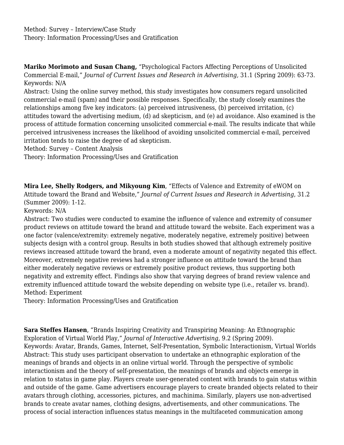Method: Survey – Interview/Case Study Theory: Information Processing/Uses and Gratification

**Mariko Morimoto and Susan Chang,** "Psychological Factors Affecting Perceptions of Unsolicited Commercial E-mail," *Journal of Current Issues and Research in Advertising,* 31.1 (Spring 2009): 63-73. Keywords: N/A

Abstract: Using the online survey method, this study investigates how consumers regard unsolicited commercial e-mail (spam) and their possible responses. Specifically, the study closely examines the relationships among five key indicators: (a) perceived intrusiveness, (b) perceived irritation, (c) attitudes toward the advertising medium, (d) ad skepticism, and (e) ad avoidance. Also examined is the process of attitude formation concerning unsolicited commercial e-mail. The results indicate that while perceived intrusiveness increases the likelihood of avoiding unsolicited commercial e-mail, perceived irritation tends to raise the degree of ad skepticism.

Method: Survey – Content Analysis

Theory: Information Processing/Uses and Gratification

**Mira Lee, Shelly Rodgers, and Mikyoung Kim**, "Effects of Valence and Extremity of eWOM on Attitude toward the Brand and Website," *Journal of Current Issues and Research in Advertising*, 31.2 (Summer 2009): 1-12.

Keywords: N/A

Abstract: Two studies were conducted to examine the influence of valence and extremity of consumer product reviews on attitude toward the brand and attitude toward the website. Each experiment was a one factor (valence/extremity: extremely negative, moderately negative, extremely positive) between subjects design with a control group. Results in both studies showed that although extremely positive reviews increased attitude toward the brand, even a moderate amount of negativity negated this effect. Moreover, extremely negative reviews had a stronger influence on attitude toward the brand than either moderately negative reviews or extremely positive product reviews, thus supporting both negativity and extremity effect. Findings also show that varying degrees of brand review valence and extremity influenced attitude toward the website depending on website type (i.e., retailer vs. brand). Method: Experiment

Theory: Information Processing/Uses and Gratification

**Sara Steffes Hansen**, "Brands Inspiring Creativity and Transpiring Meaning: An Ethnographic Exploration of Virtual World Play," *Journal of Interactive Advertising*, 9.2 (Spring 2009). Keywords: Avatar, Brands, Games, Internet, Self-Presentation, Symbolic Interactionism, Virtual Worlds Abstract: This study uses participant observation to undertake an ethnographic exploration of the meanings of brands and objects in an online virtual world. Through the perspective of symbolic interactionism and the theory of self-presentation, the meanings of brands and objects emerge in relation to status in game play. Players create user-generated content with brands to gain status within and outside of the game. Game advertisers encourage players to create branded objects related to their avatars through clothing, accessories, pictures, and machinima. Similarly, players use non-advertised brands to create avatar names, clothing designs, advertisements, and other communications. The process of social interaction influences status meanings in the multifaceted communication among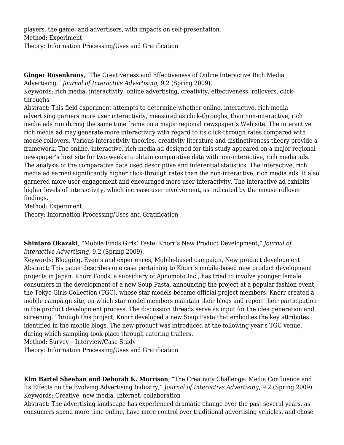players, the game, and advertisers, with impacts on self-presentation. Method: Experiment Theory: Information Processing/Uses and Gratification

**Ginger Rosenkrans**, "The Creativeness and Effectiveness of Online Interactive Rich Media Advertising," *Journal of Interactive Advertising*, 9.2 (Spring 2009).

Keywords: rich media, interactivity, online advertising, creativity, effectiveness, rollovers, clickthroughs

Abstract: This field experiment attempts to determine whether online, interactive, rich media advertising garners more user interactivity, measured as click-throughs, than non-interactive, rich media ads run during the same time frame on a major regional newspaper's Web site. The interactive rich media ad may generate more interactivity with regard to its click-through rates compared with mouse rollovers. Various interactivity theories, creativity literature and distinctiveness theory provide a framework. The online, interactive, rich media ad designed for this study appeared on a major regional newspaper's host site for two weeks to obtain comparative data with non-interactive, rich media ads. The analysis of the comparative data used descriptive and inferential statistics. The interactive, rich media ad earned significantly higher click-through rates than the non-interactive, rich media ads. It also garnered more user engagement and encouraged more user interactivity. The interactive ad exhibits higher levels of interactivity, which increase user involvement, as indicated by the mouse rollover findings.

Method: Experiment

Theory: Information Processing/Uses and Gratification

**Shintaro Okazaki**, "Mobile Finds Girls' Taste: Knorr's New Product Development," *Journal of Interactive Advertising*, 9.2 (Spring 2009).

Keywords: Blogging, Events and experiences, Mobile-based campaign, New product development Abstract: This paper describes one case pertaining to Knorr's mobile-based new product development projects in Japan. Knorr Foods, a subsidiary of Ajinomoto Inc., has tried to involve younger female consumers in the development of a new Soup Pasta, announcing the project at a popular fashion event, the Tokyo Girls Collection (TGC), whose star models became official project members. Knorr created a mobile campaign site, on which star model members maintain their blogs and report their participation in the product development process. The discussion threads serve as input for the idea generation and screening. Through this project, Knorr developed a new Soup Pasta that embodies the key attributes identified in the mobile blogs. The new product was introduced at the following year's TGC venue, during which sampling took place through catering trailers.

Method: Survey – Interview/Case Study

Theory: Information Processing/Uses and Gratification

**Kim Bartel Sheehan and Deborah K. Morrison**, "The Creativity Challenge: Media Confluence and Its Effects on the Evolving Advertising Industry," *Journal of Interactive Advertising*, 9.2 (Spring 2009). Keywords: Creative, new media, Internet, collaboration

Abstract: The advertising landscape has experienced dramatic change over the past several years, as consumers spend more time online, have more control over traditional advertising vehicles, and chose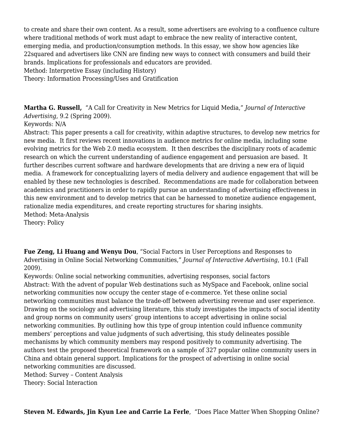to create and share their own content. As a result, some advertisers are evolving to a confluence culture where traditional methods of work must adapt to embrace the new reality of interactive content, emerging media, and production/consumption methods. In this essay, we show how agencies like 22squared and advertisers like CNN are finding new ways to connect with consumers and build their brands. Implications for professionals and educators are provided.

Method: Interpretive Essay (including History)

Theory: Information Processing/Uses and Gratification

**Martha G. Russell,** "A Call for Creativity in New Metrics for Liquid Media," *Journal of Interactive Advertising*, 9.2 (Spring 2009).

## Keywords: N/A

Abstract: This paper presents a call for creativity, within adaptive structures, to develop new metrics for new media. It first reviews recent innovations in audience metrics for online media, including some evolving metrics for the Web 2.0 media ecosystem. It then describes the disciplinary roots of academic research on which the current understanding of audience engagement and persuasion are based. It further describes current software and hardware developments that are driving a new era of liquid media. A framework for conceptualizing layers of media delivery and audience engagement that will be enabled by these new technologies is described. Recommendations are made for collaboration between academics and practitioners in order to rapidly pursue an understanding of advertising effectiveness in this new environment and to develop metrics that can be harnessed to monetize audience engagement, rationalize media expenditures, and create reporting structures for sharing insights. Method: Meta-Analysis

Theory: Policy

**Fue Zeng, Li Huang and Wenyu Dou**, "Social Factors in User Perceptions and Responses to Advertising in Online Social Networking Communities," *Journal of Interactive Advertising*, 10.1 (Fall 2009).

Keywords: Online social networking communities, advertising responses, social factors Abstract: With the advent of popular Web destinations such as MySpace and Facebook, online social networking communities now occupy the center stage of e-commerce. Yet these online social networking communities must balance the trade-off between advertising revenue and user experience. Drawing on the sociology and advertising literature, this study investigates the impacts of social identity and group norms on community users' group intentions to accept advertising in online social networking communities. By outlining how this type of group intention could influence community members' perceptions and value judgments of such advertising, this study delineates possible mechanisms by which community members may respond positively to community advertising. The authors test the proposed theoretical framework on a sample of 327 popular online community users in China and obtain general support. Implications for the prospect of advertising in online social networking communities are discussed.

Method: Survey – Content Analysis Theory: Social Interaction

**Steven M. Edwards, Jin Kyun Lee and Carrie La Ferle**, "Does Place Matter When Shopping Online?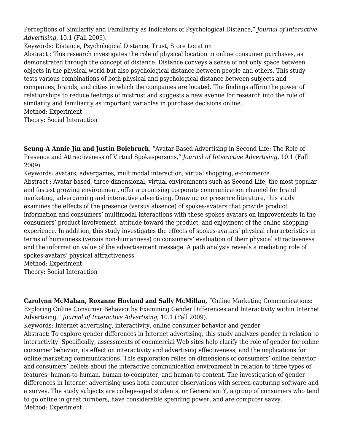Perceptions of Similarity and Familiarity as Indicators of Psychological Distance," *Journal of Interactive Advertising*, 10.1 (Fall 2009).

Keywords: Distance, Psychological Distance, Trust, Store Location

Abstract : This research investigates the role of physical location in online consumer purchases, as demonstrated through the concept of distance. Distance conveys a sense of not only space between objects in the physical world but also psychological distance between people and others. This study tests various combinations of both physical and psychological distance between subjects and companies, brands, and cities in which the companies are located. The findings affirm the power of relationships to reduce feelings of mistrust and suggests a new avenue for research into the role of similarity and familiarity as important variables in purchase decisions online.

Method: Experiment

Theory: Social Interaction

**Seung-A Annie Jin and Justin Bolebruch**, "Avatar-Based Advertising in Second Life: The Role of Presence and Attractiveness of Virtual Spokespersons," *Journal of Interactive Advertising*, 10.1 (Fall 2009).

Keywords: avatars, advergames, multimodal interaction, virtual shopping, e-commerce Abstract : Avatar-based, three-dimensional, virtual environments such as Second Life, the most popular and fastest growing environment, offer a promising corporate communication channel for brand marketing, advergaming and interactive advertising. Drawing on presence literature, this study examines the effects of the presence (versus absence) of spokes-avatars that provide product information and consumers' multimodal interactions with these spokes-avatars on improvements in the consumers' product involvement, attitude toward the product, and enjoyment of the online shopping experience. In addition, this study investigates the effects of spokes-avatars' physical characteristics in terms of humanness (versus non-humanness) on consumers' evaluation of their physical attractiveness and the information value of the advertisement message. A path analysis reveals a mediating role of spokes-avatars' physical attractiveness.

Method: Experiment Theory: Social Interaction

**Carolynn McMahan, Roxanne Hovland and Sally McMillan,** "Online Marketing Communications: Exploring Online Consumer Behavior by Examining Gender Differences and Interactivity within Internet Advertising," *Journal of Interactive Advertising*, 10.1 (Fall 2009).

Keywords: Internet advertising, interactivity, online consumer behavior and gender

Abstract: To explore gender differences in Internet advertising, this study analyzes gender in relation to interactivity. Specifically, assessments of commercial Web sites help clarify the role of gender for online consumer behavior, its effect on interactivity and advertising effectiveness, and the implications for online marketing communications. This exploration relies on dimensions of consumers' online behavior and consumers' beliefs about the interactive communication environment in relation to three types of features: human-to-human, human-to-computer, and human-to-content. The investigation of gender differences in Internet advertising uses both computer observations with screen-capturing software and a survey. The study subjects are college-aged students, or Generation Y, a group of consumers who tend to go online in great numbers, have considerable spending power, and are computer savvy. Method: Experiment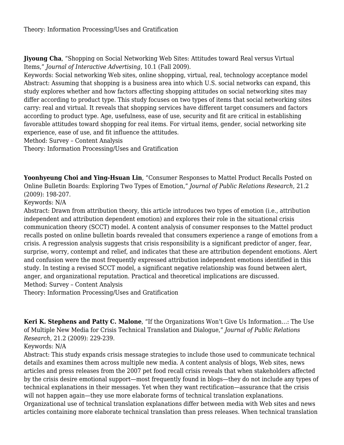**Jiyoung Cha**, "Shopping on Social Networking Web Sites: Attitudes toward Real versus Virtual Items," *Journal of Interactive Advertising*, 10.1 (Fall 2009).

Keywords: Social networking Web sites, online shopping, virtual, real, technology acceptance model Abstract: Assuming that shopping is a business area into which U.S. social networks can expand, this study explores whether and how factors affecting shopping attitudes on social networking sites may differ according to product type. This study focuses on two types of items that social networking sites carry: real and virtual. It reveals that shopping services have different target consumers and factors according to product type. Age, usefulness, ease of use, security and fit are critical in establishing favorable attitudes toward shopping for real items. For virtual items, gender, social networking site experience, ease of use, and fit influence the attitudes.

Method: Survey – Content Analysis

Theory: Information Processing/Uses and Gratification

**Yoonhyeung Choi and Ying-Hsuan Lin**, "Consumer Responses to Mattel Product Recalls Posted on Online Bulletin Boards: Exploring Two Types of Emotion," *Journal of Public Relations Research*, 21.2 (2009): 198-207.

Keywords: N/A

Abstract: Drawn from attribution theory, this article introduces two types of emotion (i.e., attribution independent and attribution dependent emotion) and explores their role in the situational crisis communication theory (SCCT) model. A content analysis of consumer responses to the Mattel product recalls posted on online bulletin boards revealed that consumers experience a range of emotions from a crisis. A regression analysis suggests that crisis responsibility is a significant predictor of anger, fear, surprise, worry, contempt and relief, and indicates that these are attribution dependent emotions. Alert and confusion were the most frequently expressed attribution independent emotions identified in this study. In testing a revised SCCT model, a significant negative relationship was found between alert, anger, and organizational reputation. Practical and theoretical implications are discussed. Method: Survey – Content Analysis

Theory: Information Processing/Uses and Gratification

**Keri K. Stephens and Patty C. Malone**, "If the Organizations Won't Give Us Information…: The Use of Multiple New Media for Crisis Technical Translation and Dialogue," *Journal of Public Relations Research*, 21.2 (2009): 229-239.

Keywords: N/A

Abstract: This study expands crisis message strategies to include those used to communicate technical details and examines them across multiple new media. A content analysis of blogs, Web sites, news articles and press releases from the 2007 pet food recall crisis reveals that when stakeholders affected by the crisis desire emotional support—most frequently found in blogs—they do not include any types of technical explanations in their messages. Yet when they want rectification—assurance that the crisis will not happen again—they use more elaborate forms of technical translation explanations. Organizational use of technical translation explanations differ between media with Web sites and news articles containing more elaborate technical translation than press releases. When technical translation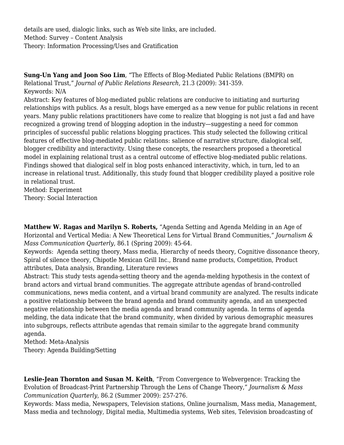details are used, dialogic links, such as Web site links, are included. Method: Survey – Content Analysis Theory: Information Processing/Uses and Gratification

**Sung-Un Yang and Joon Soo Lim**, "The Effects of Blog-Mediated Public Relations (BMPR) on Relational Trust," *Journal of Public Relations Research*, 21.3 (2009): 341-359. Keywords: N/A

Abstract: Key features of blog-mediated public relations are conducive to initiating and nurturing relationships with publics. As a result, blogs have emerged as a new venue for public relations in recent years. Many public relations practitioners have come to realize that blogging is not just a fad and have recognized a growing trend of blogging adoption in the industry—suggesting a need for common principles of successful public relations blogging practices. This study selected the following critical features of effective blog-mediated public relations: salience of narrative structure, dialogical self, blogger credibility and interactivity. Using these concepts, the researchers proposed a theoretical model in explaining relational trust as a central outcome of effective blog-mediated public relations. Findings showed that dialogical self in blog posts enhanced interactivity, which, in turn, led to an increase in relational trust. Additionally, this study found that blogger credibility played a positive role in relational trust.

Method: Experiment Theory: Social Interaction

**Matthew W. Ragas and Marilyn S. Roberts,** "Agenda Setting and Agenda Melding in an Age of Horizontal and Vertical Media: A New Theoretical Lens for Virtual Brand Communities," *Journalism & Mass Communication Quarterly*, 86.1 (Spring 2009): 45-64.

Keywords: Agenda setting theory, Mass media, Hierarchy of needs theory, Cognitive dissonance theory, Spiral of silence theory, Chipotle Mexican Grill Inc., Brand name products, Competition, Product attributes, Data analysis, Branding, Literature reviews

Abstract: This study tests agenda-setting theory and the agenda-melding hypothesis in the context of brand actors and virtual brand communities. The aggregate attribute agendas of brand-controlled communications, news media content, and a virtual brand community are analyzed. The results indicate a positive relationship between the brand agenda and brand community agenda, and an unexpected negative relationship between the media agenda and brand community agenda. In terms of agenda melding, the data indicate that the brand community, when divided by various demographic measures into subgroups, reflects attribute agendas that remain similar to the aggregate brand community agenda.

Method: Meta-Analysis Theory: Agenda Building/Setting

**Leslie-Jean Thornton and Susan M. Keith**, "From Convergence to Webvergence: Tracking the Evolution of Broadcast-Print Partnership Through the Lens of Change Theory," *Journalism & Mass Communication Quarterly*, 86.2 (Summer 2009): 257-276.

Keywords: Mass media, Newspapers, Television stations, Online journalism, Mass media, Management, Mass media and technology, Digital media, Multimedia systems, Web sites, Television broadcasting of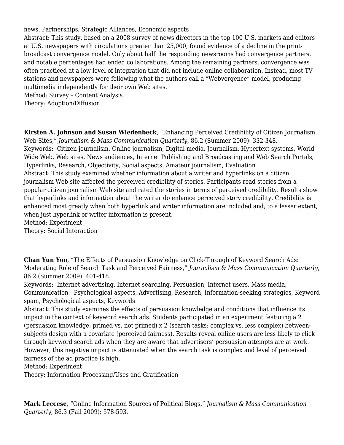news, Partnerships, Strategic Alliances, Economic aspects

Abstract: This study, based on a 2008 survey of news directors in the top 100 U.S. markets and editors at U.S. newspapers with circulations greater than 25,000, found evidence of a decline in the printbroadcast convergence model. Only about half the responding newsrooms had convergence partners, and notable percentages had ended collaborations. Among the remaining partners, convergence was often practiced at a low level of integration that did not include online collaboration. Instead, most TV stations and newspapers were following what the authors call a "Webvergence" model, producing multimedia independently for their own Web sites.

Method: Survey – Content Analysis

Theory: Adoption/Diffusion

**Kirsten A. Johnson and Susan Wiedenbeck**, "Enhancing Perceived Credibility of Citizen Journalism Web Sites," *Journalism & Mass Communication Quarterly*, 86.2 (Summer 2009): 332-348. Keywords: Citizen journalism, Online journalism, Digital media, Journalism, Hypertext systems, World Wide Web, Web sites, News audiences, Internet Publishing and Broadcasting and Web Search Portals, Hyperlinks, Research, Objectivity, Social aspects, Amateur journalism, Evaluation Abstract: This study examined whether information about a writer and hyperlinks on a citizen journalism Web site affected the perceived credibility of stories. Participants read stories from a popular citizen journalism Web site and rated the stories in terms of perceived credibility. Results show that hyperlinks and information about the writer do enhance perceived story credibility. Credibility is enhanced most greatly when both hyperlink and writer information are included and, to a lesser extent, when just hyperlink or writer information is present.

Method: Experiment

Theory: Social Interaction

**Chan Yun Yoo**, "The Effects of Persuasion Knowledge on Click-Through of Keyword Search Ads: Moderating Role of Search Task and Perceived Fairness," *Journalism* & *Mass Communication Quarterly*, 86.2 (Summer 2009): 401-418.

Keywords: Internet advertising, Internet searching, Persuasion, Internet users, Mass media, Communication—Psychological aspects, Advertising, Research, Information-seeking strategies, Keyword spam, Psychological aspects, Keywords

Abstract: This study examines the effects of persuasion knowledge and conditions that influence its impact in the context of keyword search ads. Students participated in an experiment featuring a 2 (persuasion knowledge: primed vs. not primed) x 2 (search tasks: complex vs. less complex) betweensubjects design with a covariate (perceived fairness). Results reveal online users are less likely to click through keyword search ads when they are aware that advertisers' persuasion attempts are at work. However, this negative impact is attenuated when the search task is complex and level of perceived fairness of the ad practice is high.

Method: Experiment

Theory: Information Processing/Uses and Gratification

**Mark Leccese**, "Online Information Sources of Political Blogs," *Journalism & Mass Communication Quarterly*, 86.3 (Fall 2009): 578-593.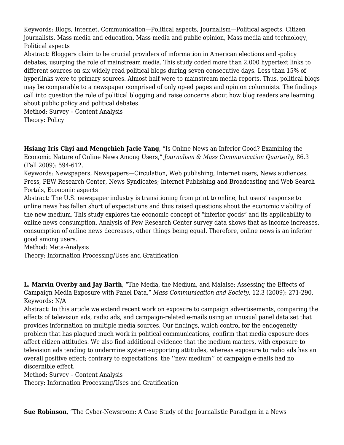Keywords: Blogs, Internet, Communication—Political aspects, Journalism—Political aspects, Citizen journalists, Mass media and education, Mass media and public opinion, Mass media and technology, Political aspects

Abstract: Bloggers claim to be crucial providers of information in American elections and -policy debates, usurping the role of mainstream media. This study coded more than 2,000 hypertext links to different sources on six widely read political blogs during seven consecutive days. Less than 15% of hyperlinks were to primary sources. Almost half were to mainstream media reports. Thus, political blogs may be comparable to a newspaper comprised of only op-ed pages and opinion columnists. The findings call into question the role of political blogging and raise concerns about how blog readers are learning about public policy and political debates.

Method: Survey – Content Analysis Theory: Policy

**Hsiang Iris Chyi and Mengchieh Jacie Yang**, "Is Online News an Inferior Good? Examining the Economic Nature of Online News Among Users," *Journalism & Mass Communication Quarterly*, 86.3 (Fall 2009): 594-612.

Keywords: Newspapers, Newspapers—Circulation, Web publishing, Internet users, News audiences, Press, PEW Research Center, News Syndicates; Internet Publishing and Broadcasting and Web Search Portals, Economic aspects

Abstract: The U.S. newspaper industry is transitioning from print to online, but users' response to online news has fallen short of expectations and thus raised questions about the economic viability of the new medium. This study explores the economic concept of "inferior goods" and its applicability to online news consumption. Analysis of Pew Research Center survey data shows that as income increases, consumption of online news decreases, other things being equal. Therefore, online news is an inferior good among users.

Method: Meta-Analysis

Theory: Information Processing/Uses and Gratification

**L. Marvin Overby and Jay Barth**, "The Media, the Medium, and Malaise: Assessing the Effects of Campaign Media Exposure with Panel Data," *Mass Communication and Society*, 12.3 (2009): 271-290. Keywords: N/A

Abstract: In this article we extend recent work on exposure to campaign advertisements, comparing the effects of television ads, radio ads, and campaign-related e-mails using an unusual panel data set that provides information on multiple media sources. Our findings, which control for the endogeneity problem that has plagued much work in political communications, confirm that media exposure does affect citizen attitudes. We also find additional evidence that the medium matters, with exposure to television ads tending to undermine system-supporting attitudes, whereas exposure to radio ads has an overall positive effect; contrary to expectations, the ''new medium'' of campaign e-mails had no discernible effect.

Method: Survey – Content Analysis

Theory: Information Processing/Uses and Gratification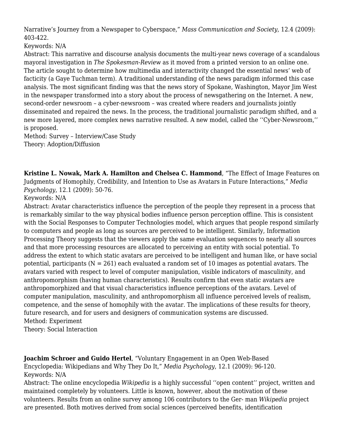Narrative's Journey from a Newspaper to Cyberspace," *Mass Communication and Society*, 12.4 (2009): 403-422.

Keywords: N/A

Abstract: This narrative and discourse analysis documents the multi-year news coverage of a scandalous mayoral investigation in *The Spokesman-Review* as it moved from a printed version to an online one. The article sought to determine how multimedia and interactivity changed the essential news' web of facticity (a Gaye Tuchman term). A traditional understanding of the news paradigm informed this case analysis. The most significant finding was that the news story of Spokane, Washington, Mayor Jim West in the newspaper transformed into a story about the process of newsgathering on the Internet. A new, second-order newsroom – a cyber-newsroom – was created where readers and journalists jointly disseminated and repaired the news. In the process, the traditional journalistic paradigm shifted, and a new more layered, more complex news narrative resulted. A new model, called the ''Cyber-Newsroom,'' is proposed.

Method: Survey – Interview/Case Study Theory: Adoption/Diffusion

**Kristine L. Nowak, Mark A. Hamilton and Chelsea C. Hammond**, "The Effect of Image Features on Judgments of Homophily, Credibility, and Intention to Use as Avatars in Future Interactions," *Media Psychology*, 12.1 (2009): 50-76.

Keywords: N/A

Abstract: Avatar characteristics influence the perception of the people they represent in a process that is remarkably similar to the way physical bodies influence person perception offline. This is consistent with the Social Responses to Computer Technologies model, which argues that people respond similarly to computers and people as long as sources are perceived to be intelligent. Similarly, Information Processing Theory suggests that the viewers apply the same evaluation sequences to nearly all sources and that more processing resources are allocated to perceiving an entity with social potential. To address the extent to which static avatars are perceived to be intelligent and human like, or have social potential, participants ( $N = 261$ ) each evaluated a random set of 10 images as potential avatars. The avatars varied with respect to level of computer manipulation, visible indicators of masculinity, and anthropomorphism (having human characteristics). Results confirm that even static avatars are anthropomorphized and that visual characteristics influence perceptions of the avatars. Level of computer manipulation, masculinity, and anthropomorphism all influence perceived levels of realism, competence, and the sense of homophily with the avatar. The implications of these results for theory, future research, and for users and designers of communication systems are discussed. Method: Experiment

Theory: Social Interaction

**Joachim Schroer and Guido Hertel**, "Voluntary Engagement in an Open Web-Based Encyclopedia: Wikipedians and Why They Do It," *Media Psychology*, 12.1 (2009): 96-120. Keywords: N/A

Abstract: The online encyclopedia *Wikipedia* is a highly successful ''open content'' project, written and maintained completely by volunteers. Little is known, however, about the motivation of these volunteers. Results from an online survey among 106 contributors to the Ger- man *Wikipedia* project are presented. Both motives derived from social sciences (perceived benefits, identification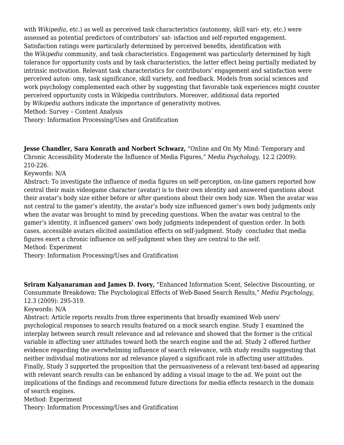with *Wikipedia*, etc.) as well as perceived task characteristics (autonomy, skill vari- ety, etc.) were assessed as potential predictors of contributors' sat- isfaction and self-reported engagement. Satisfaction ratings were particularly determined by perceived benefits, identification with the *Wikipedia* community, and task characteristics. Engagement was particularly determined by high tolerance for opportunity costs and by task characteristics, the latter effect being partially mediated by intrinsic motivation. Relevant task characteristics for contributors' engagement and satisfaction were perceived auton- omy, task significance, skill variety, and feedback. Models from social sciences and work psychology complemented each other by suggesting that favorable task experiences might counter perceived opportunity costs in Wikipedia contributors. Moreover, additional data reported by *Wikipedia* authors indicate the importance of generativity motives.

Method: Survey – Content Analysis

Theory: Information Processing/Uses and Gratification

**Jesse Chandler, Sara Konrath and Norbert Schwarz,** "Online and On My Mind: Temporary and Chronic Accessibility Moderate the Influence of Media Figures," *Media Psychology,* 12.2 (2009): 210-226.

Keywords: N/A

Abstract: To investigate the influence of media figures on self-perception, on-line gamers reported how central their main videogame character (avatar) is to their own identity and answered questions about their avatar's body size either before or after questions about their own body size. When the avatar was not central to the gamer's identity, the avatar's body size influenced gamer's own body judgments only when the avatar was brought to mind by preceding questions. When the avatar was central to the gamer's identity, it influenced gamers' own body judgments independent of question order. In both cases, accessible avatars elicited assimilation effects on self-judgment. Study concludez that media figures exert a chronic influence on self-judgment when they are central to the self. Method: Experiment

Theory: Information Processing/Uses and Gratification

**Sriram Kalyanaraman and James D. Ivory,** "Enhanced Information Scent, Selective Discounting, or Consummate Breakdown: The Psychological Effects of Web-Based Search Results," *Media Psychology*, 12.3 (2009): 295-319.

Keywords: N/A

Abstract: Article reports results from three experiments that broadly examined Web users' psychological responses to search results featured on a mock search engine. Study 1 examined the interplay between search result relevance and ad relevance and showed that the former is the critical variable in affecting user attitudes toward both the search engine and the ad. Study 2 offered further evidence regarding the overwhelming influence of search relevance, with study results suggesting that neither individual motivations nor ad relevance played a significant role in affecting user attitudes. Finally, Study 3 supported the proposition that the persuasiveness of a relevant text-based ad appearing with relevant search results can be enhanced by adding a visual image to the ad. We point out the implications of the findings and recommend future directions for media effects research in the domain of search engines.

Method: Experiment

Theory: Information Processing/Uses and Gratification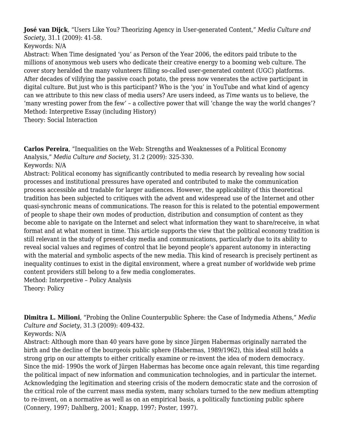**José van Dijck**, "Users Like You? Theorizing Agency in User-generated Content," *Media Culture and Society*, 31.1 (2009): 41-58.

Keywords: N/A

Abstract: When Time designated 'you' as Person of the Year 2006, the editors paid tribute to the millions of anonymous web users who dedicate their creative energy to a booming web culture. The cover story heralded the many volunteers filling so-called user-generated content (UGC) platforms. After decades of vilifying the passive coach potato, the press now venerates the active participant in digital culture. But just who is this participant? Who is the 'you' in YouTube and what kind of agency can we attribute to this new class of media users? Are users indeed, as *Time* wants us to believe, the 'many wresting power from the few' – a collective power that will 'change the way the world changes'? Method: Interpretive Essay (including History)

Theory: Social Interaction

**Carlos Pereira**, "Inequalities on the Web: Strengths and Weaknesses of a Political Economy Analysis," *Media Culture and Society*, 31.2 (2009): 325-330.

Keywords: N/A

Abstract: Political economy has significantly contributed to media research by revealing how social processes and institutional pressures have operated and contributed to make the communication process accessible and tradable for larger audiences. However, the applicability of this theoretical tradition has been subjected to critiques with the advent and widespread use of the Internet and other quasi-synchronic means of communications. The reason for this is related to the potential empowerment of people to shape their own modes of production, distribution and consumption of content as they become able to navigate on the Internet and select what information they want to share/receive, in what format and at what moment in time. This article supports the view that the political economy tradition is still relevant in the study of present-day media and communications, particularly due to its ability to reveal social values and regimes of control that lie beyond people's apparent autonomy in interacting with the material and symbolic aspects of the new media. This kind of research is precisely pertinent as inequality continues to exist in the digital environment, where a great number of worldwide web prime content providers still belong to a few media conglomerates.

Method: Interpretive – Policy Analysis Theory: Policy

**Dimitra L. Milioni**, "Probing the Online Counterpublic Sphere: the Case of Indymedia Athens," *Media Culture and Society*, 31.3 (2009): 409-432. Keywords: N/A

Abstract: Although more than 40 years have gone by since Jürgen Habermas originally narrated the birth and the decline of the bourgeois public sphere (Habermas, 1989/1962), this ideal still holds a strong grip on our attempts to either critically examine or re-invent the idea of modern democracy. Since the mid- 1990s the work of Jürgen Habermas has become once again relevant, this time regarding the political impact of new information and communication technologies, and in particular the internet. Acknowledging the legitimation and steering crisis of the modern democratic state and the corrosion of the critical role of the current mass media system, many scholars turned to the new medium attempting to re-invent, on a normative as well as on an empirical basis, a politically functioning public sphere (Connery, 1997; Dahlberg, 2001; Knapp, 1997; Poster, 1997).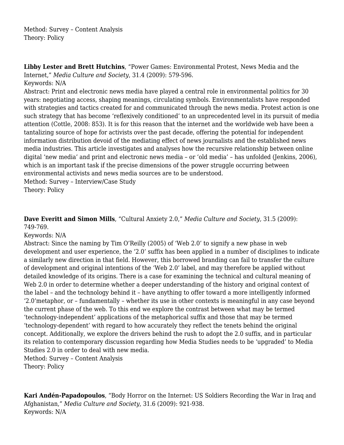**Libby Lester and Brett Hutchins**, "Power Games: Environmental Protest, News Media and the Internet," *Media Culture and Society*, 31.4 (2009): 579-596. Keywords: N/A

Abstract: Print and electronic news media have played a central role in environmental politics for 30 years: negotiating access, shaping meanings, circulating symbols. Environmentalists have responded with strategies and tactics created for and communicated through the news media. Protest action is one such strategy that has become 'reflexively conditioned' to an unprecedented level in its pursuit of media attention (Cottle, 2008: 853). It is for this reason that the internet and the worldwide web have been a tantalizing source of hope for activists over the past decade, offering the potential for independent information distribution devoid of the mediating effect of news journalists and the established news media industries. This article investigates and analyses how the recursive relationship between online digital 'new media' and print and electronic news media – or 'old media' – has unfolded (Jenkins, 2006), which is an important task if the precise dimensions of the power struggle occurring between environmental activists and news media sources are to be understood.

Method: Survey – Interview/Case Study

Theory: Policy

**Dave Everitt and Simon Mills**, "Cultural Anxiety 2.0," *Media Culture and Society,* 31.5 (2009): 749-769.

Keywords: N/A

Abstract: Since the naming by Tim O'Reilly (2005) of 'Web 2.0' to signify a new phase in web development and user experience, the '2.0' suffix has been applied in a number of disciplines to indicate a similarly new direction in that field. However, this borrowed branding can fail to transfer the culture of development and original intentions of the 'Web 2.0' label, and may therefore be applied without detailed knowledge of its origins. There is a case for examining the technical and cultural meaning of Web 2.0 in order to determine whether a deeper understanding of the history and original context of the label – and the technology behind it – have anything to offer toward a more intelligently informed '2.0'metaphor, or – fundamentally – whether its use in other contexts is meaningful in any case beyond the current phase of the web. To this end we explore the contrast between what may be termed 'technology-independent' applications of the metaphorical suffix and those that may be termed 'technology-dependent' with regard to how accurately they reflect the tenets behind the original concept. Additionally, we explore the drivers behind the rush to adopt the 2.0 suffix, and in particular its relation to contemporary discussion regarding how Media Studies needs to be 'upgraded' to Media Studies 2.0 in order to deal with new media.

Method: Survey – Content Analysis Theory: Policy

**Kari Andén-Papadopoulos**, "Body Horror on the Internet: US Soldiers Recording the War in Iraq and Afghanistan," *Media Culture and Society*, 31.6 (2009): 921-938. Keywords: N/A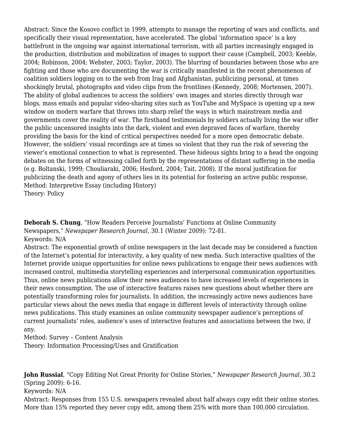Abstract: Since the Kosovo conflict in 1999, attempts to manage the reporting of wars and conflicts, and specifically their visual representation, have accelerated. The global 'information space' is a key battlefront in the ongoing war against international terrorism, with all parties increasingly engaged in the production, distribution and mobilization of images to support their cause (Campbell, 2003; Keeble, 2004; Robinson, 2004; Webster, 2003; Taylor, 2003). The blurring of boundaries between those who are fighting and those who are documenting the war is critically manifested in the recent phenomenon of coalition soldiers logging on to the web from Iraq and Afghanistan, publicizing personal, at times shockingly brutal, photographs and video clips from the frontlines (Kennedy, 2008; Mortensen, 2007). The ability of global audiences to access the soldiers' own images and stories directly through war blogs, mass emails and popular video-sharing sites such as YouTube and MySpace is opening up a new window on modern warfare that throws into sharp relief the ways in which mainstream media and governments cover the reality of war. The firsthand testimonials by soldiers actually living the war offer the public uncensored insights into the dark, violent and even depraved faces of warfare, thereby providing the basis for the kind of critical perspectives needed for a more open democratic debate. However, the soldiers' visual recordings are at times so violent that they run the risk of severing the viewer's emotional connection to what is represented. These hideous sights bring to a head the ongoing debates on the forms of witnessing called forth by the representations of distant suffering in the media (e.g. Boltanski, 1999; Chouliaraki, 2006; Hesford, 2004; Tait, 2008). If the moral justification for publicizing the death and agony of others lies in its potential for fostering an active public response, Method: Interpretive Essay (including History) Theory: Policy

**Deborah S. Chung**, "How Readers Perceive Journalists' Functions at Online Community Newspapers," *Newspaper Research Journal*, 30.1 (Winter 2009): 72-81. Keywords: N/A

Abstract: The exponential growth of online newspapers in the last decade may be considered a function of the Internet's potential for interactivity, a key quality of new media. Such interactive qualities of the Internet provide unique opportunities for online news publications to engage their news audiences with increased control, multimedia storytelling experiences and interpersonal communication opportunities. Thus, online news publications allow their news audiences to have increased levels of experiences in their news consumption. The use of interactive features raises new questions about whether there are potentially transforming roles for journalists. In addition, the increasingly active news audiences have particular views about the news media that engage in different levels of interactivity through online news publications. This study examines an online community newspaper audience's perceptions of current journalists' roles, audience's uses of interactive features and associations between the two, if any.

Method: Survey – Content Analysis Theory: Information Processing/Uses and Gratification

**John Russial**, "Copy Editing Not Great Priority for Online Stories," *Newspaper Research Journal*, 30.2 (Spring 2009): 6-16.

Keywords: N/A

Abstract: Responses from 155 U.S. newspapers revealed about half always copy edit their online stories. More than 15% reported they never copy edit, among them 25% with more than 100,000 circulation.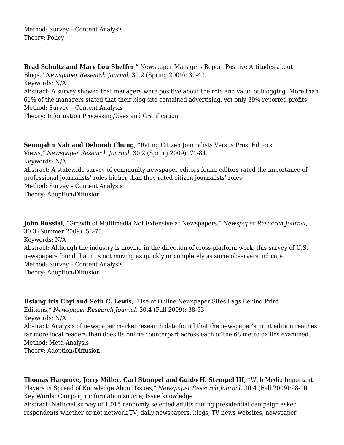Method: Survey – Content Analysis Theory: Policy

**Brad Schultz and Mary Lou Sheffer**," Newspaper Managers Report Positive Attitudes about Blogs," *Newspaper Research Journal*, 30.2 (Spring 2009): 30-43.

Keywords: N/A

Abstract: A survey showed that managers were positive about the role and value of blogging. More than 61% of the managers stated that their blog site contained advertising, yet only 39% reported profits. Method: Survey – Content Analysis

Theory: Information Processing/Uses and Gratification

**Seungahn Nah and Deborah Chung**, "Rating Citizen Journalists Versus Pros: Editors' Views," *Newspaper Research Journal*, 30.2 (Spring 2009): 71-84. Keywords: N/A Abstract: A statewide survey of community newspaper editors found editors rated the importance of professional journalists' roles higher than they rated citizen journalists' roles. Method: Survey – Content Analysis Theory: Adoption/Diffusion

**John Russial**, "Growth of Multimedia Not Extensive at Newspapers," *Newspape*r *Research Journal*, 30.3 (Summer 2009): 58-75. Keywords: N/A Abstract: Although the industry is moving in the direction of cross-platform work, this survey of U.S. newspapers found that it is not moving as quickly or completely as some observers indicate. Method: Survey – Content Analysis Theory: Adoption/Diffusion

**Hsiang Iris Chyi and Seth C. Lewis**, "Use of Online Newspaper Sites Lags Behind Print Editions," *Newspaper Research Journal*, 30.4 (Fall 2009): 38-53 Keywords: N/A Abstract: Analysis of newspaper market research data found that the newspaper's print edition reaches far more local readers than does its online counterpart across each of the 68 metro dailies examined. Method: Meta-Analysis Theory: Adoption/Diffusion

**Thomas Hargrove, Jerry Miller, Carl Stempel and Guido H. Stempel III,** "Web Media Important Players in Spread of Knowledge About Issues," *Newspaper Research Journal*, 30:4 (Fall 2009):98-101 Key Words: Campaign information source; Issue knowledge

Abstract: National survey of 1,015 randomly selected adults during presidential campaign asked respondents whether or not network TV, daily newspapers, blogs, TV news websites, newspaper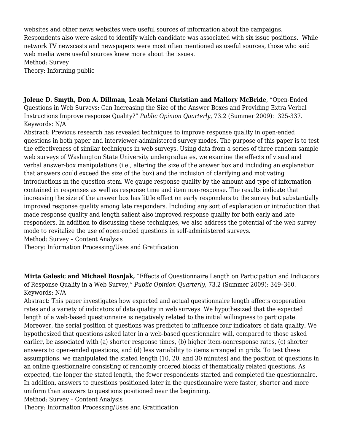websites and other news websites were useful sources of information about the campaigns. Respondents also were asked to identify which candidate was associated with six issue positions. While network TV newscasts and newspapers were most often mentioned as useful sources, those who said web media were useful sources knew more about the issues. Method: Survey

Theory: Informing public

**Jolene D. Smyth, Don A. Dillman, Leah Melani Christian and Mallory McBride**, "Open-Ended Questions in Web Surveys: Can Increasing the Size of the Answer Boxes and Providing Extra Verbal Instructions Improve response Quality?" *Public Opinion Quarterly*, 73.2 (Summer 2009): 325-337. Keywords: N/A

Abstract: Previous research has revealed techniques to improve response quality in open-ended questions in both paper and interviewer-administered survey modes. The purpose of this paper is to test the effectiveness of similar techniques in web surveys. Using data from a series of three random sample web surveys of Washington State University undergraduates, we examine the effects of visual and verbal answer-box manipulations (i.e., altering the size of the answer box and including an explanation that answers could exceed the size of the box) and the inclusion of clarifying and motivating introductions in the question stem. We gauge response quality by the amount and type of information contained in responses as well as response time and item non-response. The results indicate that increasing the size of the answer box has little effect on early responders to the survey but substantially improved response quality among late responders. Including any sort of explanation or introduction that made response quality and length salient also improved response quality for both early and late responders. In addition to discussing these techniques, we also address the potential of the web survey mode to revitalize the use of open-ended questions in self-administered surveys. Method: Survey – Content Analysis

Theory: Information Processing/Uses and Gratification

**Mirta Galesic and Michael Bosnjak,** "Effects of Questionnaire Length on Participation and Indicators of Response Quality in a Web Survey," *Public Opinion Quarterly*, 73.2 (Summer 2009): 349–360. Keywords: N/A

Abstract: This paper investigates how expected and actual questionnaire length affects cooperation rates and a variety of indicators of data quality in web surveys. We hypothesized that the expected length of a web-based questionnaire is negatively related to the initial willingness to participate. Moreover, the serial position of questions was predicted to influence four indicators of data quality. We hypothesized that questions asked later in a web-based questionnaire will, compared to those asked earlier, be associated with (a) shorter response times, (b) higher item-nonresponse rates, (c) shorter answers to open-ended questions, and (d) less variability to items arranged in grids. To test these assumptions, we manipulated the stated length (10, 20, and 30 minutes) and the position of questions in an online questionnaire consisting of randomly ordered blocks of thematically related questions. As expected, the longer the stated length, the fewer respondents started and completed the questionnaire. In addition, answers to questions positioned later in the questionnaire were faster, shorter and more uniform than answers to questions positioned near the beginning.

Method: Survey – Content Analysis

Theory: Information Processing/Uses and Gratification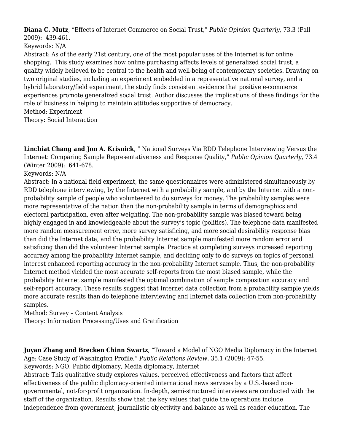**Diana C. Mutz**, "Effects of Internet Commerce on Social Trust," *Public Opinion Quarterly*, 73.3 (Fall 2009): 439-461.

Keywords: N/A

Abstract: As of the early 21st century, one of the most popular uses of the Internet is for online shopping. This study examines how online purchasing affects levels of generalized social trust, a quality widely believed to be central to the health and well-being of contemporary societies. Drawing on two original studies, including an experiment embedded in a representative national survey, and a hybrid laboratory/field experiment, the study finds consistent evidence that positive e-commerce experiences promote generalized social trust. Author discusses the implications of these findings for the role of business in helping to maintain attitudes supportive of democracy. Method: Experiment

Theory: Social Interaction

**Linchiat Chang and Jon A. Krisnick**, " National Surveys Via RDD Telephone Interviewing Versus the Internet: Comparing Sample Representativeness and Response Quality," *Public Opinion Quarterly*, 73.4 (Winter 2009): 641-678.

## Keywords: N/A

Abstract: In a national field experiment, the same questionnaires were administered simultaneously by RDD telephone interviewing, by the Internet with a probability sample, and by the Internet with a nonprobability sample of people who volunteered to do surveys for money. The probability samples were more representative of the nation than the non-probability sample in terms of demographics and electoral participation, even after weighting. The non-probability sample was biased toward being highly engaged in and knowledgeable about the survey's topic (politics). The telephone data manifested more random measurement error, more survey satisficing, and more social desirability response bias than did the Internet data, and the probability Internet sample manifested more random error and satisficing than did the volunteer Internet sample. Practice at completing surveys increased reporting accuracy among the probability Internet sample, and deciding only to do surveys on topics of personal interest enhanced reporting accuracy in the non-probability Internet sample. Thus, the non-probability Internet method yielded the most accurate self-reports from the most biased sample, while the probability Internet sample manifested the optimal combination of sample composition accuracy and self-report accuracy. These results suggest that Internet data collection from a probability sample yields more accurate results than do telephone interviewing and Internet data collection from non-probability samples.

Method: Survey – Content Analysis

Theory: Information Processing/Uses and Gratification

**Juyan Zhang and Brecken Chinn Swartz**, "Toward a Model of NGO Media Diplomacy in the Internet Age: Case Study of Washington Profile," *Public Relations Review*, 35.1 (2009): 47-55. Keywords: NGO, Public diplomacy, Media diplomacy, Internet

Abstract: This qualitative study explores values, perceived effectiveness and factors that affect effectiveness of the public diplomacy-oriented international news services by a U.S.-based nongovernmental, not-for-profit organization. In-depth, semi-structured interviews are conducted with the staff of the organization. Results show that the key values that guide the operations include independence from government, journalistic objectivity and balance as well as reader education. The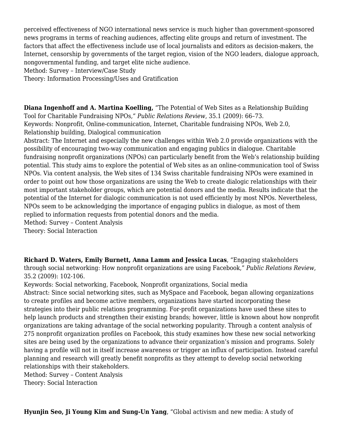perceived effectiveness of NGO international news service is much higher than government-sponsored news programs in terms of reaching audiences, affecting elite groups and return of investment. The factors that affect the effectiveness include use of local journalists and editors as decision-makers, the Internet, censorship by governments of the target region, vision of the NGO leaders, dialogue approach, nongovernmental funding, and target elite niche audience.

Method: Survey – Interview/Case Study

Theory: Information Processing/Uses and Gratification

**Diana Ingenhoff and A. Martina Koelling,** "The Potential of Web Sites as a Relationship Building Tool for Charitable Fundraising NPOs*," Public Relations Review*, 35.1 (2009): 66–73. Keywords: Nonprofit, Online-communication, Internet, Charitable fundraising NPOs, Web 2.0, Relationship building, Dialogical communication

Abstract: The Internet and especially the new challenges within Web 2.0 provide organizations with the possibility of encouraging two-way communication and engaging publics in dialogue. Charitable fundraising nonprofit organizations (NPOs) can particularly benefit from the Web's relationship building potential. This study aims to explore the potential of Web sites as an online-communication tool of Swiss NPOs. Via content analysis, the Web sites of 134 Swiss charitable fundraising NPOs were examined in order to point out how those organizations are using the Web to create dialogic relationships with their most important stakeholder groups, which are potential donors and the media. Results indicate that the potential of the Internet for dialogic communication is not used efficiently by most NPOs. Nevertheless, NPOs seem to be acknowledging the importance of engaging publics in dialogue, as most of them replied to information requests from potential donors and the media. Method: Survey – Content Analysis

Theory: Social Interaction

**Richard D. Waters, Emily Burnett, Anna Lamm and Jessica Lucas**, "Engaging stakeholders through social networking: How nonprofit organizations are using Facebook," *Public Relations Review*, 35.2 (2009): 102-106.

Keywords: Social networking, Facebook, Nonprofit organizations, Social media

Abstract: Since social networking sites, such as MySpace and Facebook, began allowing organizations to create profiles and become active members, organizations have started incorporating these strategies into their public relations programming. For-profit organizations have used these sites to help launch products and strengthen their existing brands; however, little is known about how nonprofit organizations are taking advantage of the social networking popularity. Through a content analysis of 275 nonprofit organization profiles on Facebook, this study examines how these new social networking sites are being used by the organizations to advance their organization's mission and programs. Solely having a profile will not in itself increase awareness or trigger an influx of participation. Instead careful planning and research will greatly benefit nonprofits as they attempt to develop social networking relationships with their stakeholders.

Method: Survey – Content Analysis Theory: Social Interaction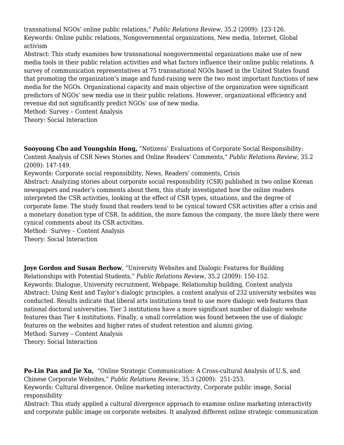transnational NGOs' online public relations," *Public Relations Review*, 35.2 (2009): 123-126. Keywords: Online public relations, Nongovernmental organizations, New media, Internet, Global activism

Abstract: This study examines how transnational nongovernmental organizations make use of new media tools in their public relation activities and what factors influence their online public relations. A survey of communication representatives at 75 transnational NGOs based in the United States found that promoting the organization's image and fund-raising were the two most important functions of new media for the NGOs. Organizational capacity and main objective of the organization were significant predictors of NGOs' new media use in their public relations. However, organizational efficiency and revenue did not significantly predict NGOs' use of new media.

Method: Survey – Content Analysis

Theory: Social Interaction

**Sooyoung Cho and Youngshin Hong,** "Netizens' Evaluations of Corporate Social Responsibility: Content Analysis of CSR News Stories and Online Readers' Comments," *Public Relations Review*, 35.2 (2009): 147-149.

Keywords: Corporate social responsibility, News, Readers' comments, Crisis

Abstract: Analyzing stories about corporate social responsibility (CSR) published in two online Korean newspapers and reader's comments about them, this study investigated how the online readers interpreted the CSR activities, looking at the effect of CSR types, situations, and the degree of corporate fame. The study found that readers tend to be cynical toward CSR activities after a crisis and a monetary donation type of CSR. In addition, the more famous the company, the more likely there were cynical comments about its CSR activities.

Method: Survey – Content Analysis Theory: Social Interaction

**Joye Gordon and Susan Berhow**, "University Websites and Dialogic Features for Building Relationships with Potential Students," *Public Relations Review*, 35.2 (2009): 150-152. Keywords: Dialogue, University recruitment, Webpage, Relationship building, Content analysis Abstract: Using Kent and Taylor's dialogic principles, a content analysis of 232 university websites was conducted. Results indicate that liberal arts institutions tend to use more dialogic web features than national doctoral universities. Tier 3 institutions have a more significant number of dialogic website features than Tier 4 institutions. Finally, a small correlation was found between the use of dialogic features on the websites and higher rates of student retention and alumni giving. Method: Survey – Content Analysis Theory: Social Interaction

**Po-Lin Pan and Jie Xu,** "Online Strategic Communication: A Cross-cultural Analysis of U.S. and Chinese Corporate Websites," *Public Relations Review*, 35.3 (2009): 251-253. Keywords: Cultural divergence, Online marketing interactivity, Corporate public image, Social responsibility

Abstract: This study applied a cultural divergence approach to examine online marketing interactivity and corporate public image on corporate websites. It analyzed different online strategic communication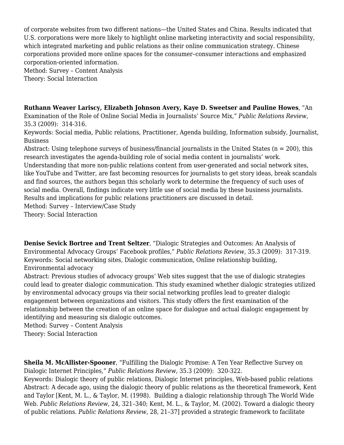of corporate websites from two different nations—the United States and China. Results indicated that U.S. corporations were more likely to highlight online marketing interactivity and social responsibility, which integrated marketing and public relations as their online communication strategy. Chinese corporations provided more online spaces for the consumer–consumer interactions and emphasized corporation-oriented information.

Method: Survey – Content Analysis Theory: Social Interaction

**Ruthann Weaver Lariscy, Elizabeth Johnson Avery, Kaye D. Sweetser and Pauline Howes**, "An Examination of the Role of Online Social Media in Journalists' Source Mix," *Public Relations Review*, 35.3 (2009): 314-316.

Keywords: Social media, Public relations, Practitioner, Agenda building, Information subsidy, Journalist, **Business** 

Abstract: Using telephone surveys of business/financial journalists in the United States ( $n = 200$ ), this research investigates the agenda-building role of social media content in journalists' work. Understanding that more non-public relations content from user-generated and social network sites, like YouTube and Twitter, are fast becoming resources for journalists to get story ideas, break scandals and find sources, the authors began this scholarly work to determine the frequency of such uses of social media. Overall, findings indicate very little use of social media by these business journalists. Results and implications for public relations practitioners are discussed in detail. Method: Survey – Interview/Case Study

Theory: Social Interaction

**Denise Sevick Bortree and Trent Seltzer**, "Dialogic Strategies and Outcomes: An Analysis of Environmental Advocacy Groups' Facebook profiles," *Public Relations Review*, 35.3 (2009): 317-319. Keywords: Social networking sites, Dialogic communication, Online relationship building, Environmental advocacy

Abstract: Previous studies of advocacy groups' Web sites suggest that the use of dialogic strategies could lead to greater dialogic communication. This study examined whether dialogic strategies utilized by environmental advocacy groups via their social networking profiles lead to greater dialogic engagement between organizations and visitors. This study offers the first examination of the relationship between the creation of an online space for dialogue and actual dialogic engagement by identifying and measuring six dialogic outcomes.

Method: Survey – Content Analysis Theory: Social Interaction

**Sheila M. McAllister-Spooner**, "Fulfilling the Dialogic Promise: A Ten Year Reflective Survey on Dialogic Internet Principles*," Public Relations Review*, 35.3 (2009): 320-322.

Keywords: Dialogic theory of public relations, Dialogic Internet principles, Web-based public relations Abstract: A decade ago, using the dialogic theory of public relations as the theoretical framework, Kent and Taylor [Kent, M. L., & Taylor, M. (1998). Building a dialogic relationship through The World Wide Web. *Public Relations Review*, 24, 321–340; Kent, M. L., & Taylor, M. (2002). Toward a dialogic theory of public relations. *Public Relations Review*, 28, 21–37] provided a strategic framework to facilitate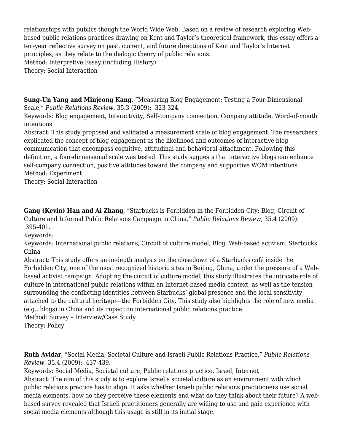relationships with publics though the World Wide Web. Based on a review of research exploring Webbased public relations practices drawing on Kent and Taylor's theoretical framework, this essay offers a ten-year reflective survey on past, current, and future directions of Kent and Taylor's Internet principles, as they relate to the dialogic theory of public relations. Method: Interpretive Essay (including History) Theory: Social Interaction

**Sung-Un Yang and Minjeong Kang**, "Measuring Blog Engagement: Testing a Four-Dimensional Scale," *Public Relations Review*, 35.3 (2009): 323-324.

Keywords: Blog engagement, Interactivity, Self-company connection, Company attitude, Word-of-mouth intentions

Abstract: This study proposed and validated a measurement scale of blog engagement. The researchers explicated the concept of blog engagement as the likelihood and outcomes of interactive blog communication that encompass cognitive, attitudinal and behavioral attachment. Following this definition, a four-dimensional scale was tested. This study suggests that interactive blogs can enhance self-company connection, positive attitudes toward the company and supportive WOM intentions. Method: Experiment

Theory: Social Interaction

**Gang (Kevin) Han and Ai Zhang**, "Starbucks is Forbidden in the Forbidden City: Blog, Circuit of Culture and Informal Public Relations Campaign in China," *Public Relations Review*, 35.4 (2009): 395-401.

Keywords:

Keywords: International public relations, Circuit of culture model, Blog, Web-based activism, Starbucks China

Abstract: This study offers an in-depth analysis on the closedown of a Starbucks café inside the Forbidden City, one of the most recognized historic sites in Beijing, China, under the pressure of a Webbased activist campaign. Adopting the circuit of culture model, this study illustrates the intricate role of culture in international public relations within an Internet-based media context, as well as the tension surrounding the conflicting identities between Starbucks' global presence and the local sensitivity attached to the cultural heritage—the Forbidden City. This study also highlights the role of new media (e.g., blogs) in China and its impact on international public relations practice.

Method: Survey – Interview/Case Study

Theory: Policy

**Ruth Avidar**, "Social Media, Societal Culture and Israeli Public Relations Practice," *Public Relations Review*, 35.4 (2009): 437-439.

Keywords: Social Media, Societal culture, Public relations practice, Israel, Internet

Abstract: The aim of this study is to explore Israel's societal culture as an environment with which public relations practice has to align. It asks whether Israeli public relations practitioners use social media elements, how do they perceive these elements and what do they think about their future? A webbased survey revealed that Israeli practitioners generally are willing to use and gain experience with social media elements although this usage is still in its initial stage.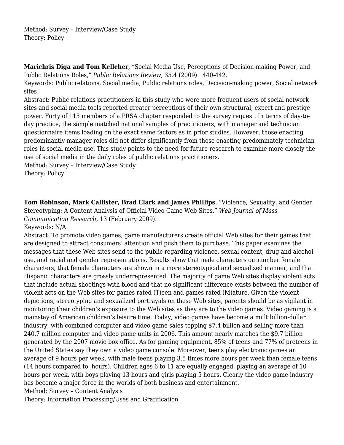Method: Survey – Interview/Case Study Theory: Policy

**Marichris Diga and Tom Kelleher**, "Social Media Use, Perceptions of Decision-making Power, and Public Relations Roles," *Public Relations Review*, 35.4 (2009): 440-442.

Keywords: Public relations, Social media, Public relations roles, Decision-making power, Social network sites

Abstract: Public relations practitioners in this study who were more frequent users of social network sites and social media tools reported greater perceptions of their own structural, expert and prestige power. Forty of 115 members of a PRSA chapter responded to the survey request. In terms of day-today practice, the sample matched national samples of practitioners, with manager and technician questionnaire items loading on the exact same factors as in prior studies. However, those enacting predominantly manager roles did not differ significantly from those enacting predominately technician roles in social media use. This study points to the need for future research to examine more closely the use of social media in the daily roles of public relations practitioners.

Method: Survey – Interview/Case Study Theory: Policy

**Tom Robinson, Mark Callister, Brad Clark and James Phillips**, "Violence, Sexuality, and Gender Stereotyping: A Content Analysis of Official Video Game Web Sites," *Web Journal of Mass Communication Research*, 13 (February 2009).

Keywords: N/A

Abstract: To promote video games, game manufacturers create official Web sites for their games that are designed to attract consumers' attention and push them to purchase. This paper examines the messages that these Web sites send to the public regarding violence, sexual content, drug and alcohol use, and racial and gender representations. Results show that male characters outnumber female characters, that female characters are shown in a more stereotypical and sexualized manner, and that Hispanic characters are grossly underrepresented. The majority of game Web sites display violent acts that include actual shootings with blood and that no significant difference exists between the number of violent acts on the Web sites for games rated (T)een and games rated (M)ature. Given the violent depictions, stereotyping and sexualized portrayals on these Web sites, parents should be as vigilant in monitoring their children's exposure to the Web sites as they are to the video games. Video gaming is a mainstay of American children's leisure time. Today, video games have become a multibillion-dollar industry, with combined computer and video game sales topping \$7.4 billion and selling more than 240.7 million computer and video game units in 2006. This amount nearly matches the \$9.7 billion generated by the 2007 movie box office. As for gaming equipment, 85% of teens and 77% of preteens in the United States say they own a video game console. Moreover, teens play electronic games an average of 9 hours per week, with male teens playing 3.5 times more hours per week than female teens (14 hours compared to hours). Children ages 6 to 11 are equally engaged, playing an average of 10 hours per week, with boys playing 13 hours and girls playing 5 hours. Clearly the video game industry has become a major force in the worlds of both business and entertainment.

Method: Survey – Content Analysis

Theory: Information Processing/Uses and Gratification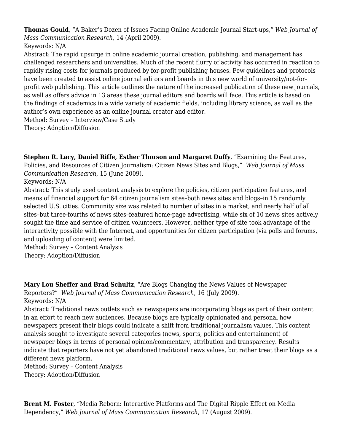**Thomas Gould**, "A Baker's Dozen of Issues Facing Online Academic Journal Start-ups," *Web Journal of Mass Communication Research*, 14 (April 2009).

Keywords: N/A

Abstract: The rapid upsurge in online academic journal creation, publishing, and management has challenged researchers and universities. Much of the recent flurry of activity has occurred in reaction to rapidly rising costs for journals produced by for-profit publishing houses. Few guidelines and protocols have been created to assist online journal editors and boards in this new world of university/not-forprofit web publishing. This article outlines the nature of the increased publication of these new journals, as well as offers advice in 13 areas these journal editors and boards will face. This article is based on the findings of academics in a wide variety of academic fields, including library science, as well as the author's own experience as an online journal creator and editor.

Method: Survey – Interview/Case Study Theory: Adoption/Diffusion

**Stephen R. Lacy, Daniel Riffe, Esther Thorson and Margaret Duffy**, "Examining the Features, Policies, and Resources of Citizen Journalism: Citizen News Sites and Blogs," *Web Journal of Mass Communication Research*, 15 (June 2009).

Keywords: N/A

Abstract: This study used content analysis to explore the policies, citizen participation features, and means of financial support for 64 citizen journalism sites–both news sites and blogs–in 15 randomly selected U.S. cities. Community size was related to number of sites in a market, and nearly half of all sites–but three-fourths of news sites–featured home-page advertising, while six of 10 news sites actively sought the time and service of citizen volunteers. However, neither type of site took advantage of the interactivity possible with the Internet, and opportunities for citizen participation (via polls and forums, and uploading of content) were limited.

Method: Survey – Content Analysis Theory: Adoption/Diffusion

**Mary Lou Sheffer and Brad Schultz**, "Are Blogs Changing the News Values of Newspaper Reporters?" *Web Journal of Mass Communication Research*, 16 (July 2009).

Keywords: N/A

Abstract: Traditional news outlets such as newspapers are incorporating blogs as part of their content in an effort to reach new audiences. Because blogs are typically opinionated and personal how newspapers present their blogs could indicate a shift from traditional journalism values. This content analysis sought to investigate several categories (news, sports, politics and entertainment) of newspaper blogs in terms of personal opinion/commentary, attribution and transparency. Results indicate that reporters have not yet abandoned traditional news values, but rather treat their blogs as a different news platform.

Method: Survey – Content Analysis Theory: Adoption/Diffusion

**Brent M. Foster**, "Media Reborn: Interactive Platforms and The Digital Ripple Effect on Media Dependency," *Web Journal of Mass Communication Research*, 17 (August 2009).